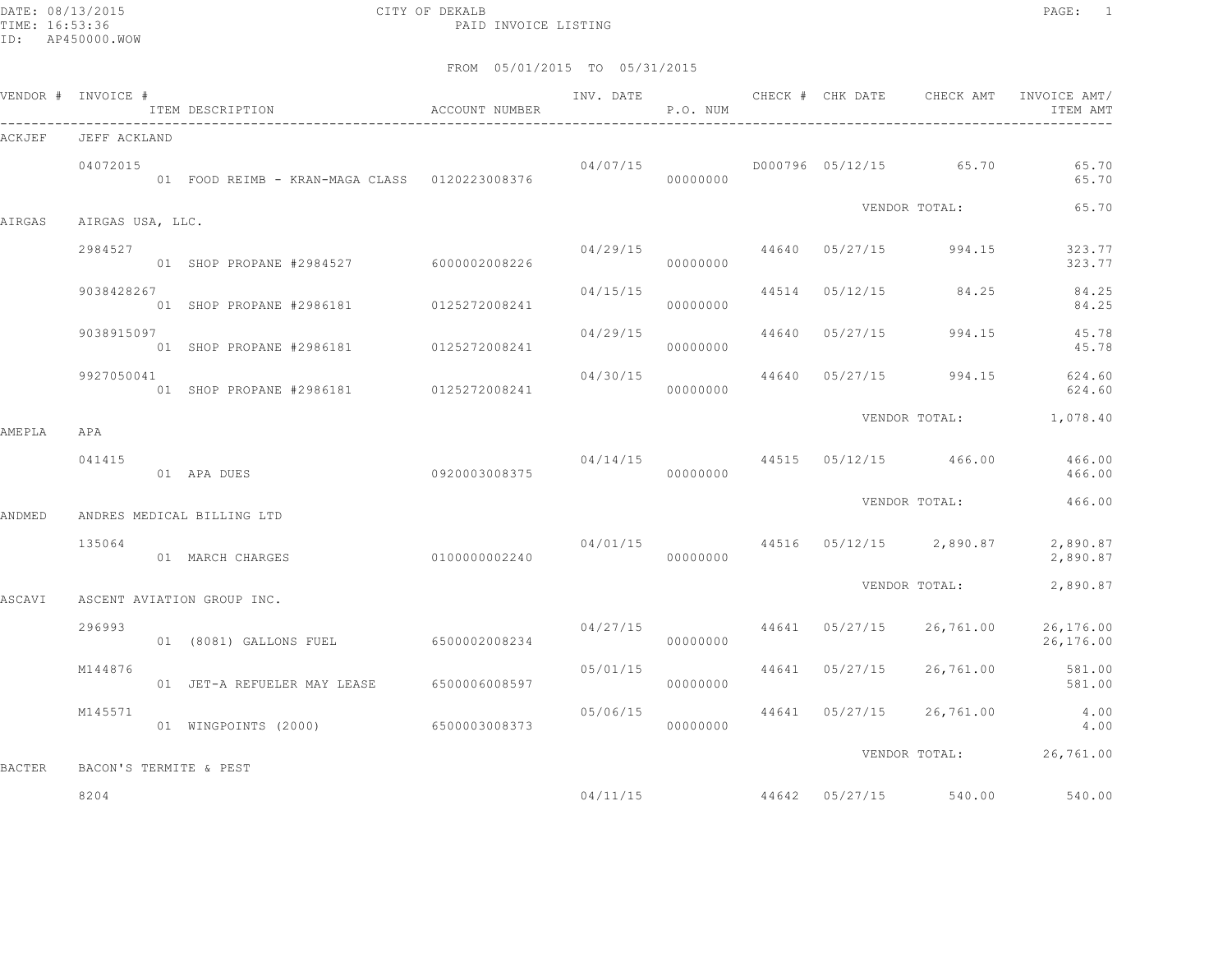DATE: 08/13/2015 CITY OF DEKALB PAGE: 1 PAID INVOICE LISTING

|          |                       |                                                                              |                                                                                                                                           |                                                                                                                                                                                                                                                                                    | P.O. NUM                                                                                                                        |                                                                                                                       |                | ITEM AMT                                                                                                                                                                                                                                                                                                                                                                                                     |
|----------|-----------------------|------------------------------------------------------------------------------|-------------------------------------------------------------------------------------------------------------------------------------------|------------------------------------------------------------------------------------------------------------------------------------------------------------------------------------------------------------------------------------------------------------------------------------|---------------------------------------------------------------------------------------------------------------------------------|-----------------------------------------------------------------------------------------------------------------------|----------------|--------------------------------------------------------------------------------------------------------------------------------------------------------------------------------------------------------------------------------------------------------------------------------------------------------------------------------------------------------------------------------------------------------------|
|          |                       |                                                                              |                                                                                                                                           |                                                                                                                                                                                                                                                                                    |                                                                                                                                 |                                                                                                                       |                |                                                                                                                                                                                                                                                                                                                                                                                                              |
| 04072015 |                       |                                                                              |                                                                                                                                           |                                                                                                                                                                                                                                                                                    |                                                                                                                                 |                                                                                                                       |                | 65.70<br>65.70                                                                                                                                                                                                                                                                                                                                                                                               |
|          |                       |                                                                              |                                                                                                                                           |                                                                                                                                                                                                                                                                                    |                                                                                                                                 |                                                                                                                       |                | 65.70                                                                                                                                                                                                                                                                                                                                                                                                        |
| 2984527  |                       |                                                                              |                                                                                                                                           |                                                                                                                                                                                                                                                                                    | 00000000                                                                                                                        |                                                                                                                       | 994.15         | 323.77<br>323.77                                                                                                                                                                                                                                                                                                                                                                                             |
|          |                       |                                                                              |                                                                                                                                           | 04/15/15                                                                                                                                                                                                                                                                           | 00000000                                                                                                                        |                                                                                                                       |                | 84.25<br>84.25                                                                                                                                                                                                                                                                                                                                                                                               |
|          |                       |                                                                              |                                                                                                                                           |                                                                                                                                                                                                                                                                                    | 00000000                                                                                                                        | 44640                                                                                                                 | 994.15         | 45.78<br>45.78                                                                                                                                                                                                                                                                                                                                                                                               |
|          |                       |                                                                              |                                                                                                                                           |                                                                                                                                                                                                                                                                                    | 00000000                                                                                                                        |                                                                                                                       | 994.15         | 624.60<br>624.60                                                                                                                                                                                                                                                                                                                                                                                             |
|          |                       |                                                                              |                                                                                                                                           |                                                                                                                                                                                                                                                                                    |                                                                                                                                 |                                                                                                                       |                |                                                                                                                                                                                                                                                                                                                                                                                                              |
| 041415   |                       |                                                                              |                                                                                                                                           |                                                                                                                                                                                                                                                                                    | 00000000                                                                                                                        |                                                                                                                       |                | 466.00                                                                                                                                                                                                                                                                                                                                                                                                       |
|          |                       |                                                                              |                                                                                                                                           |                                                                                                                                                                                                                                                                                    |                                                                                                                                 |                                                                                                                       |                | 466.00                                                                                                                                                                                                                                                                                                                                                                                                       |
| 135064   |                       |                                                                              |                                                                                                                                           |                                                                                                                                                                                                                                                                                    | 00000000                                                                                                                        |                                                                                                                       |                | 2,890.87<br>2,890.87                                                                                                                                                                                                                                                                                                                                                                                         |
|          |                       |                                                                              |                                                                                                                                           |                                                                                                                                                                                                                                                                                    |                                                                                                                                 |                                                                                                                       |                | 2,890.87                                                                                                                                                                                                                                                                                                                                                                                                     |
|          |                       |                                                                              |                                                                                                                                           |                                                                                                                                                                                                                                                                                    |                                                                                                                                 |                                                                                                                       |                |                                                                                                                                                                                                                                                                                                                                                                                                              |
|          |                       |                                                                              |                                                                                                                                           |                                                                                                                                                                                                                                                                                    | 00000000                                                                                                                        |                                                                                                                       |                | 26,176.00<br>26,176.00                                                                                                                                                                                                                                                                                                                                                                                       |
| M144876  |                       |                                                                              |                                                                                                                                           |                                                                                                                                                                                                                                                                                    | 00000000                                                                                                                        |                                                                                                                       | 26,761.00      | 581.00<br>581.00                                                                                                                                                                                                                                                                                                                                                                                             |
| M145571  |                       |                                                                              |                                                                                                                                           |                                                                                                                                                                                                                                                                                    | 00000000                                                                                                                        |                                                                                                                       |                | 26,761.00 4.00<br>4.00                                                                                                                                                                                                                                                                                                                                                                                       |
|          |                       |                                                                              |                                                                                                                                           |                                                                                                                                                                                                                                                                                    |                                                                                                                                 |                                                                                                                       |                |                                                                                                                                                                                                                                                                                                                                                                                                              |
|          |                       |                                                                              |                                                                                                                                           |                                                                                                                                                                                                                                                                                    |                                                                                                                                 |                                                                                                                       |                | 540.00                                                                                                                                                                                                                                                                                                                                                                                                       |
|          | APA<br>296993<br>8204 | VENDOR # INVOICE #<br>JEFF ACKLAND<br>9038428267<br>9038915097<br>9927050041 | AIRGAS USA, LLC.<br>01 APA DUES<br>ANDRES MEDICAL BILLING LTD<br>01 MARCH CHARGES<br>ASCENT AVIATION GROUP INC.<br>BACON'S TERMITE & PEST | ITEM DESCRIPTION ACCOUNT NUMBER<br>01 SHOP PROPANE #2984527 6000002008226<br>01 SHOP PROPANE #2986181 0125272008241<br>01 SHOP PROPANE #2986181 0125272008241<br>0920003008375<br>0100000002240<br>01 JET-A REFUELER MAY LEASE 6500006008597<br>01 WINGPOINTS (2000) 6500003008373 | 01 FOOD REIMB - KRAN-MAGA CLASS 0120223008376<br>01 SHOP PROPANE #2986181 0125272008241<br>01 (8081) GALLONS FUEL 6500002008234 | INV. DATE<br>04/07/15<br>00000000<br>04/29/15<br>04/29/15<br>04/30/15<br>04/27/15<br>05/01/15<br>05/06/15<br>04/11/15 | 44641 05/27/15 | CHECK # CHK DATE 6 CHECK AMT INVOICE AMT<br>D000796 05/12/15 65.70<br>VENDOR TOTAL:<br>44640 05/27/15<br>44514 05/12/15 84.25<br>05/27/15<br>44640 05/27/15<br>VENDOR TOTAL: 1,078.40<br>$04/14/15$ 44515 $05/12/15$ 466.00 466.00<br>VENDOR TOTAL:<br>$04/01/15$ 44516 05/12/15 2,890.87<br>VENDOR TOTAL:<br>44641 05/27/15 26,761.00<br>44641 05/27/15<br>VENDOR TOTAL: 26,761.00<br>44642 05/27/15 540.00 |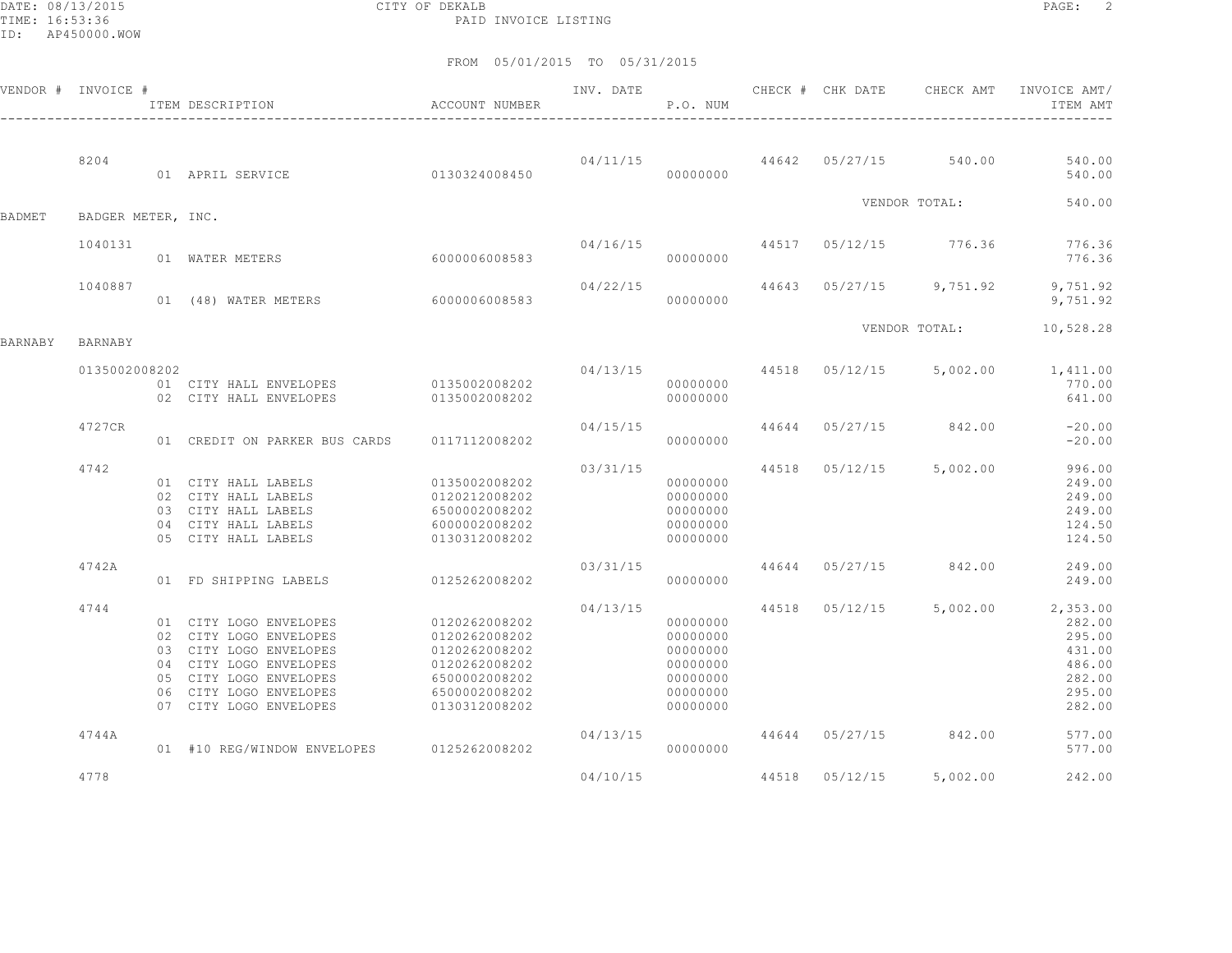DATE: 08/13/2015 CITY OF DEKALB PAGE: 2 PAID INVOICE LISTING

|         | VENDOR # INVOICE # | ITEM DESCRIPTION                                                                                                                                                                   | ACCOUNT NUMBER                                                                                                      | INV. DATE | P.O. NUM                                                                         |  | CHECK # CHK DATE CHECK AMT       | INVOICE AMT/<br>ITEM AMT                                                       |
|---------|--------------------|------------------------------------------------------------------------------------------------------------------------------------------------------------------------------------|---------------------------------------------------------------------------------------------------------------------|-----------|----------------------------------------------------------------------------------|--|----------------------------------|--------------------------------------------------------------------------------|
|         | 8204               | 01 APRIL SERVICE                                                                                                                                                                   | 0130324008450                                                                                                       |           | 04/11/15<br>00000000                                                             |  | 44642 05/27/15 540.00            | 540.00<br>540.00                                                               |
|         |                    |                                                                                                                                                                                    |                                                                                                                     |           |                                                                                  |  | VENDOR TOTAL:                    | 540.00                                                                         |
| BADMET  | BADGER METER, INC. |                                                                                                                                                                                    |                                                                                                                     |           |                                                                                  |  |                                  |                                                                                |
|         | 1040131            | 01 WATER METERS                                                                                                                                                                    | 6000006008583                                                                                                       | 04/16/15  | 00000000                                                                         |  | 44517 05/12/15 776.36            | 776.36<br>776.36                                                               |
|         | 1040887            | 01 (48) WATER METERS                                                                                                                                                               | 6000006008583                                                                                                       | 04/22/15  | 00000000                                                                         |  | 44643 05/27/15 9,751.92          | 9,751.92<br>9,751.92                                                           |
| BARNABY | BARNABY            |                                                                                                                                                                                    |                                                                                                                     |           |                                                                                  |  | VENDOR TOTAL:                    | 10,528.28                                                                      |
|         | 0135002008202      | 01 CITY HALL ENVELOPES<br>02 CITY HALL ENVELOPES                                                                                                                                   | 0135002008202<br>0135002008202                                                                                      |           | 00000000<br>00000000                                                             |  | 04/13/15 44518 05/12/15 5,002.00 | 1,411.00<br>770.00<br>641.00                                                   |
|         | 4727CR             | 01 CREDIT ON PARKER BUS CARDS                                                                                                                                                      | 0117112008202                                                                                                       | 04/15/15  | 00000000                                                                         |  | 44644 05/27/15 842.00            | $-20.00$<br>$-20.00$                                                           |
|         | 4742               | 01 CITY HALL LABELS<br>02 CITY HALL LABELS<br>03 CITY HALL LABELS<br>04 CITY HALL LABELS<br>05 CITY HALL LABELS                                                                    | 0135002008202<br>0120212008202<br>6500002008202<br>6000002008202<br>0130312008202                                   | 03/31/15  | 00000000<br>00000000<br>00000000<br>00000000<br>00000000                         |  | 44518 05/12/15 5,002.00          | 996.00<br>249.00<br>249.00<br>249.00<br>124.50<br>124.50                       |
|         | 4742A              | 01 FD SHIPPING LABELS                                                                                                                                                              | 0125262008202                                                                                                       | 03/31/15  | 00000000                                                                         |  | 44644 05/27/15 842.00            | 249.00<br>249.00                                                               |
|         | 4744               | 01 CITY LOGO ENVELOPES<br>02 CITY LOGO ENVELOPES<br>03 CITY LOGO ENVELOPES<br>04 CITY LOGO ENVELOPES<br>05 CITY LOGO ENVELOPES<br>06 CITY LOGO ENVELOPES<br>07 CITY LOGO ENVELOPES | 0120262008202<br>0120262008202<br>0120262008202<br>0120262008202<br>6500002008202<br>6500002008202<br>0130312008202 | 04/13/15  | 00000000<br>00000000<br>00000000<br>00000000<br>00000000<br>00000000<br>00000000 |  | 44518 05/12/15 5,002.00          | 2,353.00<br>282.00<br>295.00<br>431.00<br>486.00<br>282.00<br>295.00<br>282.00 |
|         | 4744A              | 01 #10 REG/WINDOW ENVELOPES                                                                                                                                                        | 0125262008202                                                                                                       | 04/13/15  | 00000000                                                                         |  | 44644 05/27/15 842.00            | 577.00<br>577.00                                                               |
|         | 4778               |                                                                                                                                                                                    |                                                                                                                     | 04/10/15  |                                                                                  |  | 44518 05/12/15 5,002.00          | 242.00                                                                         |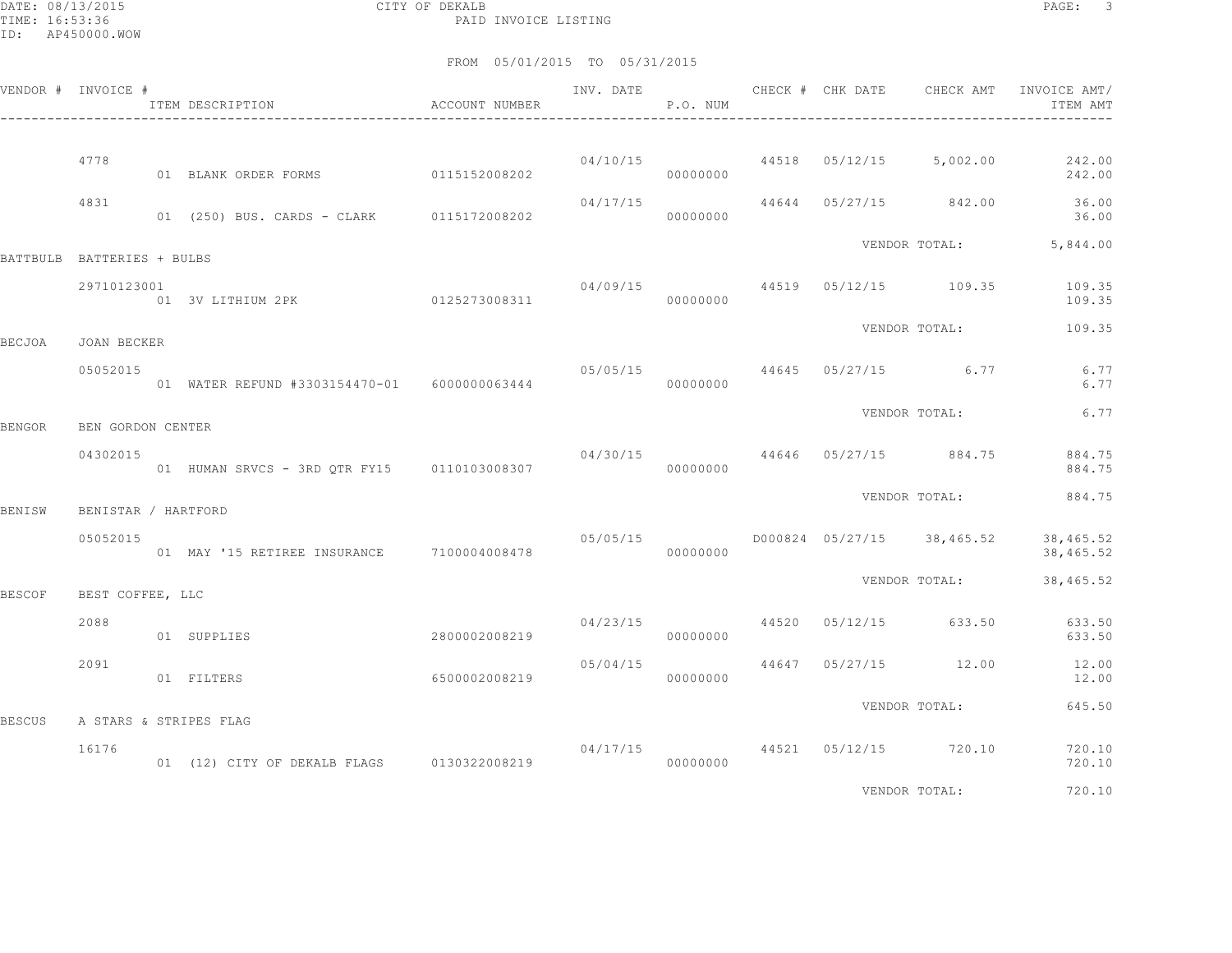DATE: 08/13/2015 CITY OF DEKALB PAGE: 3 PAID INVOICE LISTING

|        | VENDOR # INVOICE #         | ACCOUNT NUMBER<br>ITEM DESCRIPTION           |               | INV. DATE            | P.O. NUM |                | CHECK # CHK DATE CHECK AMT                | INVOICE AMT/<br>ITEM AMT |
|--------|----------------------------|----------------------------------------------|---------------|----------------------|----------|----------------|-------------------------------------------|--------------------------|
|        | 4778                       | 01 BLANK ORDER FORMS                         | 0115152008202 |                      | 00000000 |                | $04/10/15$ $44518$ $05/12/15$ $5,002.00$  | 242.00<br>242.00         |
|        | 4831                       | 01 (250) BUS. CARDS - CLARK 0115172008202    |               | 04/17/15             | 00000000 |                | 44644 05/27/15 842.00                     | 36.00<br>36.00           |
|        | BATTBULB BATTERIES + BULBS |                                              |               |                      |          |                |                                           | VENDOR TOTAL: 5,844.00   |
|        | 29710123001                | 01 3V LITHIUM 2PK 0125273008311              |               | 04/09/15<br>00000000 |          |                | 44519 05/12/15 109.35                     | 109.35<br>109.35         |
| BECJOA | JOAN BECKER                |                                              |               |                      |          |                | VENDOR TOTAL:                             | 109.35                   |
|        | 05052015                   | 01 WATER REFUND #3303154470-01 6000000063444 |               |                      | 00000000 |                | $05/05/15$ 44645 05/27/15 6.77            | 6.77<br>6.77             |
| BENGOR | BEN GORDON CENTER          |                                              |               |                      |          |                | VENDOR TOTAL:                             | 6.77                     |
|        | 04302015                   | 01 HUMAN SRVCS - 3RD OTR FY15 0110103008307  |               | 04/30/15             | 00000000 |                | 44646 05/27/15 884.75                     | 884.75<br>884.75         |
| BENISW | BENISTAR / HARTFORD        |                                              |               |                      |          |                | VENDOR TOTAL:                             | 884.75                   |
|        | 05052015                   | 01 MAY '15 RETIREE INSURANCE 7100004008478   |               |                      | 00000000 |                | $05/05/15$ $D000824$ $05/27/15$ 38,465.52 | 38,465.52<br>38,465.52   |
| BESCOF | BEST COFFEE, LLC           |                                              |               |                      |          |                | VENDOR TOTAL:                             | 38,465.52                |
|        | 2088                       | 01 SUPPLIES                                  | 2800002008219 | 04/23/15             | 00000000 |                | 44520 05/12/15 633.50                     | 633.50<br>633.50         |
|        | 2091                       | 01 FILTERS                                   | 6500002008219 | 05/04/15             | 00000000 | 44647 05/27/15 | 12.00                                     | 12.00<br>12.00           |
| BESCUS | A STARS & STRIPES FLAG     |                                              |               |                      |          |                | VENDOR TOTAL:                             | 645.50                   |
|        | 16176                      |                                              |               |                      |          |                | $04/17/15$ $44521$ $05/12/15$ $720.10$    | 720.10<br>720.10         |
|        |                            |                                              |               |                      |          |                | VENDOR TOTAL:                             | 720.10                   |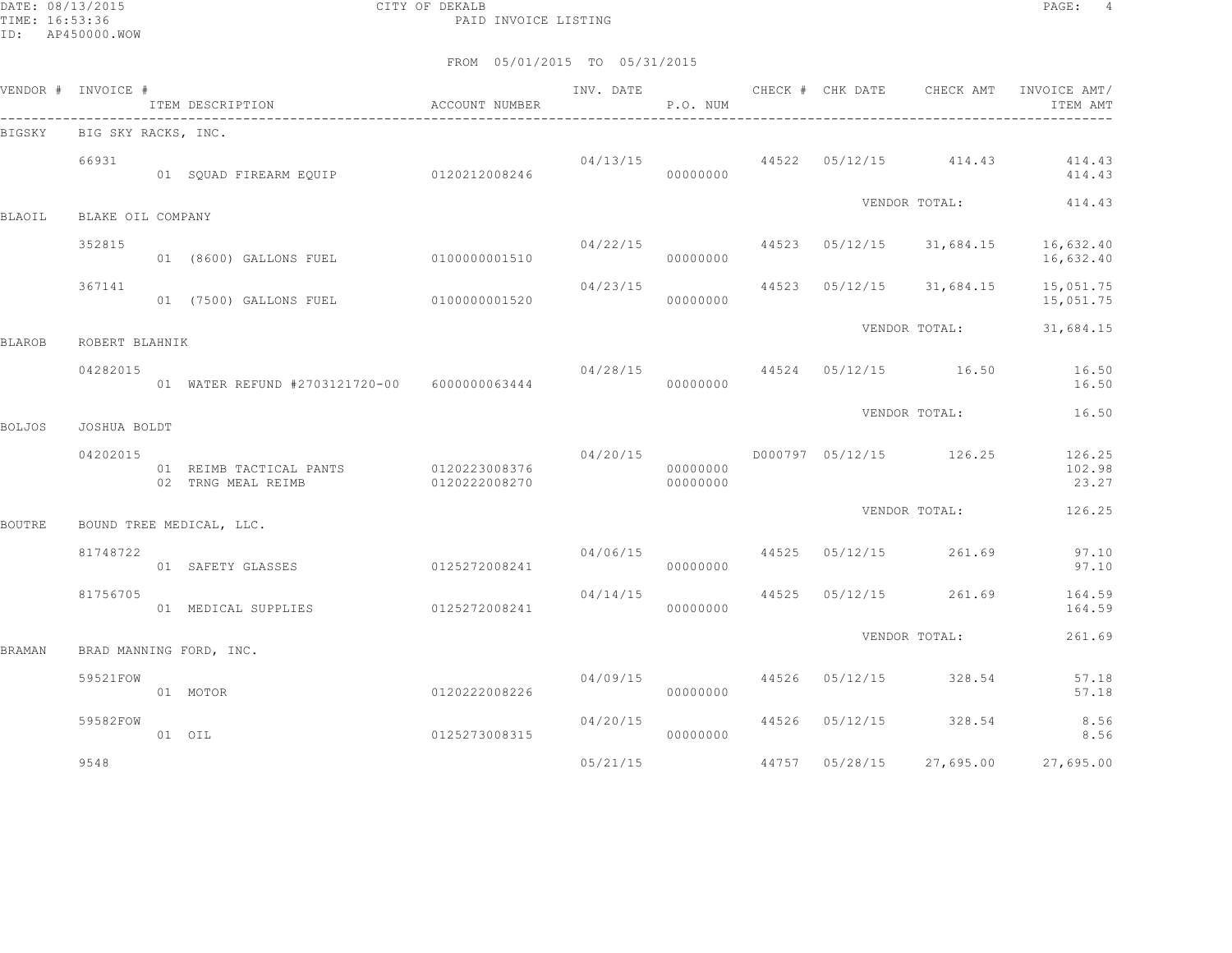DATE: 08/13/2015 CITY OF DEKALB PAGE: 4 PAID INVOICE LISTING

|        | VENDOR # INVOICE #  | ITEM DESCRIPTION <a>&gt; MOCOUNT<br/> NUMBER</a> |                                |                      | P.O. NUM             |  |                                           | INV. DATE 6 CHECK # CHK DATE CHECK AMT INVOICE AMT/<br>ITEM AMT |
|--------|---------------------|--------------------------------------------------|--------------------------------|----------------------|----------------------|--|-------------------------------------------|-----------------------------------------------------------------|
| BIGSKY | BIG SKY RACKS, INC. |                                                  |                                |                      |                      |  |                                           |                                                                 |
|        | 66931               | 01 SQUAD FIREARM EQUIP 0120212008246             |                                |                      | 00000000             |  |                                           | $04/13/15$ $44522$ $05/12/15$ $414.43$ $414.43$<br>414.43       |
| BLAOIL | BLAKE OIL COMPANY   |                                                  |                                |                      |                      |  | VENDOR TOTAL:                             | 414.43                                                          |
|        | 352815              |                                                  |                                |                      |                      |  |                                           |                                                                 |
|        |                     | 01 (8600) GALLONS FUEL                           | 0100000001510                  | 04/22/15             | 00000000             |  | 44523 05/12/15 31,684.15                  | 16,632.40<br>16,632.40                                          |
|        | 367141              | 01 (7500) GALLONS FUEL 0100000001520             |                                |                      | 00000000             |  | $04/23/15$ $44523$ $05/12/15$ $31,684.15$ | 15,051.75<br>15,051.75                                          |
| BLAROB | ROBERT BLAHNIK      |                                                  |                                |                      |                      |  |                                           | VENDOR TOTAL: 31,684.15                                         |
|        | 04282015            | 01 WATER REFUND #2703121720-00 6000000063444     |                                |                      | 00000000             |  |                                           | $04/28/15$ $44524$ $05/12/15$ $16.50$ $16.50$<br>16.50          |
| BOLJOS | JOSHUA BOLDT        |                                                  |                                |                      |                      |  | VENDOR TOTAL:                             | 16.50                                                           |
|        | 04202015            | 01 REIMB TACTICAL PANTS<br>02 TRNG MEAL REIMB    | 0120223008376<br>0120222008270 |                      | 00000000<br>00000000 |  |                                           | 102.98<br>23.27                                                 |
| BOUTRE |                     | BOUND TREE MEDICAL, LLC.                         |                                |                      |                      |  | VENDOR TOTAL:                             | 126.25                                                          |
|        | 81748722            | 01 SAFETY GLASSES 60125272008241                 |                                |                      | 00000000             |  | 04/06/15 44525 05/12/15 261.69            | 97.10<br>97.10                                                  |
|        | 81756705            | 01 MEDICAL SUPPLIES                              | 0125272008241                  | 04/14/15<br>00000000 |                      |  | 44525 05/12/15 261.69                     | 164.59<br>164.59                                                |
| BRAMAN |                     | BRAD MANNING FORD, INC.                          |                                |                      |                      |  | VENDOR TOTAL:                             | 261.69                                                          |
|        | 59521FOW            | 0120222008226<br>01 MOTOR                        |                                |                      | 00000000             |  | $04/09/15$ $44526$ $05/12/15$ $328.54$    | 57.18<br>57.18                                                  |
|        | 59582FOW            | 01 OIL                                           | 0125273008315                  | 04/20/15             | 00000000             |  | 44526 05/12/15 328.54                     | 8.56<br>8.56                                                    |
|        | 9548                |                                                  |                                | 05/21/15             |                      |  |                                           | 44757 05/28/15 27,695.00 27,695.00                              |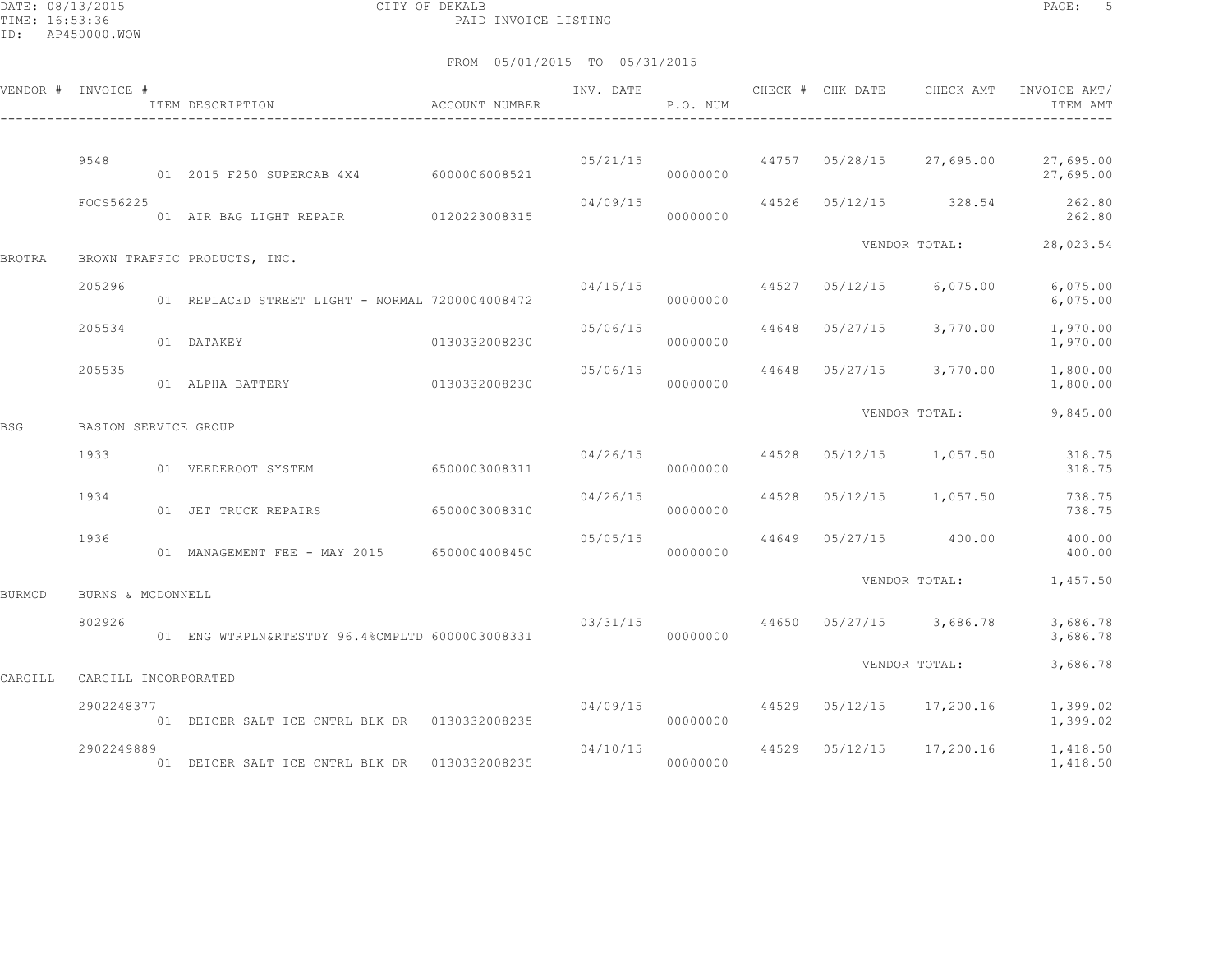DATE: 08/13/2015 CITY OF DEKALB PAGE: 5 PAID INVOICE LISTING

|               | VENDOR # INVOICE #   | ITEM DESCRIPTION                                | ACCOUNT NUMBER | INV. DATE | P.O. NUM                     |       | CHECK # CHK DATE | CHECK AMT                  | INVOICE AMT/<br>ITEM AMT                        |
|---------------|----------------------|-------------------------------------------------|----------------|-----------|------------------------------|-------|------------------|----------------------------|-------------------------------------------------|
|               | 9548                 | 01  2015  F250  SUPERCAB  4X4  6000006008521    |                | 05/21/15  | 00000000                     |       |                  |                            | 44757 05/28/15 27,695.00 27,695.00<br>27,695.00 |
|               | FOCS56225            | 01 AIR BAG LIGHT REPAIR 0120223008315           |                | 04/09/15  | 00000000                     |       |                  |                            | 44526 05/12/15 328.54 262.80<br>262.80          |
| <b>BROTRA</b> |                      | BROWN TRAFFIC PRODUCTS, INC.                    |                |           |                              |       |                  | VENDOR TOTAL:              | 28,023.54                                       |
|               | 205296               | 01 REPLACED STREET LIGHT - NORMAL 7200004008472 |                |           | 04/15/15 44527<br>00000000   |       | 05/12/15         | 6,075.00                   | 6,075.00<br>6,075.00                            |
|               | 205534               | 01 DATAKEY                                      | 0130332008230  | 05/06/15  | 00000000                     | 44648 | 05/27/15         | 3,770.00                   | 1,970.00<br>1,970.00                            |
|               | 205535               | 0130332008230<br>01 ALPHA BATTERY               |                | 05/06/15  | 00000000                     |       |                  | 44648 05/27/15 3,770.00    | 1,800.00<br>1,800.00                            |
| BSG           | BASTON SERVICE GROUP |                                                 |                |           |                              |       |                  | VENDOR TOTAL:              | 9,845.00                                        |
|               | 1933                 | 01 VEEDEROOT SYSTEM                             | 6500003008311  |           | $04/26/15$ 44528<br>00000000 |       |                  | 05/12/15 1,057.50          | 318.75<br>318.75                                |
|               | 1934                 | 01 JET TRUCK REPAIRS                            | 6500003008310  | 04/26/15  | 00000000                     | 44528 |                  | $05/12/15$ 1,057.50        | 738.75<br>738.75                                |
|               | 1936                 | 01 MANAGEMENT FEE - MAY 2015 6500004008450      |                | 05/05/15  | 00000000                     |       |                  | 44649 05/27/15 400.00      | 400.00<br>400.00                                |
| BURMCD        | BURNS & MCDONNELL    |                                                 |                |           |                              |       |                  | VENDOR TOTAL:              | 1,457.50                                        |
|               | 802926               | 01 ENG WTRPLN&RTESTDY 96.4%CMPLTD 6000003008331 |                | 03/31/15  | 00000000                     |       |                  | 44650 05/27/15 3,686.78    | 3,686.78<br>3,686.78                            |
| CARGILL       | CARGILL INCORPORATED |                                                 |                |           |                              |       |                  | VENDOR TOTAL:              | 3,686.78                                        |
|               | 2902248377           | 01 DEICER SALT ICE CNTRL BLK DR 0130332008235   |                |           | 04/09/15<br>00000000         |       |                  | 44529  05/12/15  17,200.16 | 1,399.02<br>1,399.02                            |
|               | 2902249889           | 01 DEICER SALT ICE CNTRL BLK DR                 | 0130332008235  | 04/10/15  | 00000000                     |       | 44529 05/12/15   | 17,200.16                  | 1,418.50<br>1,418.50                            |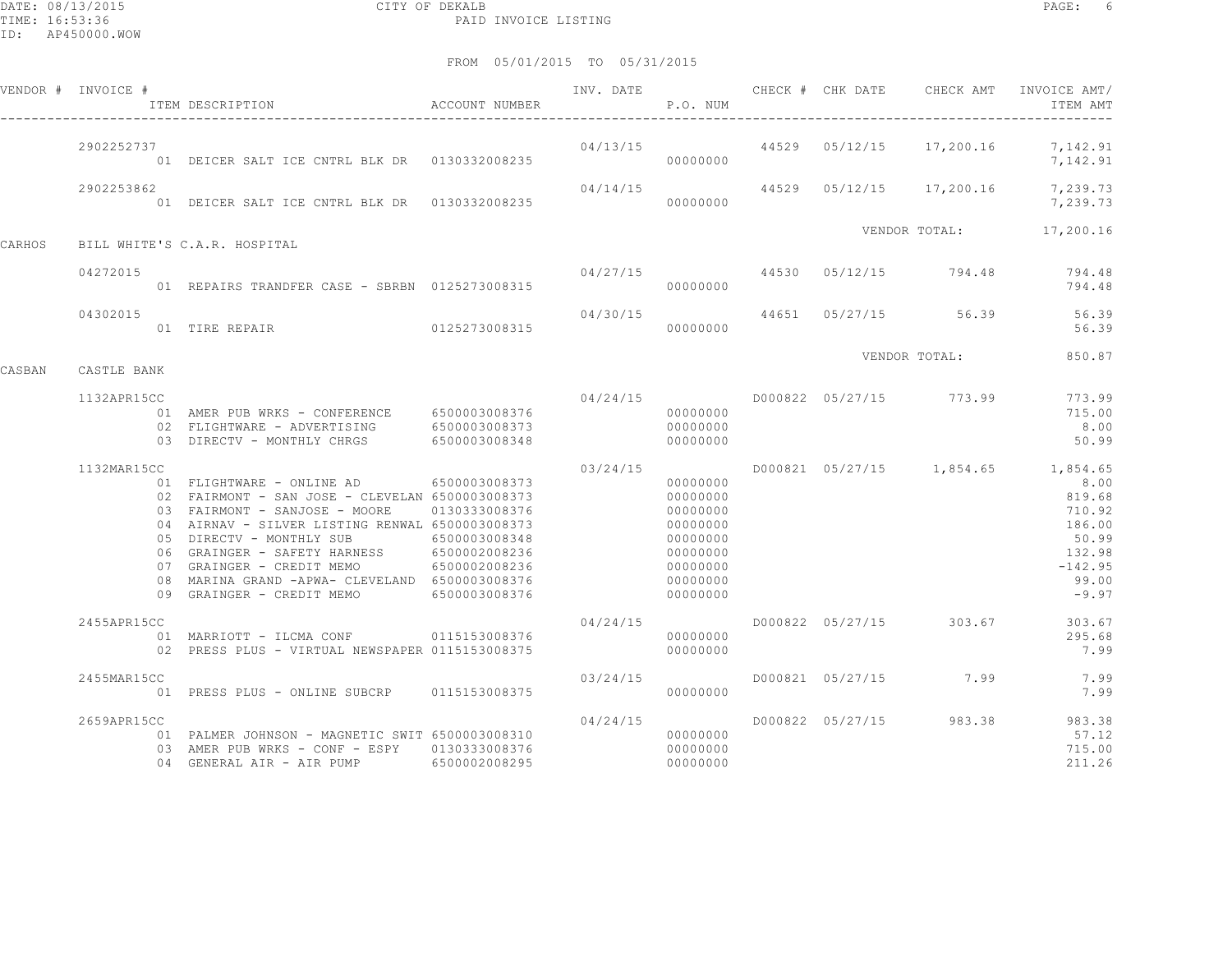DATE: 08/13/2015 CITY OF DEKALB PAGE: 6 PAID INVOICE LISTING

|        | VENDOR # INVOICE # | ACCOUNT NUMBER<br>ITEM DESCRIPTION                                                                                                                                                                                                                                                                                                                                                               |                                |          | P.O. NUM                                                                                                 |  |                                        | INV. DATE 6 CHECK # CHK DATE CHECK AMT INVOICE AMT/<br>ITEM AMT                                                              |
|--------|--------------------|--------------------------------------------------------------------------------------------------------------------------------------------------------------------------------------------------------------------------------------------------------------------------------------------------------------------------------------------------------------------------------------------------|--------------------------------|----------|----------------------------------------------------------------------------------------------------------|--|----------------------------------------|------------------------------------------------------------------------------------------------------------------------------|
|        | 2902252737         | 01 DEICER SALT ICE CNTRL BLK DR 0130332008235                                                                                                                                                                                                                                                                                                                                                    |                                |          |                                                                                                          |  |                                        | $04/13/15$ $44529$ $05/12/15$ $17,200.16$ $7,142.91$<br>7,142.91                                                             |
|        | 2902253862         |                                                                                                                                                                                                                                                                                                                                                                                                  |                                | 04/14/15 |                                                                                                          |  |                                        | 44529  05/12/15  17,200.16  7,239.73<br>7,239.73                                                                             |
| CARHOS |                    | BILL WHITE'S C.A.R. HOSPITAL                                                                                                                                                                                                                                                                                                                                                                     |                                |          |                                                                                                          |  |                                        | VENDOR TOTAL: 17,200.16                                                                                                      |
|        | 04272015           | 01 REPAIRS TRANDFER CASE - SBRBN 0125273008315                                                                                                                                                                                                                                                                                                                                                   |                                |          | 00000000                                                                                                 |  |                                        | 04/27/15 44530 05/12/15 794.48 794.48<br>794.48                                                                              |
|        | 04302015           | 01 TIRE REPAIR 6125273008315 000000000                                                                                                                                                                                                                                                                                                                                                           |                                | 04/30/15 |                                                                                                          |  | 44651 05/27/15 56.39                   | 56.39<br>56.39                                                                                                               |
| CASBAN | CASTLE BANK        |                                                                                                                                                                                                                                                                                                                                                                                                  |                                |          |                                                                                                          |  | VENDOR TOTAL:                          | 850.87                                                                                                                       |
|        | 1132APR15CC        | 01 AMER PUB WRKS - CONFERENCE 6500003008376<br>02 FLIGHTWARE - ADVERTISING 6500003008373<br>03 DIRECTV - MONTHLY CHRGS 6500003008348                                                                                                                                                                                                                                                             |                                |          | 00000000<br>00000000<br>00000000                                                                         |  | $04/24/15$ $D000822$ $05/27/15$ 773.99 | 773.99<br>715.00<br>8.00<br>50.99                                                                                            |
|        | 1132MAR15CC        | 01 FLIGHTWARE - ONLINE AD 6500003008373<br>02 FAIRMONT - SAN JOSE - CLEVELAN 6500003008373<br>03 FAIRMONT - SANJOSE - MOORE 0130333008376<br>04 AIRNAV - SILVER LISTING RENWAL 6500003008373<br>05 DIRECTV - MONTHLY SUB<br>06 GRAINGER - SAFETY HARNESS 6500002008236<br>07 GRAINGER - CREDIT MEMO<br>08 MARINA GRAND -APWA- CLEVELAND 6500003008376<br>09 GRAINGER - CREDIT MEMO 6500003008376 | 6500003008348<br>6500002008236 | 03/24/15 | 00000000<br>00000000<br>00000000<br>00000000<br>00000000<br>00000000<br>00000000<br>00000000<br>00000000 |  |                                        | D000821 05/27/15 1,854.65 1,854.65<br>8.00<br>819.68<br>710.92<br>186.00<br>50.99<br>132.98<br>$-142.95$<br>99.00<br>$-9.97$ |
|        | 2455APR15CC        | 01 MARRIOTT - ILCMA CONF 0115153008376<br>02 PRESS PLUS - VIRTUAL NEWSPAPER 0115153008375                                                                                                                                                                                                                                                                                                        |                                | 04/24/15 | 00000000<br>00000000                                                                                     |  | D000822 05/27/15 303.67                | 303.67<br>295.68<br>7.99                                                                                                     |
|        | 2455MAR15CC        | 01 PRESS PLUS - ONLINE SUBCRP 0115153008375                                                                                                                                                                                                                                                                                                                                                      |                                | 03/24/15 | 00000000                                                                                                 |  | D000821 05/27/15 7.99                  | 7.99<br>7.99                                                                                                                 |
|        | 2659APR15CC        | 01 PALMER JOHNSON - MAGNETIC SWIT 6500003008310<br>03 AMER PUB WRKS - CONF - ESPY 0130333008376<br>04 GENERAL AIR - AIR PUMP                                                                                                                                                                                                                                                                     | 6500002008295                  | 04/24/15 | 00000000<br>00000000<br>00000000                                                                         |  | D000822 05/27/15 983.38                | 983.38<br>57.12<br>715.00<br>211.26                                                                                          |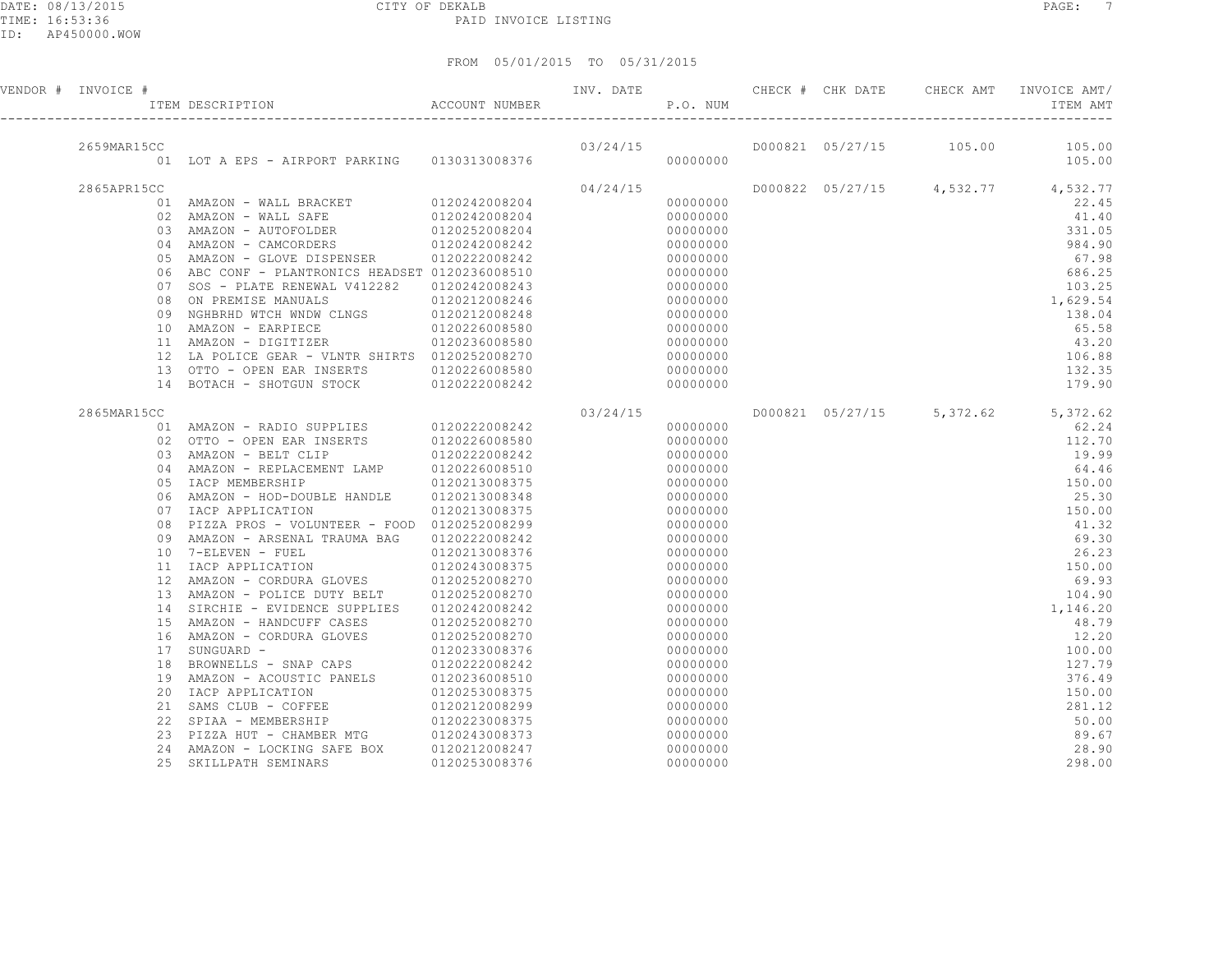|  |  | FROM 05/01/2015 TO 05/31/2015 |
|--|--|-------------------------------|

| VENDOR # INVOICE # |                 |                                                                                                                                                                                                       |                                   | INV. DATE CHECK # CHK DATE |          |  |                           | CHECK AMT INVOICE AMT/<br>ITEM AMT       |
|--------------------|-----------------|-------------------------------------------------------------------------------------------------------------------------------------------------------------------------------------------------------|-----------------------------------|----------------------------|----------|--|---------------------------|------------------------------------------|
|                    |                 |                                                                                                                                                                                                       |                                   |                            | 03/24/15 |  |                           |                                          |
| 2659MAR15CC        |                 | 01 LOT A EPS - AIRPORT PARKING 0130313008376                                                                                                                                                          |                                   |                            | 00000000 |  |                           | D000821 05/27/15 105.00 105.00<br>105.00 |
| 2865APR15CC        |                 |                                                                                                                                                                                                       |                                   | 04/24/15                   |          |  |                           | D000822 05/27/15 4,532.77 4,532.77       |
|                    |                 | $\begin{tabular}{lllllllllllll} 01&\texttt{AMAZON}&-\texttt{WALL} &\texttt{BRACKET} &\texttt{0120242008204}\\ 02&\texttt{AMAZON}&-\texttt{WALL} &\texttt{SAFE} &\texttt{0120242008204} \end{tabular}$ |                                   |                            | 00000000 |  |                           | 22.45                                    |
|                    |                 |                                                                                                                                                                                                       |                                   |                            | 00000000 |  |                           | 41.40                                    |
|                    | 03              | AMAZON - AUTOFOLDER                                                                                                                                                                                   | 0120252008204<br>0120242008242    |                            | 00000000 |  |                           | 331.05                                   |
|                    |                 | 04 AMAZON - CAMCORDERS                                                                                                                                                                                |                                   |                            | 00000000 |  |                           | 984.90                                   |
|                    | 05              | AMAZON - GLOVE DISPENSER                                                                                                                                                                              | 0120222008242                     |                            | 00000000 |  |                           | 67.98                                    |
|                    | 06              | ABC CONF - PLANTRONICS HEADSET 0120236008510                                                                                                                                                          |                                   |                            | 00000000 |  |                           | 686.25                                   |
|                    | 07              | SOS - PLATE RENEWAL V412282 0120242008243                                                                                                                                                             |                                   |                            | 00000000 |  |                           | 103.25                                   |
|                    | 08              | ON PREMISE MANUALS                                                                                                                                                                                    | 0120212008246                     |                            | 00000000 |  |                           | 1,629.54                                 |
|                    | 09              | NGHBRHD WTCH WNDW CLNGS 0120212008248                                                                                                                                                                 |                                   |                            | 00000000 |  |                           | 138.04                                   |
|                    |                 | 10 AMAZON - EARPIECE                                                                                                                                                                                  | 0120226008580                     |                            | 00000000 |  |                           | 65.58                                    |
|                    |                 | 11 AMAZON - DIGITIZER                                                                                                                                                                                 | 0120236008580                     |                            | 00000000 |  |                           | 43.20                                    |
|                    | 12              | LA POLICE GEAR - VLNTR SHIRTS 0120252008270                                                                                                                                                           |                                   |                            | 00000000 |  |                           | 106.88                                   |
|                    | 13              | OTTO - OPEN EAR INSERTS 0120226008580                                                                                                                                                                 |                                   |                            | 00000000 |  |                           | 132.35                                   |
|                    | 14              | BOTACH - SHOTGUN STOCK 0120222008242                                                                                                                                                                  |                                   |                            | 00000000 |  |                           | 179.90                                   |
| 2865MAR15CC        |                 |                                                                                                                                                                                                       |                                   | 03/24/15                   |          |  | D000821 05/27/15 5,372.62 | 5,372.62                                 |
|                    |                 | 01 AMAZON - RADIO SUPPLIES 0120222008242                                                                                                                                                              |                                   |                            | 00000000 |  |                           | 62.24                                    |
|                    | 02              | OTTO - OPEN EAR INSERTS                                                                                                                                                                               | TS 0120226008580<br>0120222008242 |                            | 00000000 |  |                           | 112.70                                   |
|                    |                 | 03 AMAZON - BELT CLIP                                                                                                                                                                                 |                                   |                            | 00000000 |  |                           | 19.99                                    |
|                    | 04              | AMAZON - REPLACEMENT LAMP 0120226008510                                                                                                                                                               |                                   |                            | 00000000 |  |                           | 64.46                                    |
|                    | 05              | IACP MEMBERSHIP                                                                                                                                                                                       | 0120213008375                     |                            | 00000000 |  |                           | 150.00                                   |
|                    | 06              | AMAZON - HOD-DOUBLE HANDLE                                                                                                                                                                            | 0120213008348                     |                            | 00000000 |  |                           | 25.30                                    |
|                    | 07              | IACP APPLICATION                                                                                                                                                                                      | 0120213008375                     |                            | 00000000 |  |                           | 150.00                                   |
|                    | 08              | PIZZA PROS - VOLUNTEER - FOOD 0120252008299                                                                                                                                                           |                                   |                            | 00000000 |  |                           | 41.32                                    |
|                    | 09              | AMAZON - ARSENAL TRAUMA BAG 0120222008242                                                                                                                                                             |                                   |                            | 00000000 |  |                           | 69.30                                    |
|                    | 10              | 7-ELEVEN - FUEL                                                                                                                                                                                       | 0120213008376<br>0120243008375    |                            | 00000000 |  |                           | 26.23                                    |
|                    |                 | 11 IACP APPLICATION                                                                                                                                                                                   |                                   |                            | 00000000 |  |                           | 150.00                                   |
|                    | 12 <sup>°</sup> | AMAZON - CORDURA GLOVES 0120252008270                                                                                                                                                                 |                                   |                            | 00000000 |  |                           | 69.93                                    |
|                    | 13              | AMAZON - POLICE DUTY BELT 0120252008270                                                                                                                                                               |                                   |                            | 00000000 |  |                           | 104.90                                   |
|                    | 14              | SIRCHIE - EVIDENCE SUPPLIES                                                                                                                                                                           | 0120242008242                     |                            | 00000000 |  |                           | 1,146.20                                 |
|                    | 15              | AMAZON - HANDCUFF CASES                                                                                                                                                                               | 0120252008270                     |                            | 00000000 |  |                           | 48.79                                    |
|                    | 16              | AMAZON - CORDURA GLOVES                                                                                                                                                                               | 0120252008270                     |                            | 00000000 |  |                           | 12.20                                    |
|                    | 17              | SUNGUARD -                                                                                                                                                                                            | 0120233008376                     |                            | 00000000 |  |                           | 100.00                                   |
|                    | 18              | BROWNELLS - SNAP CAPS 0120222008242                                                                                                                                                                   |                                   |                            | 00000000 |  |                           | 127.79                                   |
|                    | 19              | AMAZON - ACOUSTIC PANELS                                                                                                                                                                              | 0120236008510                     |                            | 00000000 |  |                           | 376.49                                   |
|                    | 20              | IACP APPLICATION                                                                                                                                                                                      | 0120253008375                     |                            | 00000000 |  |                           | 150.00                                   |
|                    | 21              | SAMS CLUB - COFFEE                                                                                                                                                                                    | 0120212008299                     |                            | 00000000 |  |                           | 281.12                                   |
|                    |                 | 22 SPIAA - MEMBERSHIP<br>SPIAA - MEMBERNING<br>PIZZA HUT - CHAMBERNIG 0120243008373<br>CHAMP - LOCKING SAFE BOX 0120212008247                                                                         | 0120223008375                     |                            | 00000000 |  |                           | 50.00                                    |
|                    | 23              |                                                                                                                                                                                                       |                                   |                            | 00000000 |  |                           | 89.67<br>28.90                           |
|                    | 24<br>25        |                                                                                                                                                                                                       |                                   |                            | 00000000 |  |                           |                                          |
|                    |                 | SKILLPATH SEMINARS                                                                                                                                                                                    | 0120253008376                     |                            | 00000000 |  |                           | 298.00                                   |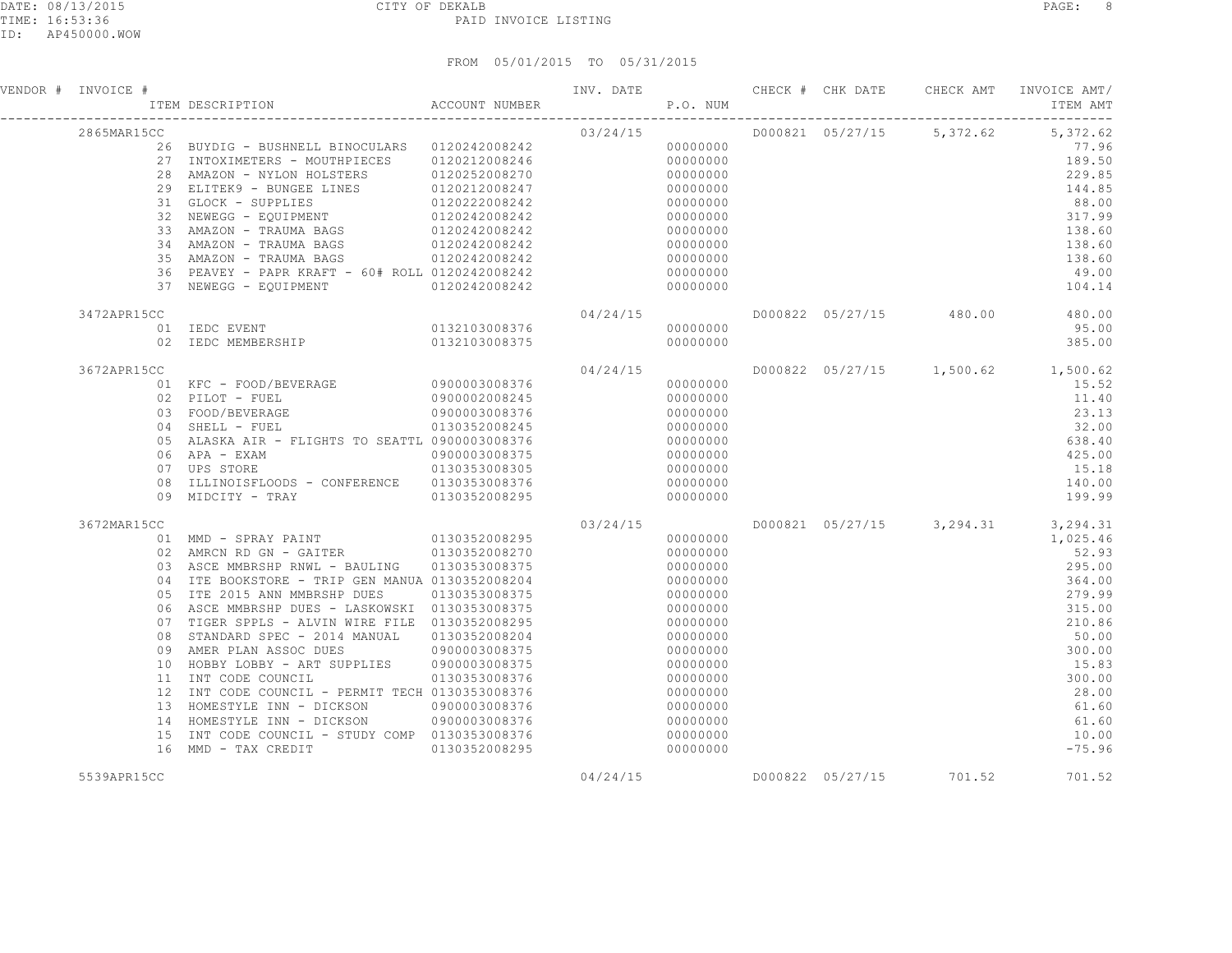| VENDOR # INVOICE #      | INV. DATE TEM DESCRIPTION ACCOUNT NUMBER TEM P.O. NUM                                                                                                                                                                                                                                                                                                                                                                                                                                                                                                                  |                                                                                                     |          |                                                                                                                                                                                              |  |                           | INV. DATE 6 CHECK # CHK DATE CHECK AMT INVOICE AMT/<br>ITEM AMT                                                                                                                                 |
|-------------------------|------------------------------------------------------------------------------------------------------------------------------------------------------------------------------------------------------------------------------------------------------------------------------------------------------------------------------------------------------------------------------------------------------------------------------------------------------------------------------------------------------------------------------------------------------------------------|-----------------------------------------------------------------------------------------------------|----------|----------------------------------------------------------------------------------------------------------------------------------------------------------------------------------------------|--|---------------------------|-------------------------------------------------------------------------------------------------------------------------------------------------------------------------------------------------|
| 2865MAR15CC             | CC 03/24/15<br>26 BUYDIG - BUSHNELL BINOCULARS 0120242008242 03/24/15 000000000<br>27 INTOXIMETERS - MOUTHPIECES 0120212008246<br>28 AMAZON - NYLON HOLSTERS 0120252008270<br>28 AMAZON - NYLON HOLSTERS<br>29 ELITEK9 - BUNGEE LINES<br>31 GLOCK - SUPPLIES<br>32 NEWEGG - EQUIPMENT<br>32 NEWEGG - EQUIPMENT<br>32 AMAZON - TRAUMA BAGS<br>32 AMAZON - TRAUMA BAGS<br>32 2008242<br>34 AMAZON - TRAUMA BAGS 0120242008242<br>35 AMAZON - TRAUMA BAGS 6120242008242<br>36 PEAVEY - PAPR KRAFT - 60# ROLL 0120242008242<br>37 NEWEGG - EQUIPMENT 0120242008242         |                                                                                                     |          | 00000000<br>00000000<br>00000000<br>00000000<br>00000000<br>00000000<br>00000000<br>00000000<br>00000000<br>00000000<br>00000000                                                             |  | D000821 05/27/15 5,372.62 | 5,372.62<br>77.96<br>189.50<br>229.85<br>144.85<br>88.00<br>317.99<br>138.60<br>138.60<br>138.60<br>49.00<br>104.14                                                                             |
| 3472APR15CC             |                                                                                                                                                                                                                                                                                                                                                                                                                                                                                                                                                                        |                                                                                                     | 04/24/15 | 00000000<br>00000000                                                                                                                                                                         |  |                           | D000822 05/27/15 480.00 480.00<br>95.00<br>385.00                                                                                                                                               |
| 3672APR15CC<br>09       | 01 KFC - FOOD/BEVERAGE 0900003008376<br>02 PILOT - FUEL<br>$0900003008376$ $0130352008345$<br>03 FOOD/BEVERAGE<br>04 SHELL - FUEL<br>05 ALASKA AIR - FLIGHTS TO SEATTL 0900003008376<br>06 APA - EXAM<br>$0900003008375$<br>$0130353008305$<br>07 UPS STORE<br>08 ILLINOISFLOODS - CONFERENCE 0130353008376<br>MIDCITY - TRAY 0130352008295                                                                                                                                                                                                                            | 0900002008245                                                                                       | 04/24/15 | 00000000<br>00000000<br>00000000<br>00000000<br>00000000<br>00000000<br>00000000<br>00000000<br>00000000                                                                                     |  |                           | D000822 05/27/15 1,500.62 1,500.62<br>15.52<br>11.40<br>23.13<br>32.00<br>638.40<br>425.00<br>15.18<br>140.00<br>199.99                                                                         |
| 3672MAR15CC<br>08<br>15 | 03 ASCE MMBRSHP RNWL - BAULING 0130353008375<br>04 ITE BOOKSTORE - TRIP GEN MANUA 0130352008204<br>05 ITE 2015 ANN MMBRSHP DUES<br>06 ASCE MMBRSHP DUES - LASKOWSKI 0130353008375<br>07 TIGER SPPLS - ALVIN WIRE FILE 0130352008295<br>STANDARD SPEC - 2014 MANUAL<br>09 AMER PLAN ASSOC DUES<br>10 HOBBY LOBBY - ART SUPPLIES 0900003008375<br>11 INT CODE COUNCIL<br>12 INT CODE COUNCIL - PERMIT TECH 0130353008376<br>13 HOMESTYLE INN - DICKSON<br>14 HOMESTYLE INN - DICKSON 0900003008376<br>INT CODE COUNCIL - STUDY COMP 0130353008376<br>16 MMD - TAX CREDIT | 0130353008375<br>0130352008204<br>09000003008375<br>0130353008376<br>0900003008376<br>0130352008295 | 03/24/15 | 00000000<br>00000000<br>00000000<br>00000000<br>00000000<br>00000000<br>00000000<br>00000000<br>00000000<br>00000000<br>00000000<br>00000000<br>00000000<br>00000000<br>00000000<br>00000000 |  |                           | D000821 05/27/15 3,294.31 3,294.31<br>1,025.46<br>52.93<br>295.00<br>364.00<br>279.99<br>315.00<br>210.86<br>50.00<br>300.00<br>15.83<br>300.00<br>28.00<br>61.60<br>61.60<br>10.00<br>$-75.96$ |
| 5539APR15CC             |                                                                                                                                                                                                                                                                                                                                                                                                                                                                                                                                                                        |                                                                                                     | 04/24/15 |                                                                                                                                                                                              |  | D000822 05/27/15 701.52   | 701.52                                                                                                                                                                                          |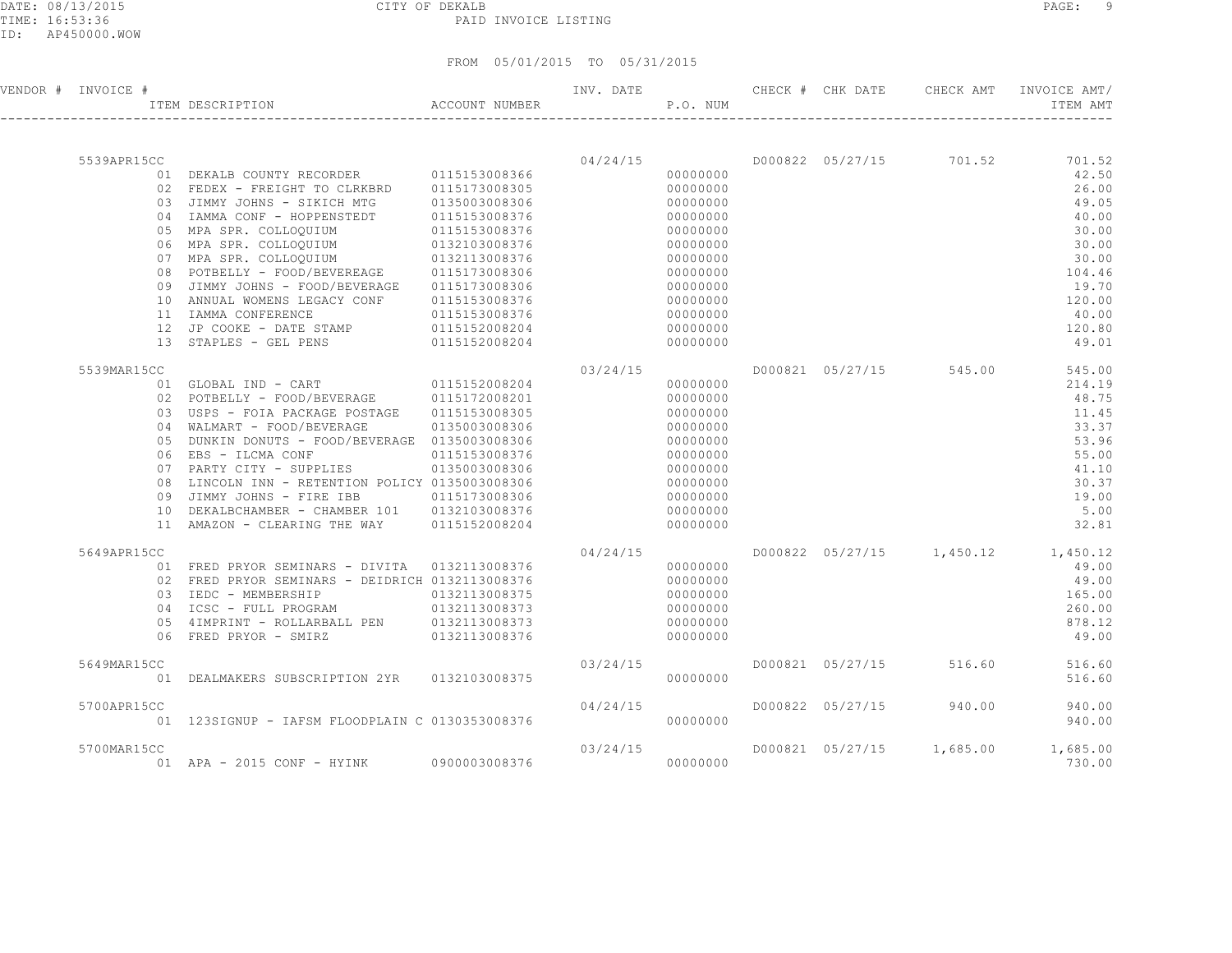#### DATE: 08/13/2015 CITY OF DEKALB PAGE: 9 PAID INVOICE LISTING

| VENDOR # INVOICE # | ITEM DESCRIPTION                                                                       | ACCOUNT NUMBER                 |          | P.O. NUM  |  | INV. DATE 6 CHECK # CHK DATE CHECK AMT | INVOICE AMT/<br>ITEM AMT           |
|--------------------|----------------------------------------------------------------------------------------|--------------------------------|----------|-----------|--|----------------------------------------|------------------------------------|
|                    |                                                                                        |                                |          |           |  |                                        |                                    |
| 5539APR15CC        |                                                                                        |                                | 04/24/15 |           |  | D000822 05/27/15 701.52                | 701.52                             |
|                    |                                                                                        |                                |          | 000000000 |  |                                        | 42.50                              |
|                    |                                                                                        |                                |          |           |  |                                        | 26.00                              |
|                    | 03 JIMMY JOHNS - SIKICH MTG 0135003008306<br>04 IAMMA CONF - HOPPENSTEDT 0115153008376 |                                |          | 00000000  |  |                                        | 49.05                              |
|                    |                                                                                        |                                |          | 00000000  |  |                                        | 40.00                              |
|                    | 05 MPA SPR. COLLOQUIUM                                                                 | 0115153008376<br>0132103008376 |          | 00000000  |  |                                        | 30.00                              |
|                    | 06 MPA SPR. COLLOQUIUM                                                                 |                                |          | 00000000  |  |                                        | 30.00                              |
|                    | 07 MPA SPR. COLLOQUIUM 0132113008376<br>08 POTBELLY - FOOD/BEVEREAGE 0115173008306     |                                |          | 00000000  |  |                                        | 30.00                              |
|                    |                                                                                        |                                |          | 00000000  |  |                                        | 104.46                             |
|                    | 09 JIMMY JOHNS - FOOD/BEVERAGE                                                         | 0115173008306                  |          | 00000000  |  |                                        | 19.70                              |
|                    | 10 ANNUAL WOMENS LEGACY CONF 0115153008376                                             |                                |          | 00000000  |  |                                        | 120.00                             |
|                    | 11 IAMMA CONFERENCE                                                                    | 0115153008376                  |          | 00000000  |  |                                        | 40.00                              |
|                    | 12 JP COOKE - DATE STAMP                                                               | 0115152008204                  |          | 00000000  |  |                                        | 120.80                             |
|                    | 13 STAPLES - GEL PENS 0115152008204                                                    |                                |          | 00000000  |  |                                        | 49.01                              |
| 5539MAR15CC        |                                                                                        |                                | 03/24/15 |           |  | D000821 05/27/15 545.00                | 545.00                             |
|                    | 01 GLOBAL IND - CART 0115152008204                                                     |                                |          | 00000000  |  |                                        | 214.19                             |
|                    | 02 POTBELLY - FOOD/BEVERAGE 0115172008201                                              |                                |          | 00000000  |  |                                        | 48.75                              |
|                    | 03 USPS - FOIA PACKAGE POSTAGE 0115153008305                                           |                                |          | 00000000  |  |                                        | 11.45                              |
|                    | 04 WALMART - FOOD/BEVERAGE                                                             | 0135003008306                  |          | 00000000  |  |                                        | 33.37                              |
|                    | 05 DUNKIN DONUTS - FOOD/BEVERAGE 0135003008306                                         |                                |          | 00000000  |  |                                        | 53.96                              |
|                    | 06 EBS - ILCMA CONF                                                                    | 0115153008376                  |          | 00000000  |  |                                        | 55.00                              |
|                    | 07 PARTY CITY - SUPPLIES 0135003008306                                                 |                                |          | 00000000  |  |                                        | 41.10                              |
|                    | 08 LINCOLN INN - RETENTION POLICY 0135003008306                                        |                                |          | 00000000  |  |                                        | 30.37                              |
|                    | 09 JIMMY JOHNS - FIRE IBB                                                              | 0115173008306                  |          | 00000000  |  |                                        | 19.00                              |
|                    | 10 DEKALBCHAMBER - CHAMBER 101 0132103008376                                           |                                |          | 00000000  |  |                                        | 5.00                               |
|                    | 11 AMAZON - CLEARING THE WAY 0115152008204                                             |                                |          | 00000000  |  |                                        | 32.81                              |
| 5649APR15CC        |                                                                                        |                                | 04/24/15 |           |  |                                        | D000822 05/27/15 1,450.12 1,450.12 |
|                    | 01 FRED PRYOR SEMINARS - DIVITA 0132113008376                                          |                                |          | 00000000  |  |                                        | 49.00                              |
|                    | 02 FRED PRYOR SEMINARS - DEIDRICH 0132113008376                                        |                                |          | 00000000  |  |                                        | 49.00                              |
|                    | 03 IEDC - MEMBERSHIP 0132113008375                                                     |                                |          | 00000000  |  |                                        | 165.00                             |
|                    | 04 ICSC - FULL PROGRAM 0132113008373                                                   |                                |          | 00000000  |  |                                        | 260.00                             |
|                    | 05   4IMPRINT - ROLLARBALL PEN   0132113008373                                         |                                |          | 00000000  |  |                                        | 878.12                             |
|                    | 06 FRED PRYOR - SMIRZ                                                                  | 0132113008376                  |          | 00000000  |  |                                        | 49.00                              |
|                    |                                                                                        |                                |          |           |  |                                        |                                    |
| 5649MAR15CC        |                                                                                        |                                | 03/24/15 |           |  | D000821 05/27/15 516.60                | 516.60                             |
|                    | 01 DEALMAKERS SUBSCRIPTION 2YR 0132103008375                                           |                                |          | 00000000  |  |                                        | 516.60                             |
| 5700APR15CC        |                                                                                        |                                | 04/24/15 |           |  | D000822 05/27/15 940.00                | 940.00                             |
|                    | 01  123SIGNUP - IAFSM FLOODPLAIN C 0130353008376                                       |                                |          | 00000000  |  |                                        | 940.00                             |
|                    |                                                                                        |                                |          |           |  |                                        |                                    |
| 5700MAR15CC        |                                                                                        |                                | 03/24/15 |           |  |                                        | D000821 05/27/15 1,685.00 1,685.00 |
|                    | 01 APA - 2015 CONF - HYINK 0900003008376                                               |                                |          | 00000000  |  |                                        | 730.00                             |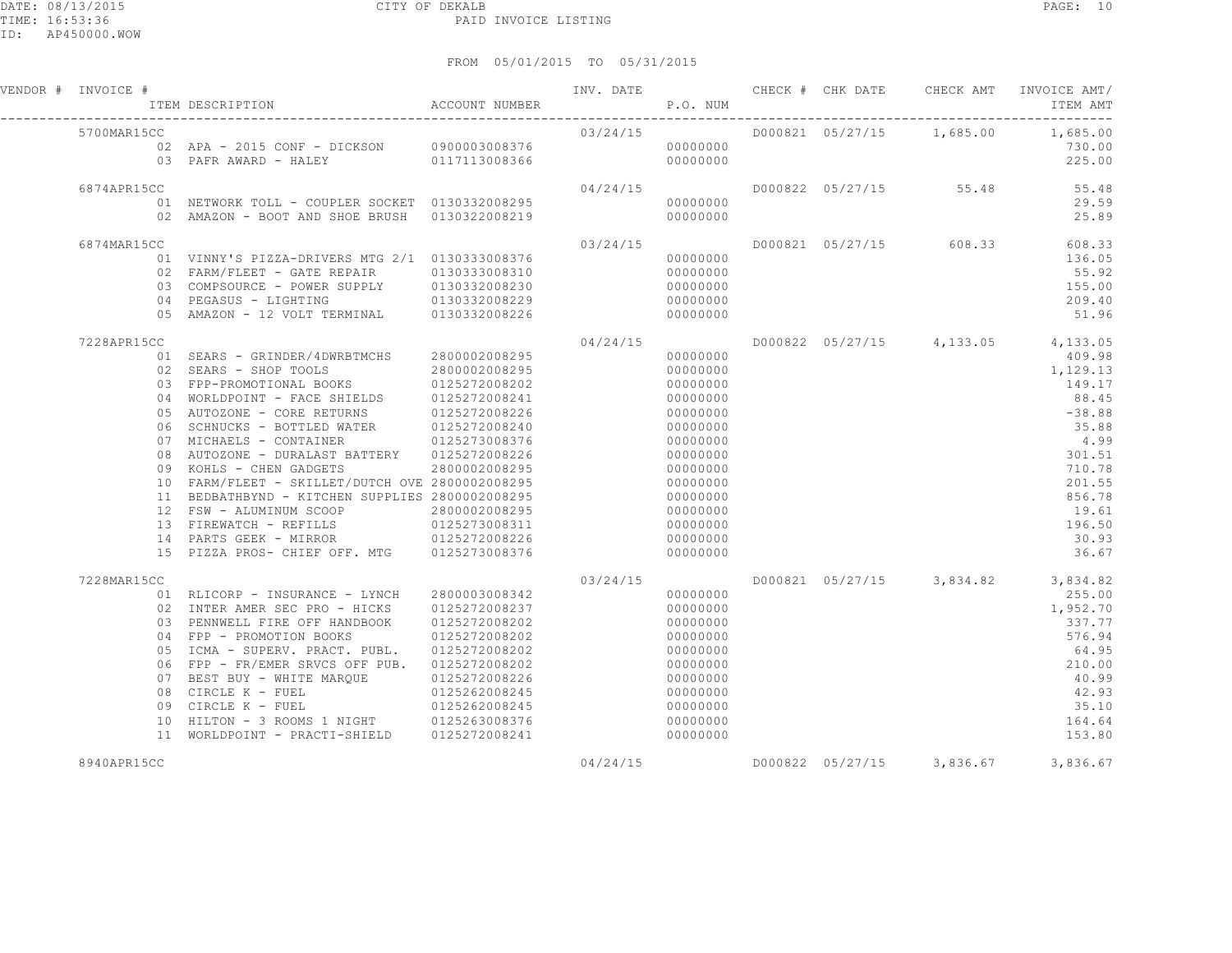| VENDOR # INVOICE # | F TEM DESCRIPTION ACCOUNT NUMBER THE P.O. NUM                                                                                                                                                                                                                                                                                                                                                                                                                                                                                                                                                                                                                         |                                                     |                       |                                                                                                                                                                                  |  |                         | INV. DATE 6 CHECK # CHK DATE CHECK AMT INVOICE AMT/<br>ITEM AMT                                                                                                                       |
|--------------------|-----------------------------------------------------------------------------------------------------------------------------------------------------------------------------------------------------------------------------------------------------------------------------------------------------------------------------------------------------------------------------------------------------------------------------------------------------------------------------------------------------------------------------------------------------------------------------------------------------------------------------------------------------------------------|-----------------------------------------------------|-----------------------|----------------------------------------------------------------------------------------------------------------------------------------------------------------------------------|--|-------------------------|---------------------------------------------------------------------------------------------------------------------------------------------------------------------------------------|
| 5700MAR15CC        | 700MAR15CC 03/24/15<br>102 APA - 2015 CONF - DICKSON 0900003008376<br>117113008366 000000000 03 PAFRAWARD - HALEY 0117113008366                                                                                                                                                                                                                                                                                                                                                                                                                                                                                                                                       |                                                     |                       |                                                                                                                                                                                  |  |                         | D000821 05/27/15 1,685.00 1,685.00<br>730.00<br>225.00                                                                                                                                |
| 6874APR15CC        | 01 NETWORK TOLL - COUPLER SOCKET 0130332008295<br>02 AMAZON - BOOT AND SHOE BRUSH 0130322008219                                                                                                                                                                                                                                                                                                                                                                                                                                                                                                                                                                       |                                                     | 04/24/15<br>000000000 | 00000000                                                                                                                                                                         |  |                         | D000822 05/27/15 55.48 55.48<br>29.59<br>25.89                                                                                                                                        |
| 6874MAR15CC        | 01 VINNY'S PIZZA-DRIVERS MTG 2/1 0130333008376<br>02 FARM/FLEET - GATE REPAIR 0130333008310<br>05 AMAZON - 12 VOLT TERMINAL 0130332008226                                                                                                                                                                                                                                                                                                                                                                                                                                                                                                                             |                                                     | 03/24/15              | 00000000<br>00000000<br>00000000<br>00000000<br>00000000                                                                                                                         |  | D000821 05/27/15 608.33 | 608.33<br>136.05<br>55.92<br>155.00<br>209.40<br>51.96                                                                                                                                |
| 7228APR15CC        | 01 SEARS - GRINDER/4DWRBTMCHS 2800002008295<br>02 SEARS - SHOP TOOLS 2800002008295<br>03 FPP-PROMOTIONAL BOOKS 0125272008202<br>04 WORLDPOINT - FACE SHIELDS 0125272008241<br>05 AUTOZONE - CORE RETURNS 0125272008226<br>06 SCHNUCKS - BOTTLED WATER 0125272008240<br>07 MICHAELS - CONTAINER 0125273008376<br>08 AUTOZONE - DURALAST BATTERY 0125272008226<br>09 KOHLS - CHEN GADGETS<br>10 FARM/FLEET - SKILLET/DUTCH OVE 2800002008295<br>11 BEDBATHBYND - KITCHEN SUPPLIES 2800002008295<br>12 FSW - ALUMINUM SCOOP 2800002008295<br>13 FIREWATCH - REFILLS 0125273008311<br>14 PARTS GEEK - MIRROR 0125272008226<br>15 PIZZA PROS- CHIEF OFF. MTG 0125273008376 | 2800002008295                                       | 04/24/15              | 00000000<br>00000000<br>00000000<br>00000000<br>00000000<br>00000000<br>00000000<br>00000000<br>00000000<br>00000000<br>00000000<br>00000000<br>00000000<br>00000000<br>00000000 |  |                         | D000822 05/27/15 4,133.05 4,133.05<br>409.98<br>1,129.13<br>149.17<br>88.45<br>$-38.88$<br>35.88<br>4.99<br>301.51<br>710.78<br>201.55<br>856.78<br>19.61<br>196.50<br>30.93<br>36.67 |
| 7228MAR15CC        | 01 RLICORP - INSURANCE - LYNCH 2800003008342<br>02 INTER AMER SEC PRO - HICKS<br>03 PENNWELL FIRE OFF HANDBOOK 0125272008202<br>04 FPP - PROMOTION BOOKS 0125272008202<br>05 ICMA - SUPERV. PRACT. PUBL. 0125272008202<br>06 FPP - FR/EMER SRVCS OFF PUB. 0125272008202<br>07 BEST BUY - WHITE MARQUE 0125272008226<br>08 CIRCLE K - FUEL<br>09 CIRCLE K - FUEL<br>10 HILTON - 3 ROOMS 1 NIGHT 0125263008376<br>11 WORLDPOINT - PRACTI-SHIELD 0125272008241                                                                                                                                                                                                           | 0125272008237<br>$0125262008245$<br>$0125262008245$ | 03/24/15              | 00000000<br>00000000<br>00000000<br>00000000<br>00000000<br>00000000<br>00000000<br>00000000<br>00000000<br>00000000<br>00000000                                                 |  |                         | D000821 05/27/15 3,834.82 3,834.82<br>255.00<br>1,952.70<br>337.77<br>576.94<br>64.95<br>210.00<br>40.99<br>42.93<br>35.10<br>164.64<br>153.80                                        |
| 8940APR15CC        |                                                                                                                                                                                                                                                                                                                                                                                                                                                                                                                                                                                                                                                                       |                                                     | 04/24/15              |                                                                                                                                                                                  |  |                         | D000822 05/27/15 3,836.67 3,836.67                                                                                                                                                    |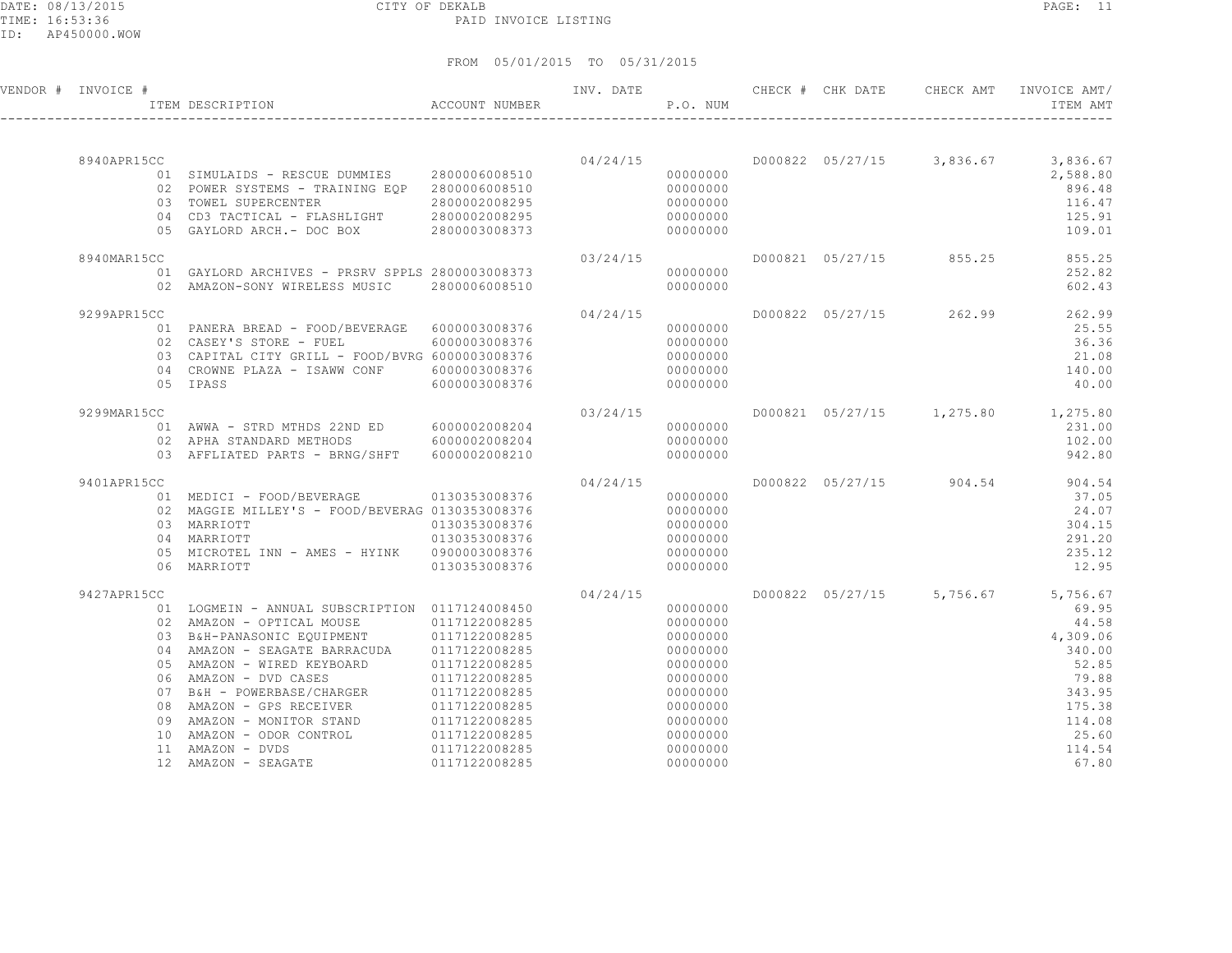DATE: 08/13/2015 CITY OF DEKALB PAGE: 11 PAID INVOICE LISTING

| 05/01/2015 TO 05/31/2015<br>FROM |             |               |                              |                                                        |  |           |          |         |                  |           |                          |
|----------------------------------|-------------|---------------|------------------------------|--------------------------------------------------------|--|-----------|----------|---------|------------------|-----------|--------------------------|
| VENDOR #                         | INVOICE #   |               | ITEM DESCRIPTION             | ACCOUNT NUMBER                                         |  | INV. DATE | P.O. NUM | CHECK # | CHK DATE         | CHECK AMT | INVOICE AMT/<br>ITEM AMT |
|                                  |             |               |                              |                                                        |  |           |          |         |                  |           |                          |
|                                  | 8940APR15CC |               |                              |                                                        |  | 04/24/15  |          |         | D000822 05/27/15 | 3,836.67  | 3,836.67                 |
|                                  |             | 01            | SIMULAIDS - RESCUE DUMMIES   | 2800006008510                                          |  |           | 00000000 |         |                  |           | 2,588.80                 |
|                                  |             | 02            | POWER SYSTEMS - TRAINING EOP | 2800006008510                                          |  |           | 00000000 |         |                  |           | 896.48                   |
|                                  |             | 03            | TOWEL SUPERCENTER            | 2800002008295                                          |  |           | 00000000 |         |                  |           | 116.47                   |
|                                  |             | $\sim$ $\sim$ | $\ldots \ldots \ldots$       | $\begin{array}{c} \circ \\ \circ \\ \circ \end{array}$ |  |           |          |         |                  |           |                          |

| 0.3             | TOWEL SUPERCENTER<br>04 CD3 TACTICAL - FLASHLIGHT 2800002008295<br>05 GAYLORD ARCH.- DOC BOX 2800003008373 | 2800002008295 |          | 00000000<br>00000000<br>00000000 |                  |                           | 116.47<br>125.91<br>109.01 |
|-----------------|------------------------------------------------------------------------------------------------------------|---------------|----------|----------------------------------|------------------|---------------------------|----------------------------|
| 8940MAR15CC     |                                                                                                            |               | 03/24/15 |                                  | D000821 05/27/15 | 855.25                    | 855.25                     |
|                 | 01 GAYLORD ARCHIVES - PRSRV SPPLS 2800003008373                                                            |               |          | 00000000                         |                  |                           | 252.82                     |
|                 | 02 AMAZON-SONY WIRELESS MUSIC                                                                              | 2800006008510 |          | 00000000                         |                  |                           | 602.43                     |
| 9299APR15CC     |                                                                                                            |               | 04/24/15 |                                  |                  | D000822 05/27/15 262.99   | 262.99                     |
|                 | 01 PANERA BREAD - FOOD/BEVERAGE 6000003008376                                                              |               |          | 00000000                         |                  |                           | 25.55                      |
|                 | 02 CASEY'S STORE - FUEL                                                                                    | 6000003008376 |          | 00000000                         |                  |                           | 36.36                      |
|                 | 03 CAPITAL CITY GRILL - FOOD/BVRG 6000003008376                                                            |               |          | 00000000                         |                  |                           | 21.08                      |
|                 | 04 CROWNE PLAZA - ISAWW CONF                                                                               | 6000003008376 |          | 00000000                         |                  |                           | 140.00                     |
|                 | 05 IPASS                                                                                                   | 6000003008376 |          | 00000000                         |                  |                           | 40.00                      |
| 9299MAR15CC     |                                                                                                            |               | 03/24/15 |                                  |                  | D000821 05/27/15 1,275.80 | 1,275.80                   |
|                 | 01 AWWA - STRD MTHDS 22ND ED 6000002008204                                                                 |               |          | 00000000                         |                  |                           | 231.00                     |
|                 | 02 APHA STANDARD METHODS 6000002008204                                                                     |               |          | 00000000                         |                  |                           | 102.00                     |
|                 | 03 AFFLIATED PARTS - BRNG/SHFT 6000002008210                                                               |               |          | 00000000                         |                  |                           | 942.80                     |
| 9401APR15CC     |                                                                                                            |               | 04/24/15 |                                  |                  | D000822 05/27/15 904.54   | 904.54                     |
|                 | 01 MEDICI - FOOD/BEVERAGE 0130353008376                                                                    |               |          | 00000000                         |                  |                           | 37.05                      |
|                 | 02 MAGGIE MILLEY'S - FOOD/BEVERAG 0130353008376                                                            |               |          | 00000000                         |                  |                           | 24.07                      |
|                 | 03 MARRIOTT                                                                                                | 0130353008376 |          | 00000000                         |                  |                           | 304.15                     |
|                 | 04 MARRIOTT                                                                                                | 0130353008376 |          | 00000000                         |                  |                           | 291.20                     |
|                 | 05 MICROTEL INN - AMES - HYINK 0900003008376                                                               |               |          | 00000000                         |                  |                           | 235.12                     |
|                 | 06 MARRIOTT                                                                                                | 0130353008376 |          | 00000000                         |                  |                           | 12.95                      |
| 9427APR15CC     |                                                                                                            |               | 04/24/15 |                                  | D000822 05/27/15 | 5,756.67                  | 5,756.67                   |
|                 | 01 LOGMEIN - ANNUAL SUBSCRIPTION 0117124008450                                                             |               |          | 00000000                         |                  |                           | 69.95                      |
|                 | 02 AMAZON - OPTICAL MOUSE 0117122008285                                                                    |               |          | 00000000                         |                  |                           | 44.58                      |
|                 | 03 B&H-PANASONIC EQUIPMENT                                                                                 | 0117122008285 |          | 00000000                         |                  |                           | 4,309.06                   |
| 04              | AMAZON - SEAGATE BARRACUDA                                                                                 | 0117122008285 |          | 00000000                         |                  |                           | 340.00                     |
| 0.5             | AMAZON - WIRED KEYBOARD                                                                                    | 0117122008285 |          | 00000000                         |                  |                           | 52.85                      |
| 06              | AMAZON - DVD CASES                                                                                         | 0117122008285 |          | 00000000                         |                  |                           | 79.88                      |
| 07              | B&H - POWERBASE/CHARGER                                                                                    | 0117122008285 |          | 00000000                         |                  |                           | 343.95                     |
| 08              | AMAZON - GPS RECEIVER                                                                                      | 0117122008285 |          | 00000000                         |                  |                           | 175.38                     |
| 09              | AMAZON - MONITOR STAND                                                                                     | 0117122008285 |          | 00000000                         |                  |                           | 114.08                     |
| 10 <sup>°</sup> | AMAZON - ODOR CONTROL                                                                                      | 0117122008285 |          | 00000000                         |                  |                           | 25.60                      |
| 11              | AMAZON - DVDS                                                                                              | 0117122008285 |          | 00000000                         |                  |                           | 114.54                     |
| 12              | AMAZON - SEAGATE                                                                                           | 0117122008285 |          | 00000000                         |                  |                           | 67.80                      |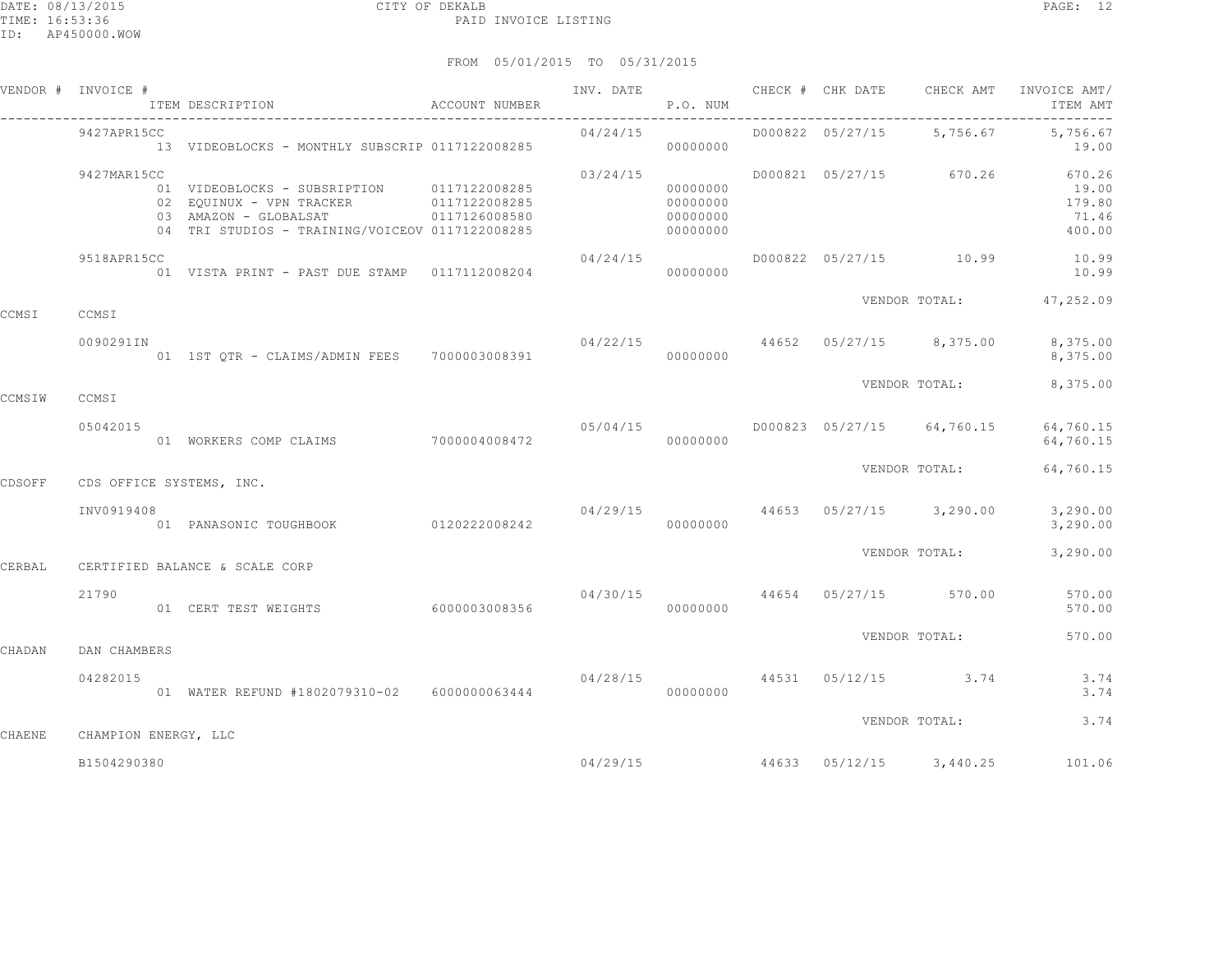|        | VENDOR # INVOICE #   | ITEM DESCRIPTION                                                                                                                                                 | ACCOUNT NUMBER |                                          | P.O. NUM                                     | INV. DATE 6 CHECK # CHK DATE CHECK AMT |               | INVOICE AMT/<br>ITEM AMT                          |
|--------|----------------------|------------------------------------------------------------------------------------------------------------------------------------------------------------------|----------------|------------------------------------------|----------------------------------------------|----------------------------------------|---------------|---------------------------------------------------|
|        | 9427APR15CC          | 13 VIDEOBLOCKS - MONTHLY SUBSCRIP 0117122008285                                                                                                                  |                | 04/24/15                                 | 00000000                                     | D000822 05/27/15 5,756.67              |               | 5,756.67<br>19.00                                 |
|        | 9427MAR15CC          | 01 VIDEOBLOCKS - SUBSRIPTION 0117122008285<br>02 EQUINUX - VPN TRACKER 0117122008285<br>03 AMAZON - GLOBALSAT<br>04 TRI STUDIOS - TRAINING/VOICEOV 0117122008285 | 0117126008580  | 03/24/15                                 | 00000000<br>00000000<br>00000000<br>00000000 | D000821 05/27/15                       | 670.26        | 670.26<br>19.00<br>179.80<br>71.46<br>400.00      |
|        | 9518APR15CC          | 01 VISTA PRINT - PAST DUE STAMP 0117112008204                                                                                                                    |                | 04/24/15                                 | 00000000                                     |                                        |               | D000822 05/27/15 10.99 10.99<br>10.99             |
| CCMSI  | CCMSI                |                                                                                                                                                                  |                |                                          |                                              |                                        | VENDOR TOTAL: | 47,252.09                                         |
|        | 0090291IN            | 01 1ST QTR - CLAIMS/ADMIN FEES 7000003008391                                                                                                                     |                | $04/22/15$ $44652$ $05/27/15$ $8,375.00$ | 00000000                                     |                                        |               | 8,375.00<br>8,375.00                              |
| CCMSIW | CCMSI                |                                                                                                                                                                  |                |                                          |                                              |                                        | VENDOR TOTAL: | 8,375.00                                          |
|        | 05042015             | 01 WORKERS COMP CLAIMS 7000004008472                                                                                                                             |                | 05/04/15                                 | 00000000                                     | D000823 05/27/15 64,760.15             |               | 64,760.15<br>64,760.15                            |
| CDSOFF |                      | CDS OFFICE SYSTEMS, INC.                                                                                                                                         |                |                                          |                                              |                                        | VENDOR TOTAL: | 64,760.15                                         |
|        | INV0919408           | 01 PANASONIC TOUGHBOOK 0120222008242                                                                                                                             |                | $04/29/15$ $44653$ $05/27/15$ $3,290.00$ | 00000000                                     |                                        |               | 3,290.00<br>3,290.00                              |
| CERBAL |                      | CERTIFIED BALANCE & SCALE CORP                                                                                                                                   |                |                                          |                                              |                                        | VENDOR TOTAL: | 3,290.00                                          |
|        | 21790                | 01 CERT TEST WEIGHTS                                                                                                                                             | 6000003008356  | 04/30/15                                 | 00000000                                     | 44654 05/27/15 570.00                  |               | 570.00<br>570.00                                  |
| CHADAN | DAN CHAMBERS         |                                                                                                                                                                  |                |                                          |                                              |                                        | VENDOR TOTAL: | 570.00                                            |
|        | 04282015             | 01 WATER REFUND #1802079310-02 6000000063444                                                                                                                     |                | $04/28/15$ 44531 05/12/15 3.74           | 00000000                                     |                                        |               | 3.74<br>3.74                                      |
| CHAENE | CHAMPION ENERGY, LLC |                                                                                                                                                                  |                |                                          |                                              |                                        | VENDOR TOTAL: | 3.74                                              |
|        | B1504290380          |                                                                                                                                                                  |                |                                          |                                              |                                        |               | $04/29/15$ $44633$ $05/12/15$ $3,440.25$ $101.06$ |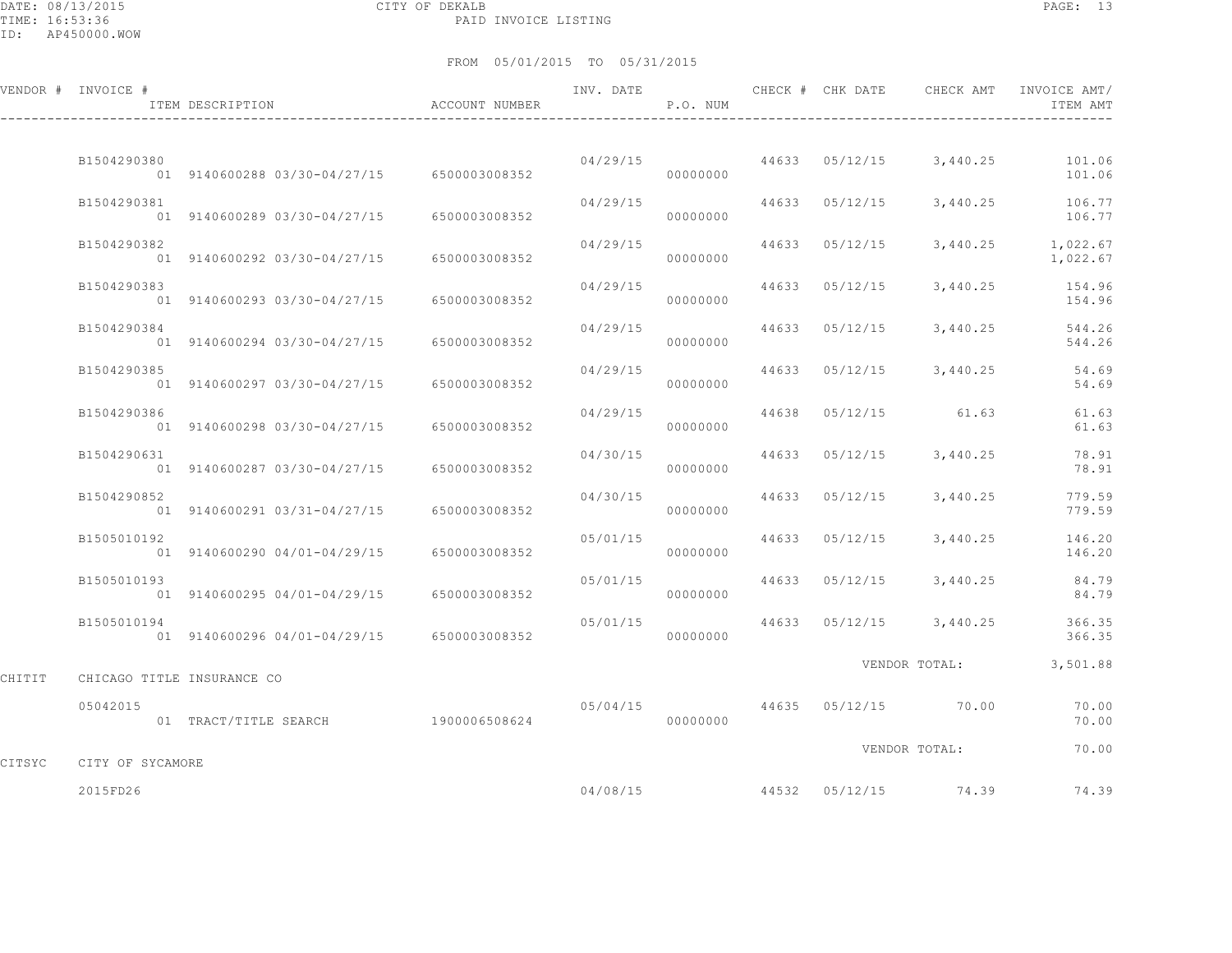DATE: 08/13/2015 CITY OF DEKALB PAGE: 13 PAID INVOICE LISTING

|        | VENDOR # INVOICE #         | ITEM DESCRIPTION                           | ACCOUNT NUMBER | INV. DATE | P.O. NUM |       | CHECK # CHK DATE | CHECK AMT            | INVOICE AMT/<br>ITEM AMT                 |
|--------|----------------------------|--------------------------------------------|----------------|-----------|----------|-------|------------------|----------------------|------------------------------------------|
|        | B1504290380                | 01 9140600288 03/30-04/27/15 6500003008352 |                | 04/29/15  | 00000000 |       |                  |                      | 44633 05/12/15 3,440.25 101.06<br>101.06 |
|        | B1504290381                | 01 9140600289 03/30-04/27/15               | 6500003008352  | 04/29/15  | 00000000 |       | 44633 05/12/15   | 3,440.25             | 106.77<br>106.77                         |
|        | B1504290382                | 01 9140600292 03/30-04/27/15               | 6500003008352  | 04/29/15  | 00000000 | 44633 | 05/12/15         | 3,440.25             | 1,022.67<br>1,022.67                     |
|        | B1504290383                | 01 9140600293 03/30-04/27/15               | 6500003008352  | 04/29/15  | 00000000 | 44633 | 05/12/15         | 3,440.25             | 154.96<br>154.96                         |
|        | B1504290384                | 01 9140600294 03/30-04/27/15               | 6500003008352  | 04/29/15  | 00000000 | 44633 | 05/12/15         | 3,440.25             | 544.26<br>544.26                         |
|        | B1504290385                | 01 9140600297 03/30-04/27/15               | 6500003008352  | 04/29/15  | 00000000 | 44633 | 05/12/15         | 3,440.25             | 54.69<br>54.69                           |
|        | B1504290386                | 01 9140600298 03/30-04/27/15               | 6500003008352  | 04/29/15  | 00000000 | 44638 |                  | 05/12/15 61.63       | 61.63<br>61.63                           |
|        | B1504290631                | 01 9140600287 03/30-04/27/15               | 6500003008352  | 04/30/15  | 00000000 | 44633 |                  | $05/12/15$ 3,440.25  | 78.91<br>78.91                           |
|        | B1504290852                | 01 9140600291 03/31-04/27/15               | 6500003008352  | 04/30/15  | 00000000 | 44633 | 05/12/15         | 3,440.25             | 779.59<br>779.59                         |
|        | B1505010192                | 01 9140600290 04/01-04/29/15               | 6500003008352  | 05/01/15  | 00000000 | 44633 | 05/12/15         | 3,440.25             | 146.20<br>146.20                         |
|        | B1505010193                | 01 9140600295 04/01-04/29/15               | 6500003008352  | 05/01/15  | 00000000 | 44633 | 05/12/15         | 3,440.25             | 84.79<br>84.79                           |
|        | B1505010194                | 01 9140600296 04/01-04/29/15 6500003008352 |                | 05/01/15  | 00000000 | 44633 |                  | $05/12/15$ 3,440.25  | 366.35<br>366.35                         |
| CHITIT | CHICAGO TITLE INSURANCE CO |                                            |                |           |          |       |                  | VENDOR TOTAL:        | 3,501.88                                 |
|        | 05042015                   | 01 TRACT/TITLE SEARCH 1900006508624        |                | 05/04/15  | 00000000 |       |                  | 44635 05/12/15 70.00 | 70.00<br>70.00                           |
| CITSYC | CITY OF SYCAMORE           |                                            |                |           |          |       |                  | VENDOR TOTAL:        | 70.00                                    |
|        | 2015FD26                   |                                            |                | 04/08/15  |          |       |                  | 44532 05/12/15 74.39 | 74.39                                    |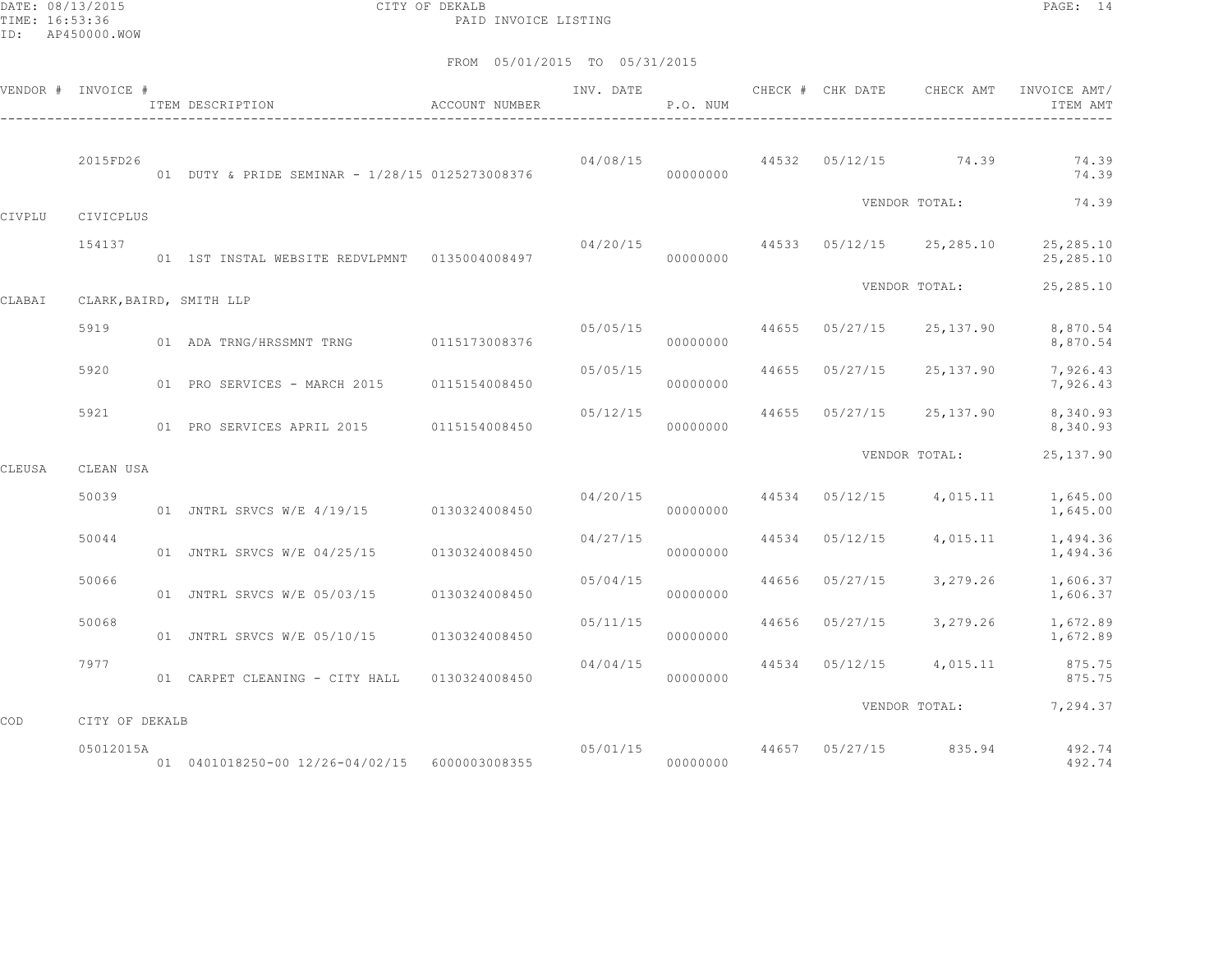DATE: 08/13/2015 CITY OF DEKALB PAGE: 14 PAID INVOICE LISTING

|        | VENDOR # INVOICE # | ACCOUNT NUMBER<br>ITEM DESCRIPTION               |               | INV. DATE               | P.O. NUM |       | CHECK # CHK DATE | CHECK AMT                             | INVOICE AMT/<br>ITEM AMT |
|--------|--------------------|--------------------------------------------------|---------------|-------------------------|----------|-------|------------------|---------------------------------------|--------------------------|
|        | 2015FD26           | 01 DUTY & PRIDE SEMINAR - 1/28/15 0125273008376  |               | 04/08/15                | 00000000 |       |                  | 44532 05/12/15 74.39                  | 74.39<br>74.39           |
| CIVPLU | CIVICPLUS          |                                                  |               |                         |          |       |                  | VENDOR TOTAL:                         | 74.39                    |
|        | 154137             | 01 1ST INSTAL WEBSITE REDVLPMNT   0135004008497  |               |                         | 00000000 |       |                  | $04/20/15$ 44533 $05/12/15$ 25,285.10 | 25,285.10<br>25, 285.10  |
| CLABAI |                    | CLARK, BAIRD, SMITH LLP                          |               |                         |          |       |                  | VENDOR TOTAL:                         | 25,285.10                |
|        | 5919               | 01 ADA TRNG/HRSSMNT TRNG 0115173008376           |               | 05/05/15                | 00000000 |       | 44655 05/27/15   | 25,137.90                             | 8,870.54<br>8,870.54     |
|        | 5920               | 01 PRO SERVICES - MARCH 2015 0115154008450       |               | 05/05/15                | 00000000 |       | 44655 05/27/15   | 25,137.90                             | 7,926.43<br>7,926.43     |
|        | 5921               | 01 PRO SERVICES APRIL 2015 0115154008450         |               | 05/12/15                | 00000000 | 44655 | 05/27/15         | 25,137.90                             | 8,340.93<br>8,340.93     |
| CLEUSA | CLEAN USA          |                                                  |               |                         |          |       |                  | VENDOR TOTAL:                         | 25, 137.90               |
|        | 50039              | 01 JNTRL SRVCS W/E 4/19/15 0130324008450         |               | 04/20/15                | 00000000 |       | 44534 05/12/15   | 4,015.11                              | 1,645.00<br>1,645.00     |
|        | 50044              | 01 JNTRL SRVCS W/E 04/25/15                      | 0130324008450 | 04/27/15                | 00000000 |       | 44534 05/12/15   | 4,015.11                              | 1,494.36<br>1,494.36     |
|        | 50066              | 01 JNTRL SRVCS W/E 05/03/15                      | 0130324008450 | 05/04/15                | 00000000 | 44656 | 05/27/15         | 3,279.26                              | 1,606.37<br>1,606.37     |
|        | 50068              | 01 JNTRL SRVCS W/E 05/10/15                      | 0130324008450 | 05/11/15                | 00000000 |       | 44656 05/27/15   | 3,279.26                              | 1,672.89<br>1,672.89     |
|        | 7977               | 01 CARPET CLEANING - CITY HALL                   | 0130324008450 | 04/04/15                | 00000000 |       | 44534 05/12/15   | 4,015.11                              | 875.75<br>875.75         |
| COD    | CITY OF DEKALB     |                                                  |               |                         |          |       |                  |                                       | VENDOR TOTAL: 7,294.37   |
|        | 05012015A          | 01  0401018250-00  12/26-04/02/15  6000003008355 |               | 05/01/15 44657 05/27/15 | 00000000 |       |                  | 835.94                                | 492.74<br>492.74         |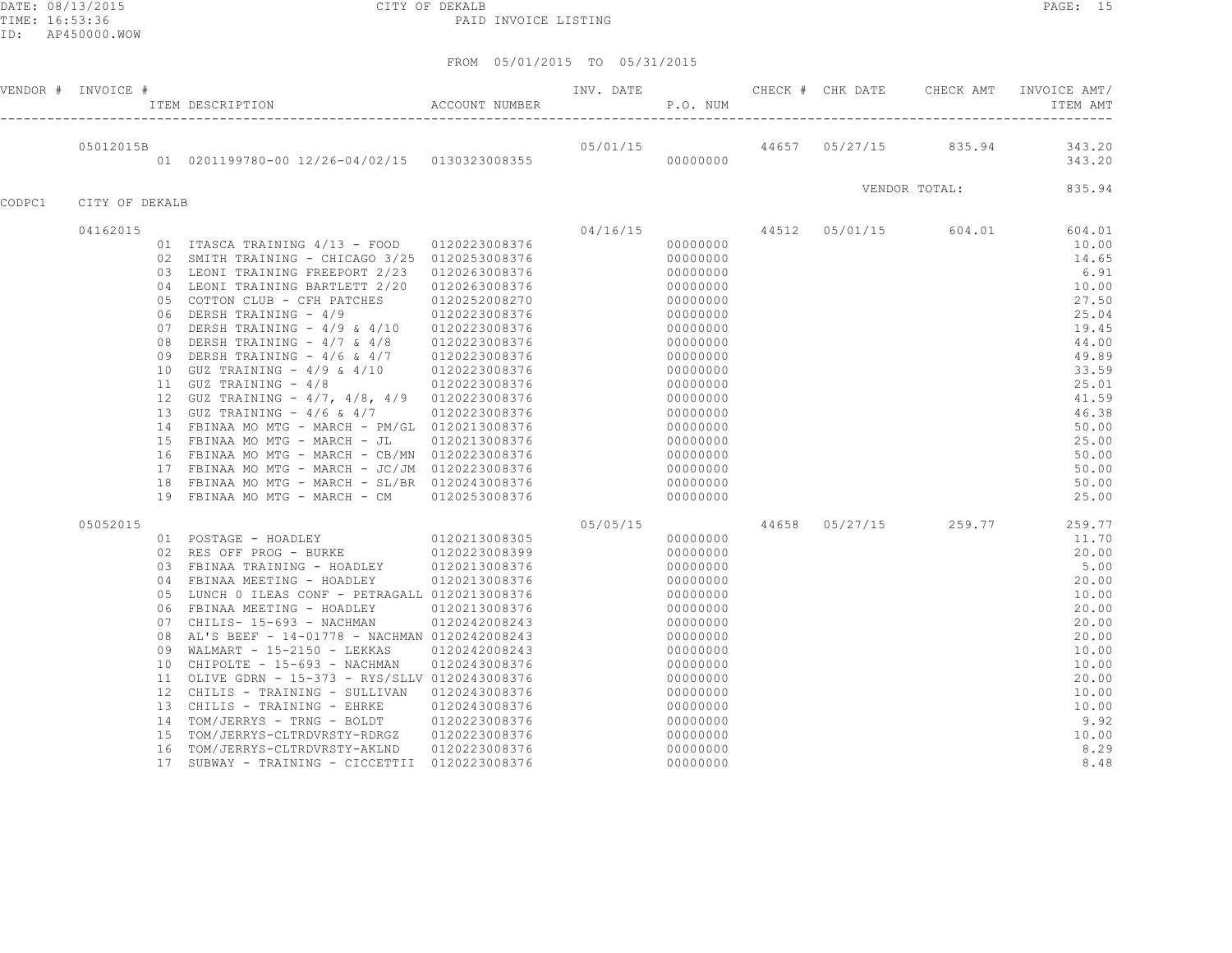DATE: 08/13/2015 CITY OF DEKALB PAGE: 15 PAID INVOICE LISTING

|        | VENDOR # INVOICE # |                                                           | FREE MANUS ENGINEER THE SECRET PROFESS THE SECRET PROFESS THE RESOLUTION ACCOUNT NUMBER P.O. NUM                                                                                                                                                                                                                                                                                                                                                                                                                                                                                                                                                                                                                                                               |                                                                                                                                                                                         |          |                                                                                                                                                                                                                                  |  | INV. DATE <b>CHECK</b> # CHK DATE CHECK AMT | INVOICE AMT/<br>ITEM AMT                                                                                                                                                         |
|--------|--------------------|-----------------------------------------------------------|----------------------------------------------------------------------------------------------------------------------------------------------------------------------------------------------------------------------------------------------------------------------------------------------------------------------------------------------------------------------------------------------------------------------------------------------------------------------------------------------------------------------------------------------------------------------------------------------------------------------------------------------------------------------------------------------------------------------------------------------------------------|-----------------------------------------------------------------------------------------------------------------------------------------------------------------------------------------|----------|----------------------------------------------------------------------------------------------------------------------------------------------------------------------------------------------------------------------------------|--|---------------------------------------------|----------------------------------------------------------------------------------------------------------------------------------------------------------------------------------|
|        | 05012015B          |                                                           | 01 0201199780-00 12/26-04/02/15 0130323008355                                                                                                                                                                                                                                                                                                                                                                                                                                                                                                                                                                                                                                                                                                                  |                                                                                                                                                                                         |          | 00000000                                                                                                                                                                                                                         |  |                                             | 05/01/15 44657 05/27/15 835.94 343.20<br>343.20                                                                                                                                  |
|        |                    |                                                           |                                                                                                                                                                                                                                                                                                                                                                                                                                                                                                                                                                                                                                                                                                                                                                |                                                                                                                                                                                         |          |                                                                                                                                                                                                                                  |  | VENDOR TOTAL:                               | 835.94                                                                                                                                                                           |
| CODPC1 | CITY OF DEKALB     |                                                           |                                                                                                                                                                                                                                                                                                                                                                                                                                                                                                                                                                                                                                                                                                                                                                |                                                                                                                                                                                         |          |                                                                                                                                                                                                                                  |  |                                             |                                                                                                                                                                                  |
|        | 04162015           | 05<br>06<br>07<br>08<br>09<br>10                          | 01 ITASCA TRAINING 4/13 - FOOD 0120223008376<br>02 SMITH TRAINING - CHICAGO 3/25 0120253008376<br>03 LEONI TRAINING FREEPORT 2/23<br>04 LEONI TRAINING BARTLETT 2/20<br>COTTON CLUB - CFH PATCHES<br>DERSH TRAINING - 4/9<br>DERSH TRAINING - 4/9 & 4/10 0120223008376<br>DERSH TRAINING - $4/7$ & $4/8$<br>DERSH TRAINING - $4/6$ & $4/7$<br>GUZ TRAINING - $4/9$ & $4/10$<br>11 GUZ TRAINING - 4/8<br>12 GUZ TRAINING - 4/7, 4/8, 4/9 0120223008376<br>13 GUZ TRAINING - 4/6 & 4/7<br>14 FBINAA MO MTG - MARCH - PM/GL 0120213008376<br>15 FBINAA MO MTG - MARCH - JL<br>16 FBINAA MO MTG - MARCH - CB/MN 0120223008376<br>17 FBINAA MO MTG - MARCH - JC/JM 0120223008376<br>18 FBINAA MO MTG - MARCH - SL/BR 0120243008376<br>19 FBINAA MO MTG - MARCH - CM | 0120263008376<br>0120263008376<br>0120252008270<br>0120223008376<br>0120223008376<br>0120223008376<br>0120223008376<br>0120223008376<br>0120223008376<br>0120213008376<br>0120253008376 | 04/16/15 | 00000000<br>00000000<br>00000000<br>00000000<br>00000000<br>00000000<br>00000000<br>00000000<br>00000000<br>00000000<br>00000000<br>00000000<br>00000000<br>00000000<br>00000000<br>00000000<br>00000000<br>00000000<br>00000000 |  | 44512 05/01/15 604.01                       | 604.01<br>10.00<br>14.65<br>6.91<br>10.00<br>27.50<br>25.04<br>19.45<br>44.00<br>49.89<br>33.59<br>25.01<br>41.59<br>46.38<br>50.00<br>25.00<br>50.00<br>50.00<br>50.00<br>25.00 |
|        | 05052015           | 05<br>06<br>08<br>09<br>10 <sub>1</sub><br>15<br>16<br>17 | 01 POSTAGE - HOADLEY 0120213008305<br>02 RES OFF PROG - BURKE 0120223008399<br>03 FBINAA TRAINING - HOADLEY 0120213008376<br>04 FBINAA MEETING - HOADLEY<br>LUNCH 0 ILEAS CONF - PETRAGALL 0120213008376<br>FBINAA MEETING - HOADLEY<br>07 CHILIS- 15-693 - NACHMAN<br>AL'S BEEF - 14-01778 - NACHMAN 0120242008243<br>WALMART - 15-2150 - LEKKAS<br>CHIPOLTE - 15-693 - NACHMAN<br>11 OLIVE GDRN - 15-373 - RYS/SLLV 0120243008376<br>12 CHILIS - TRAINING - SULLIVAN<br>13 CHILIS - TRAINING - EHRKE<br>14 TOM/JERRYS - TRNG - BOLDT<br>TOM/JERRYS-CLTRDVRSTY-RDRGZ<br>TOM/JERRYS-CLTRDVRSTY-AKLND<br>SUBWAY - TRAINING - CICCETTII 0120223008376                                                                                                            | 0120213008376<br>0120213008376<br>0120242008243<br>0120242008243<br>0120243008376<br>0120243008376<br>0120243008376<br>0120223008376<br>0120223008376<br>0120223008376                  | 05/05/15 | 00000000<br>00000000<br>00000000<br>00000000<br>00000000<br>00000000<br>00000000<br>00000000<br>00000000<br>00000000<br>00000000<br>00000000<br>00000000<br>00000000<br>00000000<br>00000000<br>00000000                         |  | 44658 05/27/15 259.77                       | 259.77<br>11.70<br>20.00<br>5.00<br>20.00<br>10.00<br>20.00<br>20.00<br>20.00<br>10.00<br>10.00<br>20.00<br>10.00<br>10.00<br>9.92<br>10.00<br>8.29<br>8.48                      |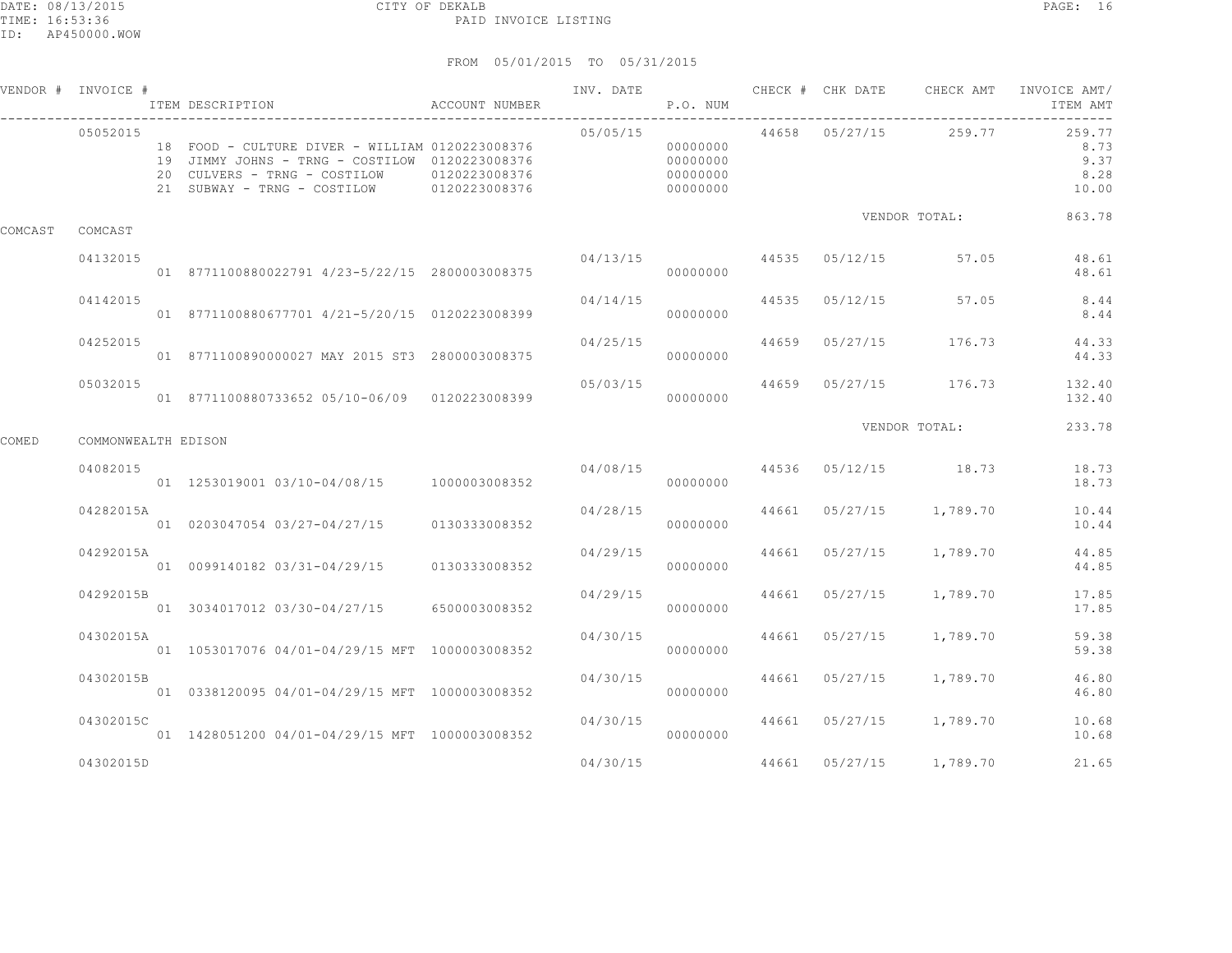#### DATE: 08/13/2015 CITY OF DEKALB PAGE: 16 PAID INVOICE LISTING

|         | VENDOR # INVOICE #  | ACCOUNT NUMBER<br>ITEM DESCRIPTION                                                                                                                                                           |               | INV. DATE | P.O. NUM                                     |       |                                 |                 | CHECK # CHK DATE 6 CHECK AMT INVOICE AMT/<br>ITEM AMT |
|---------|---------------------|----------------------------------------------------------------------------------------------------------------------------------------------------------------------------------------------|---------------|-----------|----------------------------------------------|-------|---------------------------------|-----------------|-------------------------------------------------------|
|         | 05052015            | 18 FOOD - CULTURE DIVER - WILLIAM 0120223008376<br>19 JIMMY JOHNS - TRNG - COSTILOW 0120223008376<br>20 CULVERS - TRNG - COSTILOW 0120223008376<br>21 SUBWAY - TRNG - COSTILOW 0120223008376 |               | 05/05/15  | 00000000<br>00000000<br>00000000<br>00000000 |       | 44658 05/27/15 259.77           |                 | 259.77<br>8.73<br>9.37<br>8.28<br>10.00               |
| COMCAST | COMCAST             |                                                                                                                                                                                              |               |           |                                              |       |                                 | VENDOR TOTAL:   | 863.78                                                |
|         | 04132015            | 01 8771100880022791 4/23-5/22/15 2800003008375                                                                                                                                               |               | 04/13/15  | 00000000                                     |       | 44535 05/12/15 57.05            |                 | 48.61<br>48.61                                        |
|         | 04142015            | 01 8771100880677701 4/21-5/20/15 0120223008399                                                                                                                                               |               | 04/14/15  | 00000000                                     | 44535 | $05/12/15$ 57.05                |                 | 8.44<br>8.44                                          |
|         | 04252015            | 01 8771100890000027 MAY 2015 ST3 2800003008375                                                                                                                                               |               | 04/25/15  | 00000000                                     | 44659 |                                 | 05/27/15 176.73 | 44.33<br>44.33                                        |
|         | 05032015            | 01 8771100880733652 05/10-06/09 0120223008399                                                                                                                                                |               | 05/03/15  | 00000000                                     |       |                                 |                 | 44659 05/27/15 176.73 132.40<br>132.40                |
| COMED   | COMMONWEALTH EDISON |                                                                                                                                                                                              |               |           |                                              |       |                                 | VENDOR TOTAL:   | 233.78                                                |
|         | 04082015            | 01  1253019001  03/10-04/08/15  1000003008352                                                                                                                                                |               |           | 00000000                                     |       | $04/08/15$ 44536 05/12/15 18.73 |                 | 18.73<br>18.73                                        |
|         | 04282015A           | 01 0203047054 03/27-04/27/15 0130333008352                                                                                                                                                   |               | 04/28/15  | 00000000                                     |       | 44661 05/27/15 1,789.70         |                 | 10.44<br>10.44                                        |
|         | 04292015A           | 01  0099140182  03/31-04/29/15                                                                                                                                                               | 0130333008352 | 04/29/15  | 00000000                                     |       | 44661 05/27/15 1,789.70         |                 | 44.85<br>44.85                                        |
|         | 04292015B           | 01 3034017012 03/30-04/27/15 6500003008352                                                                                                                                                   |               | 04/29/15  | 00000000                                     |       | 44661 05/27/15 1,789.70         |                 | 17.85<br>17.85                                        |
|         | 04302015A           | 01 1053017076 04/01-04/29/15 MFT 1000003008352                                                                                                                                               |               | 04/30/15  | 00000000                                     |       | 44661 05/27/15 1,789.70         |                 | 59.38<br>59.38                                        |
|         | 04302015B           | 01  0338120095  04/01-04/29/15 MFT  1000003008352                                                                                                                                            |               | 04/30/15  | 00000000                                     |       | 44661 05/27/15 1,789.70         |                 | 46.80<br>46.80                                        |
|         | 04302015C           | 01 1428051200 04/01-04/29/15 MFT 1000003008352                                                                                                                                               |               | 04/30/15  | 00000000                                     |       | 44661 05/27/15 1,789.70         |                 | 10.68<br>10.68                                        |
|         | 04302015D           |                                                                                                                                                                                              |               | 04/30/15  |                                              |       | 44661 05/27/15 1,789.70         |                 | 21.65                                                 |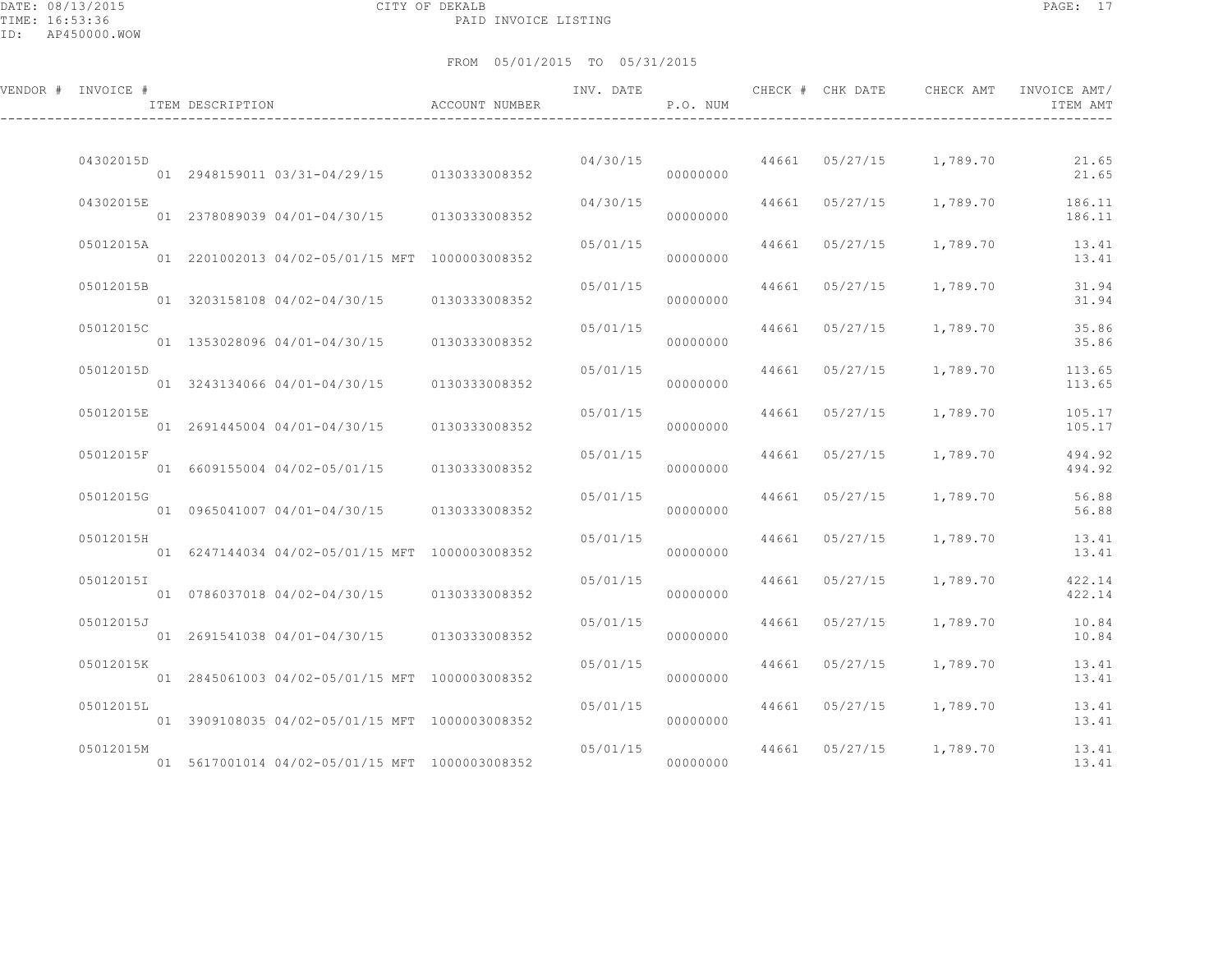DATE: 08/13/2015 CITY OF DEKALB PAGE: 17 PAID INVOICE LISTING

| VENDOR # INVOICE # | ITEM DESCRIPTION                               | ACCOUNT NUMBER | INV. DATE | P.O. NUM |       | CHECK # CHK DATE | CHECK AMT               | INVOICE AMT/<br>ITEM AMT |
|--------------------|------------------------------------------------|----------------|-----------|----------|-------|------------------|-------------------------|--------------------------|
| 04302015D          | 01 2948159011 03/31-04/29/15 0130333008352     |                | 04/30/15  | 00000000 |       |                  | 44661 05/27/15 1,789.70 | 21.65<br>21.65           |
| 04302015E          | 01 2378089039 04/01-04/30/15 0130333008352     |                | 04/30/15  | 00000000 |       | 44661 05/27/15   | 1,789.70                | 186.11<br>186.11         |
| 05012015A          | 01 2201002013 04/02-05/01/15 MFT 1000003008352 |                | 05/01/15  | 00000000 |       | 44661 05/27/15   | 1,789.70                | 13.41<br>13.41           |
| 05012015B          | 01 3203158108 04/02-04/30/15 0130333008352     |                | 05/01/15  | 00000000 | 44661 | 05/27/15         | 1,789.70                | 31.94<br>31.94           |
| 05012015C          | 01 1353028096 04/01-04/30/15                   | 0130333008352  | 05/01/15  | 00000000 |       | 44661 05/27/15   | 1,789.70                | 35.86<br>35.86           |
| 05012015D          | 01 3243134066 04/01-04/30/15 0130333008352     |                | 05/01/15  | 00000000 |       | 44661 05/27/15   | 1,789.70                | 113.65<br>113.65         |
| 05012015E          | 01 2691445004 04/01-04/30/15                   | 0130333008352  | 05/01/15  | 00000000 | 44661 | 05/27/15         | 1,789.70                | 105.17<br>105.17         |
| 05012015F          | 01 6609155004 04/02-05/01/15                   | 0130333008352  | 05/01/15  | 00000000 | 44661 | 05/27/15         | 1,789.70                | 494.92<br>494.92         |
| 05012015G          | 01 0965041007 04/01-04/30/15 0130333008352     |                | 05/01/15  | 00000000 |       | 44661 05/27/15   | 1,789.70                | 56.88<br>56.88           |
| 05012015H          | 01 6247144034 04/02-05/01/15 MFT 1000003008352 |                | 05/01/15  | 00000000 |       | 44661 05/27/15   | 1,789.70                | 13.41<br>13.41           |
| 05012015I          | 01 0786037018 04/02-04/30/15 0130333008352     |                | 05/01/15  | 00000000 | 44661 | 05/27/15         | 1,789.70                | 422.14<br>422.14         |
| 05012015J          | 01 2691541038 04/01-04/30/15 0130333008352     |                | 05/01/15  | 00000000 | 44661 | 05/27/15         | 1,789.70                | 10.84<br>10.84           |
| 05012015K          | 01 2845061003 04/02-05/01/15 MFT 1000003008352 |                | 05/01/15  | 00000000 | 44661 | 05/27/15         | 1,789.70                | 13.41<br>13.41           |
| 05012015L          | 01 3909108035 04/02-05/01/15 MFT 1000003008352 |                | 05/01/15  | 00000000 |       | 44661 05/27/15   | 1,789.70                | 13.41<br>13.41           |
| 05012015M          | 01 5617001014 04/02-05/01/15 MFT 1000003008352 |                | 05/01/15  | 00000000 | 44661 |                  | $05/27/15$ 1,789.70     | 13.41<br>13.41           |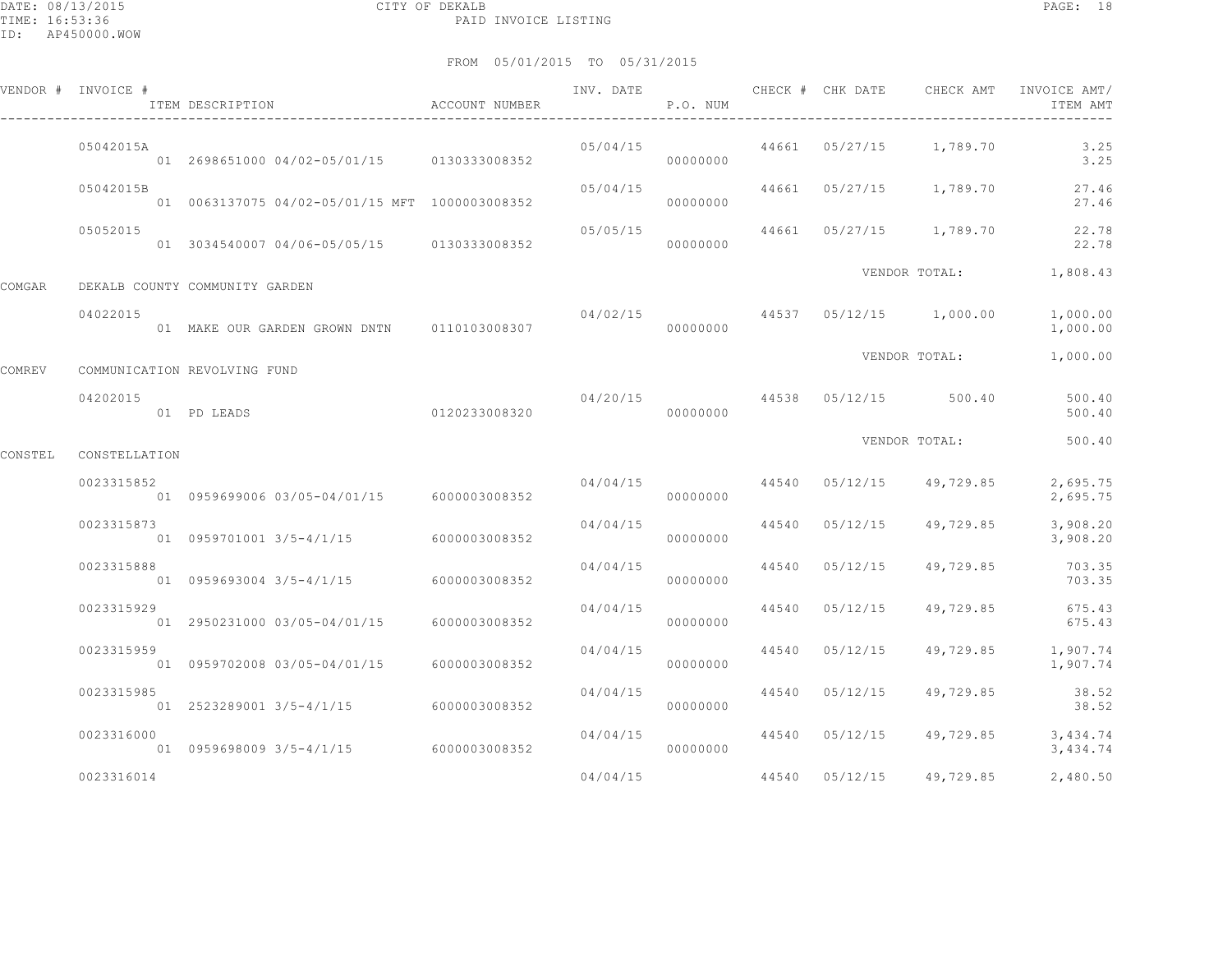|         | VENDOR # INVOICE # | ITEM DESCRIPTION                               | ACCOUNT NUMBER | INV. DATE | P.O. NUM |       | CHECK # CHK DATE | CHECK AMT                                | INVOICE AMT/<br>ITEM AMT       |
|---------|--------------------|------------------------------------------------|----------------|-----------|----------|-------|------------------|------------------------------------------|--------------------------------|
|         | 05042015A          | 01 2698651000 04/02-05/01/15 0130333008352     |                | 05/04/15  | 00000000 |       |                  | 44661 05/27/15 1,789.70                  | 3.25<br>3.25                   |
|         | 05042015B          | 01 0063137075 04/02-05/01/15 MFT 1000003008352 |                | 05/04/15  | 00000000 |       |                  | 44661 05/27/15 1,789.70                  | 27.46<br>27.46                 |
|         | 05052015           | 01 3034540007 04/06-05/05/15 0130333008352     |                | 05/05/15  | 00000000 | 44661 |                  | 05/27/15 1,789.70                        | 22.78<br>22.78                 |
| COMGAR  |                    | DEKALB COUNTY COMMUNITY GARDEN                 |                |           |          |       |                  | VENDOR TOTAL:                            | 1,808.43                       |
|         | 04022015           | 01 MAKE OUR GARDEN GROWN DNTN 0110103008307    |                |           | 00000000 |       |                  | $04/02/15$ $44537$ $05/12/15$ $1,000.00$ | 1,000.00<br>1,000.00           |
| COMREV  |                    | COMMUNICATION REVOLVING FUND                   |                |           |          |       |                  | VENDOR TOTAL:                            | 1,000.00                       |
|         | 04202015           | 01 PD LEADS                                    | 0120233008320  | 04/20/15  | 00000000 |       |                  | 44538 05/12/15 500.40                    | 500.40<br>500.40               |
| CONSTEL | CONSTELLATION      |                                                |                |           |          |       |                  | VENDOR TOTAL:                            | 500.40                         |
|         | 0023315852         | 01 0959699006 03/05-04/01/15 6000003008352     |                | 04/04/15  | 00000000 |       | 44540 05/12/15   | 49,729.85                                | 2,695.75<br>2,695.75           |
|         | 0023315873         | 01 0959701001 3/5-4/1/15 6000003008352         |                | 04/04/15  | 00000000 | 44540 | 05/12/15         | 49,729.85                                | 3,908.20<br>3,908.20           |
|         | 0023315888         | 01 0959693004 3/5-4/1/15 6000003008352         |                | 04/04/15  | 00000000 | 44540 | 05/12/15         | 49,729.85                                | 703.35<br>703.35               |
|         | 0023315929         | 01 2950231000 03/05-04/01/15 6000003008352     |                | 04/04/15  | 00000000 | 44540 | 05/12/15         | 49,729.85                                | 675.43<br>675.43               |
|         | 0023315959         | 01  0959702008  03/05-04/01/15                 | 6000003008352  | 04/04/15  | 00000000 | 44540 | 05/12/15         | 49,729.85                                | 1,907.74<br>1,907.74           |
|         | 0023315985         | 01 2523289001 3/5-4/1/15 6000003008352         |                | 04/04/15  | 00000000 |       | 44540 05/12/15   | 49,729.85                                | 38.52<br>38.52                 |
|         | 0023316000         | 01 0959698009 3/5-4/1/15 6000003008352         |                | 04/04/15  | 00000000 |       | 44540 05/12/15   |                                          | 49,729.85 3,434.74<br>3,434.74 |
|         | 0023316014         |                                                |                | 04/04/15  |          |       | 44540 05/12/15   | 49,729.85                                | 2,480.50                       |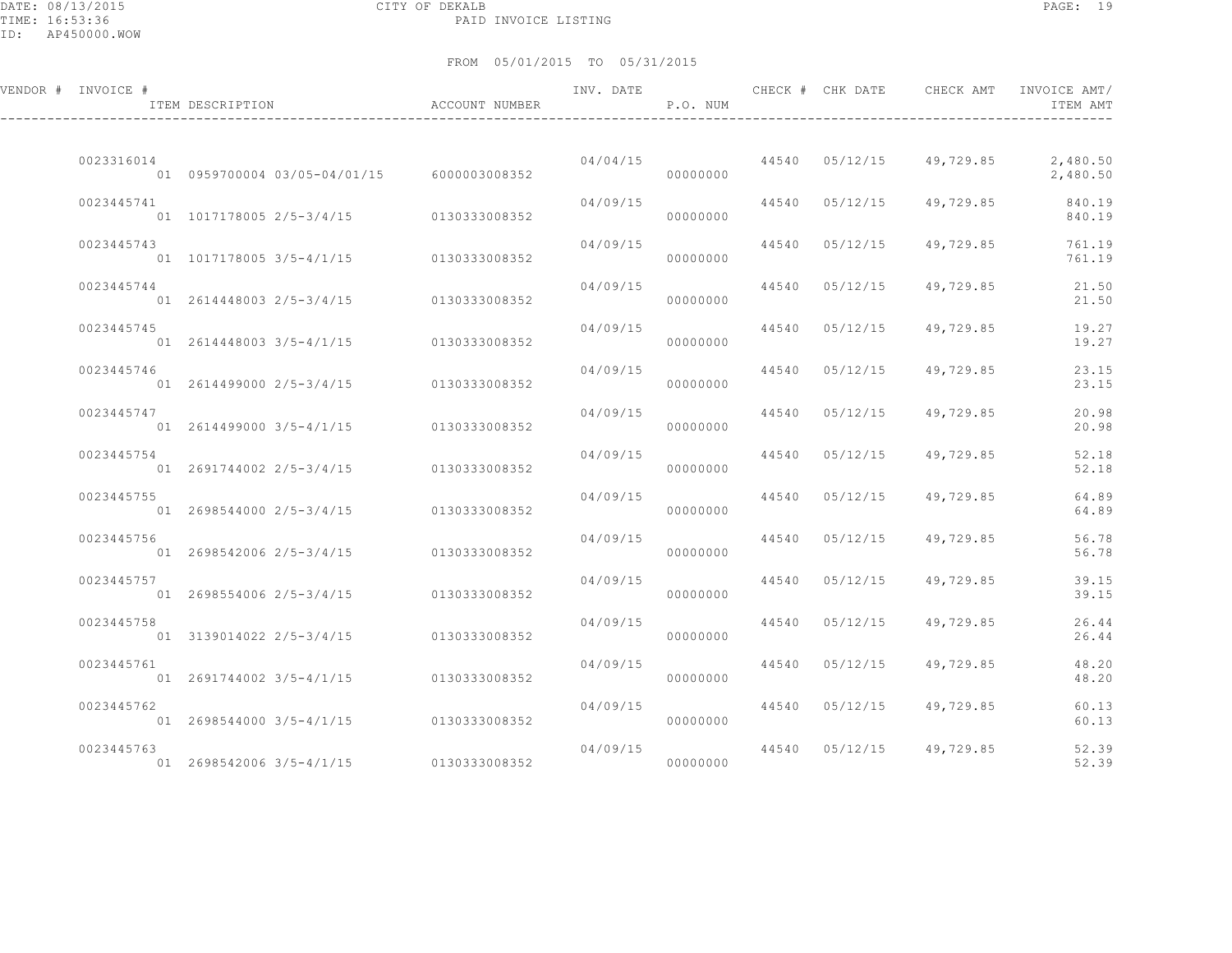DATE: 08/13/2015 CITY OF DEKALB PAGE: 19 PAID INVOICE LISTING

| VENDOR # INVOICE # | ITEM DESCRIPTION                           | ACCOUNT NUMBER | INV. DATE | P.O. NUM |       | CHECK # CHK DATE | CHECK AMT                | INVOICE AMT/<br>ITEM AMT |
|--------------------|--------------------------------------------|----------------|-----------|----------|-------|------------------|--------------------------|--------------------------|
| 0023316014         | 01 0959700004 03/05-04/01/15 6000003008352 |                | 04/04/15  | 00000000 |       |                  | 44540 05/12/15 49,729.85 | 2,480.50<br>2,480.50     |
| 0023445741         | 01 1017178005 2/5-3/4/15 0130333008352     |                | 04/09/15  | 00000000 |       | 44540 05/12/15   | 49,729.85                | 840.19<br>840.19         |
| 0023445743         | 01 1017178005 3/5-4/1/15 0130333008352     |                | 04/09/15  | 00000000 |       | 44540 05/12/15   | 49,729.85                | 761.19<br>761.19         |
| 0023445744         | 01 2614448003 2/5-3/4/15                   | 0130333008352  | 04/09/15  | 00000000 |       | 44540 05/12/15   | 49,729.85                | 21.50<br>21.50           |
| 0023445745         | 01 2614448003 3/5-4/1/15                   | 0130333008352  | 04/09/15  | 00000000 |       | 44540 05/12/15   | 49,729.85                | 19.27<br>19.27           |
| 0023445746         | 01 2614499000 2/5-3/4/15 0130333008352     |                | 04/09/15  | 00000000 |       | 44540 05/12/15   | 49,729.85                | 23.15<br>23.15           |
| 0023445747         | 01 2614499000 3/5-4/1/15                   | 0130333008352  | 04/09/15  | 00000000 | 44540 | 05/12/15         | 49,729.85                | 20.98<br>20.98           |
| 0023445754         | 01 2691744002 2/5-3/4/15                   | 0130333008352  | 04/09/15  | 00000000 |       | 44540 05/12/15   | 49,729.85                | 52.18<br>52.18           |
| 0023445755         | 01 2698544000 2/5-3/4/15                   | 0130333008352  | 04/09/15  | 00000000 |       | 44540 05/12/15   | 49,729.85                | 64.89<br>64.89           |
| 0023445756         | 01 2698542006 2/5-3/4/15                   | 0130333008352  | 04/09/15  | 00000000 |       | 44540 05/12/15   | 49,729.85                | 56.78<br>56.78           |
| 0023445757         | 01 2698554006 2/5-3/4/15 0130333008352     |                | 04/09/15  | 00000000 |       | 44540 05/12/15   | 49,729.85                | 39.15<br>39.15           |
| 0023445758         | 01 3139014022 2/5-3/4/15 0130333008352     |                | 04/09/15  | 00000000 |       | 44540 05/12/15   | 49,729.85                | 26.44<br>26.44           |
| 0023445761         | 01 2691744002 3/5-4/1/15                   | 0130333008352  | 04/09/15  | 00000000 |       | 44540 05/12/15   | 49,729.85                | 48.20<br>48.20           |
| 0023445762         | 01 2698544000 3/5-4/1/15                   | 0130333008352  | 04/09/15  | 00000000 |       | 44540 05/12/15   | 49,729.85                | 60.13<br>60.13           |
| 0023445763         | 01 2698542006 3/5-4/1/15                   | 0130333008352  | 04/09/15  | 00000000 |       | 44540 05/12/15   | 49,729.85                | 52.39<br>52.39           |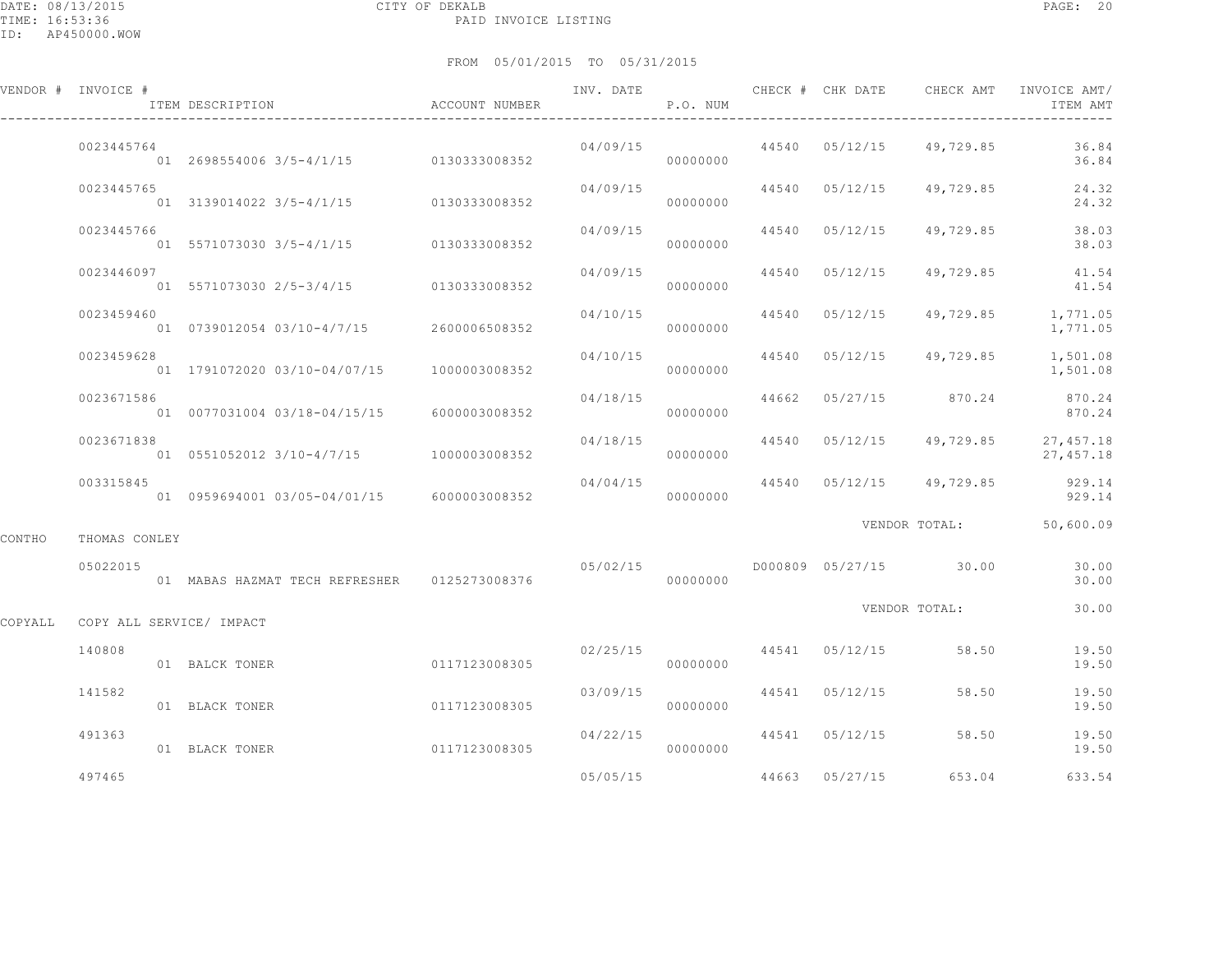DATE: 08/13/2015 CITY OF DEKALB PAGE: 20 PAID INVOICE LISTING

ID: AP450000.WOW

|         | VENDOR # INVOICE #       | ITEM DESCRIPTION                              | ACCOUNT NUMBER | INV. DATE | P.O. NUM             |                | CHECK # CHK DATE CHECK AMT      | INVOICE AMT/<br>ITEM AMT                         |
|---------|--------------------------|-----------------------------------------------|----------------|-----------|----------------------|----------------|---------------------------------|--------------------------------------------------|
|         | 0023445764               | 01 2698554006 3/5-4/1/15 0130333008352        |                |           | 04/09/15<br>00000000 |                | 44540 05/12/15 49,729.85        | 36.84<br>36.84                                   |
|         | 0023445765               | 01 3139014022 3/5-4/1/15 0130333008352        |                | 04/09/15  | 00000000             | 44540 05/12/15 | 49,729.85                       | 24.32<br>24.32                                   |
|         | 0023445766               | 01 5571073030 3/5-4/1/15 0130333008352        |                | 04/09/15  | 00000000             | 44540 05/12/15 | 49,729.85                       | 38.03<br>38.03                                   |
|         | 0023446097               | 01 5571073030 2/5-3/4/15 0130333008352        |                | 04/09/15  | 00000000             | 44540 05/12/15 | 49,729.85                       | 41.54<br>41.54                                   |
|         | 0023459460               | 01  0739012054  03/10-4/7/15  2600006508352   |                | 04/10/15  | 00000000             | 44540 05/12/15 |                                 | 49,729.85 1,771.05<br>1,771.05                   |
|         | 0023459628               | 01  1791072020  03/10-04/07/15  1000003008352 |                | 04/10/15  | 00000000             |                |                                 | 44540  05/12/15  49,729.85  1,501.08<br>1,501.08 |
|         | 0023671586               | 01 0077031004 03/18-04/15/15 6000003008352    |                | 04/18/15  | 00000000             |                | 44662 05/27/15 870.24           | 870.24<br>870.24                                 |
|         | 0023671838               | 01  0551052012  3/10-4/7/15  1000003008352    |                | 04/18/15  | 00000000             |                |                                 | 44540 05/12/15 49,729.85 27,457.18<br>27,457.18  |
|         | 003315845                | 01 0959694001 03/05-04/01/15 6000003008352    |                | 04/04/15  | 00000000             |                | 44540 05/12/15 49,729.85        | 929.14<br>929.14                                 |
| CONTHO  | THOMAS CONLEY            |                                               |                |           |                      |                |                                 | VENDOR TOTAL: 50,600.09                          |
|         | 05022015                 | 01 MABAS HAZMAT TECH REFRESHER 0125273008376  |                | 000000000 |                      |                |                                 | 30.00<br>30.00                                   |
| COPYALL | COPY ALL SERVICE/ IMPACT |                                               |                |           |                      |                | VENDOR TOTAL:                   | 30.00                                            |
|         | 140808                   | 01 BALCK TONER                                | 0117123008305  |           | 00000000             |                | $02/25/15$ 44541 05/12/15 58.50 | 19.50<br>19.50                                   |
|         | 141582                   | 01 BLACK TONER                                | 0117123008305  | 03/09/15  | 00000000             | 44541 05/12/15 | 58.50                           | 19.50<br>19.50                                   |
|         | 491363                   | 01 BLACK TONER                                | 0117123008305  | 04/22/15  | 00000000             |                | 44541 05/12/15 58.50            | 19.50<br>19.50                                   |
|         | 497465                   |                                               |                | 05/05/15  |                      | 44663 05/27/15 | 653.04                          | 633.54                                           |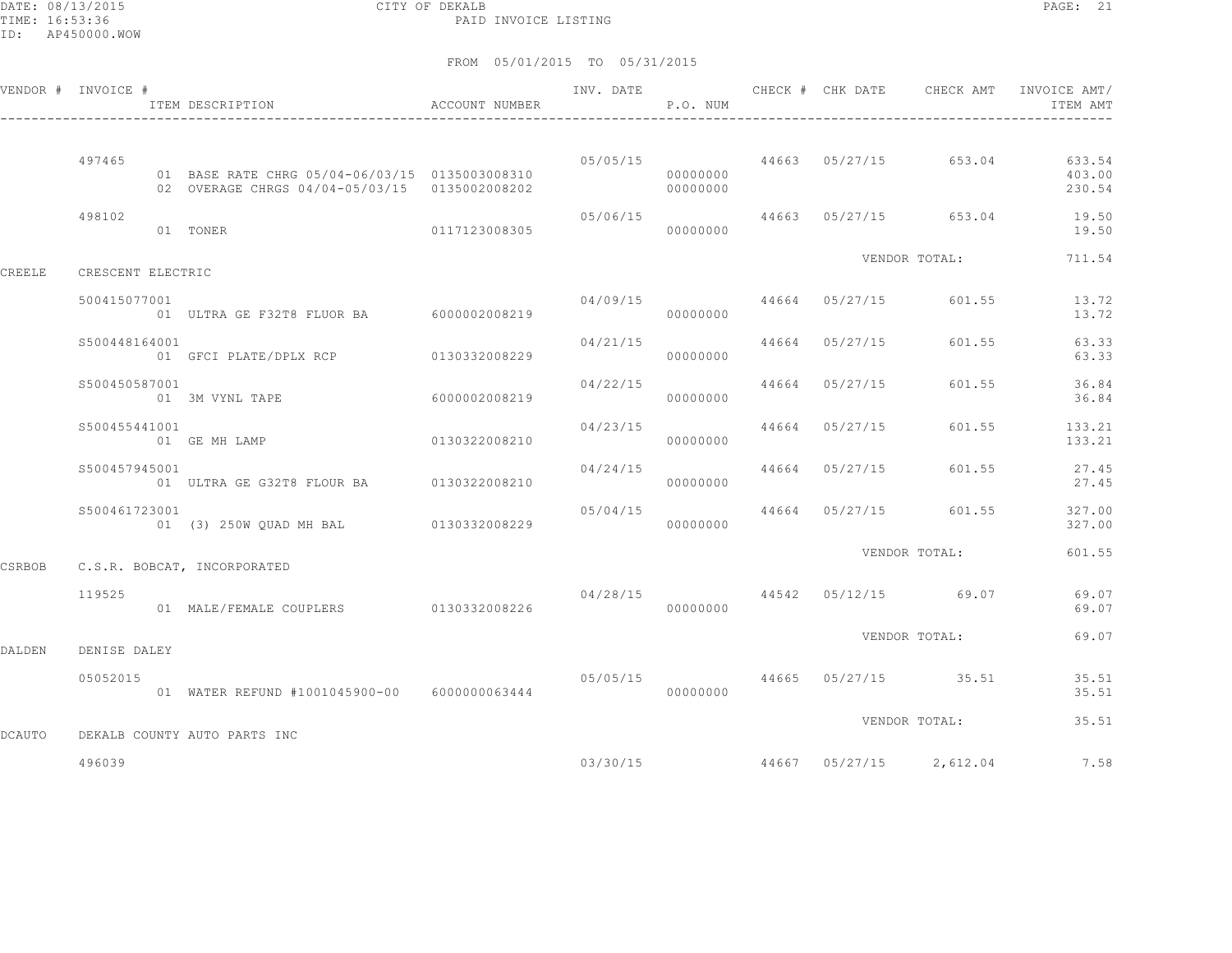DATE: 08/13/2015 CITY OF DEKALB PAGE: 21 PAID INVOICE LISTING

|               | VENDOR # INVOICE # | ITEM DESCRIPTION                                                                                | ACCOUNT NUMBER | INV. DATE | P.O. NUM             |                         | CHECK # CHK DATE CHECK AMT          | INVOICE AMT/<br>ITEM AMT   |
|---------------|--------------------|-------------------------------------------------------------------------------------------------|----------------|-----------|----------------------|-------------------------|-------------------------------------|----------------------------|
|               | 497465             | 01 BASE RATE CHRG 05/04-06/03/15 0135003008310<br>02 OVERAGE CHRGS 04/04-05/03/15 0135002008202 |                |           | 00000000<br>00000000 |                         | $05/05/15$ 44663 05/27/15 653.04    | 633.54<br>403.00<br>230.54 |
|               | 498102             | 01 TONER                                                                                        | 0117123008305  | 05/06/15  | 00000000             |                         | 44663 05/27/15 653.04               | 19.50<br>19.50             |
| CREELE        | CRESCENT ELECTRIC  |                                                                                                 |                |           |                      |                         | VENDOR TOTAL:                       | 711.54                     |
|               | 500415077001       | 01 ULTRA GE F32T8 FLUOR BA 6000002008219                                                        |                |           | 04/09/15<br>00000000 | 44664 05/27/15          | 601.55                              | 13.72<br>13.72             |
|               | \$500448164001     | 01 GFCI PLATE/DPLX RCP 0130332008229                                                            |                |           | 00000000             | 04/21/15 44664 05/27/15 | 601.55                              | 63.33<br>63.33             |
|               | \$500450587001     | 01 3M VYNL TAPE                                                                                 | 6000002008219  | 04/22/15  | 00000000             | 44664 05/27/15          | 601.55                              | 36.84<br>36.84             |
|               | \$500455441001     | 01 GE MH LAMP                                                                                   | 0130322008210  | 04/23/15  | 00000000             | 44664 05/27/15          | 601.55                              | 133.21<br>133.21           |
|               | S500457945001      |                                                                                                 |                | 04/24/15  | 00000000             | 44664 05/27/15          | 601.55                              | 27.45<br>27.45             |
|               | S500461723001      | 01 (3) 250W OUAD MH BAL 0130332008229                                                           |                | 05/04/15  | 00000000             | 44664 05/27/15          | 601.55                              | 327.00<br>327.00           |
| CSRBOB        |                    | C.S.R. BOBCAT, INCORPORATED                                                                     |                |           |                      |                         | VENDOR TOTAL:                       | 601.55                     |
|               | 119525             | 01 MALE/FEMALE COUPLERS 0130332008226                                                           |                |           | 00000000             |                         | $04/28/15$ $44542$ $05/12/15$ 69.07 | 69.07<br>69.07             |
| DALDEN        | DENISE DALEY       |                                                                                                 |                |           |                      |                         | VENDOR TOTAL:                       | 69.07                      |
|               | 05052015           | 01 WATER REFUND #1001045900-00 6000000063444                                                    |                |           | 00000000             |                         | 05/05/15 44665 05/27/15 35.51       | 35.51<br>35.51             |
| <b>DCAUTO</b> |                    | DEKALB COUNTY AUTO PARTS INC                                                                    |                |           |                      |                         | VENDOR TOTAL:                       | 35.51                      |
|               | 496039             |                                                                                                 |                | 03/30/15  |                      |                         | 44667 05/27/15 2,612.04             | 7.58                       |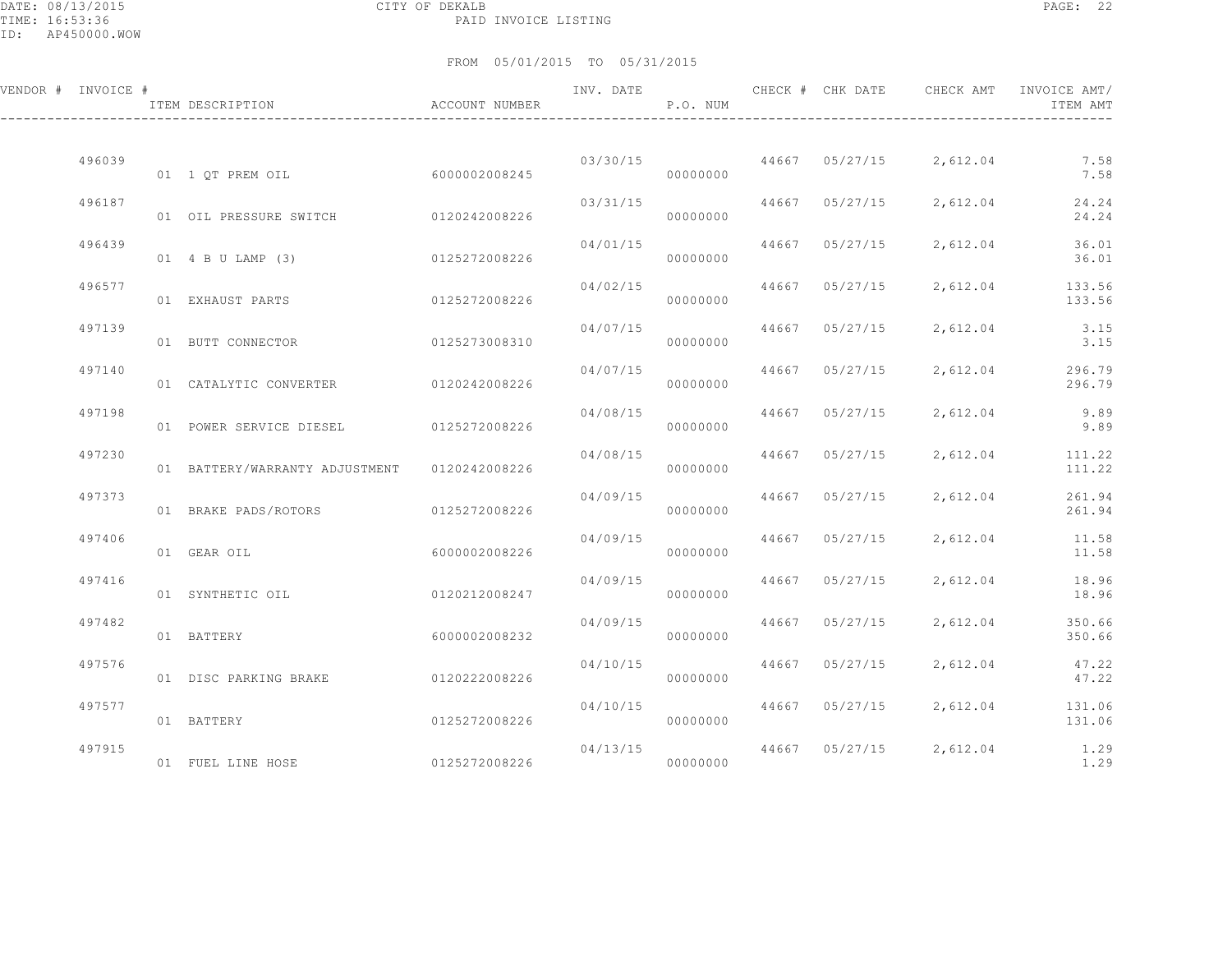DATE: 08/13/2015 CITY OF DEKALB PAGE: 22 PAID INVOICE LISTING

ID: AP450000.WOW

| VENDOR # INVOICE # |        | ITEM DESCRIPTION                      | ACCOUNT NUMBER | INV. DATE            | P.O. NUM |       | CHECK # CHK DATE | CHECK AMT               | INVOICE AMT/<br>ITEM AMT  |
|--------------------|--------|---------------------------------------|----------------|----------------------|----------|-------|------------------|-------------------------|---------------------------|
|                    | 496039 | 01 1 OT PREM OIL 6000002008245        |                | 03/30/15             | 00000000 |       |                  | 44667 05/27/15 2,612.04 | 7.58<br>7.58              |
|                    | 496187 | 01 OIL PRESSURE SWITCH 0120242008226  |                | 03/31/15             | 00000000 |       | 44667 05/27/15   | 2,612.04                | 24.24<br>24.24            |
|                    | 496439 | 01 4 B U LAMP (3)                     | 0125272008226  | 04/01/15             | 00000000 | 44667 | 05/27/15         | 2,612.04                | 36.01<br>36.01            |
|                    | 496577 | 01 EXHAUST PARTS                      | 0125272008226  | 04/02/15             | 00000000 | 44667 | 05/27/15         | 2,612.04                | 133.56<br>133.56          |
|                    | 497139 | 01 BUTT CONNECTOR                     | 0125273008310  | 04/07/15             | 00000000 | 44667 | 05/27/15         | 2,612.04                | 3.15<br>3.15              |
|                    | 497140 | 01 CATALYTIC CONVERTER                | 0120242008226  | 04/07/15             | 00000000 | 44667 | 05/27/15         | 2,612.04                | 296.79<br>296.79          |
|                    | 497198 | 01 POWER SERVICE DIESEL 0125272008226 |                | 04/08/15             | 00000000 | 44667 | 05/27/15         | 2,612.04                | 9.89<br>9.89              |
|                    | 497230 | 01 BATTERY/WARRANTY ADJUSTMENT        | 0120242008226  | 04/08/15             | 00000000 | 44667 | 05/27/15         | 2,612.04                | 111.22<br>111.22          |
|                    | 497373 | 01 BRAKE PADS/ROTORS                  | 0125272008226  | 04/09/15             | 00000000 | 44667 | 05/27/15         | 2,612.04                | 261.94<br>261.94          |
|                    | 497406 | 01 GEAR OIL                           | 6000002008226  | 04/09/15             | 00000000 | 44667 | 05/27/15         | 2,612.04                | 11.58<br>11.58            |
|                    | 497416 | 01 SYNTHETIC OIL                      | 0120212008247  | 04/09/15             | 00000000 | 44667 | 05/27/15         | 2,612.04                | 18.96<br>18.96            |
|                    | 497482 | 01 BATTERY                            | 6000002008232  | 04/09/15             | 00000000 | 44667 | 05/27/15         | 2,612.04                | 350.66<br>350.66          |
|                    | 497576 | 01 DISC PARKING BRAKE                 | 0120222008226  | 04/10/15             | 00000000 |       | 44667 05/27/15   | 2,612.04                | 47.22<br>47.22            |
|                    | 497577 | 01 BATTERY                            | 0125272008226  | 04/10/15             | 00000000 |       | 44667 05/27/15   |                         | 2,612.04 131.06<br>131.06 |
|                    | 497915 | 01 FUEL LINE HOSE 0125272008226       |                | 04/13/15<br>00000000 |          |       | 44667 05/27/15   |                         | 2,612.04 1.29<br>1.29     |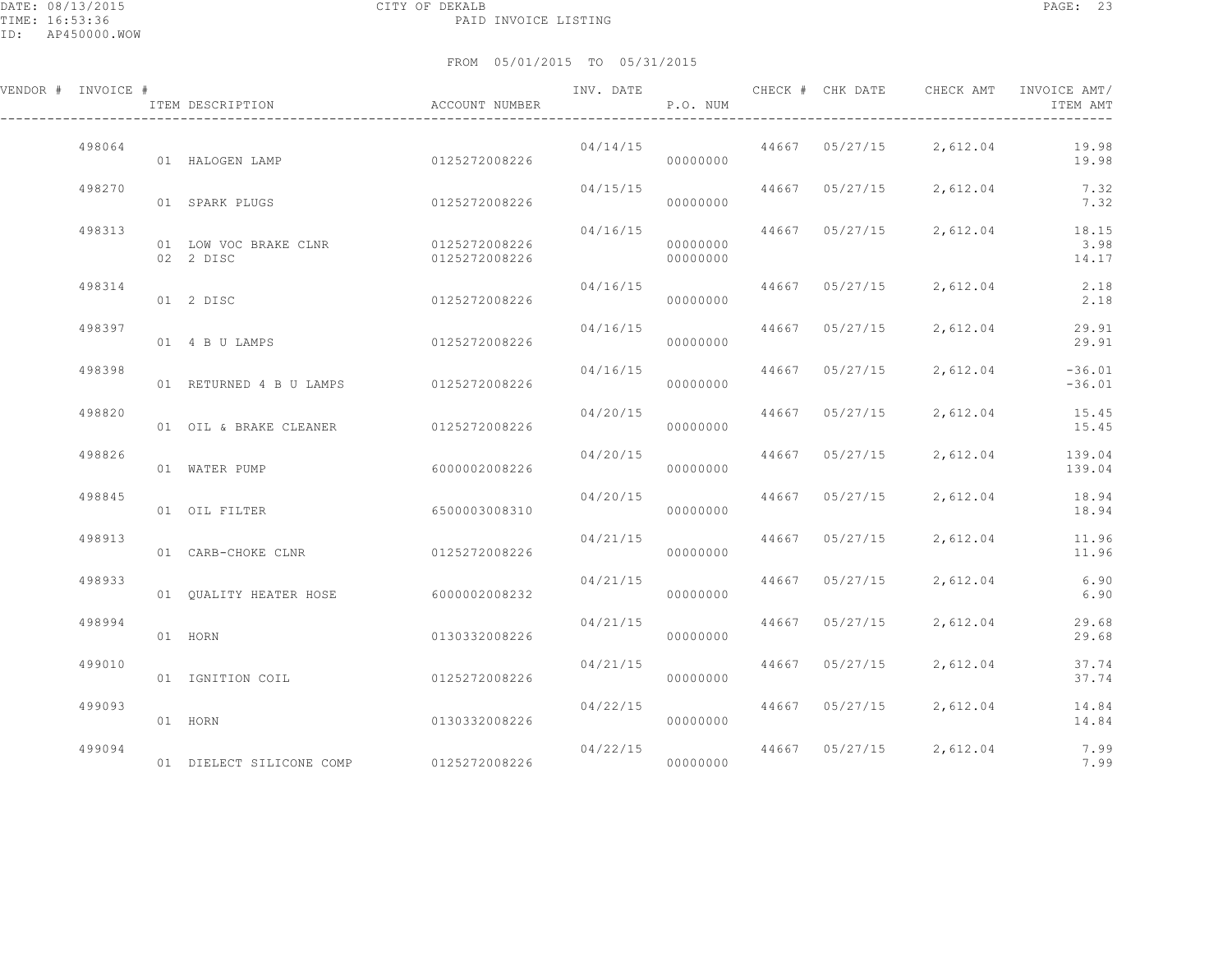### FROM 05/01/2015 TO 05/31/2015

| VENDOR # INVOICE # | ITEM DESCRIPTION                                 | ACCOUNT NUMBER |          | P.O. NUM             |                |                         | INV. DATE 6 CHECK # CHK DATE CHECK AMT INVOICE AMT/<br>ITEM AMT   |
|--------------------|--------------------------------------------------|----------------|----------|----------------------|----------------|-------------------------|-------------------------------------------------------------------|
| 498064             | 01 HALOGEN LAMP                                  | 0125272008226  | 04/14/15 | 00000000             |                | 44667 05/27/15 2,612.04 | 19.98<br>19.98                                                    |
| 498270             | 01 SPARK PLUGS                                   | 0125272008226  | 04/15/15 | 00000000             | 44667 05/27/15 | 2,612.04                | 7.32<br>7.32                                                      |
| 498313             | 01 LOW VOC BRAKE CLNR 0125272008226<br>02 2 DISC | 0125272008226  |          | 00000000<br>00000000 |                |                         | $04/16/15$ $44667$ $05/27/15$ $2,612.04$ $18.15$<br>3.98<br>14.17 |
| 498314             | 01 2 DISC                                        | 0125272008226  | 04/16/15 | 00000000             |                | 44667 05/27/15 2,612.04 | 2.18<br>2.18                                                      |
| 498397             | 01 4 B U LAMPS                                   | 0125272008226  | 04/16/15 | 00000000             | 44667 05/27/15 | 2,612.04                | 29.91<br>29.91                                                    |
| 498398             | 01 RETURNED 4 B U LAMPS 0125272008226            |                | 04/16/15 | 00000000             | 44667 05/27/15 | 2,612.04                | $-36.01$<br>$-36.01$                                              |
| 498820             | 01 OIL & BRAKE CLEANER 0125272008226             |                | 04/20/15 | 00000000             | 44667 05/27/15 | 2,612.04                | 15.45<br>15.45                                                    |
| 498826             | 01 WATER PUMP                                    | 6000002008226  | 04/20/15 | 00000000             | 44667 05/27/15 | 2,612.04                | 139.04<br>139.04                                                  |
| 498845             | 01 OIL FILTER                                    | 6500003008310  | 04/20/15 | 00000000             | 44667 05/27/15 | 2,612.04                | 18.94<br>18.94                                                    |
| 498913             | 01 CARB-CHOKE CLNR                               | 0125272008226  | 04/21/15 | 00000000             | 44667 05/27/15 | 2,612.04                | 11.96<br>11.96                                                    |
| 498933             | 01    QUALITY    HEATER HOSE    6000002008232    |                | 04/21/15 | 00000000             | 44667 05/27/15 | 2,612.04                | 6.90<br>6.90                                                      |
| 498994             | 01 HORN                                          | 0130332008226  |          | 04/21/15<br>00000000 | 44667 05/27/15 | 2,612.04                | 29.68<br>29.68                                                    |
| 499010             | 01 IGNITION COIL                                 | 0125272008226  | 04/21/15 | 00000000             | 44667 05/27/15 | 2,612.04                | 37.74<br>37.74                                                    |
| 499093             | 01 HORN                                          | 0130332008226  | 04/22/15 | 00000000             |                | 44667 05/27/15 2,612.04 | 14.84<br>14.84                                                    |
|                    |                                                  |                |          |                      |                |                         |                                                                   |

 499094 04/22/15 44667 05/27/15 2,612.04 7.99 01 DIELECT SILICONE COMP 0125272008226 00000000 7.99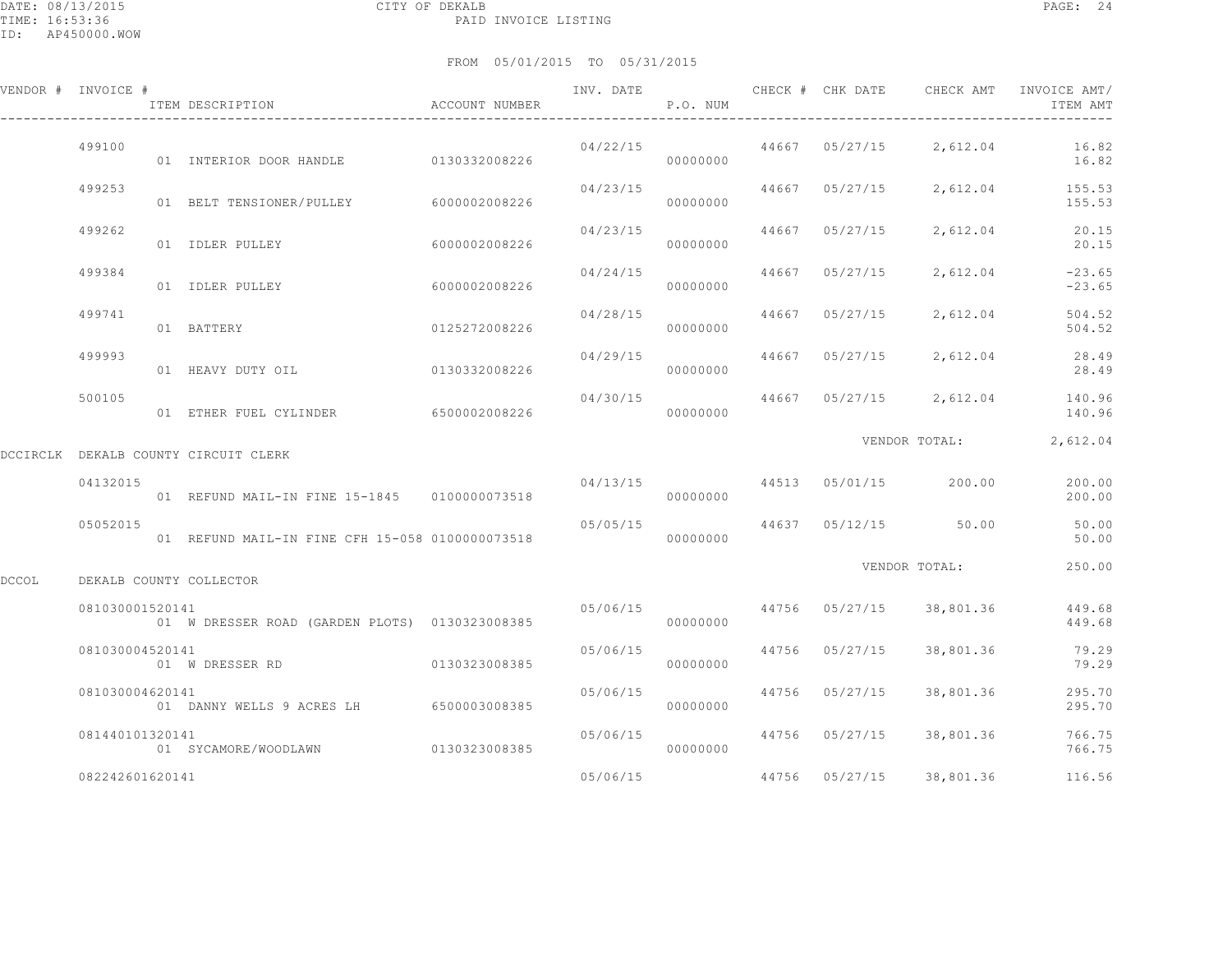|       | VENDOR # INVOICE # | ITEM DESCRIPTION                                | ACCOUNT NUMBER | INV. DATE               | P.O. NUM |       |                | CHECK # CHK DATE CHECK AMT           | INVOICE AMT/<br>ITEM AMT                 |
|-------|--------------------|-------------------------------------------------|----------------|-------------------------|----------|-------|----------------|--------------------------------------|------------------------------------------|
|       | 499100             | 01 INTERIOR DOOR HANDLE 0130332008226           |                | 04/22/15                | 00000000 |       |                | $44667$ $05/27/15$ 2,612.04          | 16.82<br>16.82                           |
|       | 499253             | 01 BELT TENSIONER/PULLEY 6000002008226          |                | 04/23/15                | 00000000 |       | 44667 05/27/15 |                                      | 2,612.04 155.53<br>155.53                |
|       | 499262             | 01 IDLER PULLEY                                 | 6000002008226  | 04/23/15                | 00000000 |       | 44667 05/27/15 | 2,612.04                             | 20.15<br>20.15                           |
|       | 499384             | 01 IDLER PULLEY                                 | 6000002008226  | 04/24/15                | 00000000 | 44667 | 05/27/15       | 2,612.04                             | $-23.65$<br>$-23.65$                     |
|       | 499741             | 01 BATTERY                                      | 0125272008226  | 04/28/15                | 00000000 |       | 44667 05/27/15 | 2,612.04                             | 504.52<br>504.52                         |
|       | 499993             | 01 HEAVY DUTY OIL 0130332008226                 |                | 04/29/15                | 00000000 |       | 44667 05/27/15 |                                      | 2,612.04 28.49<br>28.49                  |
|       | 500105             | 01 ETHER FUEL CYLINDER 6500002008226            |                | 04/30/15                | 00000000 |       |                |                                      | 44667 05/27/15 2,612.04 140.96<br>140.96 |
|       |                    | DCCIRCLK DEKALB COUNTY CIRCUIT CLERK            |                |                         |          |       |                | VENDOR TOTAL:                        | 2,612.04                                 |
|       | 04132015           | 01 REFUND MAIL-IN FINE 15-1845 0100000073518    |                |                         | 00000000 |       |                | $04/13/15$ $44513$ $05/01/15$ 200.00 | 200.00<br>200.00                         |
|       | 05052015           | 01 REFUND MAIL-IN FINE CFH 15-058 0100000073518 |                | 05/05/15                | 00000000 |       |                | 44637 05/12/15 50.00                 | 50.00<br>50.00                           |
| DCCOL |                    | DEKALB COUNTY COLLECTOR                         |                |                         |          |       |                | VENDOR TOTAL:                        | 250.00                                   |
|       | 081030001520141    | 01 W DRESSER ROAD (GARDEN PLOTS) 0130323008385  |                | 05/06/15 44756 05/27/15 | 00000000 |       |                | 38,801.36                            | 449.68<br>449.68                         |
|       | 081030004520141    |                                                 |                | 05/06/15                | 00000000 |       | 44756 05/27/15 | 38,801.36                            | 79.29<br>79.29                           |
|       | 081030004620141    | 01 DANNY WELLS 9 ACRES LH 6500003008385         |                | 05/06/15                | 00000000 |       | 44756 05/27/15 | 38,801.36                            | 295.70<br>295.70                         |
|       | 081440101320141    | 01 SYCAMORE/WOODLAWN                            | 0130323008385  | 05/06/15                | 00000000 |       | 44756 05/27/15 | 38,801.36                            | 766.75<br>766.75                         |
|       | 082242601620141    |                                                 |                | 05/06/15                |          |       |                | 44756 05/27/15 38,801.36             | 116.56                                   |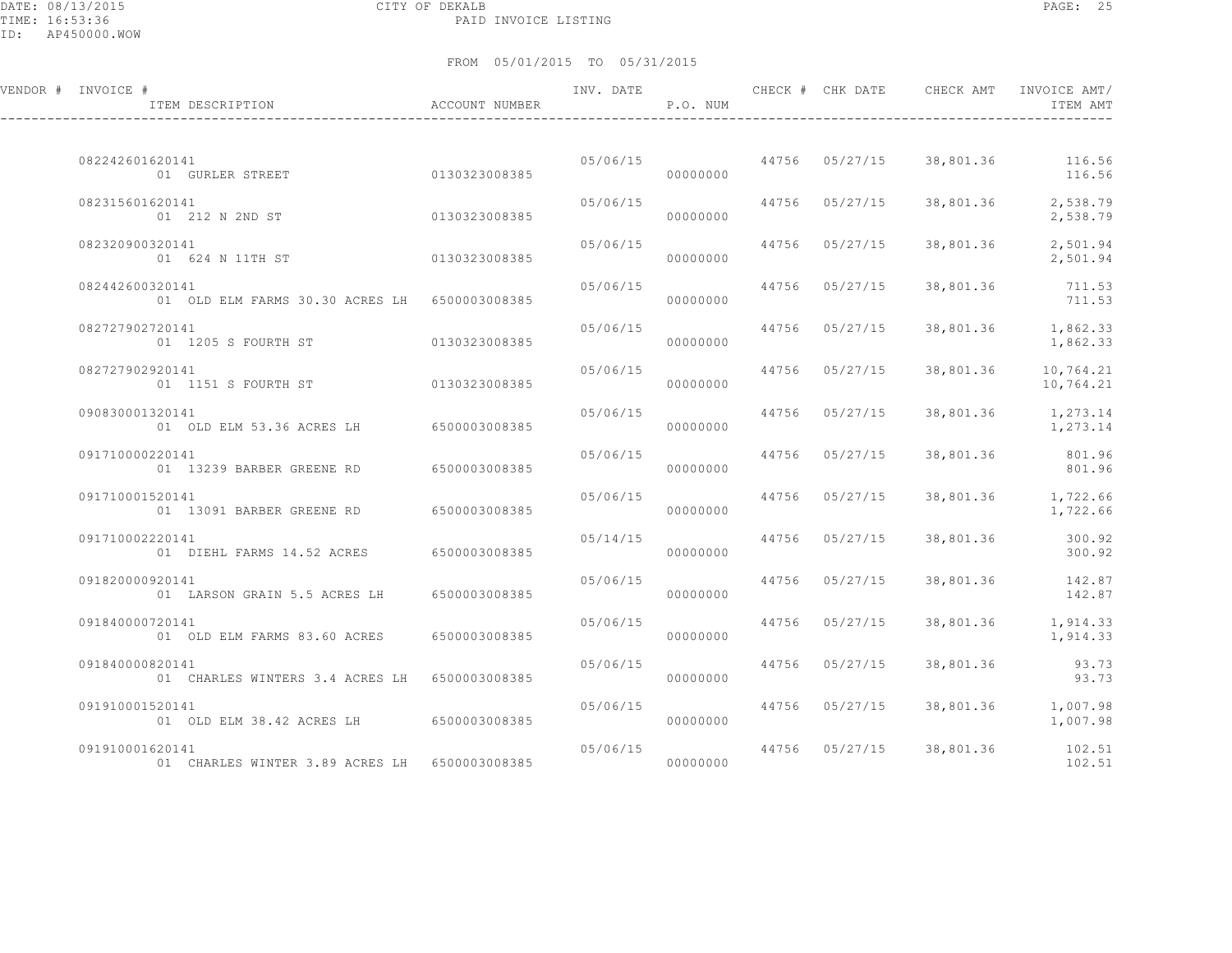DATE: 08/13/2015 CITY OF DEKALB PAGE: 25 PAID INVOICE LISTING

| VENDOR # INVOICE # | ITEM DESCRIPTION                              | <b>ACCOUNT NUMBER</b> | INV. DATE | P.O. NUM | CHECK # CHK DATE | CHECK AMT                       | INVOICE AMT/<br>ITEM AMT       |
|--------------------|-----------------------------------------------|-----------------------|-----------|----------|------------------|---------------------------------|--------------------------------|
| 082242601620141    | 01 GURLER STREET                              | 0130323008385         | 05/06/15  | 00000000 |                  | 44756 05/27/15 38,801.36 116.56 | 116.56                         |
| 082315601620141    | 01 212 N 2ND ST                               | 0130323008385         | 05/06/15  | 00000000 | 44756 05/27/15   | 38,801.36                       | 2,538.79<br>2,538.79           |
| 082320900320141    | 01 624 N 11TH ST                              | 0130323008385         | 05/06/15  | 00000000 | 44756 05/27/15   | 38,801.36                       | 2,501.94<br>2,501.94           |
| 082442600320141    | 01 OLD ELM FARMS 30.30 ACRES LH 6500003008385 |                       | 05/06/15  | 00000000 | 44756 05/27/15   | 38,801.36                       | 711.53<br>711.53               |
| 082727902720141    | 01 1205 S FOURTH ST                           | 0130323008385         | 05/06/15  | 00000000 | 44756 05/27/15   |                                 | 38,801.36 1,862.33<br>1,862.33 |
| 082727902920141    | 01 1151 S FOURTH ST                           | 0130323008385         | 05/06/15  | 00000000 | 44756 05/27/15   | 38,801.36                       | 10,764.21<br>10,764.21         |
| 090830001320141    | 01 OLD ELM 53.36 ACRES LH 6500003008385       |                       | 05/06/15  | 00000000 | 44756 05/27/15   | 38,801.36                       | 1,273.14<br>1,273.14           |
| 091710000220141    | 01 13239 BARBER GREENE RD                     | 6500003008385         | 05/06/15  | 00000000 | 44756 05/27/15   | 38,801.36                       | 801.96<br>801.96               |
| 091710001520141    | 01 13091 BARBER GREENE RD 6500003008385       |                       | 05/06/15  | 00000000 | 44756 05/27/15   |                                 | 38,801.36 1,722.66<br>1,722.66 |
| 091710002220141    | 01 DIEHL FARMS 14.52 ACRES                    | 6500003008385         | 05/14/15  | 00000000 | 44756 05/27/15   | 38,801.36                       | 300.92<br>300.92               |
| 091820000920141    | 01 LARSON GRAIN 5.5 ACRES LH                  | 6500003008385         | 05/06/15  | 00000000 | 44756 05/27/15   |                                 | 38,801.36 142.87<br>142.87     |
| 091840000720141    | 01 OLD ELM FARMS 83.60 ACRES                  | 6500003008385         | 05/06/15  | 00000000 | 44756 05/27/15   | 38,801.36                       | 1,914.33<br>1,914.33           |
| 091840000820141    | 01 CHARLES WINTERS 3.4 ACRES LH 6500003008385 |                       | 05/06/15  | 00000000 | 44756 05/27/15   | 38,801.36                       | 93.73<br>93.73                 |
| 091910001520141    | 01 OLD ELM 38.42 ACRES LH 6500003008385       |                       | 05/06/15  | 00000000 | 44756 05/27/15   |                                 | 38,801.36 1,007.98<br>1,007.98 |
| 091910001620141    | 01 CHARLES WINTER 3.89 ACRES LH 6500003008385 |                       | 05/06/15  | 00000000 | 44756 05/27/15   | 38,801.36                       | 102.51<br>102.51               |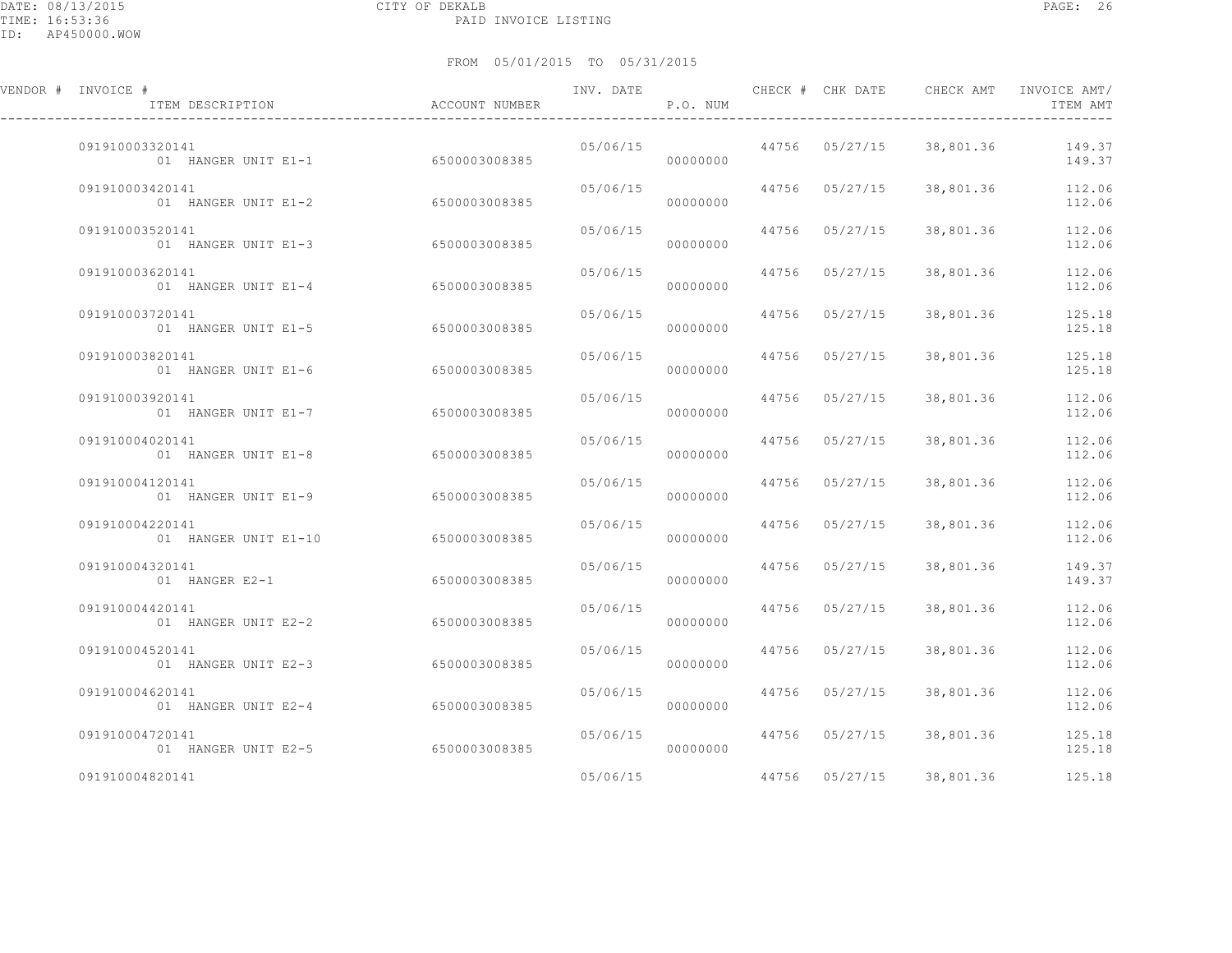| VENDOR # INVOICE #<br>ITEM DESCRIPTION               | ACCOUNT NUMBER | INV. DATE | P.O. NUM             |                         | CHECK # CHK DATE CHECK AMT | INVOICE AMT/<br>ITEM AMT |
|------------------------------------------------------|----------------|-----------|----------------------|-------------------------|----------------------------|--------------------------|
| 091910003320141<br>01 HANGER UNIT E1-1 6500003008385 |                |           | 00000000             | 05/06/15 44756 05/27/15 | 38,801.36                  | 149.37<br>149.37         |
| 091910003420141<br>01 HANGER UNIT E1-2               | 6500003008385  |           | 05/06/15<br>00000000 | 44756 05/27/15          | 38,801.36                  | 112.06<br>112.06         |
| 091910003520141<br>01 HANGER UNIT E1-3               | 6500003008385  | 05/06/15  | 00000000             | 44756 05/27/15          | 38,801.36                  | 112.06<br>112.06         |
| 091910003620141<br>01 HANGER UNIT E1-4               | 6500003008385  |           | 05/06/15<br>00000000 | 44756 05/27/15          | 38,801.36                  | 112.06<br>112.06         |
| 091910003720141<br>01 HANGER UNIT E1-5               | 6500003008385  | 05/06/15  | 00000000             | 44756 05/27/15          | 38,801.36                  | 125.18<br>125.18         |
| 091910003820141<br>01 HANGER UNIT E1-6               | 6500003008385  | 05/06/15  | 00000000             | 44756 05/27/15          | 38,801.36                  | 125.18<br>125.18         |
| 091910003920141<br>01 HANGER UNIT E1-7               | 6500003008385  | 05/06/15  | 00000000             | 44756 05/27/15          | 38,801.36                  | 112.06<br>112.06         |
| 091910004020141<br>01 HANGER UNIT E1-8               | 6500003008385  |           | 05/06/15<br>00000000 | 44756 05/27/15          | 38,801.36                  | 112.06<br>112.06         |
| 091910004120141<br>01 HANGER UNIT E1-9               | 6500003008385  | 05/06/15  | 00000000             | 44756 05/27/15          | 38,801.36                  | 112.06<br>112.06         |
| 091910004220141<br>01 HANGER UNIT E1-10              | 6500003008385  | 05/06/15  | 00000000             | 44756 05/27/15          | 38,801.36                  | 112.06<br>112.06         |
| 091910004320141<br>01 HANGER E2-1                    | 6500003008385  | 05/06/15  | 00000000             | 44756 05/27/15          | 38,801.36                  | 149.37<br>149.37         |
| 091910004420141<br>01 HANGER UNIT E2-2               | 6500003008385  | 05/06/15  | 00000000             | 44756 05/27/15          | 38,801.36                  | 112.06<br>112.06         |
| 091910004520141<br>01 HANGER UNIT E2-3               | 6500003008385  | 05/06/15  | 00000000             | 44756 05/27/15          | 38,801.36                  | 112.06<br>112.06         |
| 091910004620141<br>01 HANGER UNIT E2-4               | 6500003008385  | 05/06/15  | 00000000             | 44756 05/27/15          | 38,801.36                  | 112.06<br>112.06         |
| 091910004720141<br>01 HANGER UNIT E2-5               | 6500003008385  |           | 05/06/15<br>00000000 | 44756 05/27/15          | 38,801.36                  | 125.18<br>125.18         |
| 091910004820141                                      |                | 05/06/15  |                      | 44756 05/27/15          | 38,801.36                  | 125.18                   |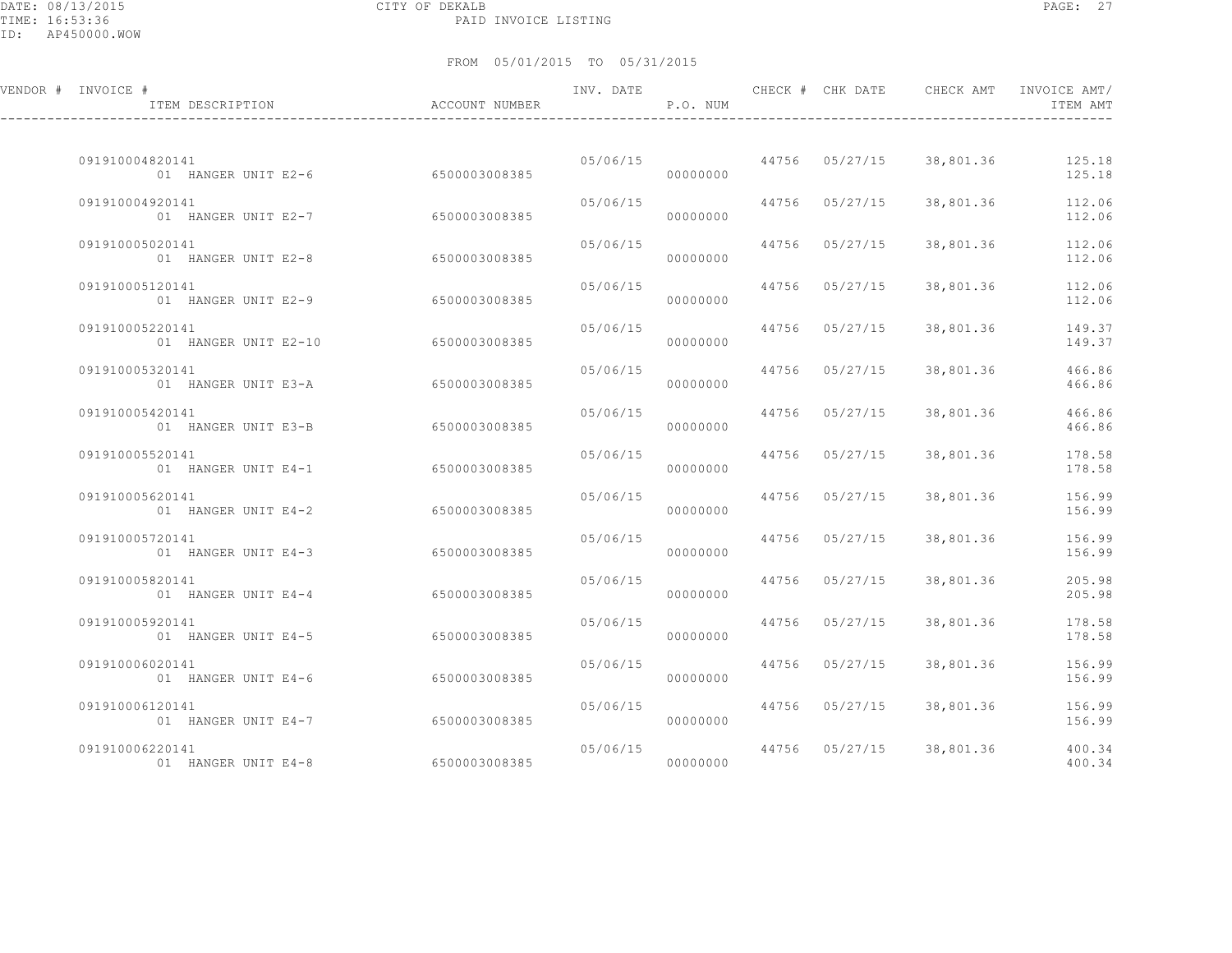DATE: 08/13/2015 CITY OF DEKALB PAGE: 27 PAID INVOICE LISTING

| VENDOR # INVOICE #<br>ITEM DESCRIPTION  | ACCOUNT NUMBER | INV. DATE | P.O. NUM |                |                          | ITEM AMT         |
|-----------------------------------------|----------------|-----------|----------|----------------|--------------------------|------------------|
|                                         |                |           |          |                |                          |                  |
| 091910004820141<br>01 HANGER UNIT E2-6  | 6500003008385  | 05/06/15  | 00000000 |                | 44756 05/27/15 38,801.36 | 125.18<br>125.18 |
| 091910004920141<br>01 HANGER UNIT E2-7  | 6500003008385  | 05/06/15  | 00000000 | 44756 05/27/15 | 38,801.36                | 112.06<br>112.06 |
| 091910005020141<br>01 HANGER UNIT E2-8  | 6500003008385  | 05/06/15  | 00000000 | 44756 05/27/15 | 38,801.36                | 112.06<br>112.06 |
| 091910005120141<br>01 HANGER UNIT E2-9  | 6500003008385  | 05/06/15  | 00000000 | 44756 05/27/15 | 38,801.36                | 112.06<br>112.06 |
| 091910005220141<br>01 HANGER UNIT E2-10 | 6500003008385  | 05/06/15  | 00000000 | 44756 05/27/15 | 38,801.36                | 149.37<br>149.37 |
| 091910005320141<br>01 HANGER UNIT E3-A  | 6500003008385  | 05/06/15  | 00000000 | 44756 05/27/15 | 38,801.36                | 466.86<br>466.86 |
| 091910005420141<br>01 HANGER UNIT E3-B  | 6500003008385  | 05/06/15  | 00000000 | 44756 05/27/15 | 38,801.36                | 466.86<br>466.86 |
| 091910005520141<br>01 HANGER UNIT E4-1  | 6500003008385  | 05/06/15  | 00000000 | 44756 05/27/15 | 38,801.36                | 178.58<br>178.58 |
| 091910005620141<br>01 HANGER UNIT E4-2  | 6500003008385  | 05/06/15  | 00000000 | 44756 05/27/15 | 38,801.36                | 156.99<br>156.99 |
| 091910005720141<br>01 HANGER UNIT E4-3  | 6500003008385  | 05/06/15  | 00000000 | 44756 05/27/15 | 38,801.36                | 156.99<br>156.99 |
| 091910005820141<br>01 HANGER UNIT E4-4  | 6500003008385  | 05/06/15  | 00000000 | 44756 05/27/15 | 38,801.36                | 205.98<br>205.98 |
| 091910005920141<br>01 HANGER UNIT E4-5  | 6500003008385  | 05/06/15  | 00000000 | 44756 05/27/15 | 38,801.36                | 178.58<br>178.58 |
| 091910006020141<br>01 HANGER UNIT E4-6  | 6500003008385  | 05/06/15  | 00000000 | 44756 05/27/15 | 38,801.36                | 156.99<br>156.99 |
| 091910006120141<br>01 HANGER UNIT E4-7  | 6500003008385  | 05/06/15  | 00000000 | 44756 05/27/15 | 38,801.36                | 156.99<br>156.99 |
| 091910006220141<br>01 HANGER UNIT E4-8  | 6500003008385  | 05/06/15  | 00000000 | 44756 05/27/15 | 38,801.36                | 400.34<br>400.34 |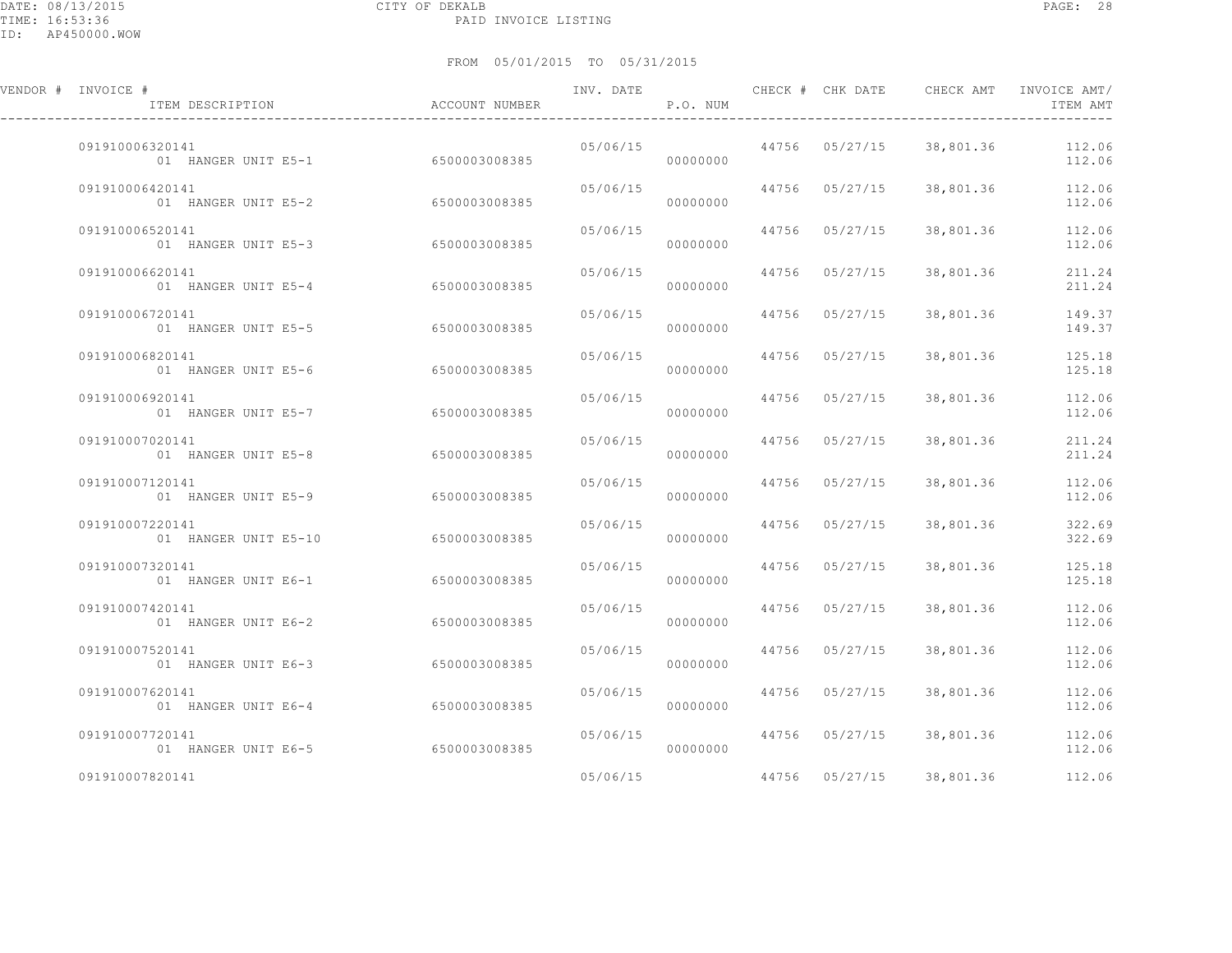| VENDOR # INVOICE #<br>ITEM DESCRIPTION               | ACCOUNT NUMBER | INV. DATE | P.O. NUM |                | CHECK # CHK DATE CHECK AMT | INVOICE AMT/<br>ITEM AMT |
|------------------------------------------------------|----------------|-----------|----------|----------------|----------------------------|--------------------------|
| 091910006320141<br>01 HANGER UNIT E5-1 6500003008385 |                | 05/06/15  | 00000000 | 44756 05/27/15 | 38,801.36                  | 112.06<br>112.06         |
| 091910006420141<br>01 HANGER UNIT E5-2               | 6500003008385  | 05/06/15  | 00000000 | 44756 05/27/15 | 38,801.36                  | 112.06<br>112.06         |
| 091910006520141<br>01 HANGER UNIT E5-3               | 6500003008385  | 05/06/15  | 00000000 | 44756 05/27/15 | 38,801.36                  | 112.06<br>112.06         |
| 091910006620141<br>01 HANGER UNIT E5-4               | 6500003008385  | 05/06/15  | 00000000 | 44756 05/27/15 | 38,801.36                  | 211.24<br>211.24         |
| 091910006720141<br>01 HANGER UNIT E5-5               | 6500003008385  | 05/06/15  | 00000000 | 44756 05/27/15 | 38,801.36                  | 149.37<br>149.37         |
| 091910006820141<br>01 HANGER UNIT E5-6               | 6500003008385  | 05/06/15  | 00000000 | 44756 05/27/15 | 38,801.36                  | 125.18<br>125.18         |
| 091910006920141<br>01 HANGER UNIT E5-7               | 6500003008385  | 05/06/15  | 00000000 | 44756 05/27/15 | 38,801.36                  | 112.06<br>112.06         |
| 091910007020141<br>01 HANGER UNIT E5-8               | 6500003008385  | 05/06/15  | 00000000 | 44756 05/27/15 | 38,801.36                  | 211.24<br>211.24         |
| 091910007120141<br>01 HANGER UNIT E5-9               | 6500003008385  | 05/06/15  | 00000000 | 44756 05/27/15 | 38,801.36                  | 112.06<br>112.06         |
| 091910007220141<br>01 HANGER UNIT E5-10              | 6500003008385  | 05/06/15  | 00000000 | 44756 05/27/15 | 38,801.36                  | 322.69<br>322.69         |
| 091910007320141<br>01 HANGER UNIT E6-1               | 6500003008385  | 05/06/15  | 00000000 | 44756 05/27/15 | 38,801.36                  | 125.18<br>125.18         |
| 091910007420141<br>01 HANGER UNIT E6-2               | 6500003008385  | 05/06/15  | 00000000 | 44756 05/27/15 | 38,801.36                  | 112.06<br>112.06         |
| 091910007520141<br>01 HANGER UNIT E6-3               | 6500003008385  | 05/06/15  | 00000000 | 44756 05/27/15 | 38,801.36                  | 112.06<br>112.06         |
| 091910007620141<br>01 HANGER UNIT E6-4               | 6500003008385  | 05/06/15  | 00000000 | 44756 05/27/15 | 38,801.36                  | 112.06<br>112.06         |
| 091910007720141<br>01 HANGER UNIT E6-5               | 6500003008385  | 05/06/15  | 00000000 | 44756 05/27/15 | 38,801.36                  | 112.06<br>112.06         |
| 091910007820141                                      |                | 05/06/15  |          | 44756 05/27/15 | 38,801.36                  | 112.06                   |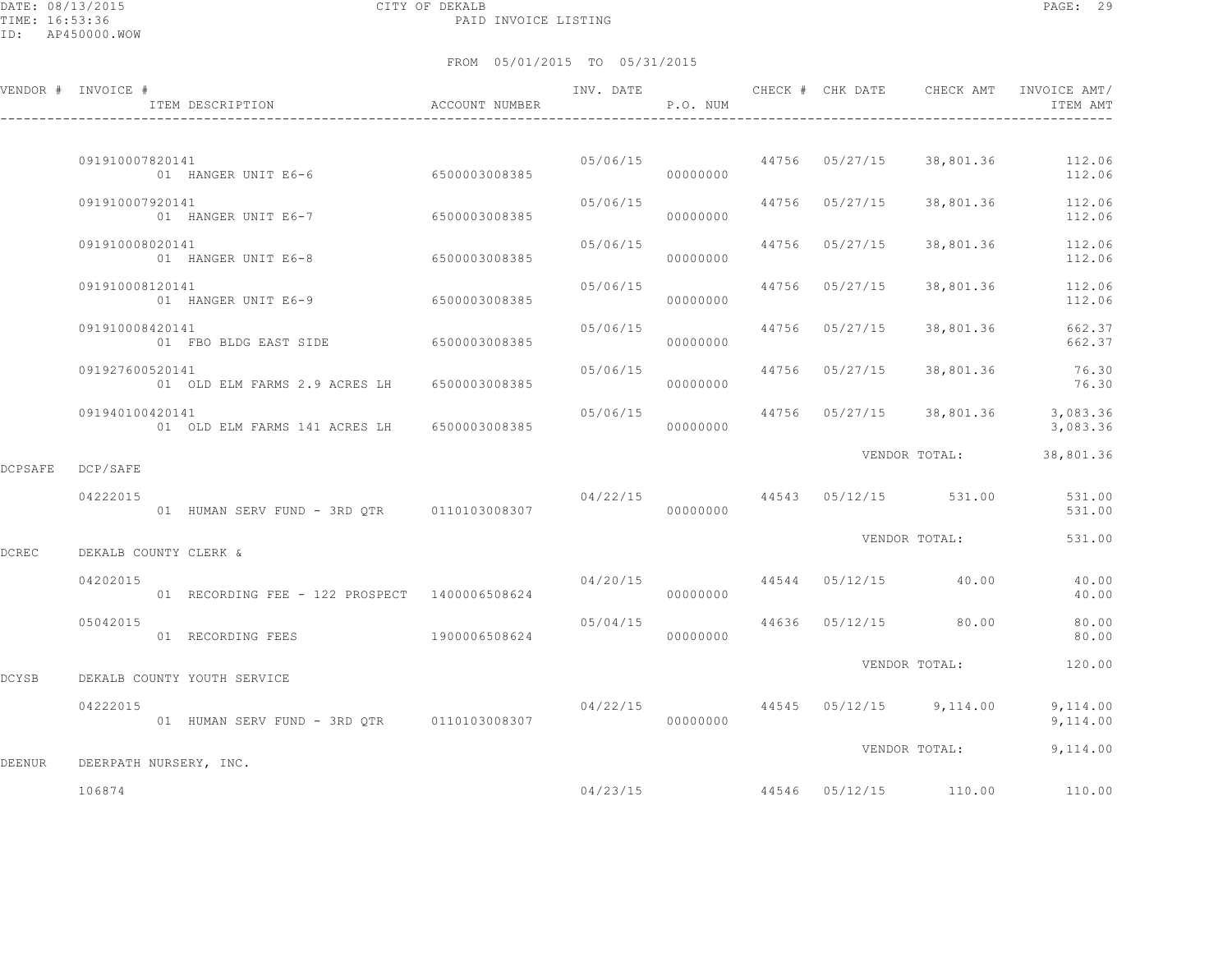DATE: 08/13/2015 CITY OF DEKALB PAGE: 29 PAID INVOICE LISTING

|         | VENDOR # INVOICE #<br>ITEM DESCRIPTION                            | ACCOUNT NUMBER |          | P.O. NUM |                |                                          | ITEM AMT                   |
|---------|-------------------------------------------------------------------|----------------|----------|----------|----------------|------------------------------------------|----------------------------|
|         |                                                                   |                |          |          |                |                                          |                            |
|         | 091910007820141<br>01 HANGER UNIT E6-6 6500003008385              |                |          | 00000000 |                | 05/06/15 44756 05/27/15 38,801.36 112.06 | 112.06                     |
|         | 091910007920141<br>01 HANGER UNIT E6-7 6500003008385              |                | 05/06/15 | 00000000 | 44756 05/27/15 |                                          | 38,801.36 112.06<br>112.06 |
|         | 091910008020141<br>01 HANGER UNIT E6-8                            | 6500003008385  | 05/06/15 | 00000000 | 44756 05/27/15 | 38,801.36                                | 112.06<br>112.06           |
|         | 091910008120141<br>01 HANGER UNIT E6-9 6500003008385              |                | 05/06/15 | 00000000 | 44756 05/27/15 | 38,801.36                                | 112.06<br>112.06           |
|         | 091910008420141<br>01 FBO BLDG EAST SIDE 6500003008385            |                | 05/06/15 | 00000000 | 44756 05/27/15 | 38,801.36                                | 662.37<br>662.37           |
|         | 091927600520141<br>01 OLD ELM FARMS 2.9 ACRES LH 6500003008385    |                | 05/06/15 | 00000000 | 44756 05/27/15 | 38,801.36                                | 76.30<br>76.30             |
|         | 091940100420141<br>01 OLD ELM FARMS 141 ACRES LH 6500003008385    |                | 05/06/15 | 00000000 |                | 44756 05/27/15 38,801.36                 | 3,083.36<br>3,083.36       |
| DCPSAFE | DCP/SAFE                                                          |                |          |          |                | VENDOR TOTAL:                            | 38,801.36                  |
|         | 04222015<br>01 HUMAN SERV FUND - 3RD QTR 0110103008307 0000000000 |                |          |          |                | $04/22/15$ 44543 05/12/15 531.00         | 531.00<br>531.00           |
| DCREC   | DEKALB COUNTY CLERK &                                             |                |          |          |                | VENDOR TOTAL:                            | 531.00                     |
|         | 04202015<br>01 RECORDING FEE - 122 PROSPECT 1400006508624         |                |          | 00000000 |                | $04/20/15$ $44544$ $05/12/15$ $40.00$    | 40.00<br>40.00             |
|         | 05042015<br>01 RECORDING FEES 1900006508624                       |                | 05/04/15 | 00000000 | 44636 05/12/15 | 80.00                                    | 80.00<br>80.00             |
| DCYSB   | DEKALB COUNTY YOUTH SERVICE                                       |                |          |          |                | VENDOR TOTAL:                            | 120.00                     |
|         | 04222015<br>01 HUMAN SERV FUND - 3RD QTR 0110103008307            |                | 04/22/15 | 00000000 |                | 44545 05/12/15 9,114.00 9,114.00         | 9,114.00                   |
|         |                                                                   |                |          |          |                | VENDOR TOTAL: 9,114.00                   |                            |
| DEENUR  | DEERPATH NURSERY, INC.                                            |                |          |          |                |                                          |                            |
|         | 106874                                                            |                | 04/23/15 |          |                | 44546 05/12/15 110.00                    | 110.00                     |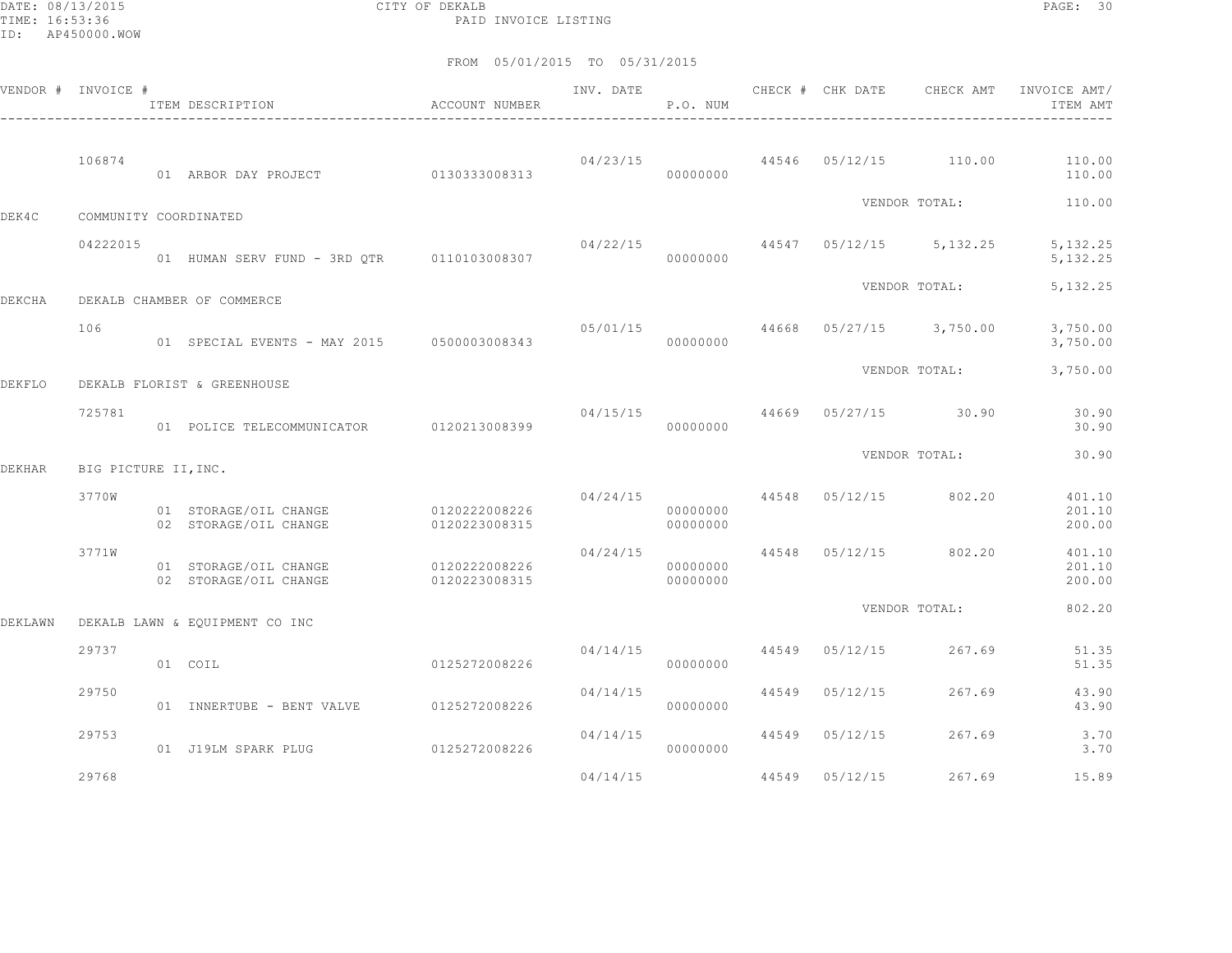DATE: 08/13/2015 CITY OF DEKALB PAGE: 30 PAID INVOICE LISTING

|         | VENDOR # INVOICE #    | ITEM DESCRIPTION                               | ACCOUNT NUMBER                 | INV. DATE | P.O. NUM             | CHECK # CHK DATE | CHECK AMT                                  | INVOICE AMT/<br>ITEM AMT   |
|---------|-----------------------|------------------------------------------------|--------------------------------|-----------|----------------------|------------------|--------------------------------------------|----------------------------|
|         | 106874                | 01 ARBOR DAY PROJECT                           | 0130333008313                  |           | 00000000             |                  | $04/23/15$ $44546$ $05/12/15$ $110.00$     | 110.00<br>110.00           |
| DEK4C   | COMMUNITY COORDINATED |                                                |                                |           |                      |                  | VENDOR TOTAL:                              | 110.00                     |
|         | 04222015              | 01 HUMAN SERV FUND - 3RD OTR 0110103008307     |                                | 04/22/15  | 00000000             |                  | 44547 05/12/15 5,132.25                    | 5, 132.25<br>5, 132.25     |
| DEKCHA  |                       | DEKALB CHAMBER OF COMMERCE                     |                                |           |                      |                  | VENDOR TOTAL:                              | 5, 132.25                  |
|         | 106                   | 01 SPECIAL EVENTS - MAY 2015 0500003008343     |                                |           | 00000000             |                  | $0.5/01/15$ $44668$ $0.5/27/15$ $3,750.00$ | 3,750.00<br>3,750.00       |
| DEKFLO  |                       | DEKALB FLORIST & GREENHOUSE                    |                                |           |                      |                  | VENDOR TOTAL:                              | 3,750.00                   |
|         | 725781                | 01 POLICE TELECOMMUNICATOR 0120213008399       |                                | 04/15/15  | 00000000             |                  | 44669 05/27/15 30.90                       | 30.90<br>30.90             |
| DEKHAR  | BIG PICTURE II, INC.  |                                                |                                |           |                      |                  | VENDOR TOTAL:                              | 30.90                      |
|         | 3770W                 | 01 STORAGE/OIL CHANGE<br>02 STORAGE/OIL CHANGE | 0120222008226<br>0120223008315 |           | 00000000<br>00000000 |                  | $04/24/15$ $44548$ $05/12/15$ $802.20$     | 401.10<br>201.10<br>200.00 |
|         | 3771W                 | 01 STORAGE/OIL CHANGE<br>02 STORAGE/OIL CHANGE | 0120222008226<br>0120223008315 | 04/24/15  | 00000000<br>00000000 |                  | 44548 05/12/15 802.20                      | 401.10<br>201.10<br>200.00 |
| DEKLAWN |                       | DEKALB LAWN & EQUIPMENT CO INC                 |                                |           |                      |                  | VENDOR TOTAL:                              | 802.20                     |
|         | 29737                 | 01 COIL                                        | 0125272008226                  | 04/14/15  | 00000000             | 44549 05/12/15   | 267.69                                     | 51.35<br>51.35             |
|         | 29750                 | 01 INNERTUBE - BENT VALVE 0125272008226        |                                | 04/14/15  | 00000000             | 44549 05/12/15   | 267.69                                     | 43.90<br>43.90             |
|         | 29753                 | 01 J19LM SPARK PLUG                            | 0125272008226                  | 04/14/15  | 00000000             | 44549 05/12/15   | 267.69                                     | 3.70<br>3.70               |
|         | 29768                 |                                                |                                | 04/14/15  |                      | 44549 05/12/15   | 267.69                                     | 15.89                      |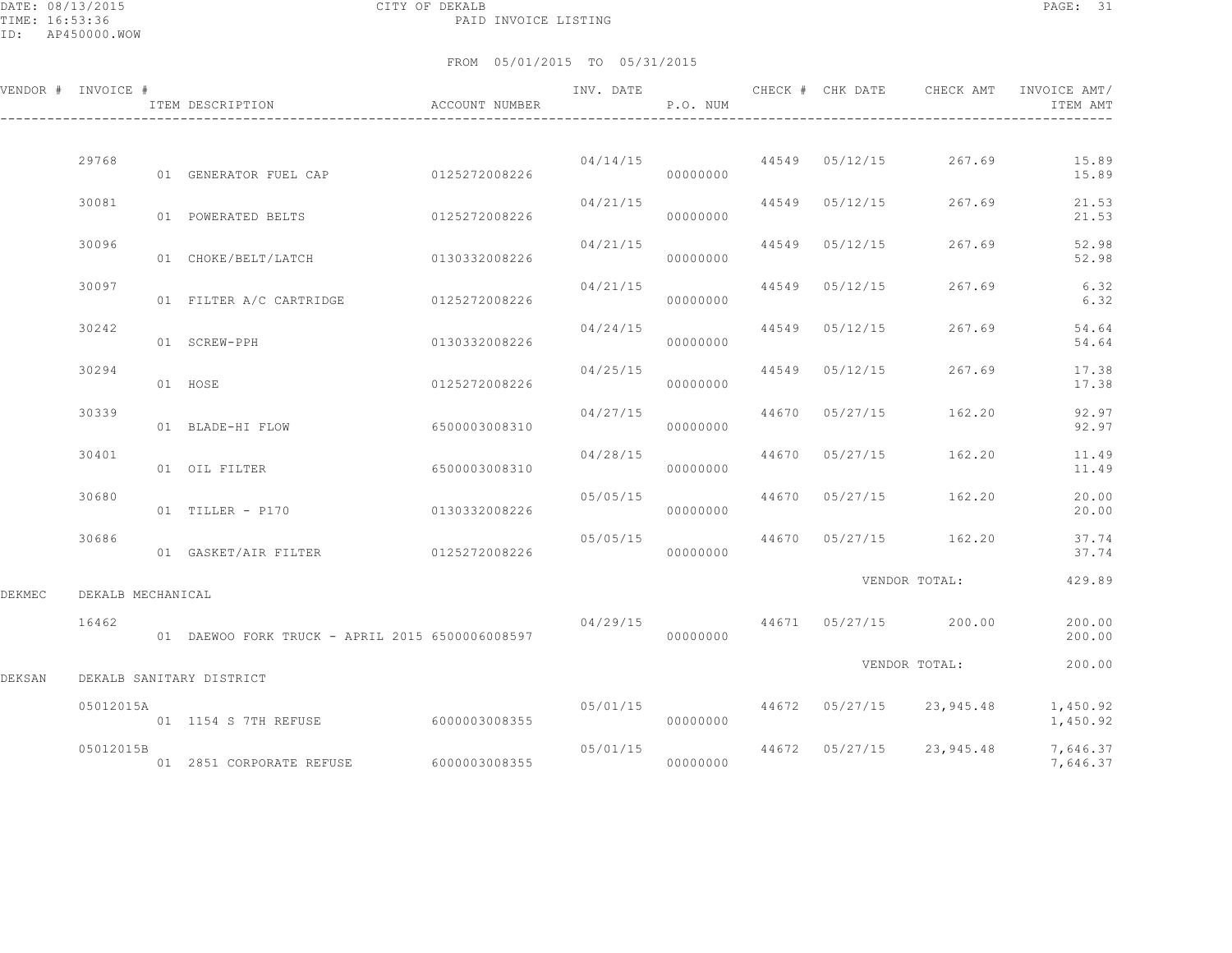DATE: 08/13/2015 CITY OF DEKALB PAGE: 31 PAID INVOICE LISTING

|        | VENDOR # INVOICE # | ITEM DESCRIPTION                                | ACCOUNT NUMBER | INV. DATE | P.O. NUM |       | CHECK # CHK DATE | CHECK AMT                           | INVOICE AMT/<br>ITEM AMT |
|--------|--------------------|-------------------------------------------------|----------------|-----------|----------|-------|------------------|-------------------------------------|--------------------------|
|        |                    |                                                 |                |           |          |       |                  |                                     |                          |
|        | 29768              | 01 GENERATOR FUEL CAP 0125272008226             |                | 04/14/15  | 00000000 |       |                  | 44549 05/12/15 267.69               | 15.89<br>15.89           |
|        | 30081              | 01 POWERATED BELTS                              | 0125272008226  | 04/21/15  | 00000000 |       | 44549 05/12/15   | 267.69                              | 21.53<br>21.53           |
|        | 30096              | 01 CHOKE/BELT/LATCH                             | 0130332008226  | 04/21/15  | 00000000 | 44549 | 05/12/15         | 267.69                              | 52.98<br>52.98           |
|        | 30097              | 01 FILTER A/C CARTRIDGE                         | 0125272008226  | 04/21/15  | 00000000 | 44549 | 05/12/15         | 267.69                              | 6.32<br>6.32             |
|        | 30242              | 01 SCREW-PPH                                    | 0130332008226  | 04/24/15  | 00000000 | 44549 | 05/12/15         | 267.69                              | 54.64<br>54.64           |
|        | 30294              | 01 HOSE                                         | 0125272008226  | 04/25/15  | 00000000 | 44549 | 05/12/15         | 267.69                              | 17.38<br>17.38           |
|        | 30339              | 01 BLADE-HI FLOW                                | 6500003008310  | 04/27/15  | 00000000 | 44670 | 05/27/15         | 162.20                              | 92.97<br>92.97           |
|        | 30401              | 01 OIL FILTER                                   | 6500003008310  | 04/28/15  | 00000000 | 44670 | 05/27/15         | 162.20                              | 11.49<br>11.49           |
|        | 30680              | 01 TILLER - P170                                | 0130332008226  | 05/05/15  | 00000000 | 44670 | 05/27/15         | 162.20                              | 20.00<br>20.00           |
|        | 30686              | 01 GASKET/AIR FILTER                            | 0125272008226  | 05/05/15  | 00000000 |       |                  | 44670 05/27/15 162.20               | 37.74<br>37.74           |
|        |                    |                                                 |                |           |          |       |                  | VENDOR TOTAL:                       | 429.89                   |
| DEKMEC | DEKALB MECHANICAL  |                                                 |                |           |          |       |                  |                                     |                          |
|        | 16462              | 01 DAEWOO FORK TRUCK - APRIL 2015 6500006008597 |                | 04/29/15  | 00000000 |       |                  | 44671 05/27/15 200.00               | 200.00<br>200.00         |
| DEKSAN |                    | DEKALB SANITARY DISTRICT                        |                |           |          |       |                  | VENDOR TOTAL:                       | 200.00                   |
|        | 05012015A          | 01 1154 S 7TH REFUSE                            | 6000003008355  |           | 00000000 |       |                  | $05/01/15$ 44672 05/27/15 23,945.48 | 1,450.92<br>1,450.92     |
|        | 05012015B          | 01 2851 CORPORATE REFUSE                        | 6000003008355  | 05/01/15  | 00000000 |       |                  | 44672 05/27/15 23,945.48            | 7,646.37<br>7,646.37     |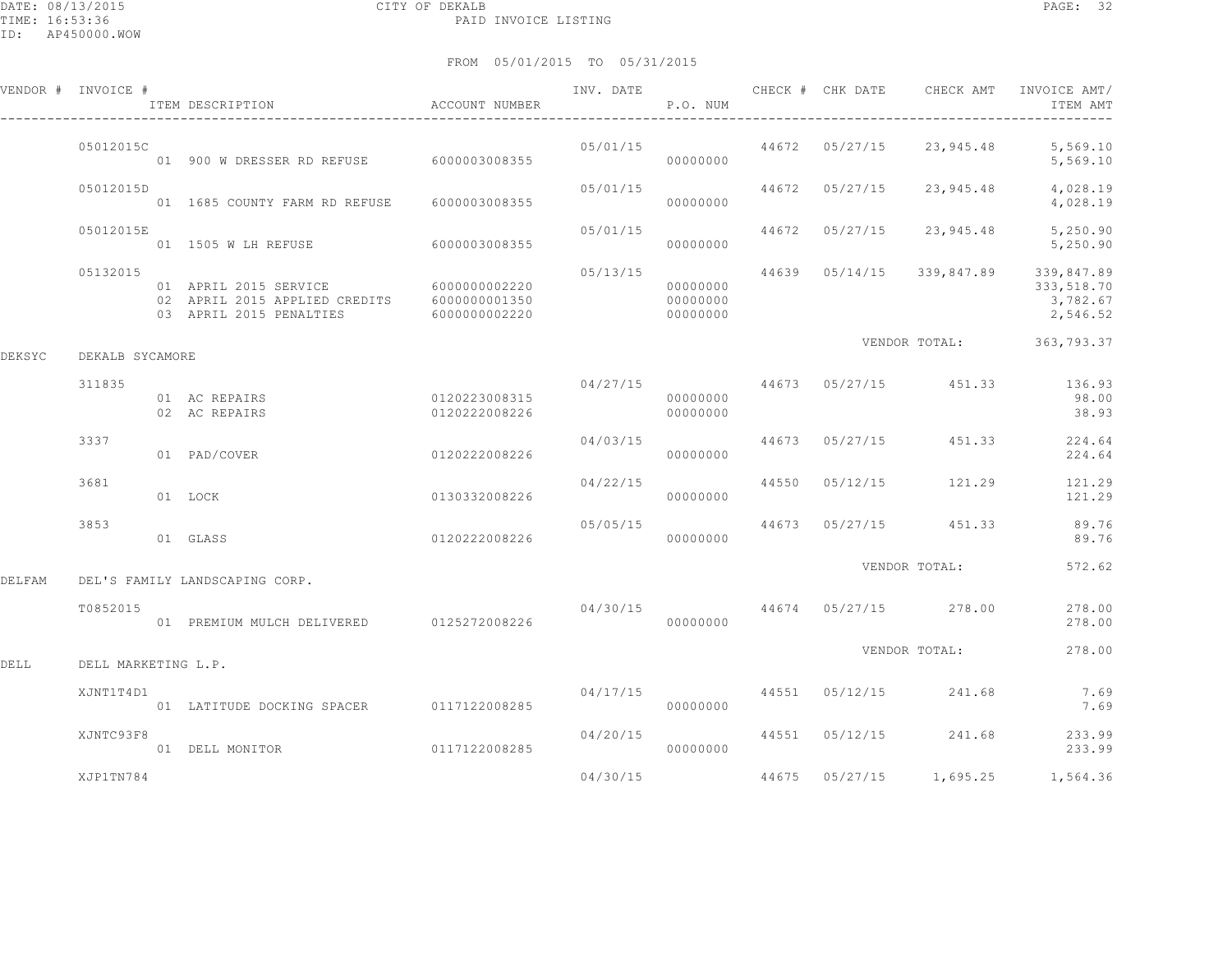|        |                     | ITEM DESCRIPTION                                                                                | <b>ACCOUNT NUMBER</b>          |          | P.O. NUM                         |       |                |               | ITEM AMT                                         |
|--------|---------------------|-------------------------------------------------------------------------------------------------|--------------------------------|----------|----------------------------------|-------|----------------|---------------|--------------------------------------------------|
|        | 05012015C           | 01 900 W DRESSER RD REFUSE                                                                      | 6000003008355                  | 05/01/15 | 00000000                         | 44672 | 05/27/15       | 23,945.48     | 5,569.10<br>5,569.10                             |
|        | 05012015D           | 01  1685  COUNTY FARM RD REFUSE   6000003008355                                                 |                                | 05/01/15 | 00000000                         | 44672 | 05/27/15       | 23,945.48     | 4,028.19<br>4,028.19                             |
|        | 05012015E           | 01 1505 W LH REFUSE                                                                             | 6000003008355                  | 05/01/15 | 00000000                         | 44672 | 05/27/15       | 23,945.48     | 5,250.90<br>5,250.90                             |
|        | 05132015            | 01 APRIL 2015 SERVICE 6000000002220<br>02 APRIL 2015 APPLIED CREDITS<br>03 APRIL 2015 PENALTIES | 6000000001350<br>6000000002220 | 05/13/15 | 00000000<br>00000000<br>00000000 | 44639 | 05/14/15       | 339,847.89    | 339,847.89<br>333,518.70<br>3,782.67<br>2,546.52 |
| DEKSYC | DEKALB SYCAMORE     |                                                                                                 |                                |          |                                  |       |                | VENDOR TOTAL: | 363,793.37                                       |
|        | 311835              | 01 AC REPAIRS<br>02 AC REPAIRS                                                                  | 0120223008315<br>0120222008226 | 04/27/15 | 00000000<br>00000000             |       | 44673 05/27/15 | 451.33        | 136.93<br>98.00<br>38.93                         |
|        | 3337                | 01 PAD/COVER                                                                                    | 0120222008226                  | 04/03/15 | 00000000                         | 44673 | 05/27/15       | 451.33        | 224.64<br>224.64                                 |
|        | 3681                | 01 LOCK                                                                                         | 0130332008226                  | 04/22/15 | 00000000                         | 44550 | 05/12/15       | 121.29        | 121.29<br>121.29                                 |
|        | 3853                | 01 GLASS                                                                                        | 0120222008226                  | 05/05/15 | 00000000                         | 44673 | 05/27/15       | 451.33        | 89.76<br>89.76                                   |
| DELFAM |                     | DEL'S FAMILY LANDSCAPING CORP.                                                                  |                                |          |                                  |       |                | VENDOR TOTAL: | 572.62                                           |
|        | T0852015            | 01 PREMIUM MULCH DELIVERED 0125272008226                                                        |                                | 04/30/15 | 00000000                         | 44674 | 05/27/15       | 278.00        | 278.00<br>278.00                                 |
| DELL   | DELL MARKETING L.P. |                                                                                                 |                                |          |                                  |       |                | VENDOR TOTAL: | 278.00                                           |
|        | XJNT1T4D1           | 01 LATITUDE DOCKING SPACER                                                                      | 0117122008285                  | 04/17/15 | 00000000                         | 44551 | 05/12/15       | 241.68        | 7.69<br>7.69                                     |
|        | XJNTC93F8           | 01 DELL MONITOR                                                                                 | 0117122008285                  | 04/20/15 | 00000000                         | 44551 | 05/12/15       | 241.68        | 233.99<br>233.99                                 |
|        | XJP1TN784           |                                                                                                 |                                | 04/30/15 |                                  | 44675 | 05/27/15       | 1,695.25      | 1,564.36                                         |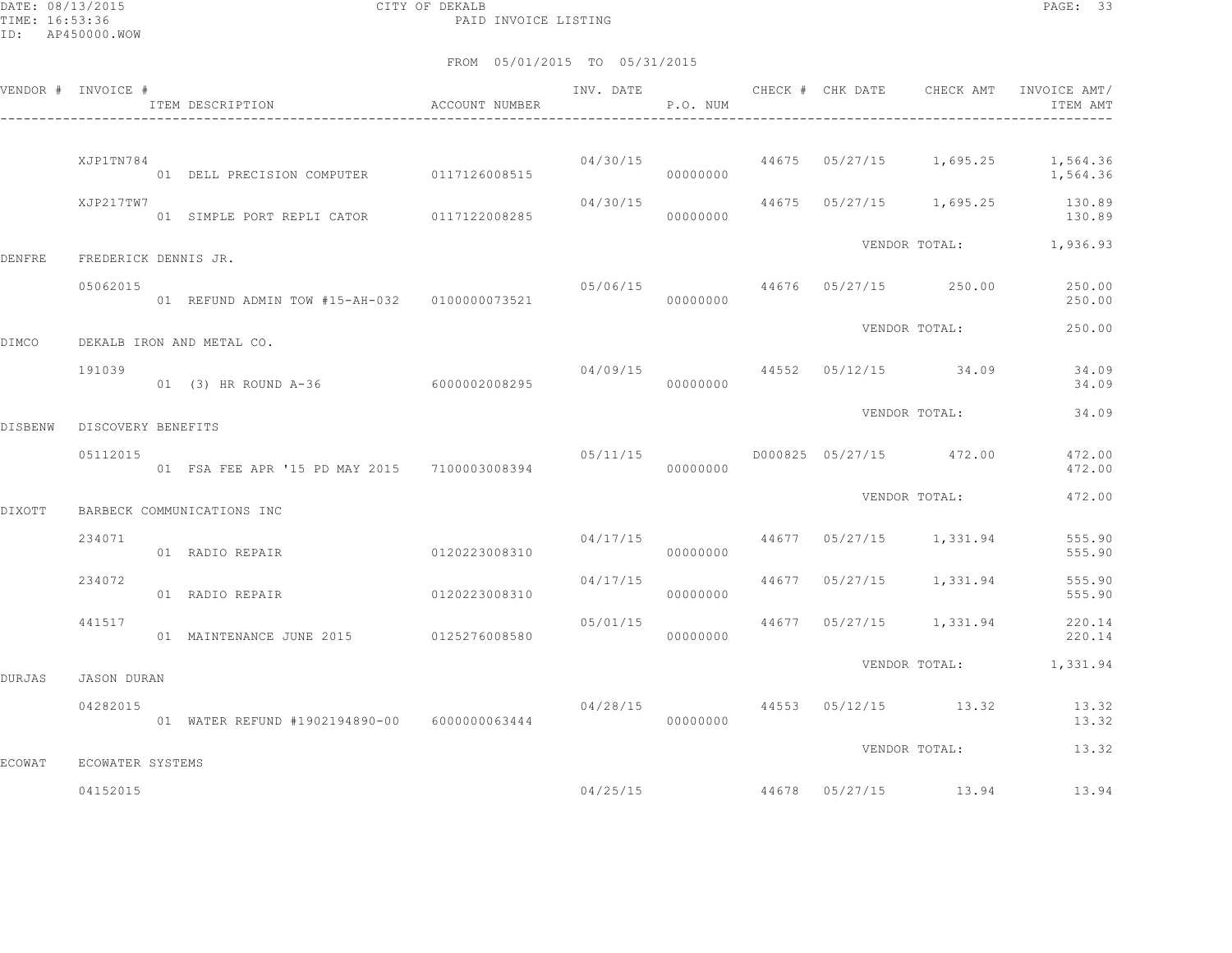DATE: 08/13/2015 CITY OF DEKALB PAGE: 33 PAID INVOICE LISTING

|                | VENDOR # INVOICE #   | ITEM DESCRIPTION ACCOUNT NUMBER              |               |          | P.O. NUM |  |                                          | INV. DATE 6 CHECK # CHK DATE CHECK AMT INVOICE AMT<br>ITEM AMT |
|----------------|----------------------|----------------------------------------------|---------------|----------|----------|--|------------------------------------------|----------------------------------------------------------------|
|                | XJP1TN784            | 01 DELL PRECISION COMPUTER 0117126008515     |               |          | 00000000 |  |                                          | 04/30/15 44675 05/27/15 1,695.25 1,564.36<br>1,564.36          |
|                | XJP217TW7            | 01 SIMPLE PORT REPLI CATOR 0117122008285     |               | 04/30/15 | 00000000 |  |                                          | 44675 05/27/15 1,695.25 130.89<br>130.89                       |
| DENFRE         | FREDERICK DENNIS JR. |                                              |               |          |          |  |                                          | VENDOR TOTAL: 1,936.93                                         |
|                | 05062015             |                                              |               |          |          |  | $05/06/15$ 44676 05/27/15 250.00         | 250.00<br>250.00                                               |
| DIMCO          |                      | DEKALB IRON AND METAL CO.                    |               |          |          |  | VENDOR TOTAL:                            | 250.00                                                         |
|                | 191039               | 01 (3) HR ROUND A-36 6000002008295           |               |          | 00000000 |  | $04/09/15$ $44552$ $05/12/15$ $34.09$    | 34.09<br>34.09                                                 |
| <b>DISBENW</b> | DISCOVERY BENEFITS   |                                              |               |          |          |  | VENDOR TOTAL:                            | 34.09                                                          |
|                | 05112015             | 01 FSA FEE APR '15 PD MAY 2015 7100003008394 |               | 05/11/15 | 00000000 |  | D000825 05/27/15 472.00                  | 472.00<br>472.00                                               |
| DIXOTT         |                      | BARBECK COMMUNICATIONS INC                   |               |          |          |  | VENDOR TOTAL:                            | 472.00                                                         |
|                | 234071               | 01 RADIO REPAIR                              | 0120223008310 |          | 00000000 |  | $04/17/15$ $44677$ $05/27/15$ $1,331.94$ | 555.90<br>555.90                                               |
|                | 234072               | 01 RADIO REPAIR                              | 0120223008310 |          | 00000000 |  | $04/17/15$ $44677$ $05/27/15$ $1,331.94$ | 555.90<br>555.90                                               |
|                | 441517               | 01 MAINTENANCE JUNE 2015 0125276008580       |               | 05/01/15 | 00000000 |  | 44677 05/27/15 1,331.94                  | 220.14<br>220.14                                               |
| DURJAS         | JASON DURAN          |                                              |               |          |          |  |                                          | VENDOR TOTAL: 1,331.94                                         |
|                | 04282015             | 01 WATER REFUND #1902194890-00 6000000063444 |               |          | 00000000 |  | 04/28/15 44553 05/12/15 13.32            | 13.32<br>13.32                                                 |
| <b>ECOWAT</b>  | ECOWATER SYSTEMS     |                                              |               |          |          |  | VENDOR TOTAL:                            | 13.32                                                          |
|                | 04152015             |                                              |               |          |          |  | 04/25/15 44678 05/27/15 13.94            | 13.94                                                          |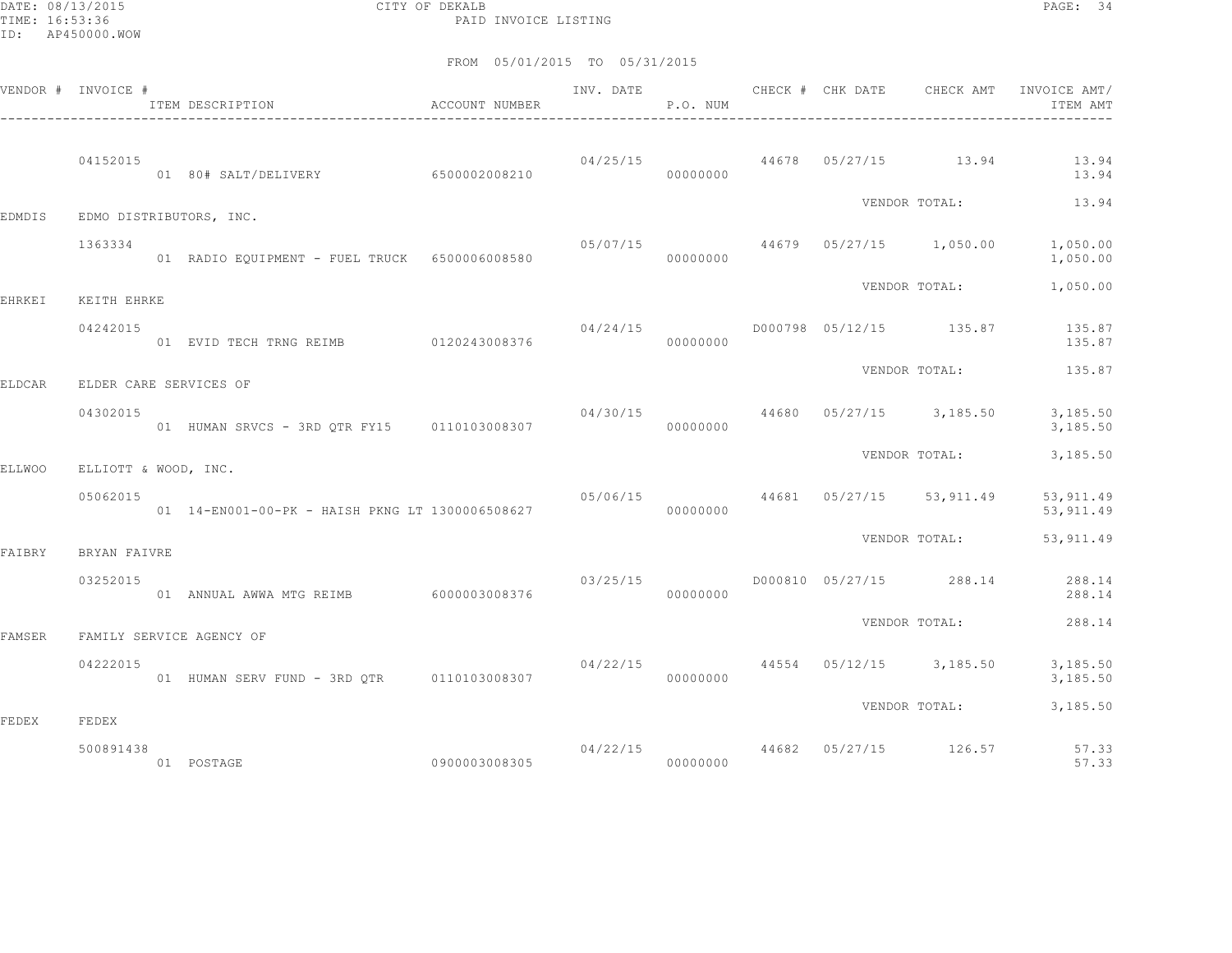DATE: 08/13/2015 CITY OF DEKALB PAGE: 34 PAID INVOICE LISTING

|               | VENDOR # INVOICE #   | ITEM DESCRIPTION <b>ACCOUNT</b> NUMBER           |                      | P.O. NUM |  |                                           | INV. DATE CHECK # CHK DATE CHECK AMT INVOICE AMT/<br>ITEM AMT |
|---------------|----------------------|--------------------------------------------------|----------------------|----------|--|-------------------------------------------|---------------------------------------------------------------|
|               | 04152015             | 01 80# SALT/DELIVERY 6500002008210               |                      | 00000000 |  | $04/25/15$ $44678$ $05/27/15$ $13.94$     | 13.94<br>13.94                                                |
| EDMDIS        |                      | EDMO DISTRIBUTORS, INC.                          |                      |          |  | VENDOR TOTAL:                             | 13.94                                                         |
|               | 1363334              | 01 RADIO EQUIPMENT - FUEL TRUCK 6500006008580    | 00000000             |          |  | 05/07/15 44679 05/27/15 1,050.00          | 1,050.00<br>1,050.00                                          |
| EHRKEI        | KEITH EHRKE          |                                                  |                      |          |  | VENDOR TOTAL:                             | 1,050.00                                                      |
|               | 04242015             | 01 EVID TECH TRNG REIMB 0120243008376            |                      | 00000000 |  |                                           | 135.87                                                        |
| <b>ELDCAR</b> |                      | ELDER CARE SERVICES OF                           |                      |          |  | VENDOR TOTAL:                             | 135.87                                                        |
|               | 04302015             | 01 HUMAN SRVCS - 3RD OTR FY15 0110103008307      |                      | 00000000 |  | $04/30/15$ $44680$ $05/27/15$ $3,185.50$  | 3,185.50<br>3,185.50                                          |
| <b>ELLWOO</b> | ELLIOTT & WOOD, INC. |                                                  |                      |          |  | VENDOR TOTAL:                             | 3,185.50                                                      |
|               | 05062015             | 01  14-EN001-00-PK - HAISH PKNG LT 1300006508627 |                      | 00000000 |  | $05/06/15$ $44681$ $05/27/15$ $53,911.49$ | 53, 911.49<br>53, 911.49                                      |
| FAIBRY        | BRYAN FAIVRE         |                                                  |                      |          |  | VENDOR TOTAL:                             | 53,911.49                                                     |
|               | 03252015             | 01 ANNUAL AWWA MTG REIMB 6000003008376           |                      | 00000000 |  | $03/25/15$ D000810 05/27/15 288.14        | 288.14<br>288.14                                              |
| FAMSER        |                      | FAMILY SERVICE AGENCY OF                         |                      |          |  | VENDOR TOTAL:                             | 288.14                                                        |
|               | 04222015             | 01 HUMAN SERV FUND - 3RD QTR 0110103008307       | 04/22/15<br>00000000 |          |  |                                           | 44554 05/12/15 3,185.50 3,185.50<br>3,185.50                  |
| FEDEX         | FEDEX                |                                                  |                      |          |  |                                           | VENDOR TOTAL: 3,185.50                                        |
|               | 500891438            | 01 POSTAGE                                       |                      |          |  |                                           | 04/22/15 44682 05/27/15 126.57 57.33<br>57.33                 |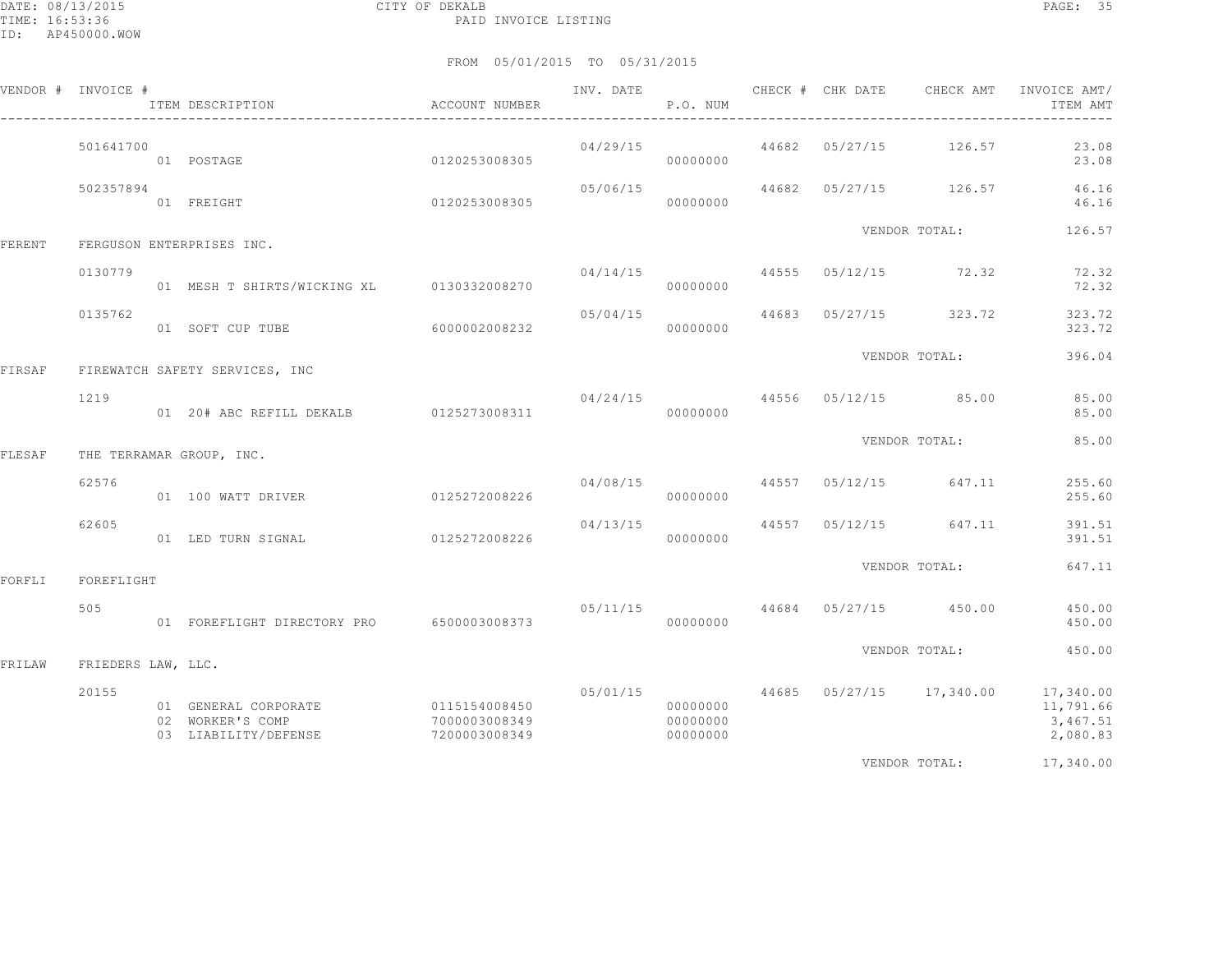### FROM 05/01/2015 TO 05/31/2015

|        | VENDOR # INVOICE # | ITEM DESCRIPTION                                                               | ACCOUNT NUMBER                 |                      | P.O. NUM                         |  |                                  | INV. DATE 6 CHECK # CHK DATE CHECK AMT INVOICE AMT/<br>ITEM AMT                                                                                                                                                                                                                                                                                                                      |
|--------|--------------------|--------------------------------------------------------------------------------|--------------------------------|----------------------|----------------------------------|--|----------------------------------|--------------------------------------------------------------------------------------------------------------------------------------------------------------------------------------------------------------------------------------------------------------------------------------------------------------------------------------------------------------------------------------|
|        | 501641700          | 01 POSTAGE<br>0120253008305                                                    |                                |                      | 04/29/15<br>00000000             |  | 44682 05/27/15 126.57            | 23.08<br>23.08                                                                                                                                                                                                                                                                                                                                                                       |
|        | 502357894          | 01 FREIGHT                                                                     | 0120253008305                  | 05/06/15<br>00000000 |                                  |  | 44682 05/27/15 126.57            | 46.16<br>46.16                                                                                                                                                                                                                                                                                                                                                                       |
| FERENT |                    | FERGUSON ENTERPRISES INC.                                                      |                                |                      |                                  |  | VENDOR TOTAL:                    | 126.57                                                                                                                                                                                                                                                                                                                                                                               |
|        | 0130779            | 01 MESH T SHIRTS/WICKING XL 0130332008270                                      |                                |                      | 00000000                         |  | 04/14/15 44555 05/12/15 72.32    | 72.32<br>72.32                                                                                                                                                                                                                                                                                                                                                                       |
|        | 0135762            | 01 SOFT CUP TUBE 6000002008232                                                 |                                | 05/04/15<br>00000000 |                                  |  | 44683 05/27/15 323.72            | 323.72<br>323.72                                                                                                                                                                                                                                                                                                                                                                     |
| FIRSAF |                    | FIREWATCH SAFETY SERVICES, INC                                                 |                                |                      |                                  |  | VENDOR TOTAL:                    | 396.04                                                                                                                                                                                                                                                                                                                                                                               |
|        | 1219               |                                                                                |                                |                      | 00000000                         |  | $04/24/15$ 44556 05/12/15 85.00  | 85.00<br>85.00                                                                                                                                                                                                                                                                                                                                                                       |
| FLESAF |                    | THE TERRAMAR GROUP, INC.                                                       |                                |                      |                                  |  | VENDOR TOTAL:                    | 85.00                                                                                                                                                                                                                                                                                                                                                                                |
|        | 62576              | 01 100 WATT DRIVER                                                             | 0125272008226                  |                      | 00000000                         |  | $04/08/15$ 44557 05/12/15 647.11 | 255.60<br>255.60                                                                                                                                                                                                                                                                                                                                                                     |
|        | 62605              | 01 LED TURN SIGNAL                                                             | 0125272008226                  | 04/13/15             | 00000000                         |  | 44557 05/12/15 647.11            | 391.51<br>391.51                                                                                                                                                                                                                                                                                                                                                                     |
| FORFLI | FOREFLIGHT         |                                                                                |                                |                      |                                  |  | VENDOR TOTAL:                    | 647.11                                                                                                                                                                                                                                                                                                                                                                               |
|        | 505                | 01 FOREFLIGHT DIRECTORY PRO 6500003008373                                      |                                |                      | 00000000                         |  | $05/11/15$ 44684 05/27/15 450.00 | 450.00<br>450.00                                                                                                                                                                                                                                                                                                                                                                     |
| FRILAW | FRIEDERS LAW, LLC. |                                                                                |                                |                      |                                  |  | VENDOR TOTAL:                    | 450.00                                                                                                                                                                                                                                                                                                                                                                               |
|        | 20155              | 01 GENERAL CORPORATE 0115154008450<br>02 WORKER'S COMP<br>03 LIABILITY/DEFENSE | 7000003008349<br>7200003008349 |                      | 00000000<br>00000000<br>00000000 |  |                                  | $0.5/01/15$ $44685$ $0.5/27/15$ $17,340.00$ $17,340.00$<br>11,791.66<br>3,467.51<br>2,080.83                                                                                                                                                                                                                                                                                         |
|        |                    |                                                                                |                                |                      |                                  |  |                                  | $\overline{a}$ $\overline{a}$ $\overline{a}$ $\overline{a}$ $\overline{a}$ $\overline{a}$ $\overline{a}$ $\overline{a}$ $\overline{a}$ $\overline{a}$ $\overline{a}$ $\overline{a}$ $\overline{a}$ $\overline{a}$ $\overline{a}$ $\overline{a}$ $\overline{a}$ $\overline{a}$ $\overline{a}$ $\overline{a}$ $\overline{a}$ $\overline{a}$ $\overline{a}$ $\overline{a}$ $\overline{$ |

VENDOR TOTAL: 17,340.00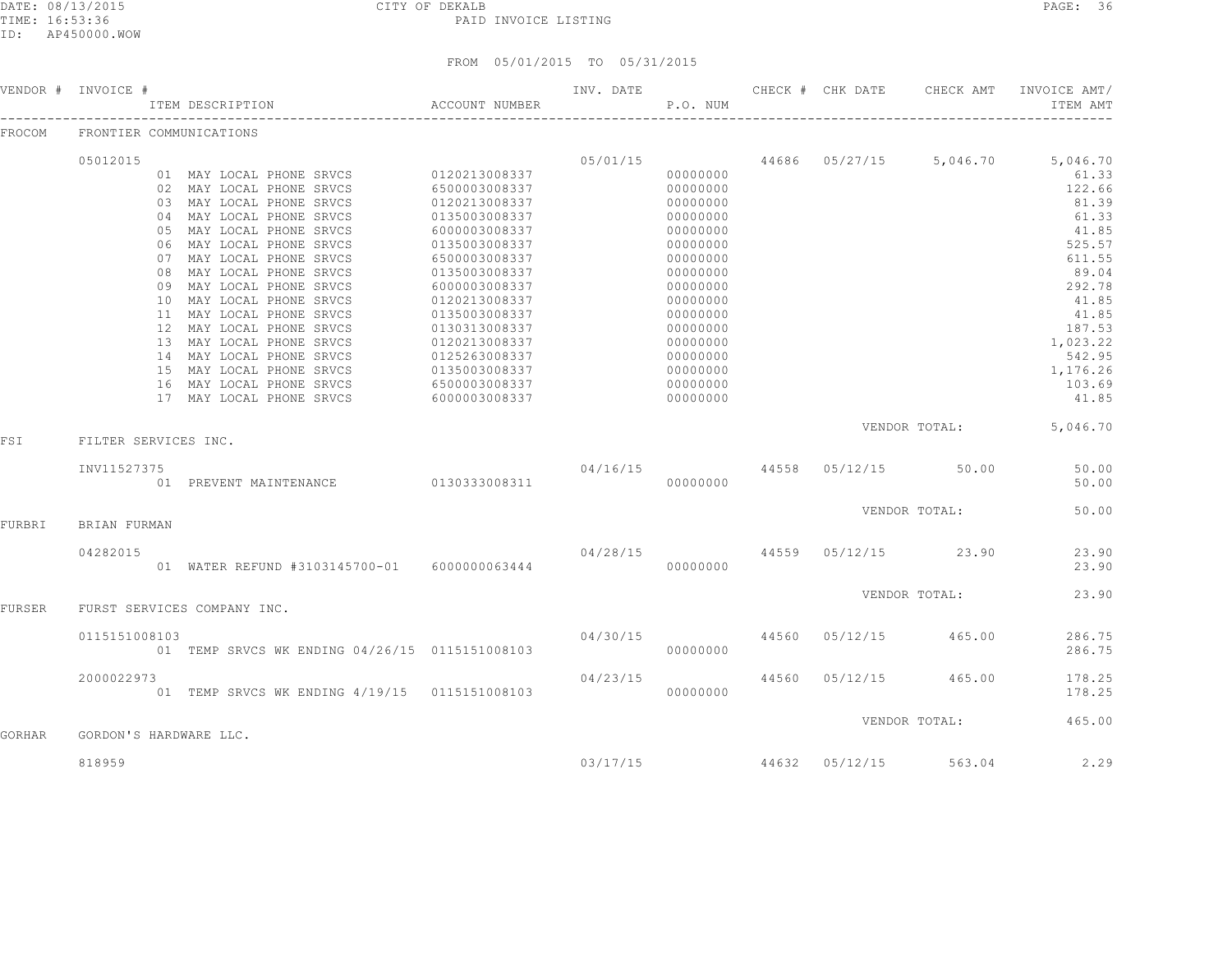DATE: 08/13/2015 CITY OF DEKALB PAGE: 36 PAID INVOICE LISTING

ID: AP450000.WOW

### FROM 05/01/2015 TO 05/31/2015

|        | VENDOR # INVOICE #      | ACCOUNT NUMBER<br>ITEM DESCRIPTION                                                                                                                                                                                                                                                                                          |                                                                                                                                                                        |          | P.O. NUM                                                                                                                         | INV. DATE CHECK # CHK DATE |                                     | CHECK AMT INVOICE AMT/<br>ITEM AMT                                                                                                      |
|--------|-------------------------|-----------------------------------------------------------------------------------------------------------------------------------------------------------------------------------------------------------------------------------------------------------------------------------------------------------------------------|------------------------------------------------------------------------------------------------------------------------------------------------------------------------|----------|----------------------------------------------------------------------------------------------------------------------------------|----------------------------|-------------------------------------|-----------------------------------------------------------------------------------------------------------------------------------------|
| FROCOM | FRONTIER COMMUNICATIONS |                                                                                                                                                                                                                                                                                                                             |                                                                                                                                                                        |          |                                                                                                                                  |                            |                                     |                                                                                                                                         |
|        | 05012015<br>09          | 01 MAY LOCAL PHONE SRVCS 0120213008337<br>02 MAY LOCAL PHONE SRVCS<br>03 MAY LOCAL PHONE SRVCS<br>04 MAY LOCAL PHONE SRVCS<br>05 MAY LOCAL PHONE SRVCS<br>06 MAY LOCAL PHONE SRVCS<br>07 MAY LOCAL PHONE SRVCS<br>08 MAY LOCAL PHONE SRVCS<br>MAY LOCAL PHONE SRVCS<br>10 MAY LOCAL PHONE SRVCS<br>11 MAY LOCAL PHONE SRVCS | 6500003008337<br>0120213008337<br>0135003008337<br>6000003008337<br>0135003008337<br>6500003008337<br>0135003008337<br>6000003008337<br>0120213008337<br>0135003008337 | 05/01/15 | 00000000<br>00000000<br>00000000<br>00000000<br>00000000<br>00000000<br>00000000<br>00000000<br>00000000<br>00000000<br>00000000 |                            |                                     | 44686 05/27/15 5,046.70 5,046.70<br>61.33<br>122.66<br>81.39<br>61.33<br>41.85<br>525.57<br>611.55<br>89.04<br>292.78<br>41.85<br>41.85 |
|        |                         | 12 MAY LOCAL PHONE SRVCS<br>13 MAY LOCAL PHONE SRVCS<br>14 MAY LOCAL PHONE SRVCS<br>15 MAY LOCAL PHONE SRVCS<br>16 MAY LOCAL PHONE SRVCS<br>17 MAY LOCAL PHONE SRVCS                                                                                                                                                        | 0130313008337<br>0120213008337<br>$0125263008337$<br>0135003008337<br>6500003008337<br>6000003008337                                                                   |          | 00000000<br>00000000<br>00000000<br>00000000<br>00000000<br>00000000                                                             |                            |                                     | 187.53<br>1,023.22<br>542.95<br>1,176.26<br>103.69<br>41.85<br>VENDOR TOTAL: 5,046.70                                                   |
| FSI    | FILTER SERVICES INC.    |                                                                                                                                                                                                                                                                                                                             |                                                                                                                                                                        |          |                                                                                                                                  |                            |                                     |                                                                                                                                         |
|        | INV11527375             | 01 PREVENT MAINTENANCE 0130333008311                                                                                                                                                                                                                                                                                        |                                                                                                                                                                        |          | 00000000                                                                                                                         |                            | 04/16/15 44558 05/12/15 50.00       | 50.00<br>50.00                                                                                                                          |
| FURBRI | BRIAN FURMAN            |                                                                                                                                                                                                                                                                                                                             |                                                                                                                                                                        |          |                                                                                                                                  |                            | VENDOR TOTAL:                       | 50.00                                                                                                                                   |
|        | 04282015                | 01 WATER REFUND #3103145700-01 6000000063444                                                                                                                                                                                                                                                                                |                                                                                                                                                                        |          | 00000000                                                                                                                         |                            | $04/28/15$ $44559$ $05/12/15$ 23.90 | 23.90<br>23.90                                                                                                                          |
| FURSER |                         | FURST SERVICES COMPANY INC.                                                                                                                                                                                                                                                                                                 |                                                                                                                                                                        |          |                                                                                                                                  |                            | VENDOR TOTAL:                       | 23.90                                                                                                                                   |
|        | 0115151008103           | 01 TEMP SRVCS WK ENDING 04/26/15 0115151008103                                                                                                                                                                                                                                                                              | $04/30/15$ $44560$ $05/12/15$ $465.00$                                                                                                                                 |          | 000000000                                                                                                                        |                            |                                     | 286.75<br>286.75                                                                                                                        |
|        | 2000022973              | 01 TEMP SRVCS WK ENDING 4/19/15 0115151008103                                                                                                                                                                                                                                                                               |                                                                                                                                                                        | 04/23/15 | 00000000                                                                                                                         |                            | 44560 05/12/15 465.00               | 178.25<br>178.25                                                                                                                        |
|        |                         |                                                                                                                                                                                                                                                                                                                             |                                                                                                                                                                        |          |                                                                                                                                  |                            | VENDOR TOTAL:                       | 465.00                                                                                                                                  |

GORHAR GORDON'S HARDWARE LLC.

818959 03/17/15 44632 05/12/15 563.04 2.29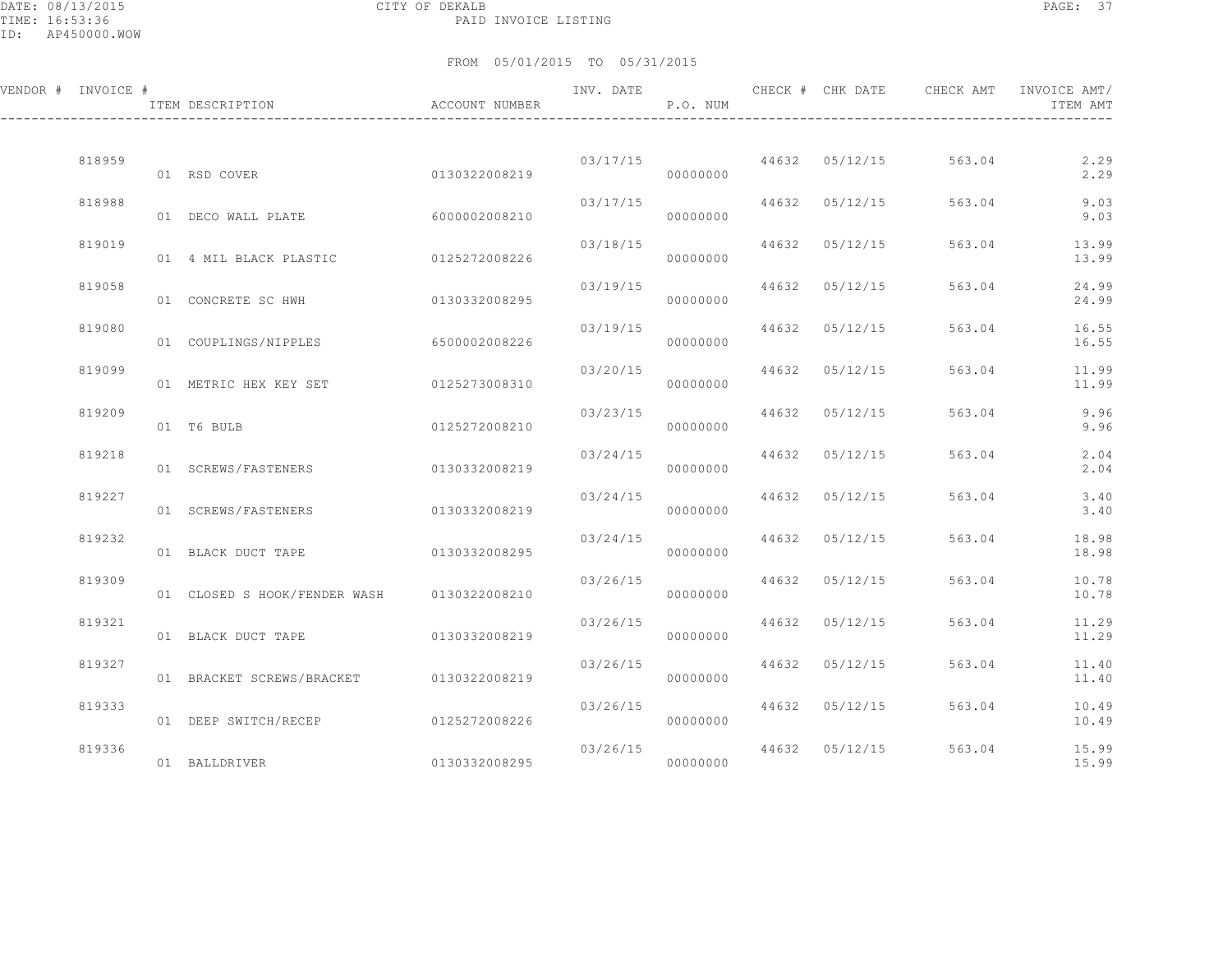DATE: 08/13/2015 CITY OF DEKALB PAGE: 37 PAID INVOICE LISTING

ID: AP450000.WOW

| VENDOR # INVOICE # | ITEM DESCRIPTION                        | ACCOUNT NUMBER | INV. DATE | P.O. NUM             |       | CHECK # CHK DATE | CHECK AMT | INVOICE AMT/<br>ITEM AMT |
|--------------------|-----------------------------------------|----------------|-----------|----------------------|-------|------------------|-----------|--------------------------|
|                    |                                         |                |           |                      |       |                  |           |                          |
| 818959             | 01 RSD COVER                            | 0130322008219  | 03/17/15  | 00000000             |       | 44632 05/12/15   | 563.04    | 2.29<br>2.29             |
| 818988             | 01 DECO WALL PLATE                      | 6000002008210  | 03/17/15  | 00000000             | 44632 | 05/12/15         | 563.04    | 9.03<br>9.03             |
| 819019             | 01 4 MIL BLACK PLASTIC                  | 0125272008226  | 03/18/15  | 00000000             | 44632 | 05/12/15         | 563.04    | 13.99<br>13.99           |
| 819058             | 01 CONCRETE SC HWH                      | 0130332008295  | 03/19/15  | 00000000             | 44632 | 05/12/15         | 563.04    | 24.99<br>24.99           |
| 819080             | 01 COUPLINGS/NIPPLES                    | 6500002008226  | 03/19/15  | 00000000             | 44632 | 05/12/15         | 563.04    | 16.55<br>16.55           |
| 819099             | 01 METRIC HEX KEY SET                   | 0125273008310  | 03/20/15  | 00000000             | 44632 | 05/12/15         | 563.04    | 11.99<br>11.99           |
| 819209             | 01 T6 BULB                              | 0125272008210  | 03/23/15  | 00000000             | 44632 | 05/12/15         | 563.04    | 9.96<br>9.96             |
| 819218             | 01 SCREWS/FASTENERS                     | 0130332008219  | 03/24/15  | 00000000             | 44632 | 05/12/15         | 563.04    | 2.04<br>2.04             |
| 819227             |                                         |                | 03/24/15  |                      |       | 44632 05/12/15   | 563.04    | 3.40                     |
|                    | 01 SCREWS/FASTENERS                     | 0130332008219  |           | 00000000             |       |                  |           | 3.40                     |
| 819232             | 01 BLACK DUCT TAPE                      | 0130332008295  | 03/24/15  | 00000000             | 44632 | 05/12/15         | 563.04    | 18.98<br>18.98           |
| 819309             | 01 CLOSED S HOOK/FENDER WASH            | 0130322008210  | 03/26/15  | 00000000             | 44632 | 05/12/15         | 563.04    | 10.78<br>10.78           |
| 819321             | 01 BLACK DUCT TAPE                      | 0130332008219  | 03/26/15  | 00000000             | 44632 | 05/12/15         | 563.04    | 11.29<br>11.29           |
| 819327             | 01 BRACKET SCREWS/BRACKET 0130322008219 |                | 03/26/15  | 00000000             | 44632 | 05/12/15         | 563.04    | 11.40<br>11.40           |
| 819333             | 01 DEEP SWITCH/RECEP                    | 0125272008226  | 03/26/15  | 00000000             | 44632 | 05/12/15         | 563.04    | 10.49<br>10.49           |
| 819336             | 01 BALLDRIVER                           | 0130332008295  |           | 03/26/15<br>00000000 | 44632 | 05/12/15         | 563.04    | 15.99<br>15.99           |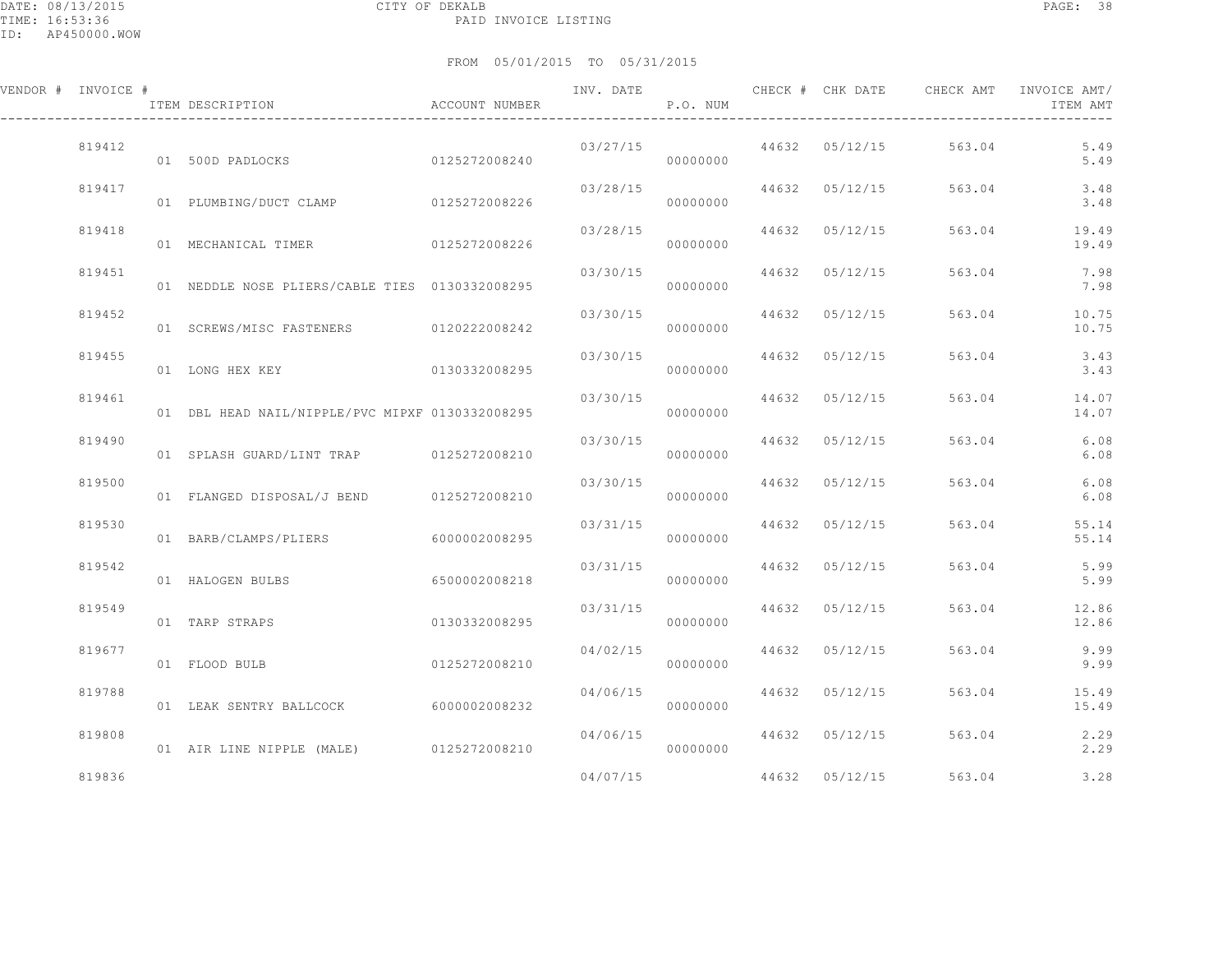| VENDOR # INVOICE # |        | ITEM DESCRIPTION                                | ACCOUNT NUMBER | INV. DATE | P.O. NUM |                | CHECK # CHK DATE CHECK AMT | INVOICE AMT/<br>ITEM AMT |
|--------------------|--------|-------------------------------------------------|----------------|-----------|----------|----------------|----------------------------|--------------------------|
|                    | 819412 | 01 500D PADLOCKS                                | 0125272008240  | 03/27/15  | 00000000 | 44632 05/12/15 | 563.04                     | 5.49<br>5.49             |
|                    | 819417 | 01 PLUMBING/DUCT CLAMP 0125272008226            |                | 03/28/15  | 00000000 | 44632 05/12/15 | 563.04                     | 3.48<br>3.48             |
|                    | 819418 | 01 MECHANICAL TIMER                             | 0125272008226  | 03/28/15  | 00000000 | 44632 05/12/15 | 563.04                     | 19.49<br>19.49           |
|                    | 819451 | 01 NEDDLE NOSE PLIERS/CABLE TIES 0130332008295  |                | 03/30/15  | 00000000 | 44632 05/12/15 | 563.04                     | 7.98<br>7.98             |
|                    | 819452 | 01 SCREWS/MISC FASTENERS 0120222008242          |                | 03/30/15  | 00000000 | 44632 05/12/15 | 563.04                     | 10.75<br>10.75           |
|                    | 819455 | 01 LONG HEX KEY                                 | 0130332008295  | 03/30/15  | 00000000 | 44632 05/12/15 | 563.04                     | 3.43<br>3.43             |
|                    | 819461 | 01 DBL HEAD NAIL/NIPPLE/PVC MIPXF 0130332008295 |                | 03/30/15  | 00000000 | 44632 05/12/15 | 563.04                     | 14.07<br>14.07           |
|                    | 819490 | 01 SPLASH GUARD/LINT TRAP 0125272008210         |                | 03/30/15  | 00000000 | 44632 05/12/15 | 563.04                     | 6.08<br>6.08             |
|                    | 819500 | 01 FLANGED DISPOSAL/J BEND 0125272008210        |                | 03/30/15  | 00000000 | 44632 05/12/15 | 563.04                     | 6.08<br>6.08             |
|                    | 819530 | 01 BARB/CLAMPS/PLIERS                           | 6000002008295  | 03/31/15  | 00000000 | 44632 05/12/15 | 563.04                     | 55.14<br>55.14           |
|                    | 819542 | 01 HALOGEN BULBS                                | 6500002008218  | 03/31/15  | 00000000 | 44632 05/12/15 | 563.04                     | 5.99<br>5.99             |
|                    | 819549 | 01 TARP STRAPS                                  | 0130332008295  | 03/31/15  | 00000000 | 44632 05/12/15 | 563.04                     | 12.86<br>12.86           |
|                    | 819677 | 01 FLOOD BULB                                   | 0125272008210  | 04/02/15  | 00000000 | 44632 05/12/15 | 563.04                     | 9.99<br>9.99             |
|                    | 819788 | 01 LEAK SENTRY BALLCOCK 6000002008232           |                | 04/06/15  | 00000000 | 44632 05/12/15 | 563.04                     | 15.49<br>15.49           |
|                    | 819808 | 01 AIR LINE NIPPLE (MALE) 0125272008210         |                | 04/06/15  | 00000000 | 44632 05/12/15 | 563.04                     | 2.29<br>2.29             |
|                    | 819836 |                                                 |                | 04/07/15  |          | 44632 05/12/15 | 563.04                     | 3.28                     |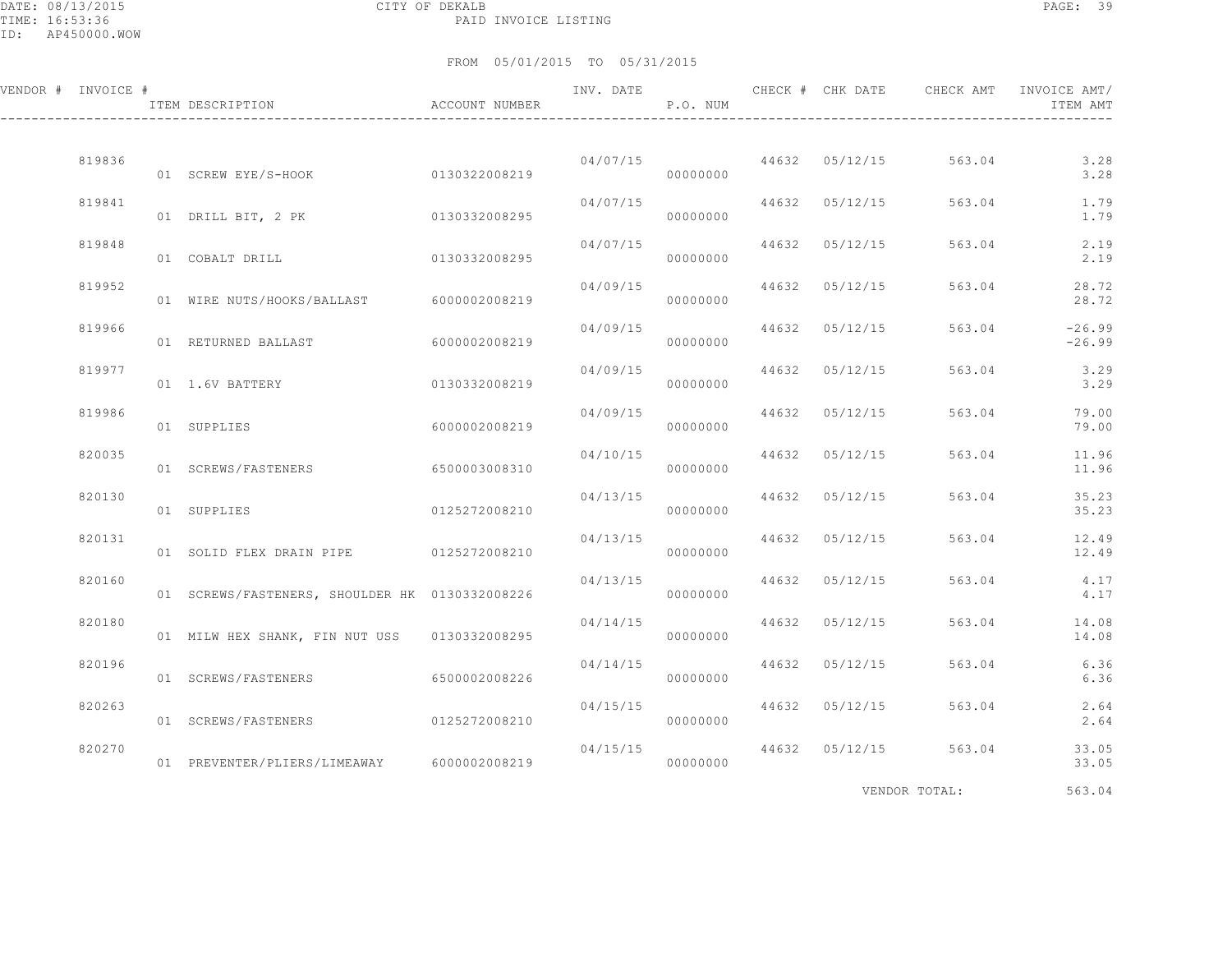DATE: 08/13/2015 CITY OF DEKALB PAGE: 39 PAID INVOICE LISTING

FROM 05/01/2015 TO 05/31/2015

| VENDOR # INVOICE # | ITEM DESCRIPTION CONTROLLER ACCOUNT NUMBER     |               | INV. DATE | P.O. NUM |       |                | CHECK # CHK DATE CHECK AMT | INVOICE AMT/<br>ITEM AMT |
|--------------------|------------------------------------------------|---------------|-----------|----------|-------|----------------|----------------------------|--------------------------|
| 819836             | 01 SCREW EYE/S-HOOK                            | 0130322008219 | 04/07/15  | 00000000 |       |                | 44632 05/12/15 563.04      | 3.28<br>3.28             |
| 819841             | 01 DRILL BIT, 2 PK                             | 0130332008295 | 04/07/15  | 00000000 |       | 44632 05/12/15 | 563.04                     | 1.79<br>1.79             |
| 819848             | 01 COBALT DRILL                                | 0130332008295 | 04/07/15  | 00000000 | 44632 | 05/12/15       | 563.04                     | 2.19<br>2.19             |
| 819952             | 01 WIRE NUTS/HOOKS/BALLAST                     | 6000002008219 | 04/09/15  | 00000000 | 44632 | 05/12/15       | 563.04                     | 28.72<br>28.72           |
| 819966             | 01 RETURNED BALLAST                            | 6000002008219 | 04/09/15  | 00000000 |       | 44632 05/12/15 | 563.04                     | $-26.99$<br>$-26.99$     |
| 819977             | 01 1.6V BATTERY                                | 0130332008219 | 04/09/15  | 00000000 |       | 44632 05/12/15 | 563.04                     | 3.29<br>3.29             |
| 819986             | 01 SUPPLIES                                    | 6000002008219 | 04/09/15  | 00000000 |       | 44632 05/12/15 | 563.04                     | 79.00<br>79.00           |
| 820035             | 01 SCREWS/FASTENERS                            | 6500003008310 | 04/10/15  | 00000000 | 44632 | 05/12/15       | 563.04                     | 11.96<br>11.96           |
| 820130             | 01 SUPPLIES                                    | 0125272008210 | 04/13/15  | 00000000 | 44632 | 05/12/15       | 563.04                     | 35.23<br>35.23           |
| 820131             | 01 SOLID FLEX DRAIN PIPE 0125272008210         |               | 04/13/15  | 00000000 |       | 44632 05/12/15 | 563.04                     | 12.49<br>12.49           |
| 820160             | 01 SCREWS/FASTENERS, SHOULDER HK 0130332008226 |               | 04/13/15  | 00000000 |       | 44632 05/12/15 | 563.04                     | 4.17<br>4.17             |
| 820180             | 01 MILW HEX SHANK, FIN NUT USS 0130332008295   |               | 04/14/15  | 00000000 |       | 44632 05/12/15 | 563.04                     | 14.08<br>14.08           |
| 820196             | 01 SCREWS/FASTENERS                            | 6500002008226 | 04/14/15  | 00000000 | 44632 | 05/12/15       | 563.04                     | 6.36<br>6.36             |
| 820263             | 01 SCREWS/FASTENERS 0125272008210              |               | 04/15/15  | 00000000 |       | 44632 05/12/15 | 563.04                     | 2.64<br>2.64             |
| 820270             | 01 PREVENTER/PLIERS/LIMEAWAY 6000002008219     |               | 04/15/15  | 00000000 |       | 44632 05/12/15 | 563.04                     | 33.05<br>33.05           |
|                    |                                                |               |           |          |       |                |                            |                          |

VENDOR TOTAL: 563.04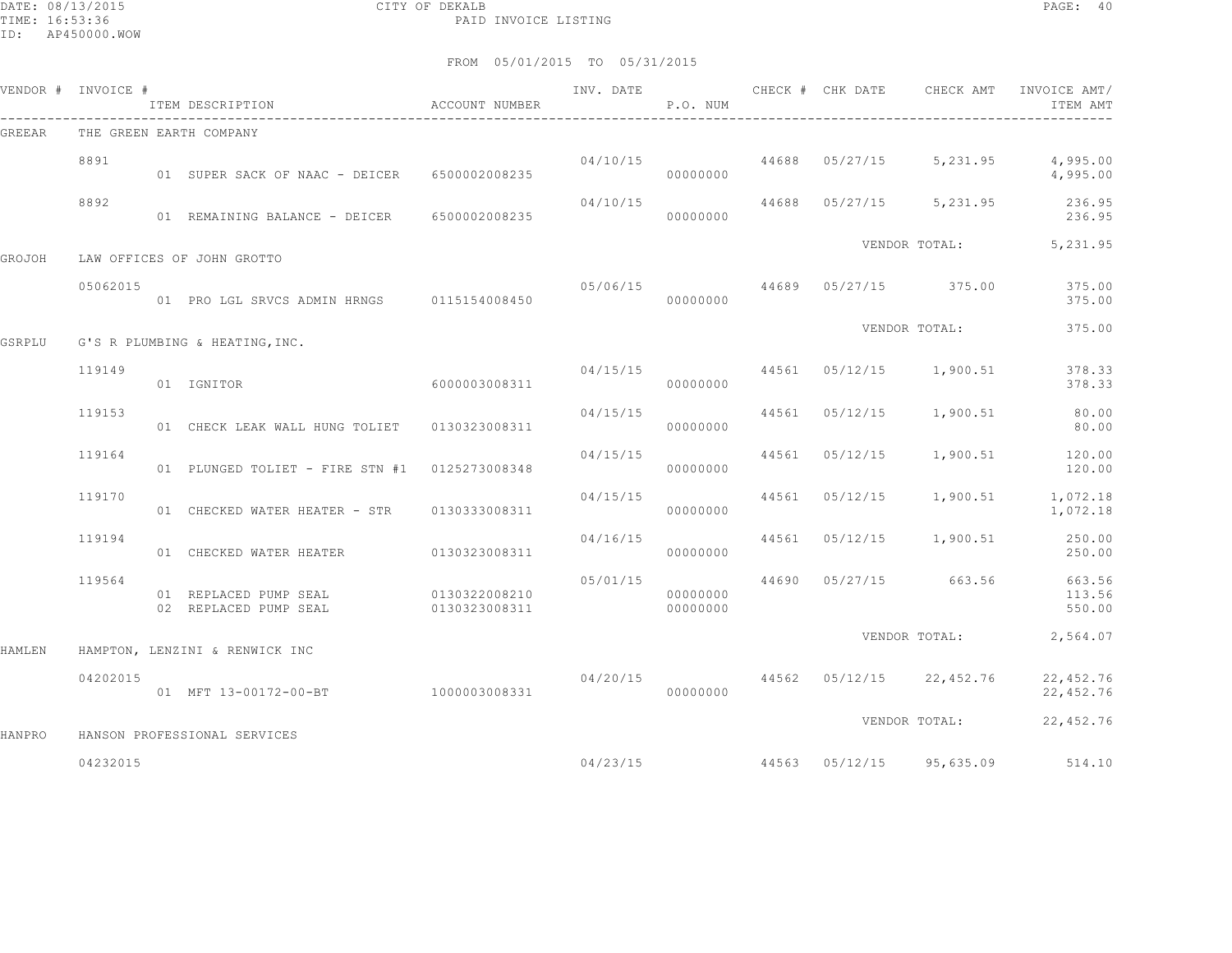DATE: 08/13/2015 CITY OF DEKALB PAGE: 40 PAID INVOICE LISTING

|        | VENDOR # INVOICE # | ITEM DESCRIPTION                               | ACCOUNT NUMBER                 | INV. DATE | P.O. NUM             |       | CHECK # CHK DATE | CHECK AMT                          | INVOICE AMT/<br>ITEM AMT   |
|--------|--------------------|------------------------------------------------|--------------------------------|-----------|----------------------|-------|------------------|------------------------------------|----------------------------|
| GREEAR |                    | THE GREEN EARTH COMPANY                        |                                |           |                      |       |                  |                                    |                            |
|        | 8891               | 01 SUPER SACK OF NAAC - DEICER 6500002008235   |                                |           | 00000000             |       |                  | $04/10/15$ 44688 05/27/15 5,231.95 | 4,995.00<br>4,995.00       |
|        | 8892               | 01 REMAINING BALANCE - DEICER 6500002008235    |                                | 04/10/15  | 00000000             |       |                  | 44688 05/27/15 5,231.95            | 236.95<br>236.95           |
| GROJOH |                    | LAW OFFICES OF JOHN GROTTO                     |                                |           |                      |       |                  |                                    | VENDOR TOTAL: 5,231.95     |
|        |                    |                                                |                                |           |                      |       |                  |                                    |                            |
|        | 05062015           | 01 PRO LGL SRVCS ADMIN HRNGS 0115154008450     |                                | 05/06/15  | 00000000             | 44689 |                  | 05/27/15 375.00                    | 375.00<br>375.00           |
| GSRPLU |                    | G'S R PLUMBING & HEATING, INC.                 |                                |           |                      |       |                  | VENDOR TOTAL:                      | 375.00                     |
|        | 119149             | 01 IGNITOR                                     | 6000003008311                  | 04/15/15  | 00000000             |       |                  | 44561 05/12/15 1,900.51            | 378.33<br>378.33           |
|        | 119153             | 01 CHECK LEAK WALL HUNG TOLIET 0130323008311   |                                | 04/15/15  | 00000000             | 44561 | 05/12/15         | 1,900.51                           | 80.00<br>80.00             |
|        | 119164             | 01 PLUNGED TOLIET - FIRE STN #1 0125273008348  |                                | 04/15/15  | 00000000             | 44561 | 05/12/15         | 1,900.51                           | 120.00<br>120.00           |
|        | 119170             | 01 CHECKED WATER HEATER - STR                  | 0130333008311                  | 04/15/15  | 00000000             |       | 44561 05/12/15   | 1,900.51                           | 1,072.18<br>1,072.18       |
|        | 119194             | 01 CHECKED WATER HEATER 60130323008311         |                                | 04/16/15  | 00000000             |       | 44561 05/12/15   | 1,900.51                           | 250.00<br>250.00           |
|        | 119564             | 01 REPLACED PUMP SEAL<br>02 REPLACED PUMP SEAL | 0130322008210<br>0130323008311 | 05/01/15  | 00000000<br>00000000 | 44690 |                  | 05/27/15 663.56                    | 663.56<br>113.56<br>550.00 |
| HAMLEN |                    | HAMPTON, LENZINI & RENWICK INC                 |                                |           |                      |       |                  | VENDOR TOTAL:                      | 2,564.07                   |
|        | 04202015           | 01 MFT 13-00172-00-BT 1000003008331            |                                | 04/20/15  | 00000000             |       |                  | 44562 05/12/15 22,452.76           | 22,452.76<br>22, 452.76    |
| HANPRO |                    | HANSON PROFESSIONAL SERVICES                   |                                |           |                      |       |                  | VENDOR TOTAL:                      | 22,452.76                  |
|        | 04232015           |                                                |                                | 04/23/15  |                      |       |                  |                                    |                            |
|        |                    |                                                |                                |           |                      |       |                  | 44563 05/12/15 95,635.09           | 514.10                     |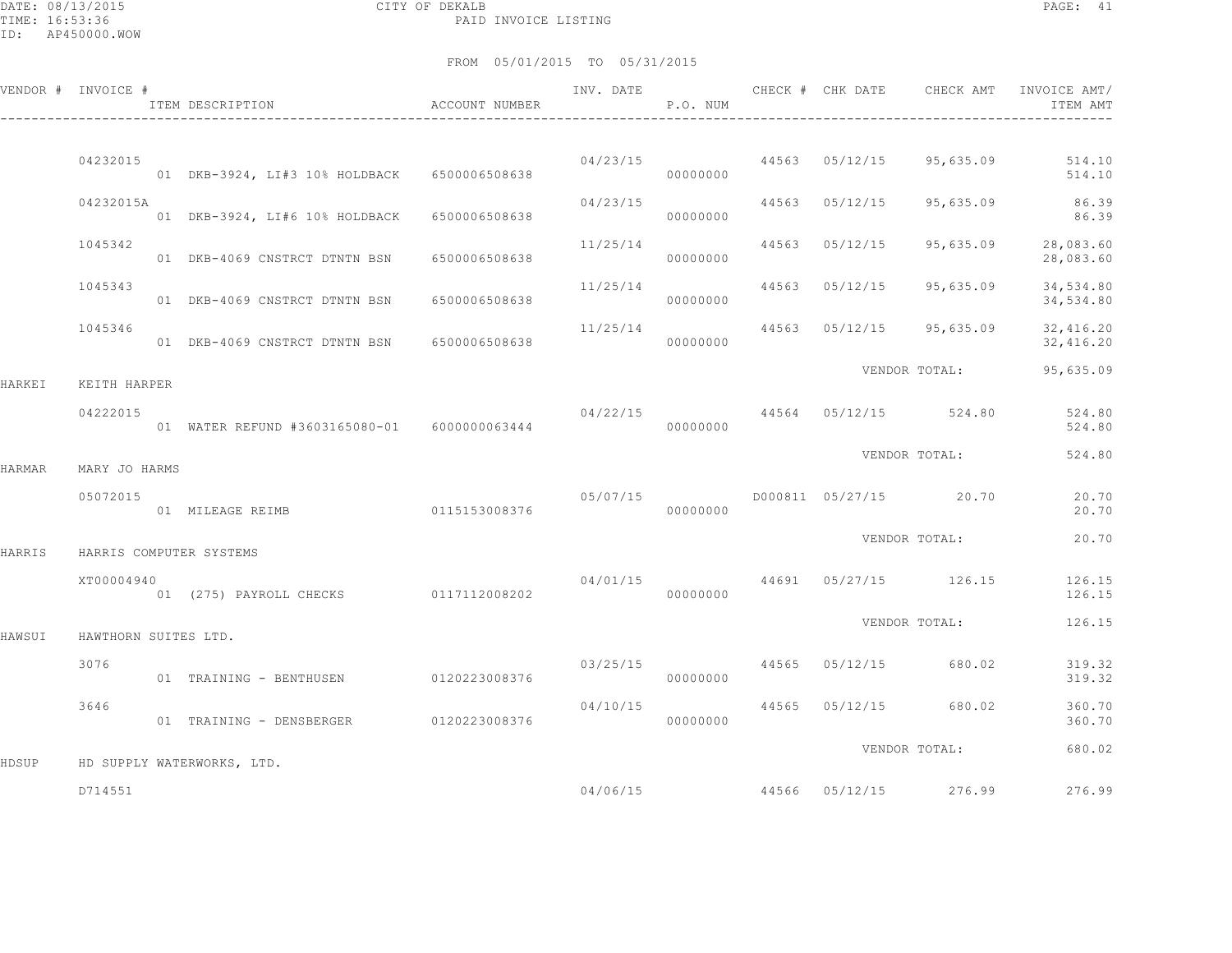DATE: 08/13/2015 CITY OF DEKALB PAGE: 41 PAID INVOICE LISTING

|        | VENDOR # INVOICE #   | ITEM DESCRIPTION                             | ACCOUNT NUMBER |          | P.O. NUM |                | INV. DATE 6 CHECK # CHK DATE 6 CHECK AMT | INVOICE AMT/<br>ITEM AMT         |
|--------|----------------------|----------------------------------------------|----------------|----------|----------|----------------|------------------------------------------|----------------------------------|
|        |                      |                                              |                |          |          |                |                                          |                                  |
|        | 04232015             | 01 DKB-3924, LI#3 10% HOLDBACK 6500006508638 |                |          | 00000000 |                | 04/23/15 44563 05/12/15 95,635.09        | 514.10<br>514.10                 |
|        | 04232015A            | 01 DKB-3924, LI#6 10% HOLDBACK 6500006508638 |                | 04/23/15 | 00000000 | 44563 05/12/15 |                                          | 95,635.09 86.39<br>86.39         |
|        | 1045342              | 01 DKB-4069 CNSTRCT DTNTN BSN                | 6500006508638  | 11/25/14 | 00000000 | 44563 05/12/15 |                                          | 95,635.09 28,083.60<br>28,083.60 |
|        | 1045343              | 01 DKB-4069 CNSTRCT DTNTN BSN 6500006508638  |                | 11/25/14 | 00000000 | 44563 05/12/15 | 95,635.09                                | 34,534.80<br>34,534.80           |
|        | 1045346              | 01 DKB-4069 CNSTRCT DTNTN BSN 6500006508638  |                | 11/25/14 | 00000000 |                | 44563 05/12/15 95,635.09                 | 32,416.20<br>32,416.20           |
| HARKEI | KEITH HARPER         |                                              |                |          |          |                | VENDOR TOTAL:                            | 95,635.09                        |
|        | 04222015             |                                              |                |          | 00000000 |                | 04/22/15 44564 05/12/15 524.80           | 524.80<br>524.80                 |
| HARMAR | MARY JO HARMS        |                                              |                |          |          |                | VENDOR TOTAL:                            | 524.80                           |
|        | 05072015             | 01 MILEAGE REIMB 0115153008376               |                | 05/07/15 | 00000000 |                | D000811 05/27/15 20.70                   | 20.70<br>20.70                   |
| HARRIS |                      | HARRIS COMPUTER SYSTEMS                      |                |          |          |                | VENDOR TOTAL:                            | 20.70                            |
|        | XT00004940           | 01 (275) PAYROLL CHECKS 0117112008202        |                |          | 00000000 |                | $04/01/15$ $44691$ $05/27/15$ $126.15$   | 126.15<br>126.15                 |
|        |                      |                                              |                |          |          |                | VENDOR TOTAL:                            | 126.15                           |
| HAWSUI | HAWTHORN SUITES LTD. |                                              |                |          |          |                |                                          |                                  |
|        | 3076                 | 01 TRAINING - BENTHUSEN                      | 0120223008376  | 03/25/15 | 00000000 |                | 44565 05/12/15 680.02                    | 319.32<br>319.32                 |
|        | 3646                 | 01 TRAINING - DENSBERGER 0120223008376       |                | 04/10/15 | 00000000 |                | 44565 05/12/15 680.02                    | 360.70<br>360.70                 |
|        |                      |                                              |                |          |          |                | VENDOR TOTAL:                            | 680.02                           |
| HDSUP  |                      | HD SUPPLY WATERWORKS, LTD.                   |                |          |          |                |                                          |                                  |
|        | D714551              |                                              |                |          | 04/06/15 |                | 44566 05/12/15 276.99                    | 276.99                           |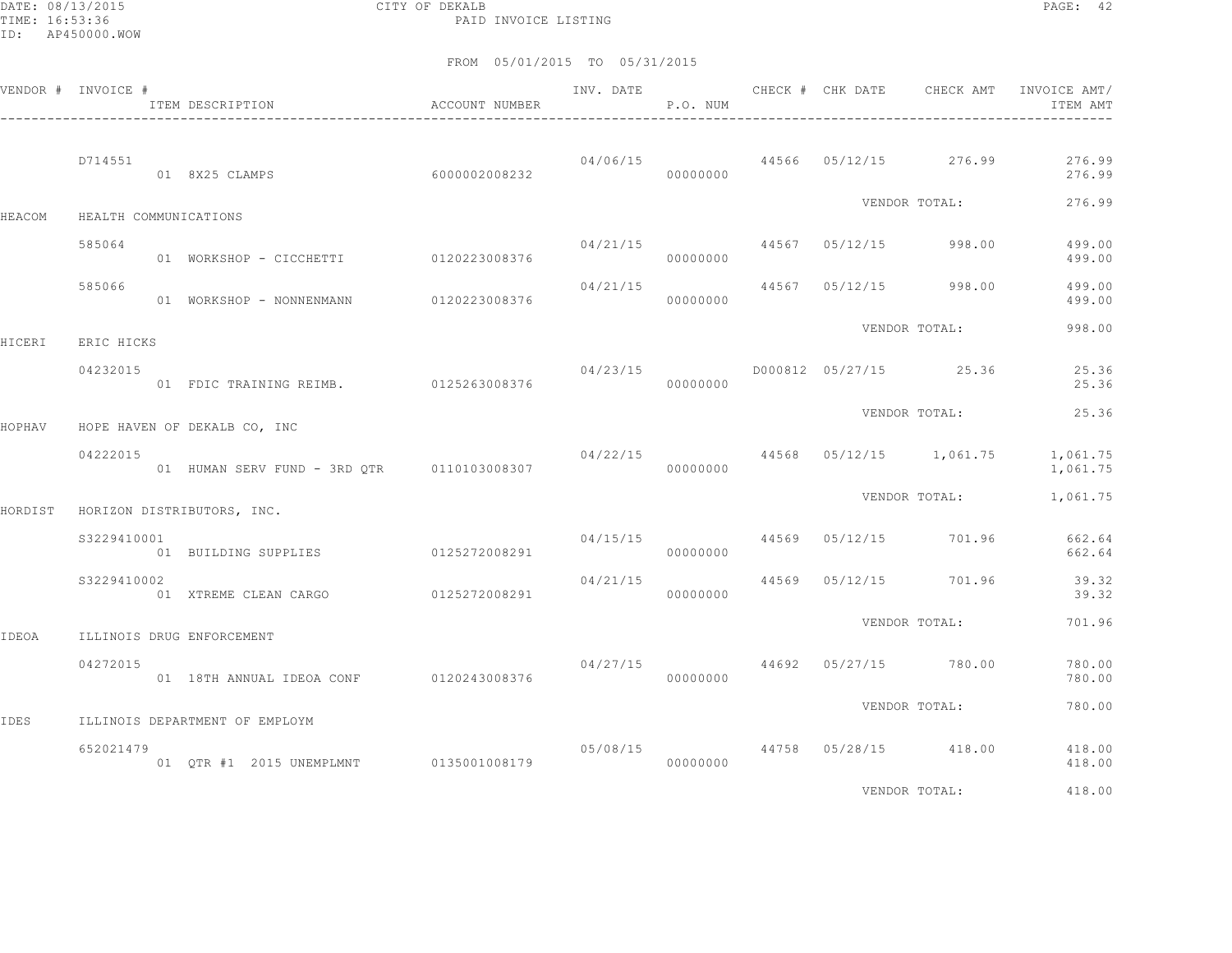DATE: 08/13/2015 CITY OF DEKALB PAGE: 42 PAID INVOICE LISTING

### FROM 05/01/2015 TO 05/31/2015

|         | VENDOR # INVOICE # | ITEM DESCRIPTION                           | ACCOUNT NUMBER | INV. DATE | P.O. NUM | CHECK # CHK DATE | CHECK AMT                            | INVOICE AMT/<br>ITEM AMT |
|---------|--------------------|--------------------------------------------|----------------|-----------|----------|------------------|--------------------------------------|--------------------------|
|         | D714551            | 01 8X25 CLAMPS                             | 60000002008232 |           | 00000000 |                  | $04/06/15$ $44566$ $05/12/15$ 276.99 | 276.99<br>276.99         |
| HEACOM  |                    | HEALTH COMMUNICATIONS                      |                |           |          |                  | VENDOR TOTAL:                        | 276.99                   |
|         | 585064             | 01 WORKSHOP - CICCHETTI 0120223008376      |                | 04/21/15  | 00000000 |                  | 44567 05/12/15 998.00                | 499.00<br>499.00         |
|         | 585066             | 01 WORKSHOP - NONNENMANN                   | 0120223008376  | 04/21/15  | 00000000 |                  | 44567 05/12/15 998.00                | 499.00<br>499.00         |
| HICERI  | ERIC HICKS         |                                            |                |           |          |                  | VENDOR TOTAL:                        | 998.00                   |
|         | 04232015           | 01 FDIC TRAINING REIMB. 0125263008376      |                | 04/23/15  | 00000000 |                  | D000812 05/27/15 25.36               | 25.36<br>25.36           |
| HOPHAV  |                    | HOPE HAVEN OF DEKALB CO, INC               |                |           |          |                  | VENDOR TOTAL:                        | 25.36                    |
|         | 04222015           | 01 HUMAN SERV FUND - 3RD OTR 0110103008307 |                | 04/22/15  | 00000000 |                  | 44568 05/12/15 1,061.75              | 1,061.75<br>1,061.75     |
| HORDIST |                    | HORIZON DISTRIBUTORS, INC.                 |                |           |          |                  | VENDOR TOTAL:                        | 1,061.75                 |
|         | \$3229410001       | 01 BUILDING SUPPLIES 0125272008291         |                |           | 00000000 |                  | 04/15/15 44569 05/12/15 701.96       | 662.64<br>662.64         |
|         | S3229410002        | 01 XTREME CLEAN CARGO                      | 0125272008291  | 04/21/15  | 00000000 | 44569 05/12/15   | 701.96                               | 39.32<br>39.32           |
| IDEOA   |                    | ILLINOIS DRUG ENFORCEMENT                  |                |           |          |                  | VENDOR TOTAL:                        | 701.96                   |
|         | 04272015           | 01 18TH ANNUAL IDEOA CONF 0120243008376    |                | 04/27/15  | 00000000 |                  | 44692 05/27/15 780.00                | 780.00<br>780.00         |
| IDES    |                    | ILLINOIS DEPARTMENT OF EMPLOYM             |                |           |          |                  | VENDOR TOTAL:                        | 780.00                   |
|         | 652021479          | 01 QTR #1 2015 UNEMPLMNT 0135001008179     |                |           | 00000000 |                  | 05/08/15 44758 05/28/15 418.00       | 418.00<br>418.00         |
|         |                    |                                            |                |           |          |                  | <b>ITIMOO MOMAT.</b>                 | $\sqrt{1000}$            |

VENDOR TOTAL: 418.00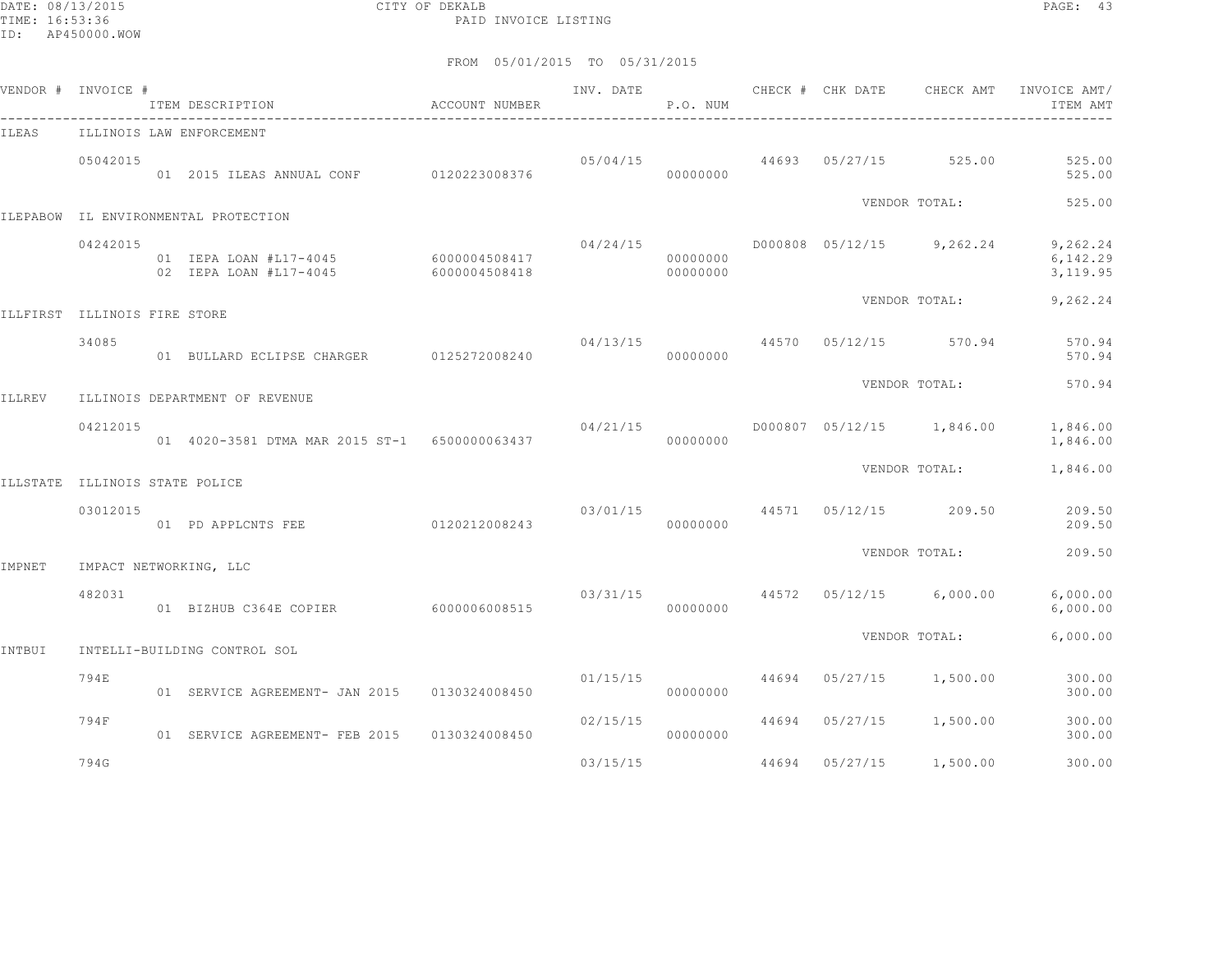DATE: 08/13/2015 CITY OF DEKALB PAGE: 43 PAID INVOICE LISTING

|        | VENDOR # INVOICE #             | ITEM DESCRIPTION                                 | ACCOUNT NUMBER                 | INV. DATE      | P.O. NUM             |       | CHECK # CHK DATE        | CHECK AMT                            | INVOICE AMT/<br>ITEM AMT          |
|--------|--------------------------------|--------------------------------------------------|--------------------------------|----------------|----------------------|-------|-------------------------|--------------------------------------|-----------------------------------|
| ILEAS  |                                | ILLINOIS LAW ENFORCEMENT                         |                                |                |                      |       |                         |                                      |                                   |
|        | 05042015                       | 01 2015 ILEAS ANNUAL CONF 0120223008376          |                                |                | 00000000             |       |                         | $05/04/15$ $44693$ $05/27/15$ 525.00 | 525.00<br>525.00                  |
|        |                                | ILEPABOW IL ENVIRONMENTAL PROTECTION             |                                |                |                      |       |                         | VENDOR TOTAL:                        | 525.00                            |
|        | 04242015                       | 01 IEPA LOAN #L17-4045<br>02 IEPA LOAN #L17-4045 | 6000004508417<br>6000004508418 | 04/24/15       | 00000000<br>00000000 |       |                         | D000808 05/12/15 9,262.24            | 9,262.24<br>6,142.29<br>3, 119.95 |
|        | ILLFIRST ILLINOIS FIRE STORE   |                                                  |                                |                |                      |       |                         | VENDOR TOTAL:                        | 9,262.24                          |
|        | 34085                          | 01 BULLARD ECLIPSE CHARGER 0125272008240         |                                | 04/13/15 44570 | 00000000             |       | 05/12/15                | 570.94                               | 570.94<br>570.94                  |
| ILLREV |                                | ILLINOIS DEPARTMENT OF REVENUE                   |                                |                |                      |       |                         | VENDOR TOTAL:                        | 570.94                            |
|        | 04212015                       | 01 4020-3581 DTMA MAR 2015 ST-1 6500000063437    |                                | 04/21/15       | 00000000             |       |                         | D000807 05/12/15 1,846.00            | 1,846.00<br>1,846.00              |
|        | ILLSTATE ILLINOIS STATE POLICE |                                                  |                                |                |                      |       |                         | VENDOR TOTAL:                        | 1,846.00                          |
|        | 03012015                       | 01 PD APPLCNTS FEE                               | 0120212008243                  |                | 00000000             |       | 03/01/15 44571 05/12/15 | 209.50                               | 209.50<br>209.50                  |
| IMPNET |                                | IMPACT NETWORKING, LLC                           |                                |                |                      |       |                         | VENDOR TOTAL:                        | 209.50                            |
|        | 482031                         | 01 BIZHUB C364E COPIER                           | 6000006008515                  |                | 00000000             |       |                         | $03/31/15$ 44572 05/12/15 6,000.00   | 6,000.00<br>6,000.00              |
| INTBUI |                                | INTELLI-BUILDING CONTROL SOL                     |                                |                |                      |       |                         | VENDOR TOTAL:                        | 6,000.00                          |
|        | 794E                           | 01 SERVICE AGREEMENT- JAN 2015                   | 0130324008450                  | 01/15/15       | 00000000             |       | 44694 05/27/15          | 1,500.00                             | 300.00<br>300.00                  |
|        | 794F                           | 01 SERVICE AGREEMENT- FEB 2015                   | 0130324008450                  | 02/15/15       | 00000000             | 44694 | 05/27/15                | 1,500.00                             | 300.00<br>300.00                  |
|        | 794G                           |                                                  |                                | 03/15/15       |                      | 44694 | 05/27/15                | 1,500.00                             | 300.00                            |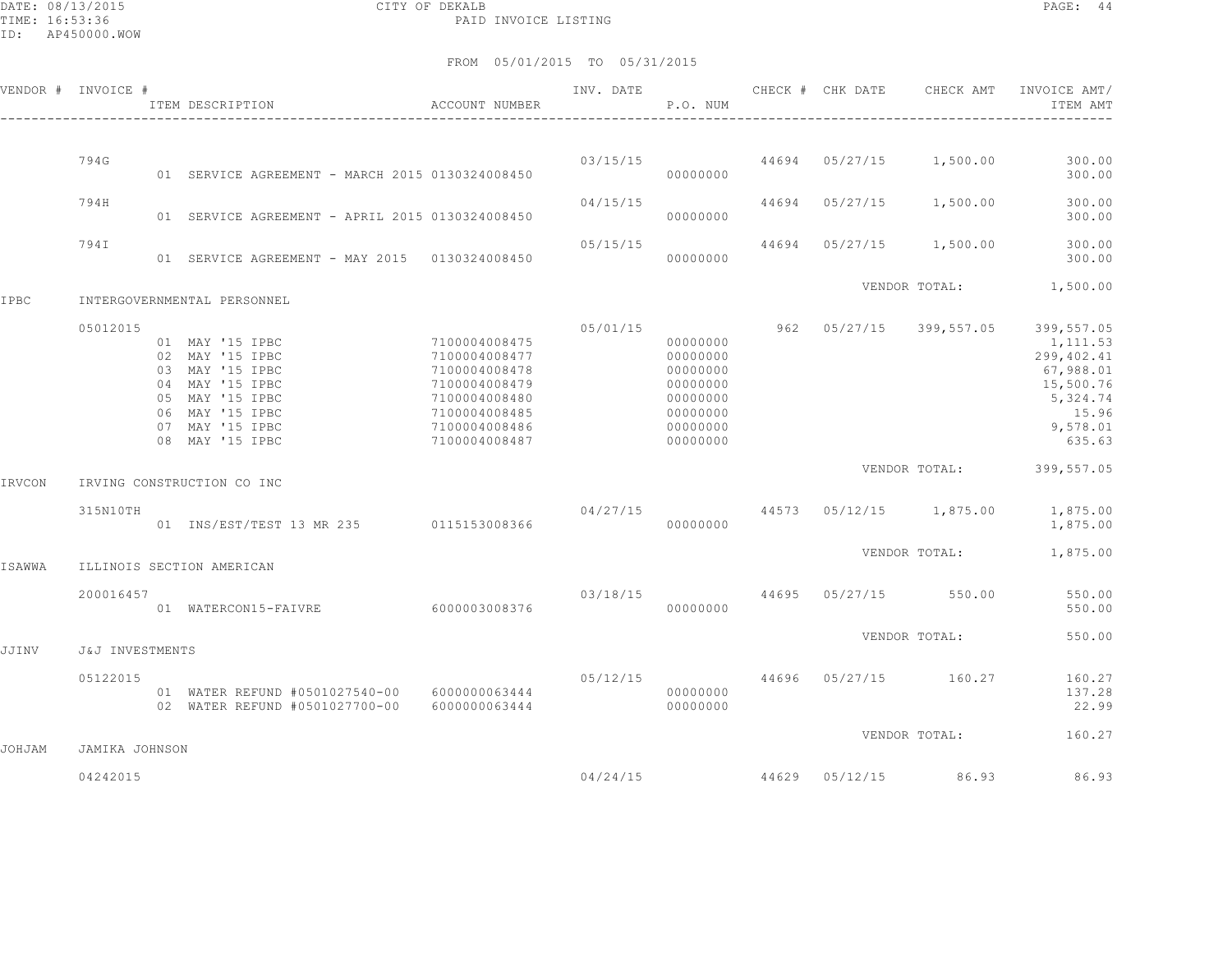DATE: 08/13/2015 CITY OF DEKALB PAGE: 44 PAID INVOICE LISTING

ID: AP450000.WOW

|        | VENDOR # INVOICE #         | ITEM DESCRIPTION                                                                                                                                     | ACCOUNT NUMBER                                                                                                                       | INV. DATE | P.O. NUM                                                                                     |                | CHECK # CHK DATE CHECK AMT | INVOICE AMT/<br>ITEM AMT                                                                                  |
|--------|----------------------------|------------------------------------------------------------------------------------------------------------------------------------------------------|--------------------------------------------------------------------------------------------------------------------------------------|-----------|----------------------------------------------------------------------------------------------|----------------|----------------------------|-----------------------------------------------------------------------------------------------------------|
|        | 794G                       |                                                                                                                                                      |                                                                                                                                      |           | 03/15/15                                                                                     |                | 44694 05/27/15 1,500.00    | 300.00                                                                                                    |
|        |                            | 01 SERVICE AGREEMENT - MARCH 2015 0130324008450                                                                                                      |                                                                                                                                      |           | 00000000                                                                                     |                |                            | 300.00                                                                                                    |
|        | 794H                       | 01 SERVICE AGREEMENT - APRIL 2015 0130324008450                                                                                                      |                                                                                                                                      | 04/15/15  | 00000000                                                                                     | 44694 05/27/15 | 1,500.00                   | 300.00<br>300.00                                                                                          |
|        | 794I                       | 01 SERVICE AGREEMENT - MAY 2015 0130324008450                                                                                                        |                                                                                                                                      | 05/15/15  | 00000000                                                                                     |                | 44694 05/27/15 1,500.00    | 300.00<br>300.00                                                                                          |
| IPBC   |                            | INTERGOVERNMENTAL PERSONNEL                                                                                                                          |                                                                                                                                      |           |                                                                                              |                | VENDOR TOTAL:              | 1,500.00                                                                                                  |
|        | 05012015                   | 01 MAY '15 IPBC<br>02 MAY '15 IPBC<br>03 MAY '15 IPBC<br>04 MAY '15 IPBC<br>05 MAY '15 IPBC<br>06 MAY '15 IPBC<br>07 MAY '15 IPBC<br>08 MAY '15 IPBC | 7100004008475<br>7100004008477<br>7100004008478<br>7100004008479<br>7100004008480<br>7100004008485<br>7100004008486<br>7100004008487 | 05/01/15  | 00000000<br>00000000<br>00000000<br>00000000<br>00000000<br>00000000<br>00000000<br>00000000 | 962 05/27/15   | 399,557.05                 | 399,557.05<br>1,111.53<br>299,402.41<br>67,988.01<br>15,500.76<br>5,324.74<br>15.96<br>9,578.01<br>635.63 |
| IRVCON |                            | IRVING CONSTRUCTION CO INC                                                                                                                           |                                                                                                                                      |           |                                                                                              |                | VENDOR TOTAL:              | 399,557.05                                                                                                |
|        | 315N10TH                   | 01 INS/EST/TEST 13 MR 235 0115153008366                                                                                                              |                                                                                                                                      | 04/27/15  | 00000000                                                                                     |                | 44573 05/12/15 1,875.00    | 1,875.00<br>1,875.00                                                                                      |
| ISAWWA |                            | ILLINOIS SECTION AMERICAN                                                                                                                            |                                                                                                                                      |           |                                                                                              |                | VENDOR TOTAL:              | 1,875.00                                                                                                  |
|        | 200016457                  | 01 WATERCON15-FAIVRE                                                                                                                                 | 6000003008376                                                                                                                        | 03/18/15  | 00000000                                                                                     | 44695 05/27/15 | 550.00                     | 550.00<br>550.00                                                                                          |
| JJINV  | J&J INVESTMENTS            |                                                                                                                                                      |                                                                                                                                      |           |                                                                                              |                | VENDOR TOTAL:              | 550.00                                                                                                    |
|        | 05122015                   | 01 WATER REFUND #0501027540-00 6000000063444<br>02 WATER REFUND #0501027700-00                                                                       | 6000000063444                                                                                                                        | 05/12/15  | 00000000<br>00000000                                                                         |                | 44696 05/27/15 160.27      | 160.27<br>137.28<br>22.99                                                                                 |
| JOHJAM |                            |                                                                                                                                                      |                                                                                                                                      |           |                                                                                              |                | VENDOR TOTAL:              | 160.27                                                                                                    |
|        | JAMIKA JOHNSON<br>04242015 |                                                                                                                                                      |                                                                                                                                      | 04/24/15  |                                                                                              | 44629 05/12/15 | 86.93                      | 86.93                                                                                                     |
|        |                            |                                                                                                                                                      |                                                                                                                                      |           |                                                                                              |                |                            |                                                                                                           |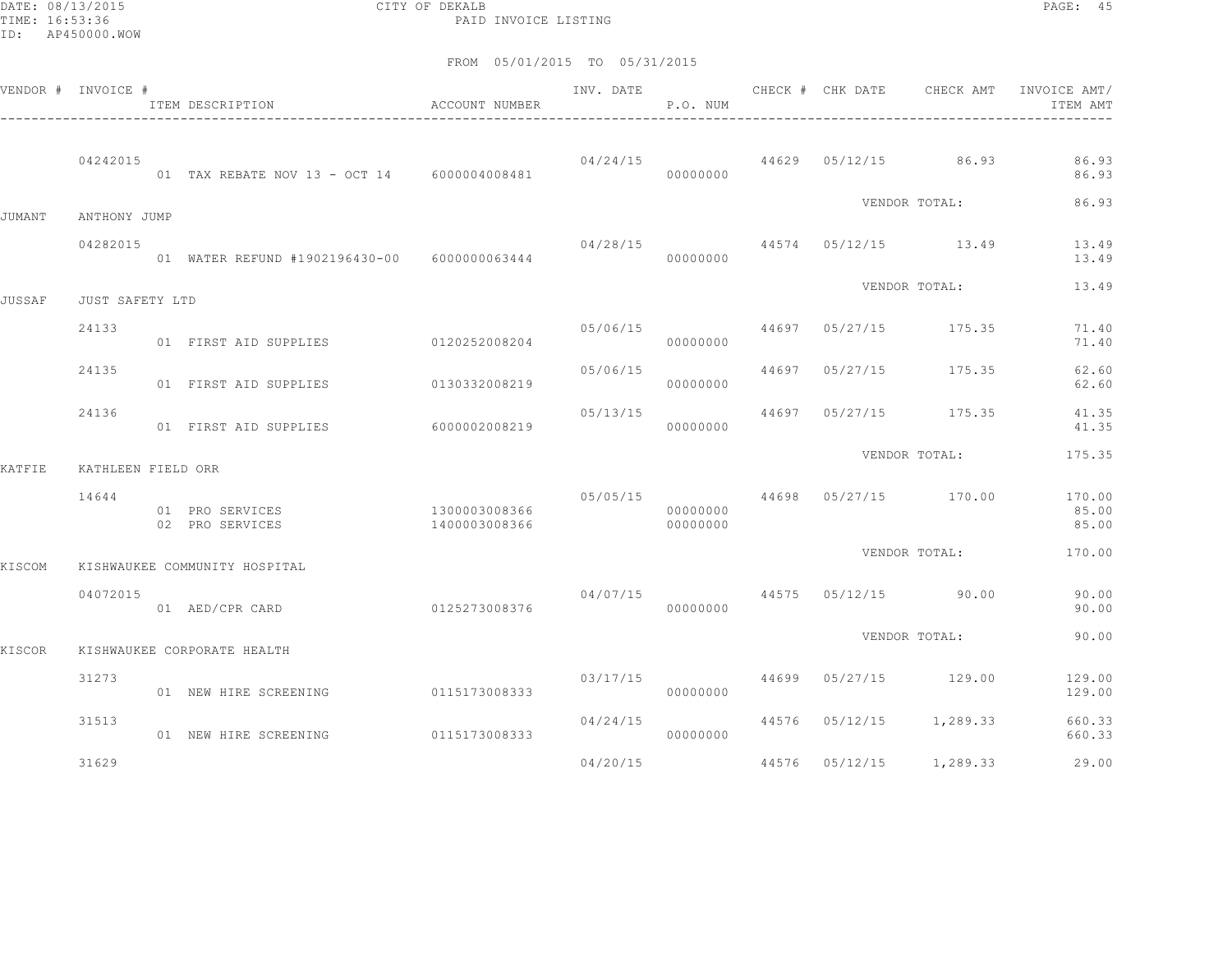DATE: 08/13/2015 CITY OF DEKALB PAGE: 45 PAID INVOICE LISTING

|               | VENDOR # INVOICE # | ITEM DESCRIPTION                             | ACCOUNT NUMBER                 | INV. DATE | P.O. NUM             |       | CHECK # CHK DATE | CHECK AMT                           | INVOICE AMT/<br>ITEM AMT |
|---------------|--------------------|----------------------------------------------|--------------------------------|-----------|----------------------|-------|------------------|-------------------------------------|--------------------------|
|               | 04242015           | 01 TAX REBATE NOV 13 - OCT 14 6000004008481  |                                |           | 00000000             |       |                  | $04/24/15$ $44629$ $05/12/15$ 86.93 | 86.93<br>86.93           |
| JUMANT        | ANTHONY JUMP       |                                              |                                |           |                      |       |                  | VENDOR TOTAL:                       | 86.93                    |
|               | 04282015           | 01 WATER REFUND #1902196430-00 6000000063444 |                                | 04/28/15  | 00000000             |       |                  | 44574 05/12/15 13.49                | 13.49<br>13.49           |
| <b>JUSSAF</b> | JUST SAFETY LTD    |                                              |                                |           |                      |       |                  | VENDOR TOTAL:                       | 13.49                    |
|               | 24133              | 01 FIRST AID SUPPLIES 0120252008204          |                                | 05/06/15  | 00000000             |       |                  | 44697 05/27/15 175.35               | 71.40<br>71.40           |
|               | 24135              | 01 FIRST AID SUPPLIES                        | 0130332008219                  | 05/06/15  | 00000000             | 44697 | 05/27/15         | 175.35                              | 62.60<br>62.60           |
|               | 24136              | 01 FIRST AID SUPPLIES                        | 6000002008219                  | 05/13/15  | 00000000             | 44697 |                  | 05/27/15 175.35                     | 41.35<br>41.35           |
| KATFIE        | KATHLEEN FIELD ORR |                                              |                                |           |                      |       |                  | VENDOR TOTAL:                       | 175.35                   |
|               | 14644              | 01 PRO SERVICES<br>02 PRO SERVICES           | 1300003008366<br>1400003008366 | 05/05/15  | 00000000<br>00000000 |       |                  | 44698 05/27/15 170.00               | 170.00<br>85.00<br>85.00 |
| KISCOM        |                    | KISHWAUKEE COMMUNITY HOSPITAL                |                                |           |                      |       |                  | VENDOR TOTAL:                       | 170.00                   |
|               | 04072015           | 01 AED/CPR CARD                              | 0125273008376                  | 04/07/15  | 00000000             |       |                  | 44575 05/12/15 90.00                | 90.00<br>90.00           |
| KISCOR        |                    | KISHWAUKEE CORPORATE HEALTH                  |                                |           |                      |       |                  | VENDOR TOTAL:                       | 90.00                    |
|               | 31273              | 01 NEW HIRE SCREENING                        | 0115173008333                  | 03/17/15  | 00000000             |       |                  | 44699 05/27/15 129.00               | 129.00<br>129.00         |
|               | 31513              | 01 NEW HIRE SCREENING                        | 0115173008333                  | 04/24/15  | 00000000             |       | 44576 05/12/15   | 1,289.33                            | 660.33<br>660.33         |
|               | 31629              |                                              |                                | 04/20/15  |                      |       | 44576 05/12/15   | 1,289.33                            | 29.00                    |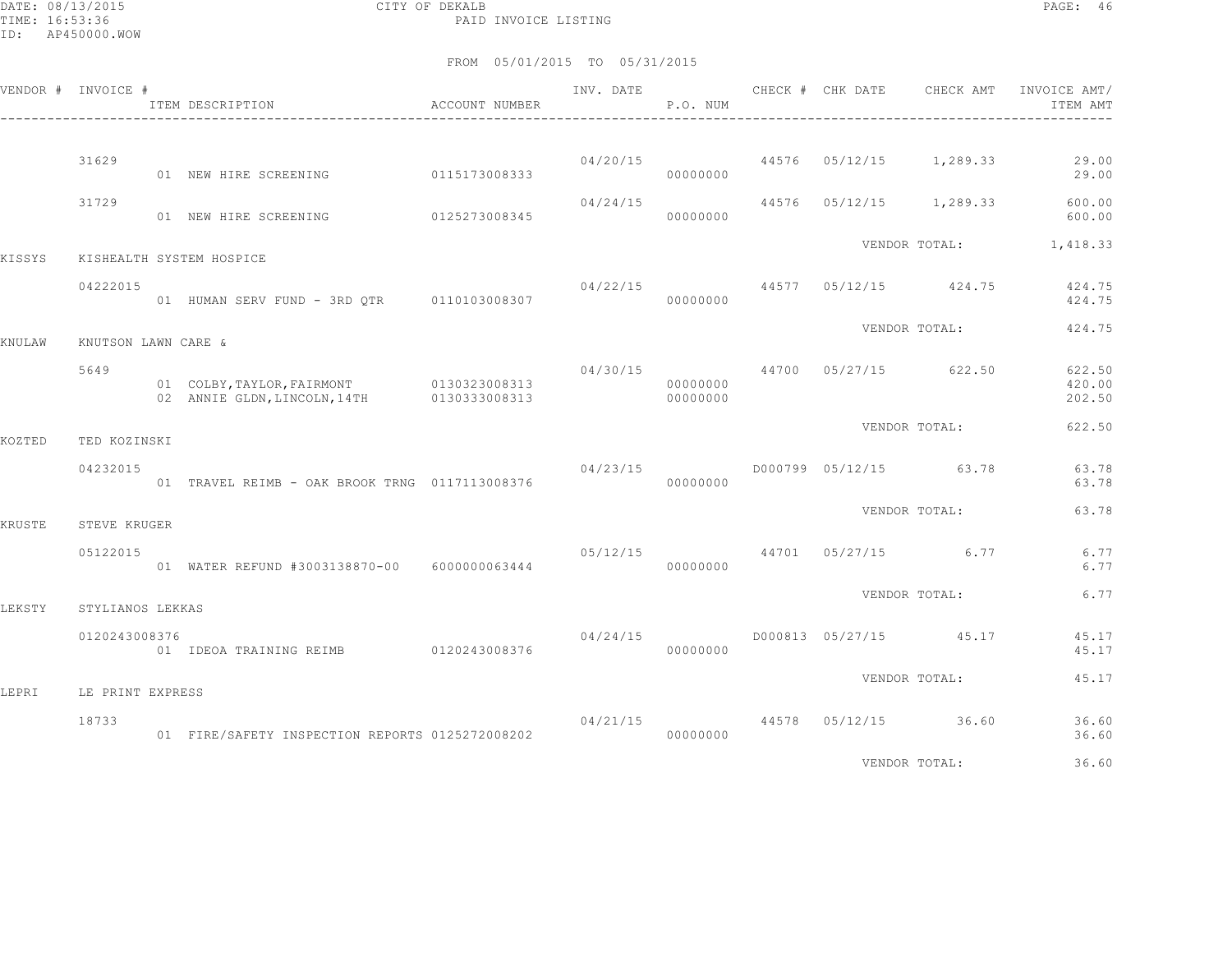DATE: 08/13/2015 CITY OF DEKALB PAGE: 46 PAID INVOICE LISTING

|        | VENDOR # INVOICE #  | ACCOUNT NUMBER<br>ITEM DESCRIPTION                                                     |               |          | P.O. NUM             | INV. DATE 6 CHECK # CHK DATE CHECK AMT |                                        | INVOICE AMT/<br>ITEM AMT               |
|--------|---------------------|----------------------------------------------------------------------------------------|---------------|----------|----------------------|----------------------------------------|----------------------------------------|----------------------------------------|
|        | 31629               | 01 NEW HIRE SCREENING 0115173008333                                                    |               | 04/20/15 | 00000000             |                                        |                                        | 44576 05/12/15 1,289.33 29.00<br>29.00 |
|        | 31729               | 01 NEW HIRE SCREENING                                                                  | 0125273008345 | 04/24/15 | 00000000             |                                        | 44576 05/12/15 1,289.33                | 600.00<br>600.00                       |
| KISSYS |                     | KISHEALTH SYSTEM HOSPICE                                                               |               |          |                      |                                        |                                        | VENDOR TOTAL: 1,418.33                 |
|        | 04222015            | 01 HUMAN SERV FUND - 3RD QTR 0110103008307                                             |               |          | 00000000             |                                        | $04/22/15$ $44577$ $05/12/15$ $424.75$ | 424.75<br>424.75                       |
| KNULAW | KNUTSON LAWN CARE & |                                                                                        |               |          |                      |                                        | VENDOR TOTAL:                          | 424.75                                 |
|        | 5649                | 01 COLBY, TAYLOR, FAIRMONT 0130323008313<br>02 ANNIE GLDN, LINCOLN, 14TH 0130333008313 |               | 04/30/15 | 00000000<br>00000000 | 44700 05/27/15 622.50                  |                                        | 622.50<br>420.00<br>202.50             |
| KOZTED | TED KOZINSKI        |                                                                                        |               |          |                      |                                        | VENDOR TOTAL:                          | 622.50                                 |
|        | 04232015            | 01 TRAVEL REIMB - OAK BROOK TRNG 0117113008376                                         |               | 04/23/15 | 00000000             | D000799 05/12/15 63.78                 |                                        | 63.78<br>63.78                         |
| KRUSTE | STEVE KRUGER        |                                                                                        |               |          |                      |                                        | VENDOR TOTAL:                          | 63.78                                  |
|        | 05122015            | 01 WATER REFUND #3003138870-00 6000000063444                                           |               | 05/12/15 | 00000000             |                                        | 44701 05/27/15 6.77                    | 6.77<br>6.77                           |
| LEKSTY | STYLIANOS LEKKAS    |                                                                                        |               |          |                      |                                        | VENDOR TOTAL:                          | 6.77                                   |
|        | 0120243008376       | 01 IDEOA TRAINING REIMB 0120243008376                                                  |               | 04/24/15 | 00000000             | D000813 05/27/15 45.17                 |                                        | 45.17<br>45.17                         |
| LEPRI  | LE PRINT EXPRESS    |                                                                                        |               |          |                      |                                        | VENDOR TOTAL:                          | 45.17                                  |
|        | 18733               | 01 FIRE/SAFETY INSPECTION REPORTS 0125272008202                                        |               | 04/21/15 | 00000000             |                                        | 44578 05/12/15 36.60                   | 36.60<br>36.60                         |
|        |                     |                                                                                        |               |          |                      |                                        | VENDOR TOTAL:                          | 36.60                                  |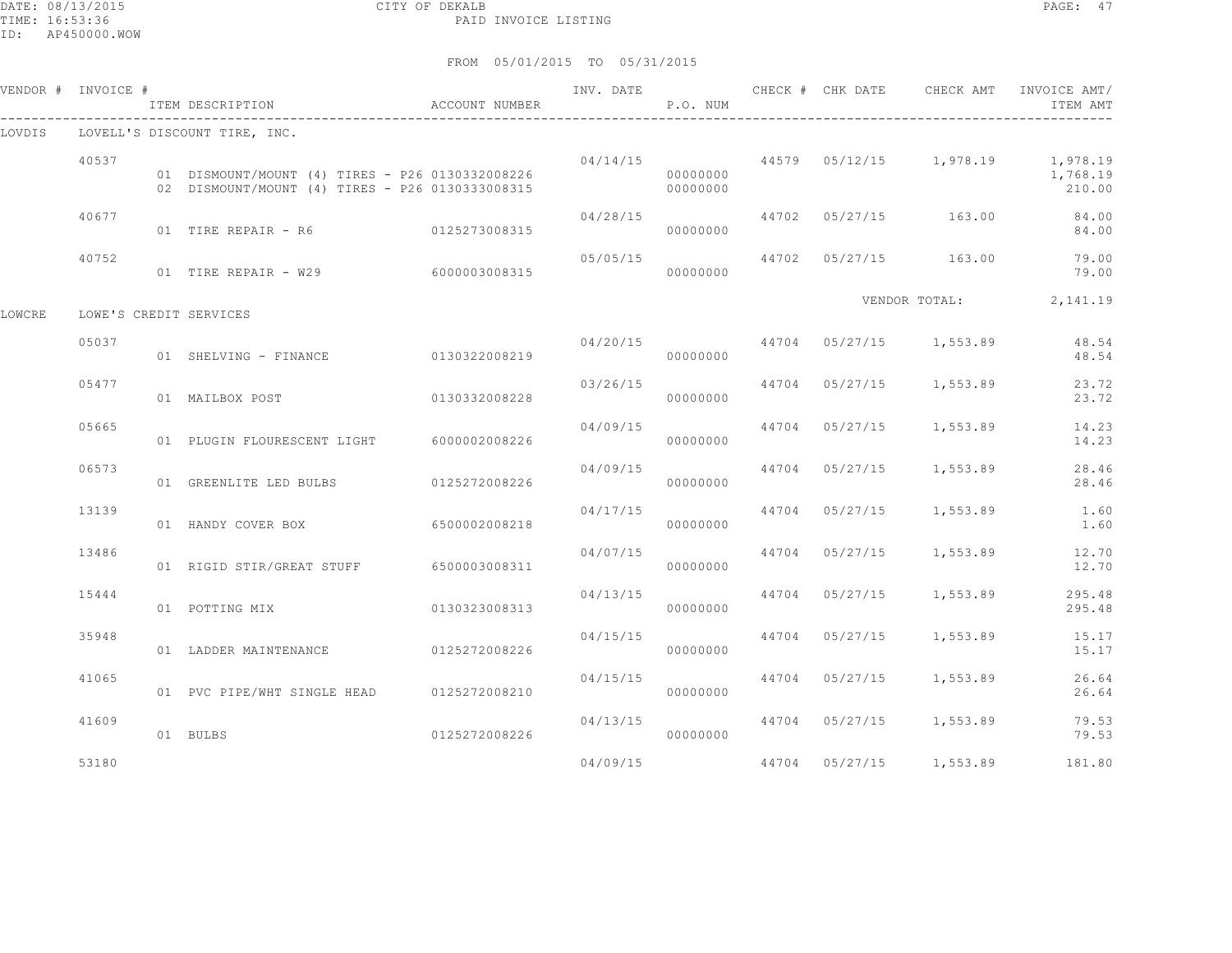DATE: 08/13/2015 CITY OF DEKALB PAGE: 47 PAID INVOICE LISTING

ID: AP450000.WOW

|        | VENDOR # INVOICE # | ITEM DESCRIPTION                                                                                   | ACCOUNT NUMBER |          | P.O. NUM             |                | INV. DATE 6 CHECK # CHK DATE CHECK AMT   | INVOICE AMT/<br>ITEM AMT                                                  |
|--------|--------------------|----------------------------------------------------------------------------------------------------|----------------|----------|----------------------|----------------|------------------------------------------|---------------------------------------------------------------------------|
| LOVDIS |                    | LOVELL'S DISCOUNT TIRE, INC.                                                                       |                |          |                      |                |                                          |                                                                           |
|        | 40537              | 01 DISMOUNT/MOUNT (4) TIRES - P26 0130332008226<br>02 DISMOUNT/MOUNT (4) TIRES - P26 0130333008315 |                |          | 00000000<br>00000000 |                |                                          | $04/14/15$ $44579$ $05/12/15$ $1,978.19$ $1,978.19$<br>1,768.19<br>210.00 |
|        | 40677              | 01 TIRE REPAIR - R6                                                                                | 0125273008315  | 04/28/15 | 00000000             |                | 44702 05/27/15 163.00                    | 84.00<br>84.00                                                            |
|        | 40752              | 01 TIRE REPAIR - W29                                                                               | 6000003008315  | 05/05/15 | 00000000             |                | 44702 05/27/15 163.00                    | 79.00<br>79.00                                                            |
| LOWCRE |                    | LOWE'S CREDIT SERVICES                                                                             |                |          |                      |                |                                          | VENDOR TOTAL: 2,141.19                                                    |
|        | 05037              | 01 SHELVING - FINANCE 0130322008219                                                                |                |          | 00000000             |                | $04/20/15$ $44704$ $05/27/15$ $1,553.89$ | 48.54<br>48.54                                                            |
|        | 05477              | 01 MAILBOX POST                                                                                    | 0130332008228  | 03/26/15 | 00000000             |                | 44704 05/27/15 1,553.89                  | 23.72<br>23.72                                                            |
|        | 05665              | 01 PLUGIN FLOURESCENT LIGHT 6000002008226                                                          |                | 04/09/15 | 00000000             |                | 44704 05/27/15 1,553.89                  | 14.23<br>14.23                                                            |
|        | 06573              | 01 GREENLITE LED BULBS                                                                             | 0125272008226  | 04/09/15 | 00000000             | 44704 05/27/15 | 1,553.89                                 | 28.46<br>28.46                                                            |
|        | 13139              | 01 HANDY COVER BOX                                                                                 | 6500002008218  | 04/17/15 | 00000000             | 44704 05/27/15 | 1,553.89                                 | 1.60<br>1.60                                                              |
|        | 13486              | 01 RIGID STIR/GREAT STUFF 6500003008311                                                            |                | 04/07/15 | 00000000             | 44704 05/27/15 | 1,553.89                                 | 12.70<br>12.70                                                            |
|        | 15444              | 01 POTTING MIX                                                                                     | 0130323008313  | 04/13/15 | 00000000             |                | 44704 05/27/15 1,553.89                  | 295.48<br>295.48                                                          |
|        | 35948              | 01 LADDER MAINTENANCE                                                                              | 0125272008226  |          | 04/15/15<br>00000000 | 44704 05/27/15 | 1,553.89                                 | 15.17<br>15.17                                                            |
|        | 41065              | 01 PVC PIPE/WHT SINGLE HEAD 0125272008210                                                          |                | 04/15/15 | 00000000             | 44704 05/27/15 | 1,553.89                                 | 26.64<br>26.64                                                            |
|        | 41609              | 01 BULBS                                                                                           | 0125272008226  | 04/13/15 | 00000000             |                | 44704 05/27/15 1,553.89                  | 79.53<br>79.53                                                            |
|        | 53180              |                                                                                                    |                | 04/09/15 |                      | 44704 05/27/15 | 1,553.89                                 | 181.80                                                                    |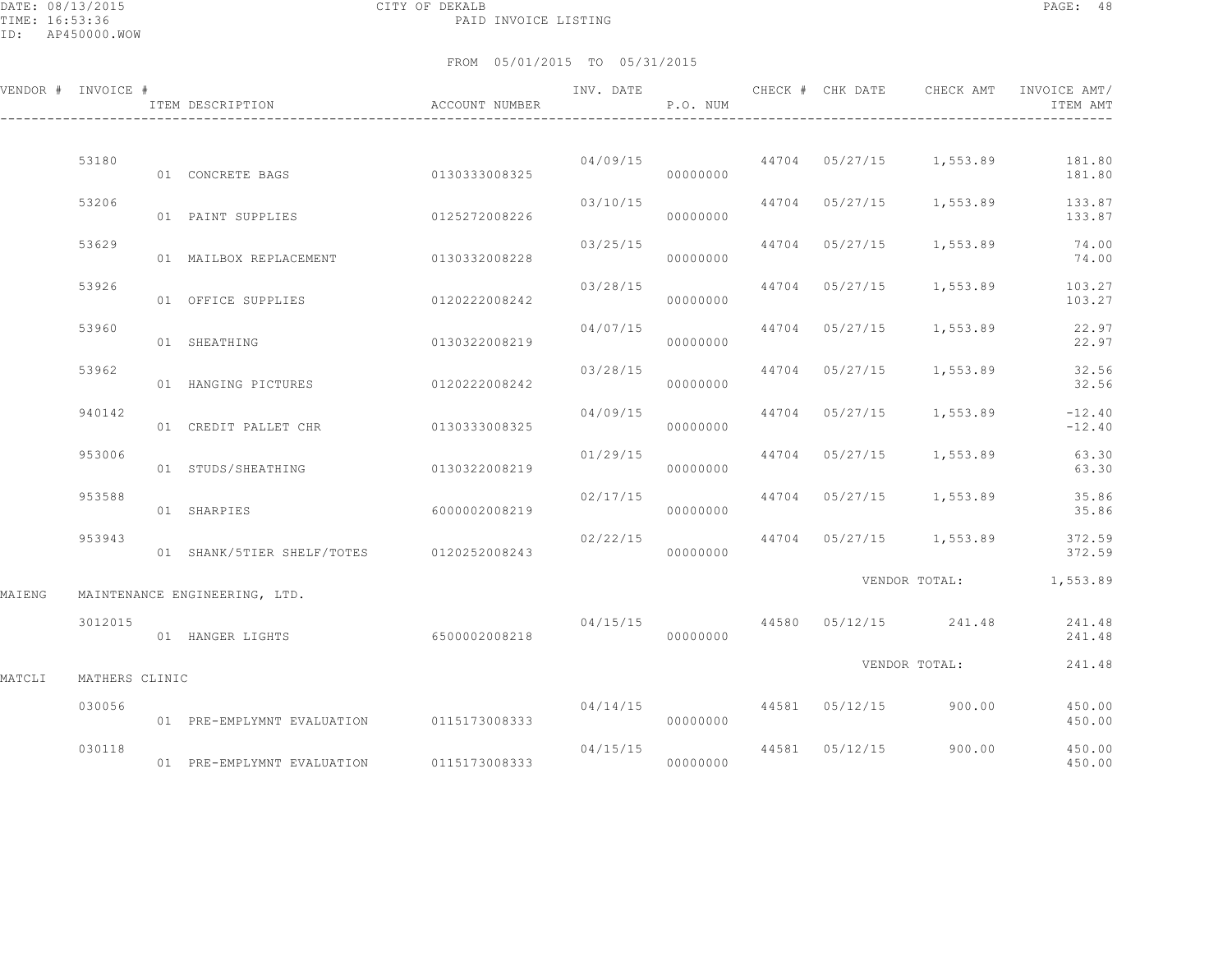DATE: 08/13/2015 CITY OF DEKALB PAGE: 48 PAID INVOICE LISTING

ID: AP450000.WOW

|        | VENDOR # INVOICE # | ITEM DESCRIPTION                         | <b>ACCOUNT NUMBER</b> | INV. DATE | P.O. NUM |       | CHECK # CHK DATE | CHECK AMT                            | INVOICE AMT/<br>ITEM AMT                 |
|--------|--------------------|------------------------------------------|-----------------------|-----------|----------|-------|------------------|--------------------------------------|------------------------------------------|
|        |                    |                                          |                       |           |          |       |                  |                                      |                                          |
|        | 53180              | 01 CONCRETE BAGS                         | 0130333008325         | 04/09/15  | 00000000 |       |                  |                                      | 44704 05/27/15 1,553.89 181.80<br>181.80 |
|        | 53206              | 01 PAINT SUPPLIES                        | 0125272008226         | 03/10/15  | 00000000 |       | 44704 05/27/15   |                                      | 1,553.89 133.87<br>133.87                |
|        | 53629              | 01 MAILBOX REPLACEMENT                   | 0130332008228         | 03/25/15  | 00000000 | 44704 |                  | 05/27/15 1,553.89                    | 74.00<br>74.00                           |
|        | 53926              | 01 OFFICE SUPPLIES                       | 0120222008242         | 03/28/15  | 00000000 |       | 44704 05/27/15   | 1,553.89                             | 103.27<br>103.27                         |
|        | 53960              | 01 SHEATHING                             | 0130322008219         | 04/07/15  | 00000000 |       |                  | 44704 05/27/15 1,553.89              | 22.97<br>22.97                           |
|        | 53962              | 01 HANGING PICTURES                      | 0120222008242         | 03/28/15  | 00000000 |       |                  | 44704 05/27/15 1,553.89              | 32.56<br>32.56                           |
|        | 940142             | 01 CREDIT PALLET CHR                     | 0130333008325         | 04/09/15  | 00000000 | 44704 |                  | $05/27/15$ 1,553.89                  | $-12.40$<br>$-12.40$                     |
|        | 953006             |                                          |                       | 01/29/15  |          | 44704 |                  | $05/27/15$ 1,553.89                  | 63.30                                    |
|        |                    | 01 STUDS/SHEATHING                       | 0130322008219         |           | 00000000 |       |                  |                                      | 63.30                                    |
|        | 953588             | 01 SHARPIES                              | 6000002008219         | 02/17/15  | 00000000 |       |                  | 44704 05/27/15 1,553.89              | 35.86<br>35.86                           |
|        | 953943             | 01 SHANK/5TIER SHELF/TOTES 0120252008243 |                       | 02/22/15  | 00000000 |       |                  | 44704 05/27/15 1,553.89              | 372.59<br>372.59                         |
| MAIENG |                    | MAINTENANCE ENGINEERING, LTD.            |                       |           |          |       |                  |                                      | VENDOR TOTAL: 1,553.89                   |
|        | 3012015            | 01 HANGER LIGHTS                         | 6500002008218         | 04/15/15  | 00000000 |       |                  | 44580 05/12/15 241.48                | 241.48<br>241.48                         |
|        |                    |                                          |                       |           |          |       |                  | VENDOR TOTAL:                        | 241.48                                   |
| MATCLI | MATHERS CLINIC     |                                          |                       |           |          |       |                  |                                      |                                          |
|        | 030056             | 01 PRE-EMPLYMNT EVALUATION 0115173008333 |                       |           | 00000000 |       |                  | $04/14/15$ $44581$ $05/12/15$ 900.00 | 450.00<br>450.00                         |
|        | 030118             | 01 PRE-EMPLYMNT EVALUATION               | 0115173008333         | 04/15/15  | 00000000 |       | 44581 05/12/15   | 900.00                               | 450.00<br>450.00                         |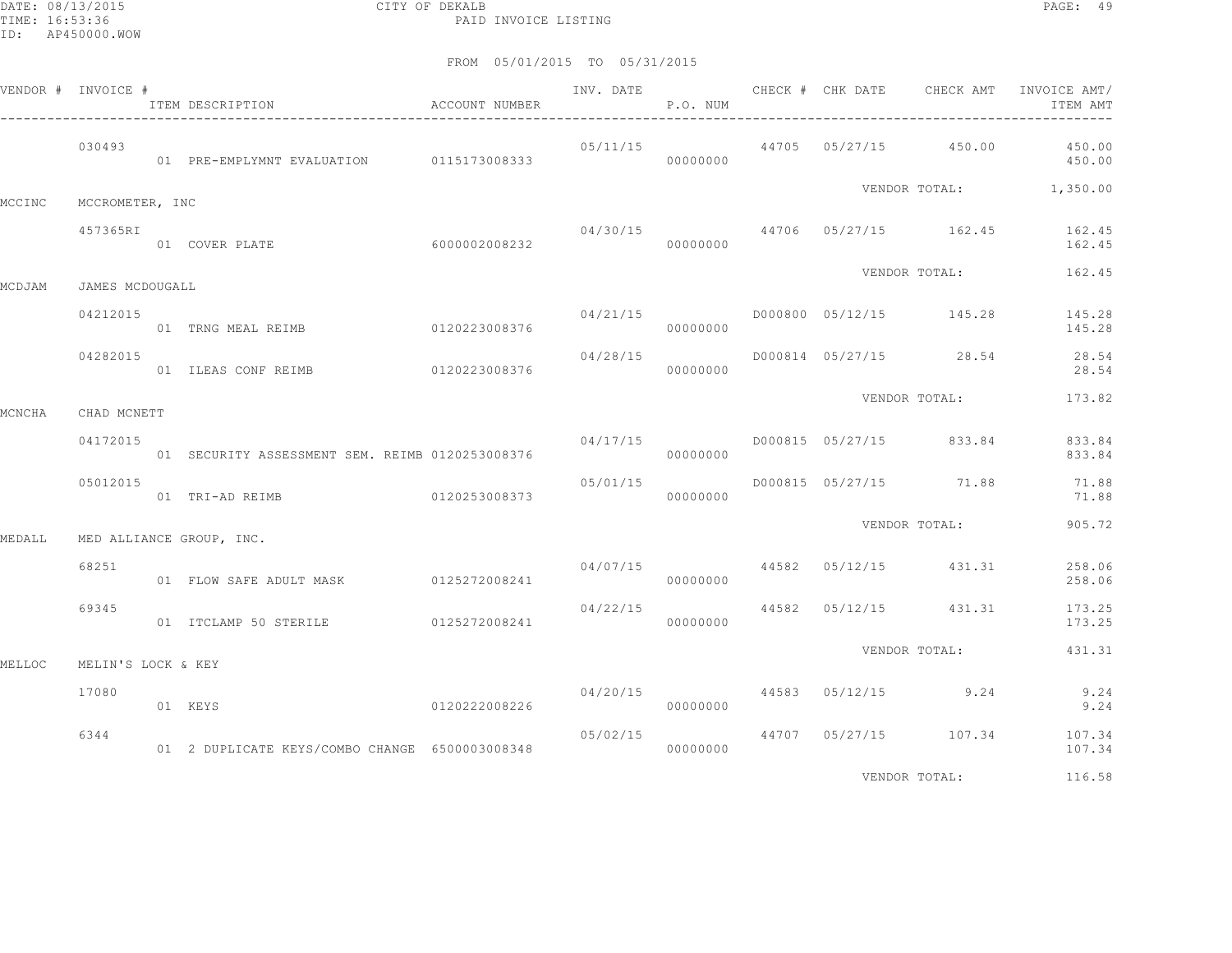DATE: 08/13/2015 CITY OF DEKALB PAGE: 49 PAID INVOICE LISTING

|        | VENDOR # INVOICE # | ITEM DESCRIPTION<br>$\hfill$<br>ACCOUNT NUMBER                    |               | P.O. NUM                           |          |  |                                  | ITEM AMT                                                  |
|--------|--------------------|-------------------------------------------------------------------|---------------|------------------------------------|----------|--|----------------------------------|-----------------------------------------------------------|
|        | 030493             | 01 PRE-EMPLYMNT EVALUATION 0115173008333                          |               |                                    | 00000000 |  |                                  | $05/11/15$ $44705$ $05/27/15$ $450.00$ $450.00$<br>450.00 |
| MCCINC | MCCROMETER, INC    |                                                                   |               |                                    |          |  |                                  | VENDOR TOTAL: 1,350.00                                    |
|        | 457365RI           | -<br>01 COVER PLATE 6000002008232                                 |               |                                    | 00000000 |  |                                  | $04/30/15$ $44706$ $05/27/15$ $162.45$ $162.45$<br>162.45 |
| MCDJAM | JAMES MCDOUGALL    |                                                                   |               |                                    |          |  |                                  | VENDOR TOTAL: 162.45                                      |
|        | 04212015           | 01 TRNG MEAL REIMB 6120223008376                                  |               | 04/21/15                           | 00000000 |  |                                  | D000800 05/12/15 145.28 145.28<br>145.28                  |
|        | 04282015           | 01 ILEAS CONF REIMB 0120223008376                                 |               | 04/28/15                           | 00000000 |  |                                  | D000814 05/27/15 28.54 28.54<br>28.54                     |
| MCNCHA | CHAD MCNETT        |                                                                   |               |                                    |          |  | VENDOR TOTAL:                    | 173.82                                                    |
|        | 04172015           | 01 SECURITY ASSESSMENT SEM. REIMB 0120253008376                   |               | $04/17/15$ D000815 05/27/15 833.84 | 00000000 |  |                                  | 833.84<br>833.84                                          |
|        | 05012015           |                                                                   |               | 05/01/15                           | 00000000 |  | D000815 05/27/15 71.88           | 71.88<br>71.88                                            |
| MEDALL |                    | MED ALLIANCE GROUP, INC.                                          |               |                                    |          |  | VENDOR TOTAL:                    | 905.72                                                    |
|        | 68251              | 01 FLOW SAFE ADULT MASK 0125272008241                             |               |                                    | 00000000 |  | $04/07/15$ 44582 05/12/15 431.31 | 258.06<br>258.06                                          |
|        | 69345              | 01 ITCLAMP 50 STERILE 0125272008241                               |               | $04/22/15$ 44582 05/12/15 431.31   | 00000000 |  |                                  | 173.25<br>173.25                                          |
| MELLOC | MELIN'S LOCK & KEY |                                                                   |               |                                    |          |  | VENDOR TOTAL:                    | 431.31                                                    |
|        | 17080              | 01 KEYS                                                           | 0120222008226 |                                    | 00000000 |  | $04/20/15$ 44583 05/12/15 9.24   | 9.24<br>9.24                                              |
|        | 6344               | 01 2 DUPLICATE KEYS/COMBO CHANGE 6500003008348 000000000 00000000 |               | 05/02/15                           |          |  |                                  | 44707 05/27/15 107.34 107.34<br>107.34                    |
|        |                    |                                                                   |               |                                    |          |  | VENDOR TOTAL:                    | 116.58                                                    |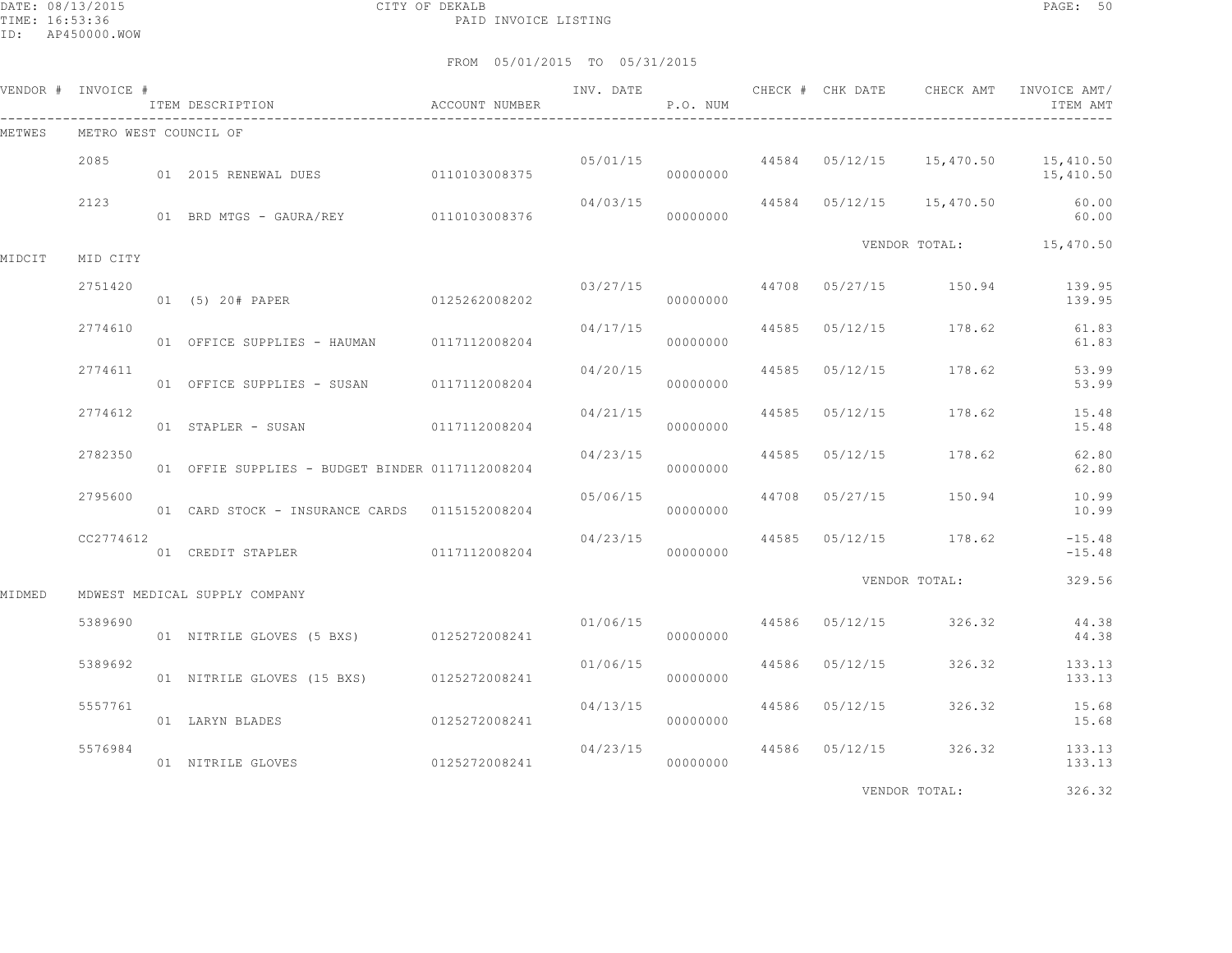DATE: 08/13/2015 CITY OF DEKALB PAGE: 50 PAID INVOICE LISTING

|        | VENDOR # INVOICE #    | ITEM DESCRIPTION                                | ACCOUNT NUMBER | INV. DATE            | P.O. NUM  |                |                                  | CHECK # CHK DATE 6 CHECK AMT INVOICE AMT/<br>ITEM AMT      |
|--------|-----------------------|-------------------------------------------------|----------------|----------------------|-----------|----------------|----------------------------------|------------------------------------------------------------|
| METWES | METRO WEST COUNCIL OF |                                                 |                |                      |           |                |                                  |                                                            |
|        | 2085                  | 01 2015 RENEWAL DUES 0110103008375              |                |                      | 000000000 |                |                                  | $05/01/15$ 44584 05/12/15 15,470.50 15,410.50<br>15,410.50 |
|        | 2123                  | 01 BRD MTGS - GAURA/REY 0110103008376           |                | 04/03/15             | 00000000  |                | 44584 05/12/15 15,470.50         | 60.00<br>60.00                                             |
| MIDCIT | MID CITY              |                                                 |                |                      |           |                | VENDOR TOTAL: 15,470.50          |                                                            |
|        | 2751420               | 01 (5) 20# PAPER 0125262008202                  |                | 03/27/15             | 00000000  |                | 44708 05/27/15 150.94 139.95     | 139.95                                                     |
|        | 2774610               | 01 OFFICE SUPPLIES - HAUMAN 0117112008204       |                | 04/17/15             | 00000000  |                | 44585 05/12/15 178.62            | 61.83<br>61.83                                             |
|        | 2774611               | 01 OFFICE SUPPLIES - SUSAN 0117112008204        |                | 04/20/15             | 00000000  | 44585 05/12/15 | 178.62                           | 53.99<br>53.99                                             |
|        | 2774612               | 01 STAPLER - SUSAN 0117112008204                |                | 04/21/15             | 00000000  | 44585 05/12/15 | 178.62                           | 15.48<br>15.48                                             |
|        | 2782350               | 01 OFFIE SUPPLIES - BUDGET BINDER 0117112008204 |                | 04/23/15             | 00000000  |                | 44585 05/12/15 178.62            | 62.80<br>62.80                                             |
|        | 2795600               | 01 CARD STOCK - INSURANCE CARDS 0115152008204   |                | 05/06/15             | 00000000  |                | 44708 05/27/15 150.94            | 10.99<br>10.99                                             |
|        | CC2774612             | 01 CREDIT STAPLER 0117112008204                 |                | 04/23/15             | 00000000  |                | 44585 05/12/15 178.62            | $-15.48$<br>$-15.48$                                       |
| MIDMED |                       | MDWEST MEDICAL SUPPLY COMPANY                   |                |                      |           |                | VENDOR TOTAL:                    | 329.56                                                     |
|        | 5389690               | 01 NITRILE GLOVES (5 BXS) 0125272008241         |                |                      | 000000000 |                | $01/06/15$ 44586 05/12/15 326.32 | 44.38<br>44.38                                             |
|        | 5389692               | 01 NITRILE GLOVES (15 BXS) 0125272008241        |                | 01/06/15             | 00000000  | 44586 05/12/15 | 326.32                           | 133.13<br>133.13                                           |
|        | 5557761               | 01 LARYN BLADES                                 | 0125272008241  | 04/13/15             | 00000000  | 44586 05/12/15 |                                  | 326.32 15.68<br>15.68                                      |
|        | 5576984               | 01 NITRILE GLOVES                               | 0125272008241  | 04/23/15<br>00000000 |           |                | 44586 05/12/15 326.32            | 133.13<br>133.13                                           |
|        |                       |                                                 |                |                      |           |                | VENDOR TOTAL:                    | 326.32                                                     |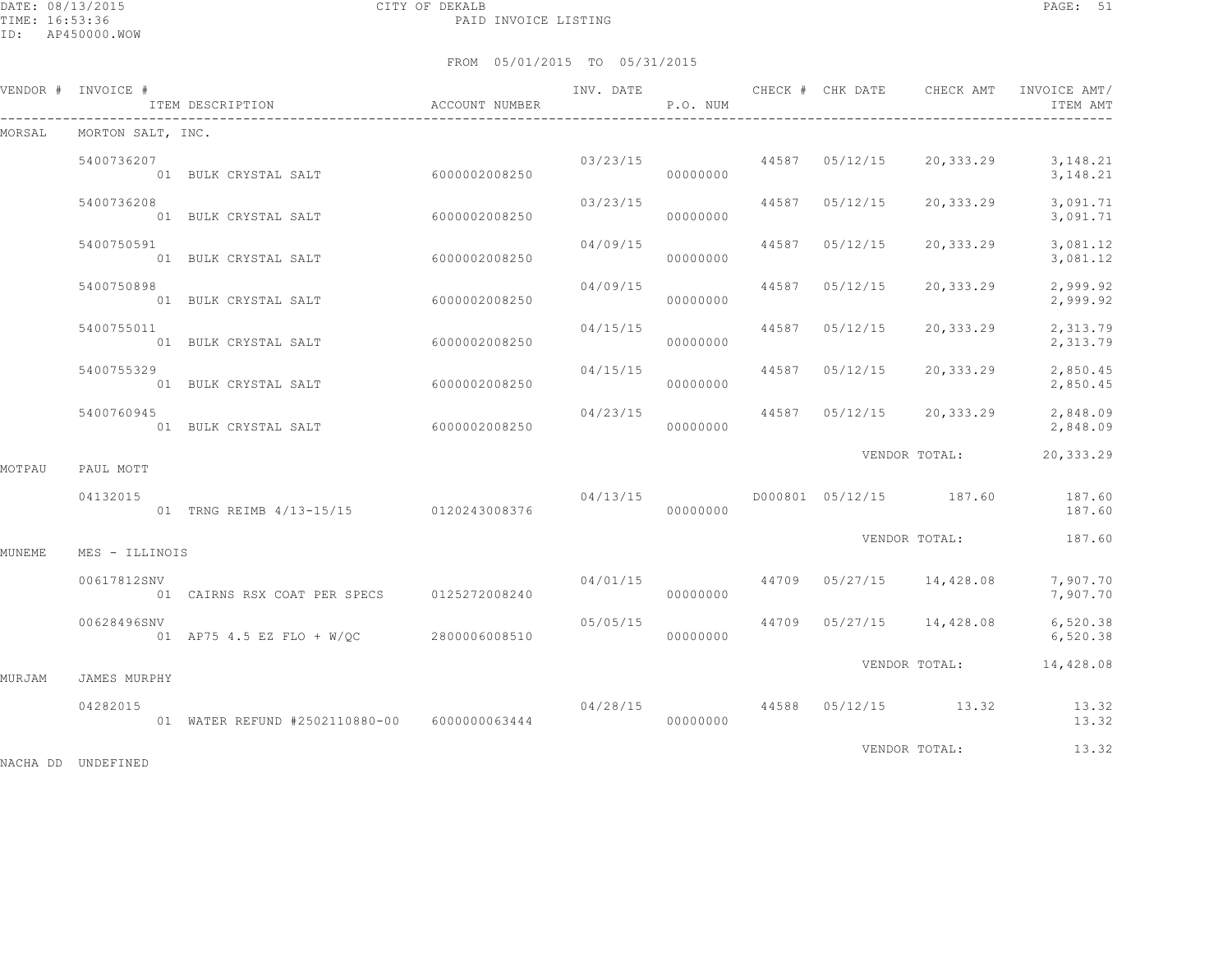DATE: 08/13/2015 CITY OF DEKALB PAGE: 51 PAID INVOICE LISTING

FROM 05/01/2015 TO 05/31/2015

|        | VENDOR # INVOICE # | ITEM DESCRIPTION<br>$\hfill$<br>ACCOUNT NUMBER |                | INV. DATE | P.O. NUM             | CHECK # CHK DATE        | CHECK AMT                           | INVOICE AMT/<br>ITEM AMT                                           |
|--------|--------------------|------------------------------------------------|----------------|-----------|----------------------|-------------------------|-------------------------------------|--------------------------------------------------------------------|
| MORSAL | MORTON SALT, INC.  |                                                |                |           |                      |                         |                                     |                                                                    |
|        | 5400736207         | 01 BULK CRYSTAL SALT 6000002008250             |                |           | 00000000             |                         |                                     | $03/23/15$ $44587$ $05/12/15$ $20,333.29$ $3,148.21$<br>3, 148. 21 |
|        | 5400736208         | 01 BULK CRYSTAL SALT                           | 60000002008250 | 03/23/15  | 00000000             | 44587 05/12/15          | 20,333.29                           | 3,091.71<br>3,091.71                                               |
|        | 5400750591         | 01 BULK CRYSTAL SALT 6000002008250             |                |           | 04/09/15<br>00000000 | 44587 05/12/15          | 20,333.29                           | 3,081.12<br>3,081.12                                               |
|        | 5400750898         | 01 BULK CRYSTAL SALT 6000002008250             |                | 04/09/15  | 00000000             | 44587 05/12/15          | 20,333.29                           | 2,999.92<br>2,999.92                                               |
|        | 5400755011         | 01 BULK CRYSTAL SALT                           | 60000002008250 | 04/15/15  | 00000000             | 44587 05/12/15          | 20,333.29                           | 2,313.79<br>2,313.79                                               |
|        | 5400755329         | 01 BULK CRYSTAL SALT 6000002008250             |                |           | 00000000             | 04/15/15 44587 05/12/15 | 20,333.29                           | 2,850.45<br>2,850.45                                               |
|        | 5400760945         | 01 BULK CRYSTAL SALT 6000002008250             |                | 04/23/15  | 00000000             |                         | 44587 05/12/15 20,333.29            | 2,848.09<br>2,848.09                                               |
| MOTPAU | PAUL MOTT          |                                                |                |           |                      |                         | VENDOR TOTAL:                       | 20,333.29                                                          |
|        | 04132015           | 01 TRNG REIMB 4/13-15/15 0120243008376         |                | 04/13/15  | 00000000             |                         |                                     | D000801 05/12/15 187.60 187.60<br>187.60                           |
| MUNEME | MES - ILLINOIS     |                                                |                |           |                      |                         | VENDOR TOTAL:                       | 187.60                                                             |
|        | 00617812SNV        | 01 CAIRNS RSX COAT PER SPECS 0125272008240     |                | 04/01/15  | 00000000             |                         | 44709 05/27/15 14,428.08            | 7,907.70<br>7,907.70                                               |
|        | 00628496SNV        | 01 AP75 4.5 EZ FLO + W/QC 2800006008510        |                |           | 00000000             |                         | $05/05/15$ 44709 05/27/15 14,428.08 | 6,520.38<br>6,520.38                                               |
|        |                    |                                                |                |           |                      |                         |                                     | VENDOR TOTAL: 14,428.08                                            |
| MURJAM | JAMES MURPHY       |                                                |                |           |                      |                         |                                     |                                                                    |
|        | 04282015           | 01 WATER REFUND #2502110880-00 6000000063444   |                |           | 00000000             |                         |                                     | $04/28/15$ $44588$ $05/12/15$ $13.32$ $13.32$<br>13.32             |
|        |                    |                                                |                |           |                      |                         | VENDOR TOTAL:                       | 13.32                                                              |

NACHA DD UNDEFINED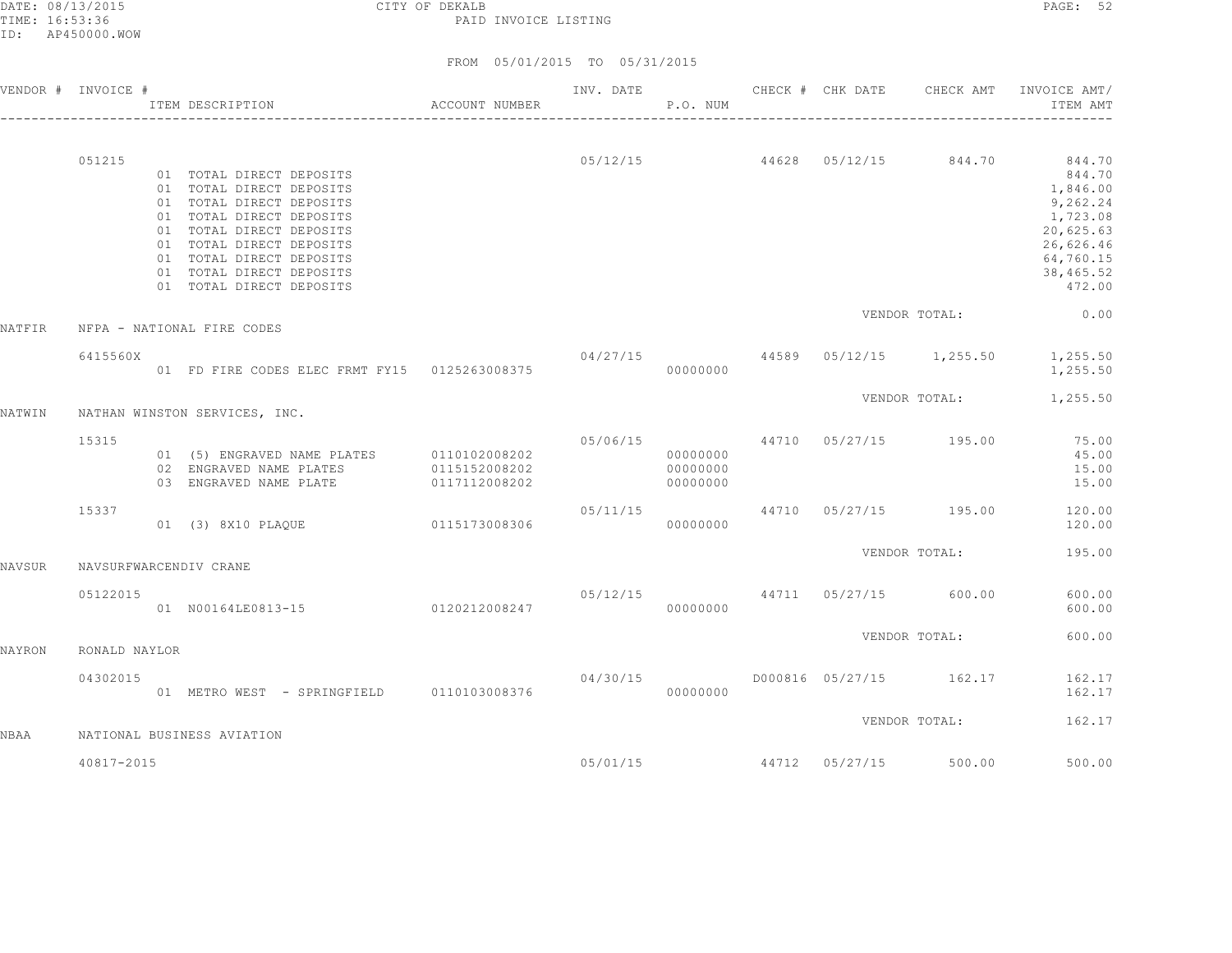DATE: 08/13/2015 CITY OF DEKALB PAGE: 52 PAID INVOICE LISTING

|        | VENDOR # INVOICE # | ACCOUNT NUMBER<br>ITEM DESCRIPTION                                                                                                                                                                                                                       |                                  |           | P.O. NUM                         |  |                       | INV. DATE 6 CHECK # CHK DATE CHECK AMT INVOICE AMT/<br>ITEM AMT                                                                                             |
|--------|--------------------|----------------------------------------------------------------------------------------------------------------------------------------------------------------------------------------------------------------------------------------------------------|----------------------------------|-----------|----------------------------------|--|-----------------------|-------------------------------------------------------------------------------------------------------------------------------------------------------------|
|        | 051215             | 01 TOTAL DIRECT DEPOSITS<br>01 TOTAL DIRECT DEPOSITS<br>01 TOTAL DIRECT DEPOSITS<br>01 TOTAL DIRECT DEPOSITS<br>01 TOTAL DIRECT DEPOSITS<br>01 TOTAL DIRECT DEPOSITS<br>01 TOTAL DIRECT DEPOSITS<br>01 TOTAL DIRECT DEPOSITS<br>01 TOTAL DIRECT DEPOSITS |                                  |           |                                  |  |                       | $05/12/15$ $44628$ $05/12/15$ $844.70$ $844.70$<br>844.70<br>1,846.00<br>9,262.24<br>1,723.08<br>20,625.63<br>26,626.46<br>64,760.15<br>38,465.52<br>472.00 |
| NATFIR |                    | NFPA - NATIONAL FIRE CODES                                                                                                                                                                                                                               |                                  |           |                                  |  | VENDOR TOTAL:         | 0.00                                                                                                                                                        |
|        | 6415560X           | 01 FD FIRE CODES ELEC FRMT FY15 0125263008375                                                                                                                                                                                                            |                                  |           | 00000000                         |  |                       | $04/27/15$ $44589$ $05/12/15$ $1,255.50$ $1,255.50$<br>1,255.50                                                                                             |
| NATWIN |                    | NATHAN WINSTON SERVICES, INC.                                                                                                                                                                                                                            |                                  |           |                                  |  |                       | VENDOR TOTAL: 1,255.50                                                                                                                                      |
|        | 15315              | 01 (5) ENGRAVED NAME PLATES 0110102008202<br>02 ENGRAVED NAME PLATES 0115152008202<br>03 ENGRAVED NAME PLATE                                                                                                                                             | 0117112008202                    |           | 00000000<br>00000000<br>00000000 |  |                       | 05/06/15 44710 05/27/15 195.00 75.00<br>45.00<br>15.00<br>15.00                                                                                             |
|        | 15337              | 01 (3) 8X10 PLAOUE 0115173008306                                                                                                                                                                                                                         |                                  |           | 00000000                         |  |                       | 05/11/15 44710 05/27/15 195.00 120.00<br>120.00                                                                                                             |
| NAVSUR |                    | NAVSURFWARCENDIV CRANE                                                                                                                                                                                                                                   |                                  |           |                                  |  | VENDOR TOTAL:         | 195.00                                                                                                                                                      |
|        | 05122015           | 01 N00164LE0813-15 0120212008247                                                                                                                                                                                                                         | $05/12/15$ 44711 05/27/15 600.00 | 000000000 |                                  |  |                       | 600.00<br>600.00                                                                                                                                            |
| NAYRON | RONALD NAYLOR      |                                                                                                                                                                                                                                                          |                                  |           |                                  |  | VENDOR TOTAL:         | 600.00                                                                                                                                                      |
|        | 04302015           | 01 METRO WEST - SPRINGFIELD 0110103008376                                                                                                                                                                                                                |                                  |           | 00000000                         |  |                       | $04/30/15$ $0000816$ $05/27/15$ $162.17$ $162.17$<br>162.17                                                                                                 |
| NBAA   |                    | NATIONAL BUSINESS AVIATION                                                                                                                                                                                                                               |                                  |           |                                  |  | VENDOR TOTAL:         | 162.17                                                                                                                                                      |
|        | 40817-2015         |                                                                                                                                                                                                                                                          |                                  | 05/01/15  |                                  |  | 44712 05/27/15 500.00 | 500.00                                                                                                                                                      |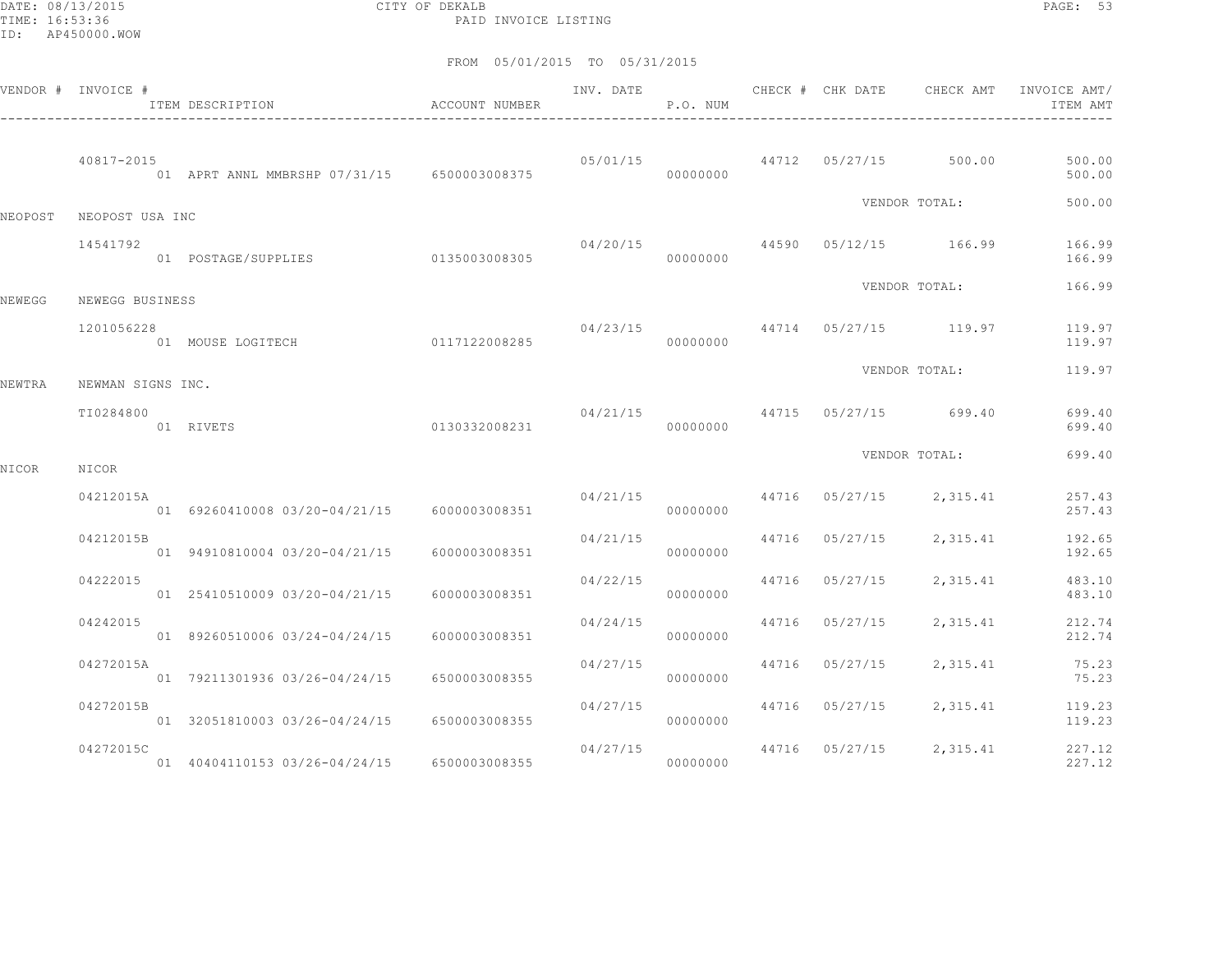DATE: 08/13/2015 CITY OF DEKALB PAGE: 53 PAID INVOICE LISTING

|         | VENDOR # INVOICE #             | ITEM DESCRIPTION                               | <b>ACCOUNT NUMBER</b> | INV. DATE | P.O. NUM | CHECK # CHK DATE | CHECK AMT                              | INVOICE AMT/<br>ITEM AMT |
|---------|--------------------------------|------------------------------------------------|-----------------------|-----------|----------|------------------|----------------------------------------|--------------------------|
|         | 40817-2015                     | 01 APRT ANNL MMBRSHP 07/31/15 6500003008375    |                       |           | 00000000 |                  | $05/01/15$ $44712$ $05/27/15$ $500.00$ | 500.00<br>500.00         |
| NEOPOST | NEOPOST USA INC                |                                                |                       |           |          |                  | VENDOR TOTAL:                          | 500.00                   |
|         | 14541792                       | 01  POSTAGE/SUPPLIES  0135003008305            |                       |           | 00000000 |                  | 04/20/15 44590 05/12/15 166.99         | 166.99<br>166.99         |
| NEWEGG  | NEWEGG BUSINESS                |                                                |                       |           |          |                  | VENDOR TOTAL:                          | 166.99                   |
|         | 1201056228                     | 01 MOUSE LOGITECH                              | 0117122008285         | 04/23/15  | 00000000 |                  | 44714 05/27/15 119.97                  | 119.97<br>119.97         |
|         |                                |                                                |                       |           |          |                  | VENDOR TOTAL:                          | 119.97                   |
| NEWTRA  | NEWMAN SIGNS INC.<br>TI0284800 | 01 RIVETS                                      | 0130332008231         |           | 00000000 |                  | $04/21/15$ $44715$ $05/27/15$ $699.40$ | 699.40<br>699.40         |
| NICOR   | NICOR                          |                                                |                       |           |          |                  | VENDOR TOTAL:                          | 699.40                   |
|         | 04212015A                      | 01 69260410008 03/20-04/21/15 6000003008351    |                       | 04/21/15  | 00000000 |                  | 44716 05/27/15 2,315.41                | 257.43<br>257.43         |
|         | 04212015B                      | 01 94910810004 03/20-04/21/15                  | 6000003008351         | 04/21/15  | 00000000 | 44716 05/27/15   | 2,315.41                               | 192.65<br>192.65         |
|         | 04222015                       | 01 25410510009 03/20-04/21/15                  | 6000003008351         | 04/22/15  | 00000000 | 44716 05/27/15   | 2,315.41                               | 483.10<br>483.10         |
|         | 04242015                       | 01 89260510006 03/24-04/24/15                  | 6000003008351         | 04/24/15  | 00000000 | 44716 05/27/15   | 2,315.41                               | 212.74<br>212.74         |
|         | 04272015A                      | 01 79211301936 03/26-04/24/15                  | 6500003008355         | 04/27/15  | 00000000 | 44716 05/27/15   | 2,315.41                               | 75.23<br>75.23           |
|         | 04272015B                      | 01 32051810003 03/26-04/24/15                  | 6500003008355         | 04/27/15  | 00000000 | 44716 05/27/15   | 2,315.41                               | 119.23<br>119.23         |
|         | 04272015C                      | 01  40404110153  03/26-04/24/15  6500003008355 |                       | 04/27/15  | 00000000 |                  | 44716 05/27/15 2,315.41                | 227.12<br>227.12         |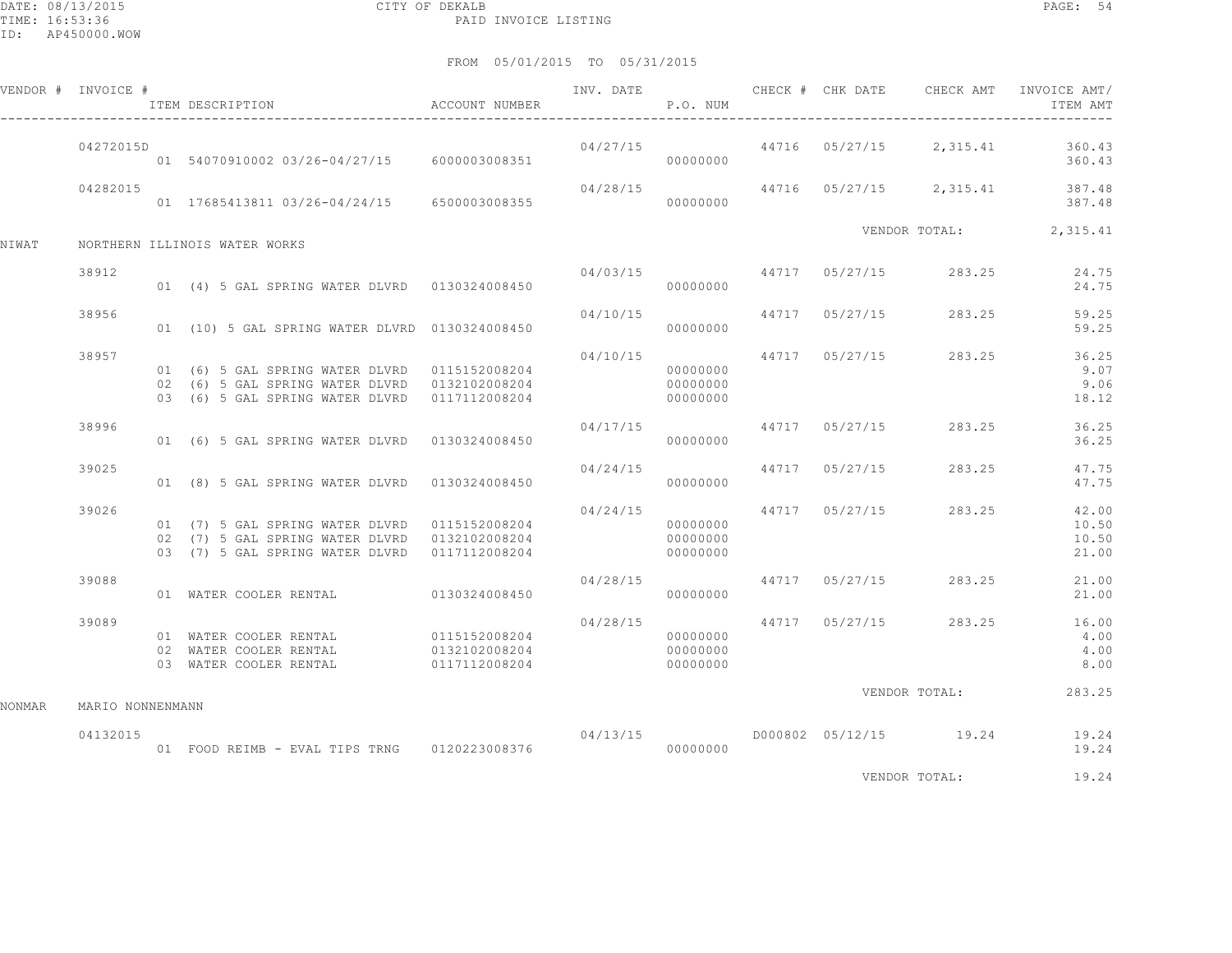DATE: 08/13/2015 CITY OF DEKALB PAGE: 54 PAID INVOICE LISTING

FROM 05/01/2015 TO 05/31/2015

|        | VENDOR # INVOICE # | ITEM DESCRIPTION                                                                                                                                | ACCOUNT NUMBER                                  |                                      | P.O. NUM                         |                |                                         | ITEM AMT                                 |
|--------|--------------------|-------------------------------------------------------------------------------------------------------------------------------------------------|-------------------------------------------------|--------------------------------------|----------------------------------|----------------|-----------------------------------------|------------------------------------------|
|        | 04272015D          | 01 54070910002 03/26-04/27/15 6000003008351                                                                                                     |                                                 |                                      | 000000000                        |                | $04/27/15$ 44716 05/27/15 2,315.41      | 360.43<br>360.43                         |
|        | 04282015           | 01  17685413811  03/26-04/24/15  6500003008355                                                                                                  |                                                 | 04/28/15                             | 00000000                         |                |                                         | 44716 05/27/15 2,315.41 387.48<br>387.48 |
| NIWAT  |                    | NORTHERN ILLINOIS WATER WORKS                                                                                                                   |                                                 |                                      |                                  |                |                                         | VENDOR TOTAL: 2,315.41                   |
|        | 38912              | 01 (4) 5 GAL SPRING WATER DLVRD 0130324008450                                                                                                   |                                                 |                                      | 00000000                         |                | $04/03/15$ $44717$ $05/27/15$ $283.25$  | 24.75<br>24.75                           |
|        | 38956              | 01 (10) 5 GAL SPRING WATER DLVRD 0130324008450                                                                                                  |                                                 | 04/10/15                             | 00000000                         | 44717 05/27/15 | 283.25                                  | 59.25<br>59.25                           |
|        | 38957              | 01 (6) 5 GAL SPRING WATER DLVRD 0115152008204<br>02 (6) 5 GAL SPRING WATER DLVRD 0132102008204<br>03 (6) 5 GAL SPRING WATER DLVRD 0117112008204 |                                                 | 04/10/15                             | 00000000<br>00000000<br>00000000 |                | 44717 05/27/15 283.25                   | 36.25<br>9.07<br>9.06<br>18.12           |
|        | 38996              | 01 (6) 5 GAL SPRING WATER DLVRD 0130324008450                                                                                                   |                                                 | 04/17/15                             | 00000000                         |                | 44717 05/27/15 283.25                   | 36.25<br>36.25                           |
|        | 39025              | 01 (8) 5 GAL SPRING WATER DLVRD 0130324008450                                                                                                   |                                                 | 04/24/15                             | 00000000                         | 44717 05/27/15 | 283.25                                  | 47.75<br>47.75                           |
|        | 39026              | 02 (7) 5 GAL SPRING WATER DLVRD 0132102008204<br>03 (7) 5 GAL SPRING WATER DLVRD 0117112008204                                                  |                                                 | 04/24/15 44717 05/27/15              | 00000000<br>00000000<br>00000000 |                | 283.25                                  | 42.00<br>10.50<br>10.50<br>21.00         |
|        | 39088              | 01 WATER COOLER RENTAL                                                                                                                          | 0130324008450                                   | 04/28/15                             | 00000000                         |                | 44717 05/27/15 283.25                   | 21.00<br>21.00                           |
|        | 39089              | 01 WATER COOLER RENTAL<br>02 WATER COOLER RENTAL<br>03 WATER COOLER RENTAL                                                                      | 0115152008204<br>0132102008204<br>0117112008204 | 04/28/15 44717 05/27/15<br>000000000 | 00000000<br>00000000             |                | 283.25                                  | 16.00<br>4.00<br>4.00<br>8.00            |
| NONMAR | MARIO NONNENMANN   |                                                                                                                                                 |                                                 |                                      |                                  |                | VENDOR TOTAL:                           | 283.25                                   |
|        | 04132015           | 01 FOOD REIMB - EVAL TIPS TRNG 0120223008376                                                                                                    |                                                 |                                      | 00000000                         |                | $04/13/15$ $0000802$ $05/12/15$ $19.24$ | 19.24<br>19.24                           |

VENDOR TOTAL: 19.24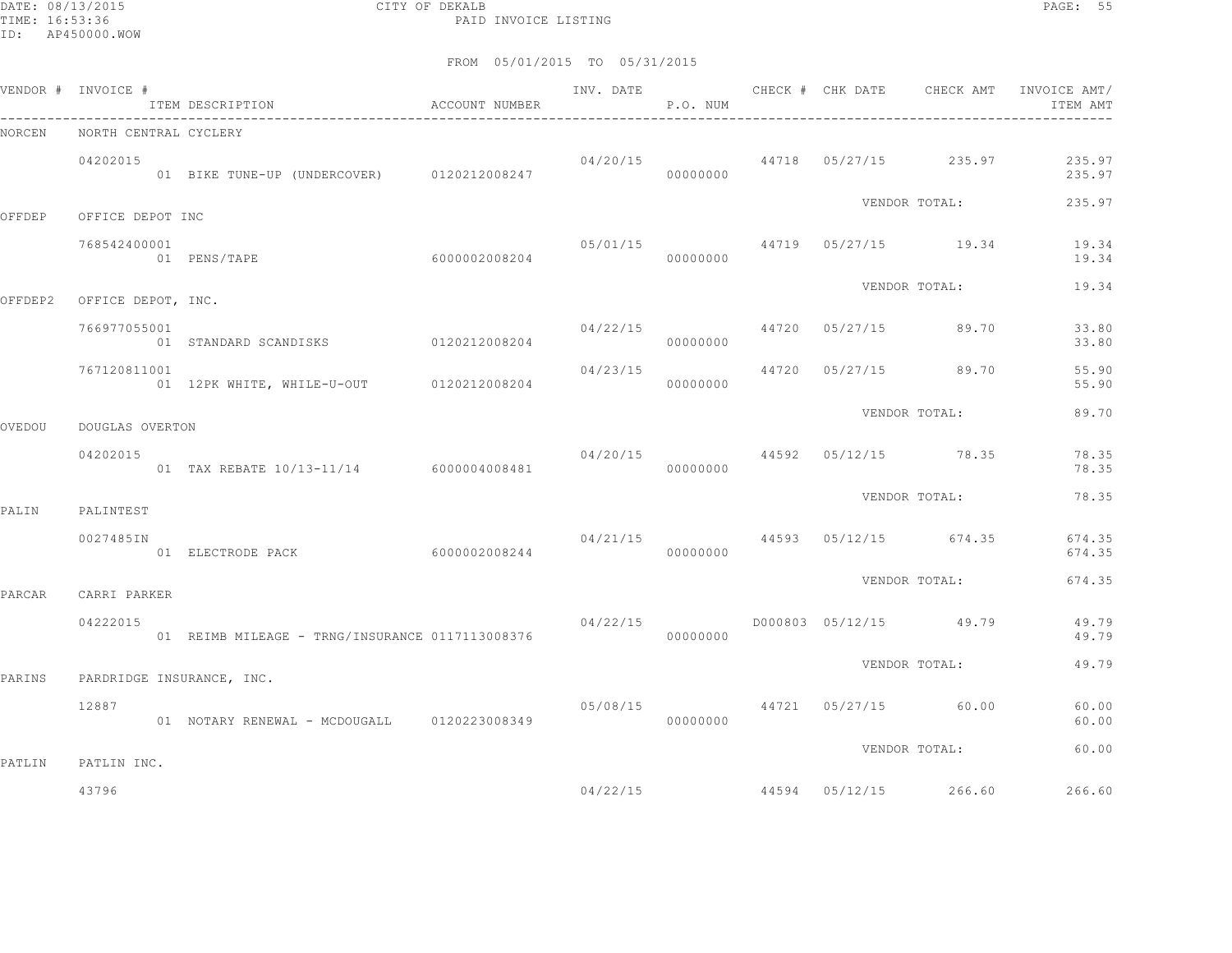DATE: 08/13/2015 CITY OF DEKALB PAGE: 55 PAID INVOICE LISTING

|        | VENDOR # INVOICE #         | ITEM DESCRIPTION <a> <a> </a> </a> <a> </a> ACCOUNT NUMBER |  | P.O. NUM |  |                                     | ITEM AMT                                                 |
|--------|----------------------------|------------------------------------------------------------|--|----------|--|-------------------------------------|----------------------------------------------------------|
| NORCEN | NORTH CENTRAL CYCLERY      |                                                            |  |          |  |                                     |                                                          |
|        | 04202015                   | 01 BIKE TUNE-UP (UNDERCOVER) 0120212008247                 |  | 00000000 |  | $04/20/15$ 44718 $05/27/15$ 235.97  | 235.97<br>235.97                                         |
| OFFDEP | OFFICE DEPOT INC           |                                                            |  |          |  | VENDOR TOTAL:                       | 235.97                                                   |
|        | 768542400001               | 60000002008204<br>01 PENS/TAPE                             |  | 00000000 |  |                                     | $0.5/01/15$ $44719$ $0.5/27/15$ $19.34$ $19.34$<br>19.34 |
|        | OFFDEP2 OFFICE DEPOT, INC. |                                                            |  |          |  | VENDOR TOTAL:                       | 19.34                                                    |
|        | 766977055001               | 01 STANDARD SCANDISKS 0120212008204                        |  | 00000000 |  | $04/22/15$ $44720$ $05/27/15$ 89.70 | 33.80<br>33.80                                           |
|        | 767120811001               | 01 12PK WHITE, WHILE-U-OUT 0120212008204                   |  | 00000000 |  | $04/23/15$ $44720$ $05/27/15$ 89.70 | 55.90<br>55.90                                           |
| OVEDOU | DOUGLAS OVERTON            |                                                            |  |          |  | VENDOR TOTAL:                       | 89.70                                                    |
|        | 04202015                   | 01 TAX REBATE 10/13-11/14 6000004008481                    |  | 00000000 |  | 04/20/15 44592 05/12/15 78.35       | 78.35<br>78.35                                           |
|        |                            |                                                            |  |          |  | VENDOR TOTAL:                       | 78.35                                                    |
| PALIN  | PALINTEST<br>0027485IN     |                                                            |  |          |  | 04/21/15 44593 05/12/15 674.35      | 674.35<br>674.35                                         |
| PARCAR | CARRI PARKER               |                                                            |  |          |  | VENDOR TOTAL:                       | 674.35                                                   |
|        | 04222015                   | 01 REIMB MILEAGE - TRNG/INSURANCE 0117113008376            |  | 00000000 |  |                                     | 49.79<br>49.79                                           |
| PARINS | PARDRIDGE INSURANCE, INC.  |                                                            |  |          |  | VENDOR TOTAL:                       | 49.79                                                    |
|        | 12887                      | 01 NOTARY RENEWAL - MCDOUGALL 0120223008349                |  | 00000000 |  | 05/08/15 44721 05/27/15 60.00       | 60.00<br>60.00                                           |
| PATLIN | PATLIN INC.                |                                                            |  |          |  | VENDOR TOTAL:                       | 60.00                                                    |
|        | 43796                      |                                                            |  | 04/22/15 |  | 44594 05/12/15 266.60               | 266.60                                                   |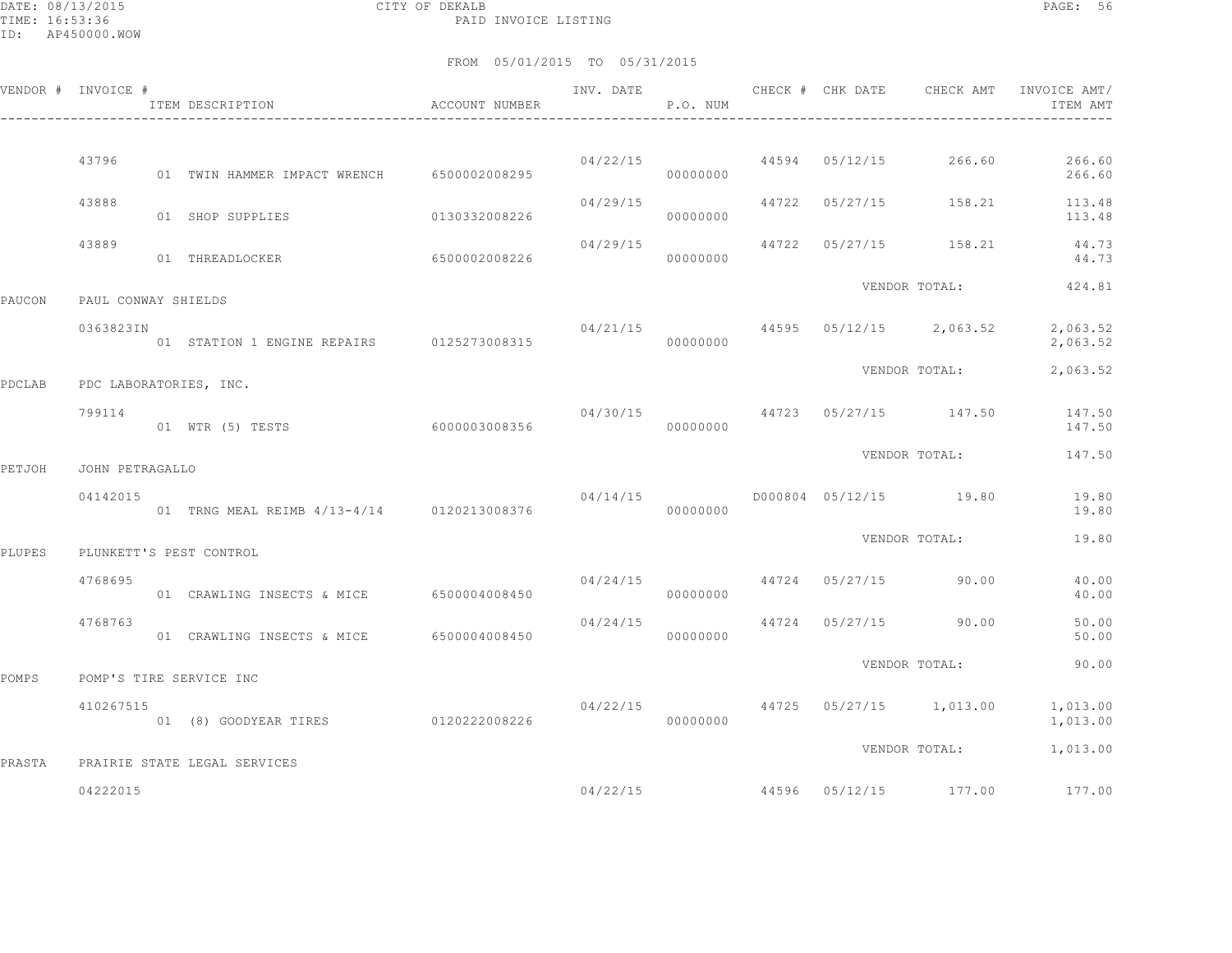DATE: 08/13/2015 CITY OF DEKALB PAGE: 56 PAID INVOICE LISTING

|        | VENDOR # INVOICE #  |                                            |               |          | INV. DATE<br>P.O. NUM |                         | CHECK # CHK DATE CHECK AMT             | INVOICE AMT/<br>ITEM AMT                                        |
|--------|---------------------|--------------------------------------------|---------------|----------|-----------------------|-------------------------|----------------------------------------|-----------------------------------------------------------------|
|        | 43796               |                                            |               |          |                       | 04/22/15 44594 05/12/15 | 266.60                                 | 266.60                                                          |
|        | 43888               | 01 TWIN HAMMER IMPACT WRENCH 6500002008295 |               | 04/29/15 | 00000000              |                         | 44722 05/27/15 158.21                  | 266.60<br>113.48                                                |
|        |                     | 01 SHOP SUPPLIES                           | 0130332008226 |          | 00000000              |                         |                                        | 113.48                                                          |
|        | 43889               | 01 THREADLOCKER                            | 6500002008226 | 04/29/15 | 00000000              |                         |                                        | 44722 05/27/15 158.21 44.73<br>44.73                            |
| PAUCON | PAUL CONWAY SHIELDS |                                            |               |          |                       |                         | VENDOR TOTAL:                          | 424.81                                                          |
|        | 0363823IN           | 01 STATION 1 ENGINE REPAIRS 0125273008315  |               |          | 00000000              |                         | $04/21/15$ 44595 05/12/15 2,063.52     | 2,063.52<br>2,063.52                                            |
| PDCLAB |                     | PDC LABORATORIES, INC.                     |               |          |                       |                         | VENDOR TOTAL:                          | 2,063.52                                                        |
|        | 799114              | 01 WTR (5) TESTS                           | 6000003008356 |          | 00000000              |                         | $04/30/15$ $44723$ $05/27/15$ $147.50$ | 147.50<br>147.50                                                |
| PETJOH | JOHN PETRAGALLO     |                                            |               |          |                       |                         | VENDOR TOTAL:                          | 147.50                                                          |
|        | 04142015            | 01 TRNG MEAL REIMB 4/13-4/14 0120213008376 |               | 04/14/15 | 00000000              |                         | D000804 05/12/15 19.80                 | 19.80<br>19.80                                                  |
| PLUPES |                     | PLUNKETT'S PEST CONTROL                    |               |          |                       |                         | VENDOR TOTAL:                          | 19.80                                                           |
|        | 4768695             | 01 CRAWLING INSECTS & MICE 6500004008450   |               |          | 00000000              |                         | $04/24/15$ $44724$ $05/27/15$ 90.00    | 40.00<br>40.00                                                  |
|        | 4768763             | 01 CRAWLING INSECTS & MICE 6500004008450   |               | 04/24/15 | 00000000              |                         | 44724 05/27/15 90.00                   | 50.00<br>50.00                                                  |
| POMPS  |                     | POMP'S TIRE SERVICE INC                    |               |          |                       |                         | VENDOR TOTAL:                          | 90.00                                                           |
|        | 410267515           | 01 (8) GOODYEAR TIRES 0120222008226        |               |          | 00000000              |                         |                                        | $04/22/15$ $44725$ $05/27/15$ $1,013.00$ $1,013.00$<br>1,013.00 |
| PRASTA |                     | PRAIRIE STATE LEGAL SERVICES               |               |          |                       |                         |                                        | VENDOR TOTAL: 1,013.00                                          |
|        | 04222015            |                                            |               |          | 04/22/15              |                         | 44596 05/12/15 177.00                  | 177.00                                                          |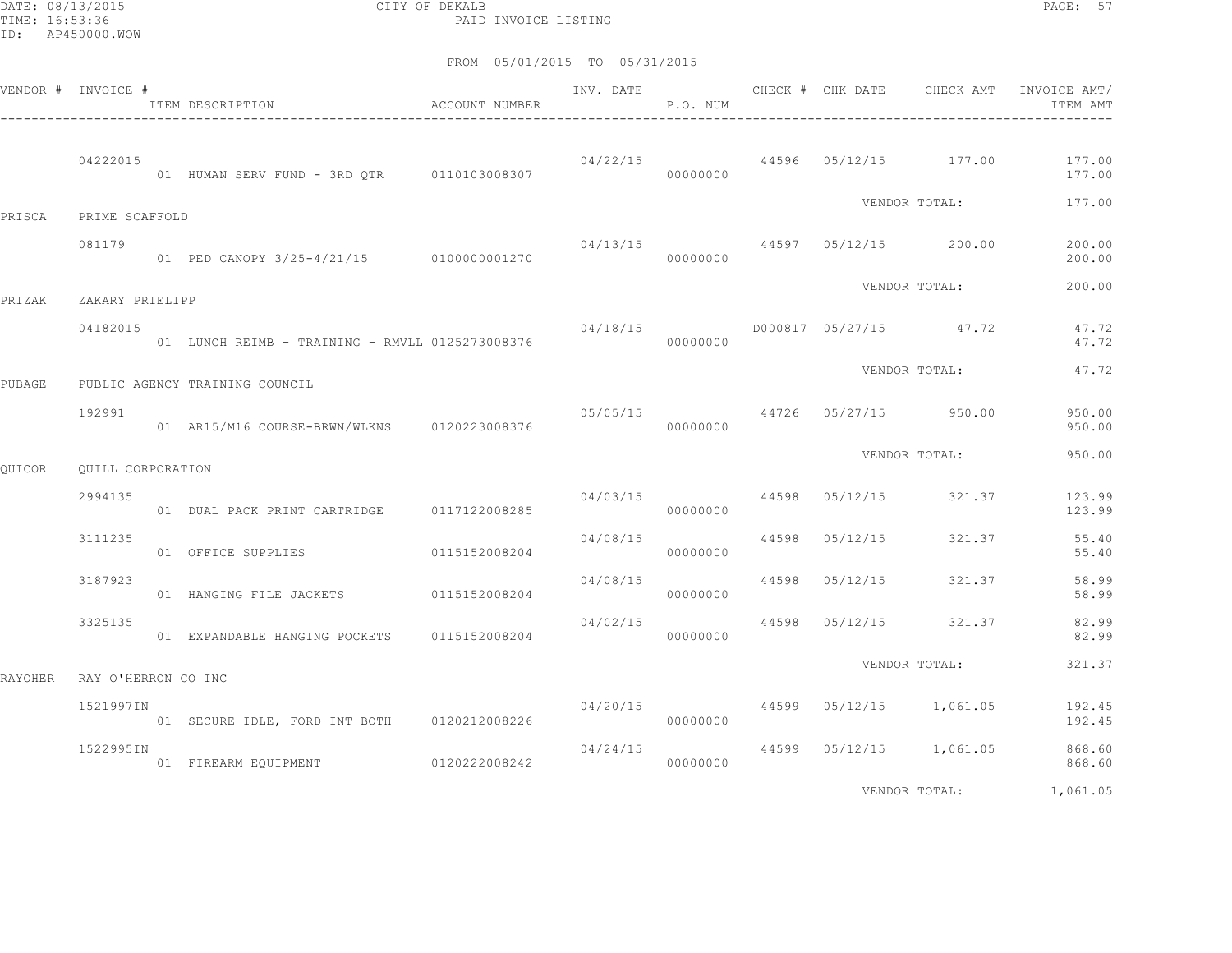DATE: 08/13/2015 CITY OF DEKALB PAGE: 57 PAID INVOICE LISTING

|         | VENDOR # INVOICE #  | ITEM DESCRIPTION                                | ACCOUNT NUMBER | INV. DATE | P.O. NUM |       | CHECK # CHK DATE                       | CHECK AMT                 | INVOICE AMT/<br>ITEM AMT                                  |
|---------|---------------------|-------------------------------------------------|----------------|-----------|----------|-------|----------------------------------------|---------------------------|-----------------------------------------------------------|
|         | 04222015            | 01 HUMAN SERV FUND - 3RD OTR 0110103008307      |                |           | 00000000 |       |                                        |                           | $04/22/15$ $44596$ $05/12/15$ $177.00$ $177.00$<br>177.00 |
| PRISCA  | PRIME SCAFFOLD      |                                                 |                |           |          |       |                                        | VENDOR TOTAL:             | 177.00                                                    |
|         | 081179              | 01 PED CANOPY 3/25-4/21/15 0100000001270        |                | 04/13/15  | 00000000 |       |                                        | 44597 05/12/15 200.00     | 200.00<br>200.00                                          |
| PRIZAK  | ZAKARY PRIELIPP     |                                                 |                |           |          |       |                                        | VENDOR TOTAL:             | 200.00                                                    |
|         | 04182015            | 01 LUNCH REIMB - TRAINING - RMVLL 0125273008376 |                | 04/18/15  | 00000000 |       |                                        | D000817 05/27/15 47.72    | 47.72<br>47.72                                            |
| PUBAGE  |                     | PUBLIC AGENCY TRAINING COUNCIL                  |                |           |          |       |                                        | VENDOR TOTAL:             | 47.72                                                     |
|         | 192991              | 01 AR15/M16 COURSE-BRWN/WLKNS 0120223008376     |                |           | 00000000 |       | $05/05/15$ $44726$ $05/27/15$ $950.00$ |                           | 950.00<br>950.00                                          |
| QUICOR  | OUILL CORPORATION   |                                                 |                |           |          |       |                                        | VENDOR TOTAL:             | 950.00                                                    |
|         | 2994135             | 01 DUAL PACK PRINT CARTRIDGE 0117122008285      |                | 04/03/15  | 00000000 |       | 44598 05/12/15 321.37                  |                           | 123.99<br>123.99                                          |
|         | 3111235             | 01 OFFICE SUPPLIES                              | 0115152008204  | 04/08/15  | 00000000 |       | 44598 05/12/15                         | 321.37                    | 55.40<br>55.40                                            |
|         | 3187923             | 01 HANGING FILE JACKETS                         | 0115152008204  | 04/08/15  | 00000000 | 44598 | 05/12/15                               | 321.37                    | 58.99<br>58.99                                            |
|         | 3325135             | 01 EXPANDABLE HANGING POCKETS 0115152008204     |                | 04/02/15  | 00000000 |       | 44598 05/12/15                         | 321.37                    | 82.99<br>82.99                                            |
| RAYOHER | RAY O'HERRON CO INC |                                                 |                |           |          |       |                                        | VENDOR TOTAL:             | 321.37                                                    |
|         | 1521997IN           | 01 SECURE IDLE, FORD INT BOTH 0120212008226     |                | 04/20/15  | 00000000 |       | 44599 05/12/15 1,061.05                |                           | 192.45<br>192.45                                          |
|         | 1522995IN           | 01 FIREARM EQUIPMENT                            | 0120222008242  | 04/24/15  | 00000000 |       |                                        | 44599  05/12/15  1,061.05 | 868.60<br>868.60                                          |
|         |                     |                                                 |                |           |          |       |                                        | VENDOR TOTAL:             | 1,061.05                                                  |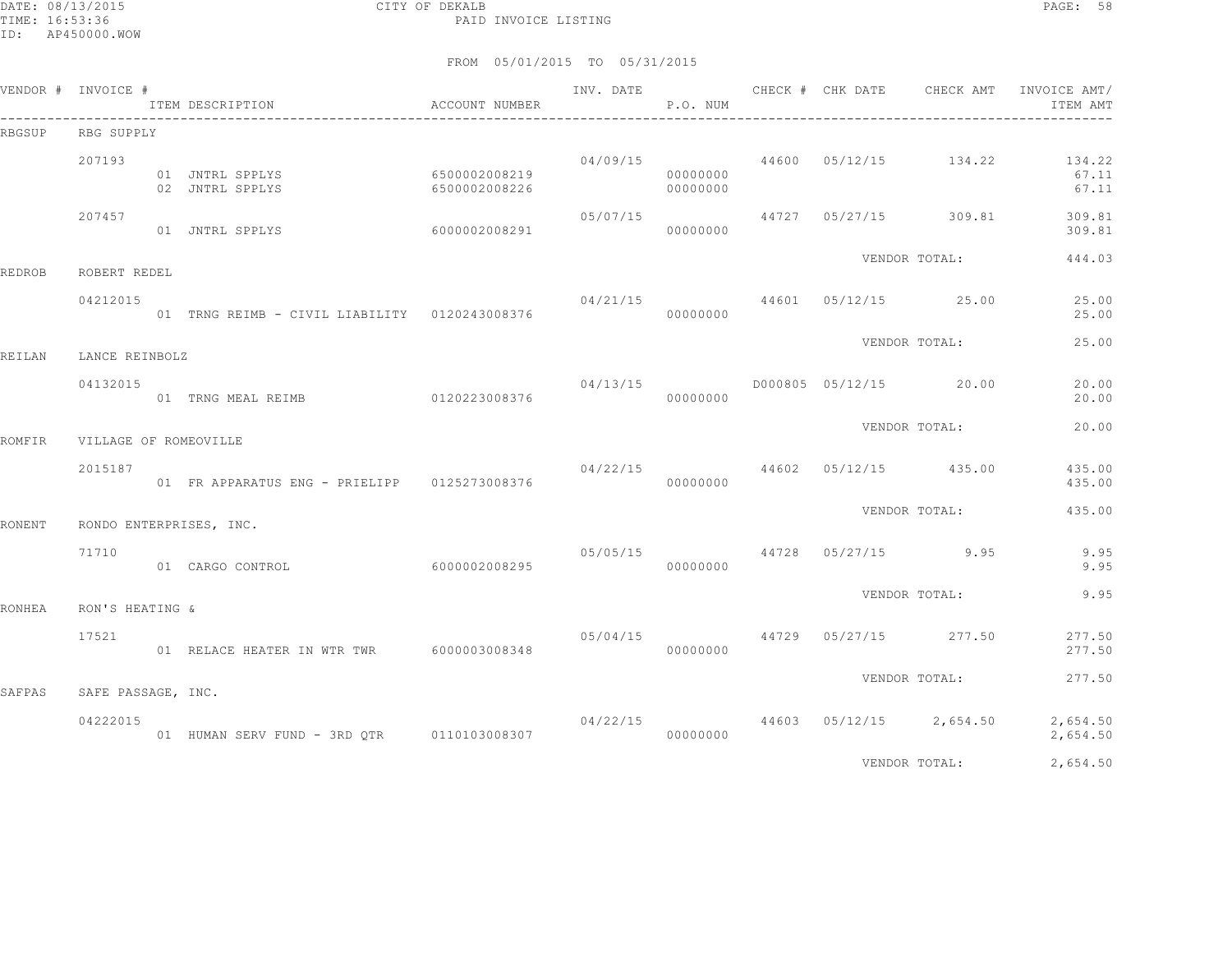DATE: 08/13/2015 CITY OF DEKALB PAGE: 58 PAID INVOICE LISTING

|        | VENDOR # INVOICE #             | ITEM DESCRIPTION                              | ACCOUNT NUMBER                 |                                                   | P.O. NUM             | INV. DATE CHECK # CHK DATE |                                          | CHECK AMT INVOICE AMT/<br>ITEM AMT                                |
|--------|--------------------------------|-----------------------------------------------|--------------------------------|---------------------------------------------------|----------------------|----------------------------|------------------------------------------|-------------------------------------------------------------------|
| RBGSUP | RBG SUPPLY                     |                                               |                                |                                                   |                      |                            |                                          |                                                                   |
|        | 207193                         | 01 JNTRL SPPLYS<br>02 JNTRL SPPLYS            | 6500002008219<br>6500002008226 |                                                   | 00000000<br>00000000 |                            |                                          | $04/09/15$ $44600$ $05/12/15$ $134.22$ $134.22$<br>67.11<br>67.11 |
|        | 207457                         | 01 JNTRL SPPLYS 6000002008291                 |                                | 05/07/15                                          | 00000000             |                            | 44727 05/27/15 309.81                    | 309.81<br>309.81                                                  |
| REDROB | ROBERT REDEL                   |                                               |                                |                                                   |                      |                            | VENDOR TOTAL:                            | 444.03                                                            |
|        | 04212015                       | 01 TRNG REIMB - CIVIL LIABILITY 0120243008376 |                                |                                                   | 00000000             |                            | 04/21/15 44601 05/12/15 25.00            | 25.00<br>25.00                                                    |
| REILAN | LANCE REINBOLZ                 |                                               |                                |                                                   |                      |                            | VENDOR TOTAL:                            | 25.00                                                             |
|        | 04132015                       | 01 TRNG MEAL REIMB 0120223008376              |                                | 04/13/15                                          | 00000000             |                            | D000805 05/12/15 20.00                   | 20.00<br>20.00                                                    |
| ROMFIR | VILLAGE OF ROMEOVILLE          |                                               |                                |                                                   |                      |                            | VENDOR TOTAL:                            | 20.00                                                             |
|        | 2015187                        | 01 FR APPARATUS ENG - PRIELIPP 0125273008376  |                                |                                                   | 00000000             |                            | 04/22/15 44602 05/12/15 435.00           | 435.00<br>435.00                                                  |
| RONENT |                                | RONDO ENTERPRISES, INC.                       |                                |                                                   |                      |                            | VENDOR TOTAL:                            | 435.00                                                            |
|        | 71710                          | 01 CARGO CONTROL                              | 6000002008295                  | 05/05/15                                          | 00000000             |                            | 44728 05/27/15 9.95                      | 9.95<br>9.95                                                      |
| RONHEA | RON'S HEATING &                |                                               |                                |                                                   |                      |                            | VENDOR TOTAL:                            | 9.95                                                              |
|        | 17521                          | 01 RELACE HEATER IN WTR TWR 6000003008348     |                                | $0.5/0.4/15$ $0.5/27/15$ $0.5/27/15$ $0.5/277.50$ | 00000000             |                            |                                          | 277.50<br>277.50                                                  |
|        |                                |                                               |                                |                                                   |                      |                            | VENDOR TOTAL:                            | 277.50                                                            |
| SAFPAS | SAFE PASSAGE, INC.<br>04222015 |                                               |                                |                                                   |                      |                            | $04/22/15$ $44603$ $05/12/15$ $2,654.50$ | 2,654.50<br>2,654.50                                              |
|        |                                |                                               |                                |                                                   |                      |                            | VENDOR TOTAL:                            | 2,654.50                                                          |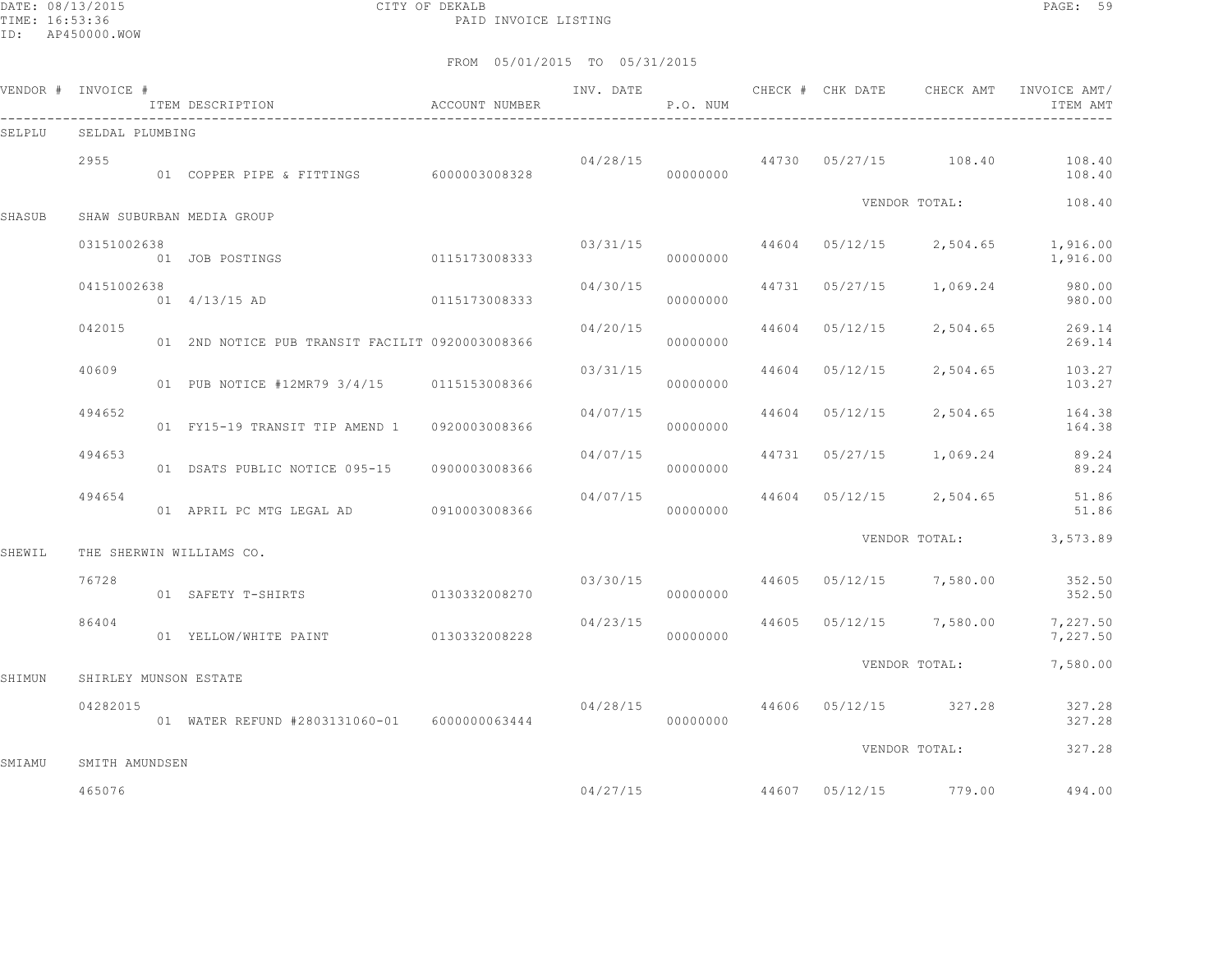DATE: 08/13/2015 CITY OF DEKALB PAGE: 59 PAID INVOICE LISTING

|               | VENDOR # INVOICE #    | ITEM DESCRIPTION                                | ACCOUNT NUMBER | INV. DATE | P.O. NUM |       | CHECK # CHK DATE | CHECK AMT               | INVOICE AMT/<br>ITEM AMT |
|---------------|-----------------------|-------------------------------------------------|----------------|-----------|----------|-------|------------------|-------------------------|--------------------------|
| SELPLU        | SELDAL PLUMBING       |                                                 |                |           |          |       |                  |                         |                          |
|               | 2955                  | 01 COPPER PIPE & FITTINGS 6000003008328         |                | 04/28/15  | 00000000 |       |                  | 44730 05/27/15 108.40   | 108.40<br>108.40         |
| <b>SHASUB</b> |                       | SHAW SUBURBAN MEDIA GROUP                       |                |           |          |       |                  | VENDOR TOTAL:           | 108.40                   |
|               | 03151002638           | 01 JOB POSTINGS                                 | 0115173008333  | 03/31/15  | 00000000 |       |                  | 44604 05/12/15 2,504.65 | 1,916.00<br>1,916.00     |
|               | 04151002638           | $01 \quad 4/13/15$ AD                           | 0115173008333  | 04/30/15  | 00000000 |       | 44731 05/27/15   | 1,069.24                | 980.00<br>980.00         |
|               | 042015                | 01 2ND NOTICE PUB TRANSIT FACILIT 0920003008366 |                | 04/20/15  | 00000000 | 44604 | 05/12/15         | 2,504.65                | 269.14<br>269.14         |
|               | 40609                 | 01 PUB NOTICE #12MR79 3/4/15 0115153008366      |                | 03/31/15  | 00000000 | 44604 | 05/12/15         | 2,504.65                | 103.27<br>103.27         |
|               | 494652                | 01 FY15-19 TRANSIT TIP AMEND 1                  | 0920003008366  | 04/07/15  | 00000000 | 44604 | 05/12/15         | 2,504.65                | 164.38<br>164.38         |
|               | 494653                | 01 DSATS PUBLIC NOTICE 095-15                   | 0900003008366  | 04/07/15  | 00000000 |       | 44731 05/27/15   | 1,069.24                | 89.24<br>89.24           |
|               | 494654                |                                                 |                | 04/07/15  | 00000000 |       | 44604 05/12/15   | 2,504.65                | 51.86<br>51.86           |
| SHEWIL        |                       | THE SHERWIN WILLIAMS CO.                        |                |           |          |       |                  | VENDOR TOTAL:           | 3,573.89                 |
|               | 76728                 | 01 SAFETY T-SHIRTS                              | 0130332008270  | 03/30/15  | 00000000 |       |                  | 44605 05/12/15 7,580.00 | 352.50<br>352.50         |
|               | 86404                 | 01 YELLOW/WHITE PAINT 0130332008228             |                | 04/23/15  | 00000000 | 44605 | 05/12/15         | 7,580.00                | 7,227.50<br>7,227.50     |
| SHIMUN        | SHIRLEY MUNSON ESTATE |                                                 |                |           |          |       |                  | VENDOR TOTAL:           | 7,580.00                 |
|               | 04282015              | 01 WATER REFUND #2803131060-01    6000000063444 |                | 04/28/15  | 00000000 |       |                  | 44606 05/12/15 327.28   | 327.28<br>327.28         |
| SMIAMU        | SMITH AMUNDSEN        |                                                 |                |           |          |       |                  | VENDOR TOTAL:           | 327.28                   |
|               | 465076                |                                                 |                | 04/27/15  |          |       |                  | 44607 05/12/15 779.00   | 494.00                   |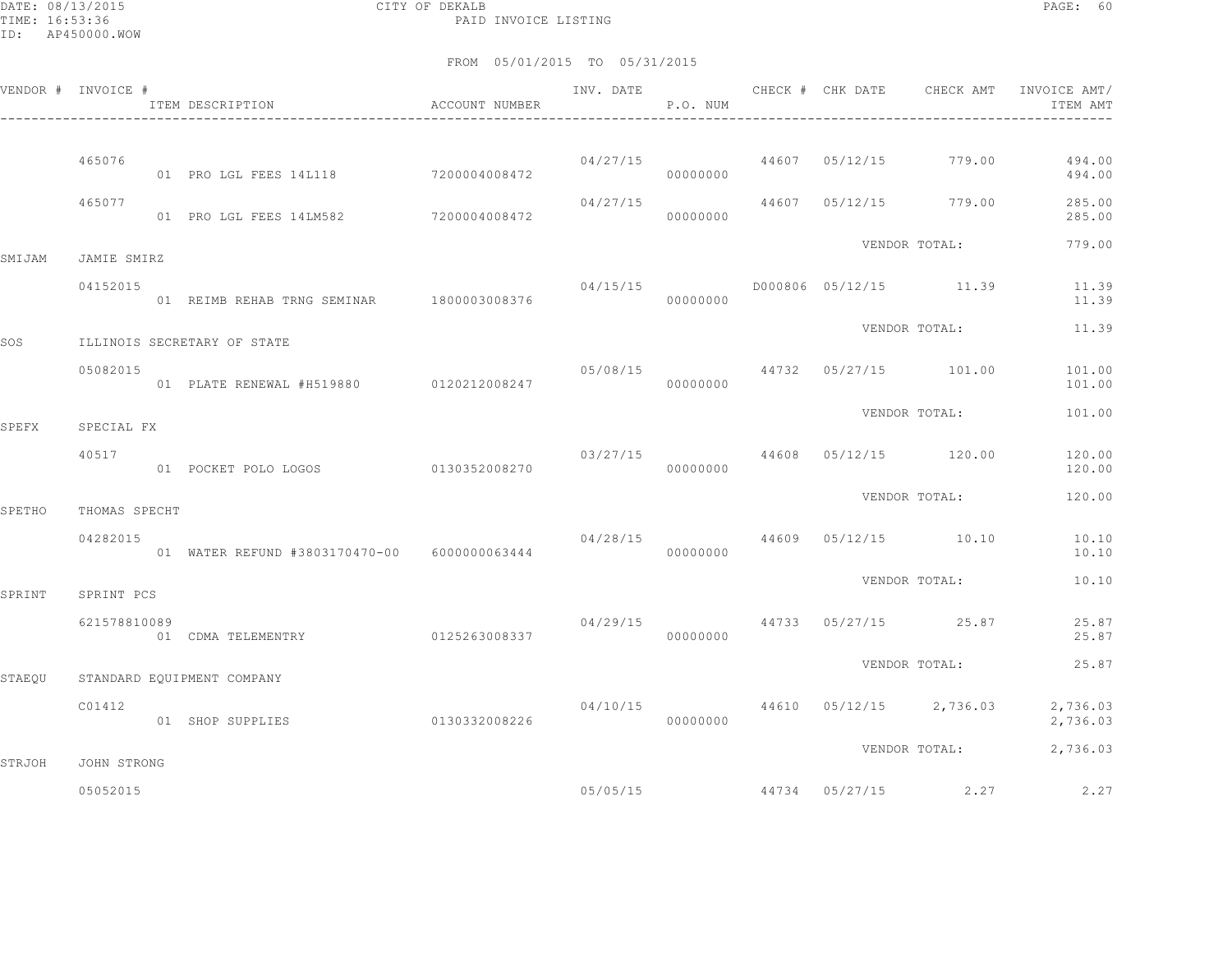DATE: 08/13/2015 CITY OF DEKALB PAGE: 60 PAID INVOICE LISTING

|              | VENDOR # INVOICE #         | ITEM DESCRIPTION                               | ACCOUNT NUMBER | INV. DATE | P.O. NUM    |  |                                        | CHECK # CHK DATE CHECK AMT INVOICE AMT/<br>ITEM AMT |
|--------------|----------------------------|------------------------------------------------|----------------|-----------|-------------|--|----------------------------------------|-----------------------------------------------------|
|              |                            |                                                |                |           |             |  |                                        |                                                     |
|              | 465076                     | 01 PRO LGL FEES 14L118 7200004008472           |                |           | 00000000    |  | $04/27/15$ $44607$ $05/12/15$ $779.00$ | 494.00<br>494.00                                    |
|              | 465077                     | 01 PRO LGL FEES 14LM582 7200004008472          |                | 04/27/15  | 00000000    |  | 44607 05/12/15 779.00                  | 285.00<br>285.00                                    |
| SMIJAM       | JAMIE SMIRZ                |                                                |                |           |             |  | VENDOR TOTAL:                          | 779.00                                              |
|              | 04152015                   |                                                |                | 04/15/15  |             |  | D000806 05/12/15 11.39                 | 11.39<br>11.39                                      |
| SOS          |                            | ILLINOIS SECRETARY OF STATE                    |                |           |             |  | VENDOR TOTAL:                          | 11.39                                               |
|              | 05082015                   | 01 PLATE RENEWAL #H519880 0120212008247        |                |           | 00000000    |  | 05/08/15 44732 05/27/15 101.00         | 101.00<br>101.00                                    |
|              |                            |                                                |                |           |             |  | VENDOR TOTAL:                          | 101.00                                              |
| <b>SPEFX</b> | SPECIAL FX<br>40517        | 01 POCKET POLO LOGOS 0130352008270             |                | 03/27/15  | 00000000    |  | 44608 05/12/15 120.00                  | 120.00<br>120.00                                    |
|              |                            |                                                |                |           |             |  | VENDOR TOTAL:                          | 120.00                                              |
| SPETHO       | THOMAS SPECHT<br>04282015  | 01 WATER REFUND #3803170470-00 6000000063444   |                |           | 00000000    |  | $04/28/15$ $44609$ $05/12/15$ $10.10$  | 10.10<br>10.10                                      |
|              |                            |                                                |                |           |             |  | VENDOR TOTAL:                          | 10.10                                               |
| SPRINT       | SPRINT PCS<br>621578810089 | 01 CDMA TELEMENTRY 0125263008337               |                | 04/29/15  | $000000000$ |  | 44733 05/27/15 25.87                   | 25.87<br>25.87                                      |
|              |                            |                                                |                |           |             |  | VENDOR TOTAL:                          | 25.87                                               |
| STAEOU       | C01412                     | STANDARD EQUIPMENT COMPANY<br>01 SHOP SUPPLIES | 0130332008226  | 04/10/15  | 00000000    |  | 44610 05/12/15 2,736.03                | 2,736.03<br>2,736.03                                |
|              |                            |                                                |                |           |             |  | VENDOR TOTAL:                          | 2,736.03                                            |
| STRJOH       | JOHN STRONG<br>05052015    |                                                |                |           | 05/05/15    |  | 44734 05/27/15 2.27                    | 2.27                                                |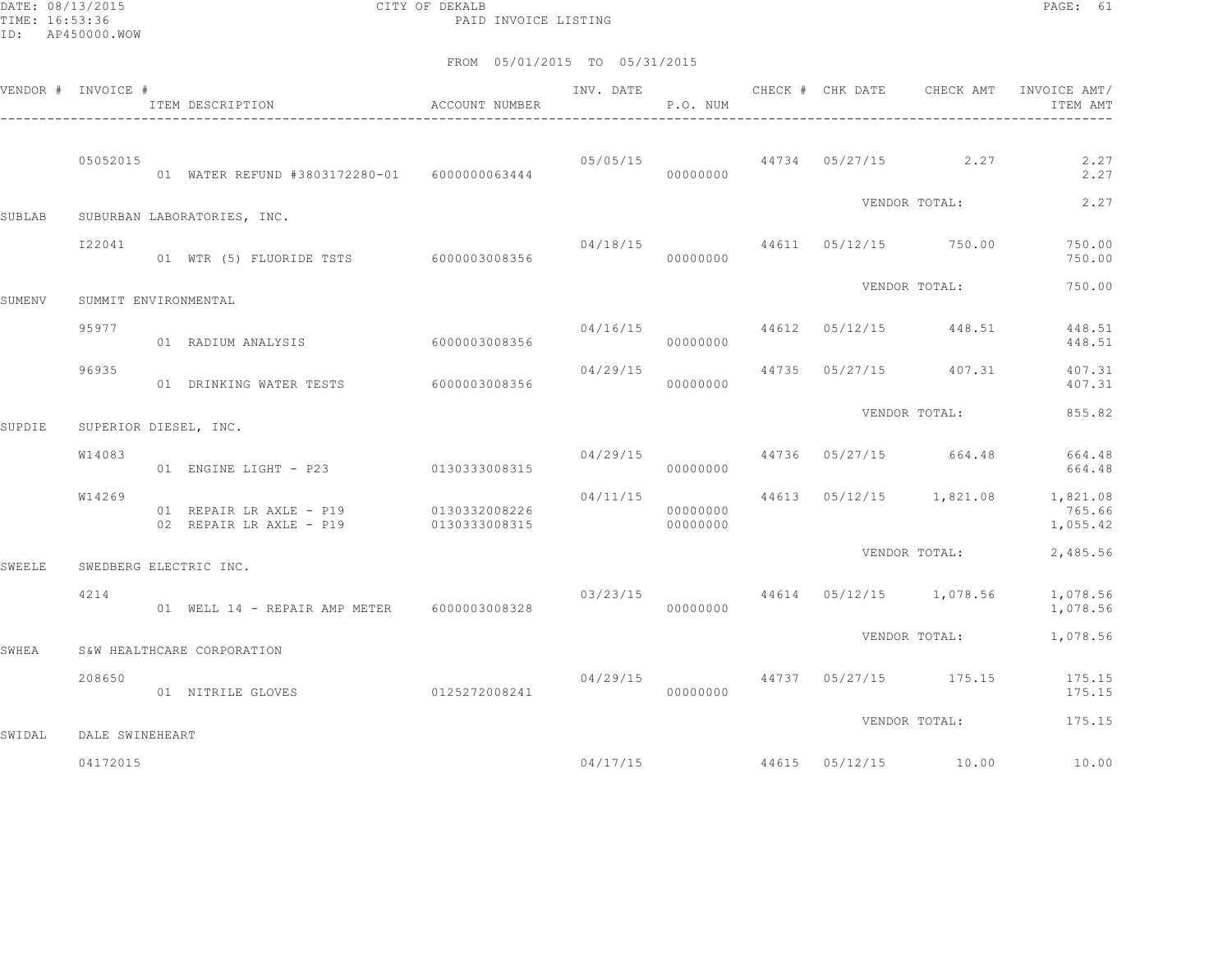DATE: 08/13/2015 CITY OF DEKALB PAGE: 61 PAID INVOICE LISTING

|               | VENDOR # INVOICE #    | ITEM DESCRIPTION <a>&gt; M<br/> <math display="inline">\,</math>ACCOUNT NUMBER</a> |                | INV. DATE<br>------------------- | P.O. NUM             | CHECK # CHK DATE | CHECK AMT                              | INVOICE AMT/<br>ITEM AMT                               |
|---------------|-----------------------|------------------------------------------------------------------------------------|----------------|----------------------------------|----------------------|------------------|----------------------------------------|--------------------------------------------------------|
|               | 05052015              | 01 WATER REFUND #3803172280-01 6000000063444                                       |                |                                  | 00000000             |                  | $0.5/0.5/15$ $0.5/27/15$ $0.2.27$      | 2.27<br>2.27                                           |
| <b>SUBLAB</b> |                       | SUBURBAN LABORATORIES, INC.                                                        |                |                                  |                      |                  | VENDOR TOTAL:                          | 2.27                                                   |
|               | I22041                | 01 WTR (5) FLUORIDE TSTS 6000003008356                                             |                |                                  | 00000000             |                  | 04/18/15 44611 05/12/15 750.00         | 750.00<br>750.00                                       |
| SUMENV        | SUMMIT ENVIRONMENTAL  |                                                                                    |                |                                  |                      |                  | VENDOR TOTAL:                          | 750.00                                                 |
|               | 95977                 | 01 RADIUM ANALYSIS                                                                 | 60000003008356 |                                  | 00000000             |                  | $04/16/15$ $44612$ $05/12/15$ $448.51$ | 448.51<br>448.51                                       |
|               | 96935                 | 01 DRINKING WATER TESTS 6000003008356                                              |                | 04/29/15                         | 00000000             |                  | 44735 05/27/15 407.31                  | 407.31<br>407.31                                       |
| SUPDIE        | SUPERIOR DIESEL, INC. |                                                                                    |                |                                  |                      |                  | VENDOR TOTAL:                          | 855.82                                                 |
|               | W14083                | 01 ENGINE LIGHT - P23 0130333008315                                                |                |                                  | 00000000             |                  | $04/29/15$ $44736$ $05/27/15$ $664.48$ | 664.48<br>664.48                                       |
|               | W14269                | 01 REPAIR LR AXLE - P19<br>02 REPAIR LR AXLE - P19 0130333008315                   | 0130332008226  | 04/11/15                         | 00000000<br>00000000 |                  |                                        | 44613 05/12/15 1,821.08 1,821.08<br>765.66<br>1,055.42 |
| <b>SWEELE</b> |                       | SWEDBERG ELECTRIC INC.                                                             |                |                                  |                      |                  | VENDOR TOTAL:                          | 2,485.56                                               |
|               | 4214                  | 01 WELL 14 - REPAIR AMP METER 6000003008328                                        |                |                                  | 00000000             |                  | $03/23/15$ 44614 05/12/15 1,078.56     | 1,078.56<br>1,078.56                                   |
| SWHEA         |                       | S&W HEALTHCARE CORPORATION                                                         |                |                                  |                      |                  | VENDOR TOTAL:                          | 1,078.56                                               |
|               | 208650                | 01 NITRILE GLOVES                                                                  | 0125272008241  | 04/29/15                         | 00000000             |                  |                                        | 44737 05/27/15 175.15 175.15<br>175.15                 |
| SWIDAL        | DALE SWINEHEART       |                                                                                    |                |                                  |                      |                  | VENDOR TOTAL:                          | 175.15                                                 |
|               | 04172015              |                                                                                    |                |                                  | 04/17/15             |                  | 44615 05/12/15 10.00                   | 10.00                                                  |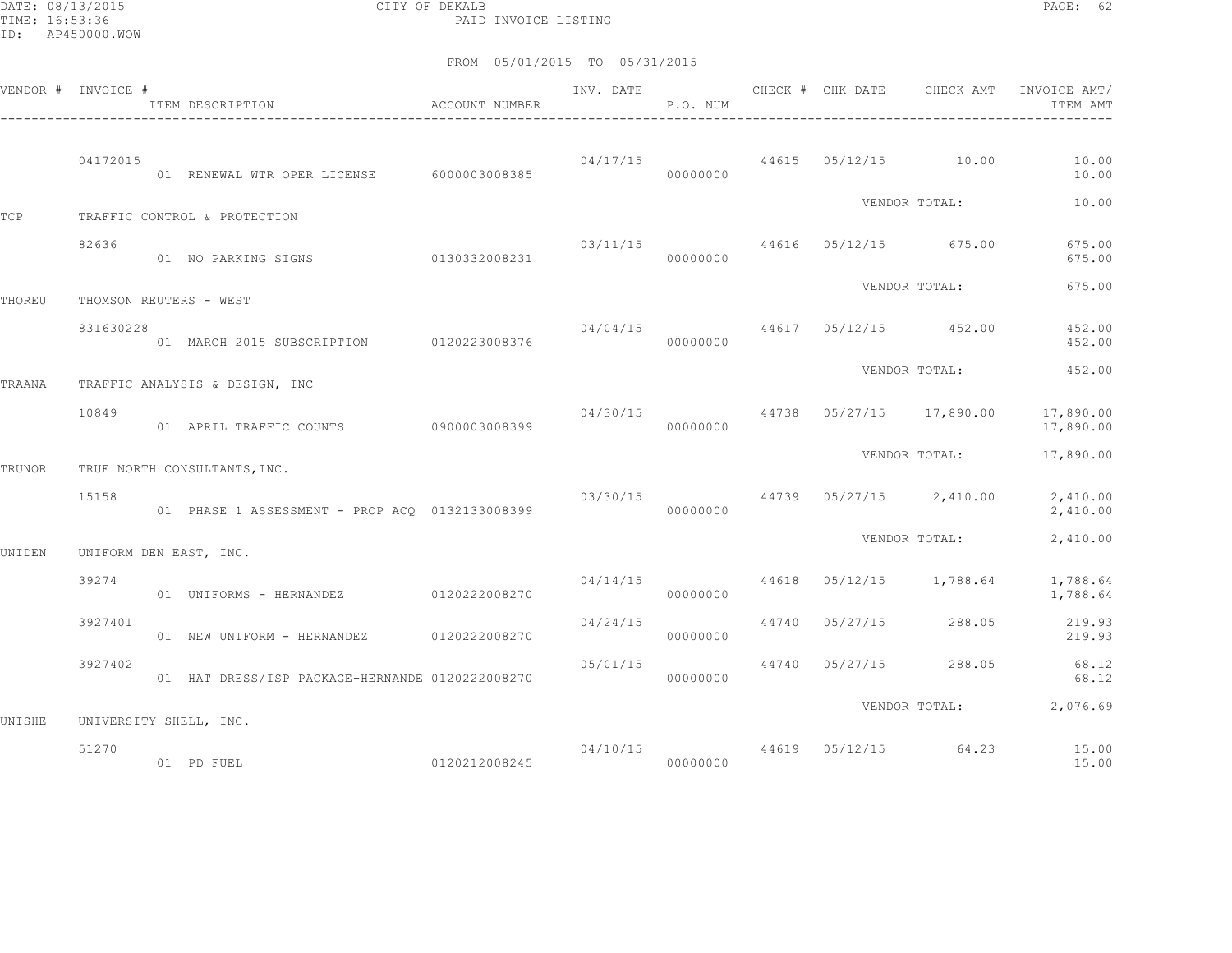DATE: 08/13/2015 CITY OF DEKALB PAGE: 62 PAID INVOICE LISTING

|        | VENDOR # INVOICE # | ACCOUNT NUMBER<br>ITEM DESCRIPTION                                    |               | INV. DATE | P.O. NUM             |       | CHECK # CHK DATE                 | CHECK AMT                                 | INVOICE AMT/<br>ITEM AMT |
|--------|--------------------|-----------------------------------------------------------------------|---------------|-----------|----------------------|-------|----------------------------------|-------------------------------------------|--------------------------|
|        | 04172015           | 01 RENEWAL WTR OPER LICENSE 6000003008385                             |               |           | 00000000             |       | $04/17/15$ 44615 05/12/15 10.00  |                                           | 10.00<br>10.00           |
| TCP    |                    | TRAFFIC CONTROL & PROTECTION                                          |               |           |                      |       |                                  | VENDOR TOTAL:                             | 10.00                    |
|        | 82636              | 01 NO PARKING SIGNS                                                   | 0130332008231 |           | 00000000             |       | $03/11/15$ 44616 05/12/15 675.00 |                                           | 675.00<br>675.00         |
|        |                    |                                                                       |               |           |                      |       |                                  | VENDOR TOTAL:                             | 675.00                   |
| THOREU | 831630228          | THOMSON REUTERS - WEST<br>01 MARCH 2015 SUBSCRIPTION 0120223008376    |               | 04/04/15  | 00000000             |       | 44617 05/12/15 452.00            |                                           | 452.00<br>452.00         |
| TRAANA |                    | TRAFFIC ANALYSIS & DESIGN, INC                                        |               |           |                      |       |                                  | VENDOR TOTAL:                             | 452.00                   |
|        | 10849              | 01 APRIL TRAFFIC COUNTS 0900003008399                                 |               |           | 00000000             |       |                                  | $04/30/15$ $44738$ $05/27/15$ $17,890.00$ | 17,890.00<br>17,890.00   |
| TRUNOR |                    | TRUE NORTH CONSULTANTS, INC.                                          |               |           |                      |       |                                  | VENDOR TOTAL:                             | 17,890.00                |
|        | 15158              | 01 PHASE 1 ASSESSMENT - PROP ACQ 0132133008399                        |               | 03/30/15  | 00000000             |       |                                  | 44739 05/27/15 2,410.00                   | 2,410.00<br>2,410.00     |
|        |                    |                                                                       |               |           |                      |       |                                  | VENDOR TOTAL:                             | 2,410.00                 |
| UNIDEN | 39274              | UNIFORM DEN EAST, INC.<br>01    UNIFORMS - HERNANDEZ    0120222008270 |               |           | 04/14/15<br>00000000 | 44618 |                                  | $05/12/15$ 1,788.64                       | 1,788.64<br>1,788.64     |
|        | 3927401            | 01 NEW UNIFORM - HERNANDEZ                                            | 0120222008270 | 04/24/15  | 00000000             |       | 44740 05/27/15 288.05            |                                           | 219.93<br>219.93         |
|        | 3927402            | 01 HAT DRESS/ISP PACKAGE-HERNANDE 0120222008270                       |               | 05/01/15  | 00000000             |       | 44740 05/27/15                   |                                           | 288.05 68.12<br>68.12    |
|        |                    |                                                                       |               |           |                      |       |                                  | VENDOR TOTAL:                             | 2,076.69                 |
| UNISHE | 51270              | UNIVERSITY SHELL, INC.<br>0120212008245<br>01 PD FUEL                 |               | 00000000  |                      |       |                                  | 04/10/15 44619 05/12/15 64.23             | 15.00<br>15.00           |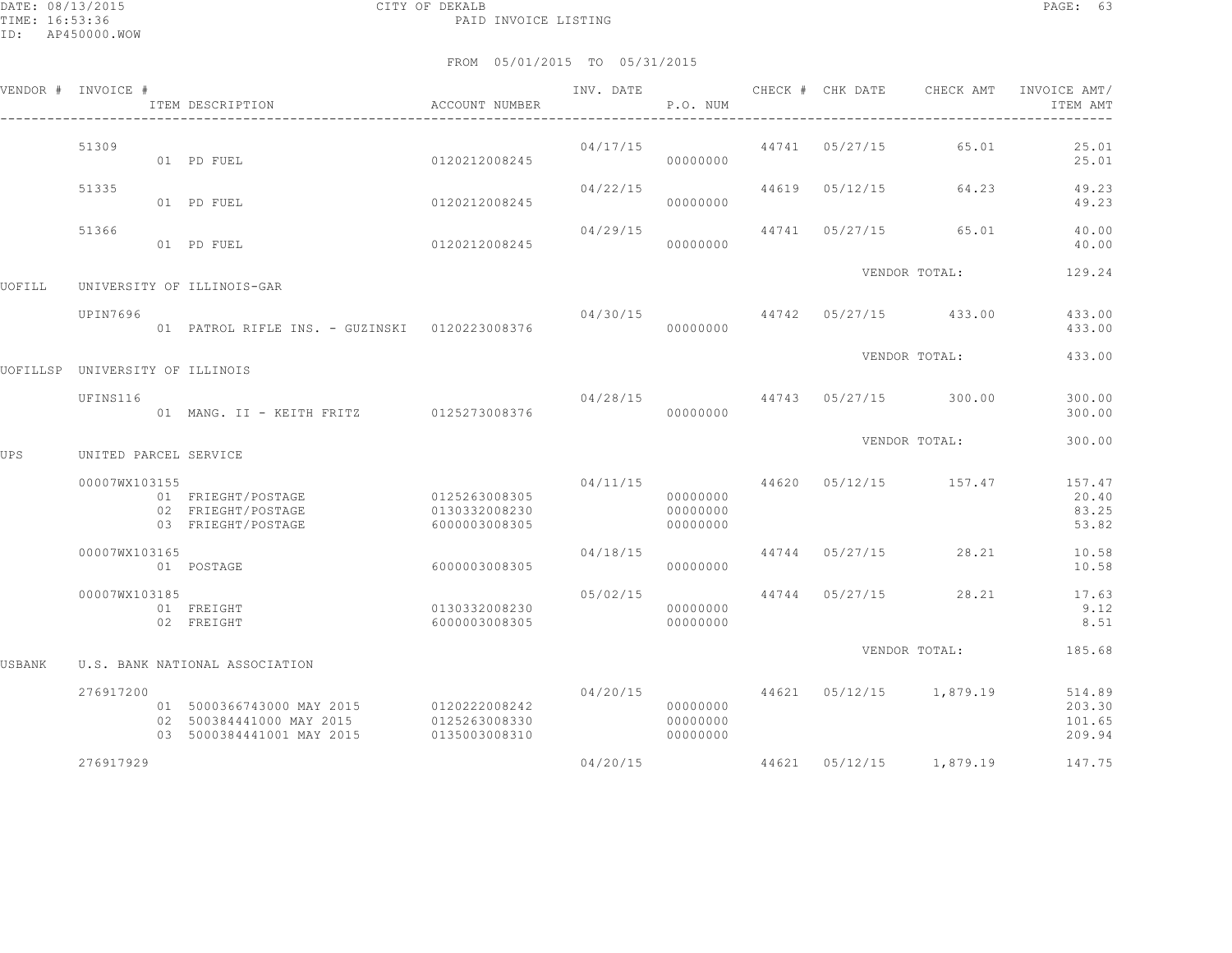|        | VENDOR # INVOICE #              | ITEM DESCRIPTION                                                                   | ACCOUNT NUMBER                                  | INV. DATE     | P.O. NUM                                     |       |                | CHECK # CHK DATE CHECK AMT           | INVOICE AMT/<br>ITEM AMT             |
|--------|---------------------------------|------------------------------------------------------------------------------------|-------------------------------------------------|---------------|----------------------------------------------|-------|----------------|--------------------------------------|--------------------------------------|
|        | 51309                           | 01 PD FUEL                                                                         | 0120212008245                                   | 04/17/15      | 00000000                                     |       | 44741 05/27/15 | 65.01                                | 25.01<br>25.01                       |
|        | 51335                           | 01 PD FUEL                                                                         | 0120212008245                                   | 04/22/15      | 00000000                                     |       | 44619 05/12/15 | 64.23                                | 49.23<br>49.23                       |
|        | 51366                           | 01 PD FUEL                                                                         | 0120212008245                                   | 04/29/15      | 00000000                                     | 44741 | 05/27/15       | 65.01                                | 40.00<br>40.00                       |
| UOFILL |                                 | UNIVERSITY OF ILLINOIS-GAR                                                         |                                                 | VENDOR TOTAL: |                                              |       |                | 129.24                               |                                      |
|        | UPIN7696                        | 01 PATROL RIFLE INS. - GUZINSKI 0120223008376                                      |                                                 | 04/30/15      | 00000000                                     |       |                | 44742 05/27/15 433.00                | 433.00<br>433.00                     |
|        | UOFILLSP UNIVERSITY OF ILLINOIS |                                                                                    |                                                 |               |                                              |       |                | VENDOR TOTAL:                        | 433.00                               |
|        | UFINS116                        | 01 MANG. II - KEITH FRITZ 0125273008376                                            |                                                 |               | 00000000                                     |       |                | $04/28/15$ $44743$ $05/27/15$ 300.00 | 300.00<br>300.00                     |
| UPS    | UNITED PARCEL SERVICE           |                                                                                    |                                                 |               |                                              |       |                | VENDOR TOTAL:                        | 300.00                               |
|        | 00007WX103155                   | 01 FRIEGHT/POSTAGE<br>02 FRIEGHT/POSTAGE<br>03 FRIEGHT/POSTAGE                     | 0125263008305<br>0130332008230<br>6000003008305 | 04/11/15      | 00000000<br>00000000<br>00000000             |       |                | 44620 05/12/15 157.47                | 157.47<br>20.40<br>83.25<br>53.82    |
|        | 00007WX103165                   | 01 POSTAGE                                                                         | 6000003008305                                   | 04/18/15      | 00000000                                     |       | 44744 05/27/15 | 28.21                                | 10.58<br>10.58                       |
|        | 00007WX103185                   | 01 FREIGHT<br>02 FREIGHT                                                           | 0130332008230<br>6000003008305                  | 05/02/15      | 00000000<br>00000000                         |       | 44744 05/27/15 | 28.21                                | 17.63<br>9.12<br>8.51                |
| USBANK |                                 | U.S. BANK NATIONAL ASSOCIATION                                                     |                                                 |               |                                              |       |                | VENDOR TOTAL:                        | 185.68                               |
|        | 276917200                       | 01 5000366743000 MAY 2015<br>02 500384441000 MAY 2015<br>03 5000384441001 MAY 2015 | 0120222008242<br>0125263008330<br>0135003008310 |               | 04/20/15<br>00000000<br>00000000<br>00000000 |       |                | 44621 05/12/15 1,879.19              | 514.89<br>203.30<br>101.65<br>209.94 |
|        | 276917929                       |                                                                                    |                                                 | 04/20/15      |                                              |       |                | 44621 05/12/15 1,879.19              | 147.75                               |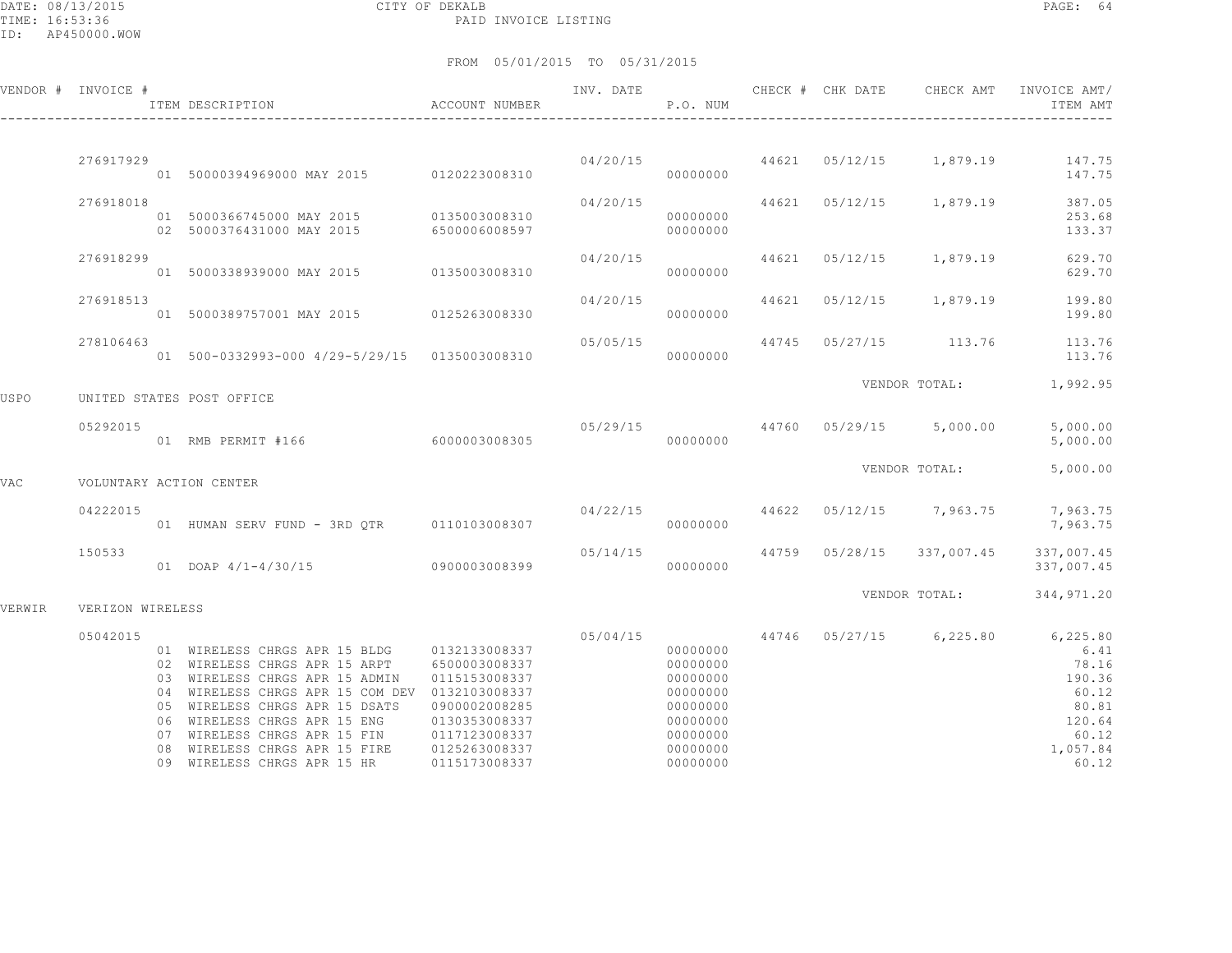DATE: 08/13/2015 CITY OF DEKALB PAGE: 64 PAID INVOICE LISTING

|        | VENDOR # INVOICE #      |  | ITEM DESCRIPTION                                                                                                                                                                                                                                                                                                                   | ACCOUNT NUMBER                                                                                                      | INV. DATE | P.O. NUM                                                                                                 | CHECK # CHK DATE | CHECK AMT                          | INVOICE AMT/<br>ITEM AMT                                                                                                                 |
|--------|-------------------------|--|------------------------------------------------------------------------------------------------------------------------------------------------------------------------------------------------------------------------------------------------------------------------------------------------------------------------------------|---------------------------------------------------------------------------------------------------------------------|-----------|----------------------------------------------------------------------------------------------------------|------------------|------------------------------------|------------------------------------------------------------------------------------------------------------------------------------------|
|        | 276917929               |  |                                                                                                                                                                                                                                                                                                                                    |                                                                                                                     |           |                                                                                                          |                  |                                    | $04/20/15$ $44621$ $05/12/15$ $1,879.19$ $147.75$                                                                                        |
|        |                         |  | 01 50000394969000 MAY 2015 0120223008310                                                                                                                                                                                                                                                                                           |                                                                                                                     |           | 00000000                                                                                                 |                  |                                    | 147.75                                                                                                                                   |
|        | 276918018               |  | 01 5000366745000 MAY 2015 0135003008310<br>02 5000376431000 MAY 2015 6500006008597<br>02 5000376431000 MAY 2015                                                                                                                                                                                                                    |                                                                                                                     | 04/20/15  | 00000000<br>00000000                                                                                     |                  | 44621 05/12/15 1,879.19            | 387.05<br>253.68<br>133.37                                                                                                               |
|        | 276918299               |  | 01 5000338939000 MAY 2015 0135003008310                                                                                                                                                                                                                                                                                            |                                                                                                                     | 04/20/15  | 00000000                                                                                                 |                  |                                    | 44621 05/12/15 1,879.19 629.70<br>629.70                                                                                                 |
|        | 276918513               |  | 01 5000389757001 MAY 2015 0125263008330                                                                                                                                                                                                                                                                                            |                                                                                                                     | 04/20/15  | 00000000                                                                                                 |                  |                                    | 44621 05/12/15 1,879.19 199.80<br>199.80                                                                                                 |
|        | 278106463               |  | 01 500-0332993-000 4/29-5/29/15 0135003008310                                                                                                                                                                                                                                                                                      |                                                                                                                     | 05/05/15  | 00000000                                                                                                 |                  |                                    | 44745 05/27/15 113.76 113.76<br>113.76                                                                                                   |
| USPO   |                         |  | UNITED STATES POST OFFICE                                                                                                                                                                                                                                                                                                          |                                                                                                                     |           |                                                                                                          |                  |                                    | VENDOR TOTAL: 1,992.95                                                                                                                   |
|        | 05292015                |  | 01 RMB PERMIT #166 6000003008305                                                                                                                                                                                                                                                                                                   |                                                                                                                     | 000000000 |                                                                                                          |                  | $05/29/15$ 44760 05/29/15 5,000.00 | 5,000.00<br>5,000.00                                                                                                                     |
| VAC    | VOLUNTARY ACTION CENTER |  |                                                                                                                                                                                                                                                                                                                                    |                                                                                                                     |           |                                                                                                          | VENDOR TOTAL:    | 5,000.00                           |                                                                                                                                          |
|        | 04222015                |  | 01 HUMAN SERV FUND - 3RD OTR 0110103008307                                                                                                                                                                                                                                                                                         |                                                                                                                     | 04/22/15  | 00000000                                                                                                 |                  | 44622 05/12/15 7,963.75            | 7,963.75<br>7,963.75                                                                                                                     |
|        | 150533                  |  | 01 DOAP 4/1-4/30/15 0900003008399                                                                                                                                                                                                                                                                                                  |                                                                                                                     | 05/14/15  | 00000000                                                                                                 |                  | 44759 05/28/15 337,007.45          | 337,007.45<br>337,007.45                                                                                                                 |
| VERWIR | VERIZON WIRELESS        |  |                                                                                                                                                                                                                                                                                                                                    |                                                                                                                     |           |                                                                                                          |                  | VENDOR TOTAL:                      | 344,971.20                                                                                                                               |
|        |                         |  |                                                                                                                                                                                                                                                                                                                                    |                                                                                                                     |           |                                                                                                          |                  |                                    |                                                                                                                                          |
|        | 05042015                |  | 01 WIRELESS CHRGS APR 15 BLDG 0132133008337<br>02 WIRELESS CHRGS APR 15 ARPT<br>03 WIRELESS CHRGS APR 15 ADMIN<br>04 WIRELESS CHRGS APR 15 COM DEV 0132103008337<br>05 WIRELESS CHRGS APR 15 DSATS<br>06 WIRELESS CHRGS APR 15 ENG<br>07 WIRELESS CHRGS APR 15 FIN<br>08 WIRELESS CHRGS APR 15 FIRE<br>09 WIRELESS CHRGS APR 15 HR | 6500003008337<br>0115153008337<br>0900002008285<br>0130353008337<br>0117123008337<br>0125263008337<br>0115173008337 |           | 00000000<br>00000000<br>00000000<br>00000000<br>00000000<br>00000000<br>00000000<br>00000000<br>00000000 |                  |                                    | $05/04/15$ $44746$ $05/27/15$ $6,225.80$ $6,225.80$<br>6.41<br>78.16<br>190.36<br>60.12<br>80.81<br>120.64<br>60.12<br>1,057.84<br>60.12 |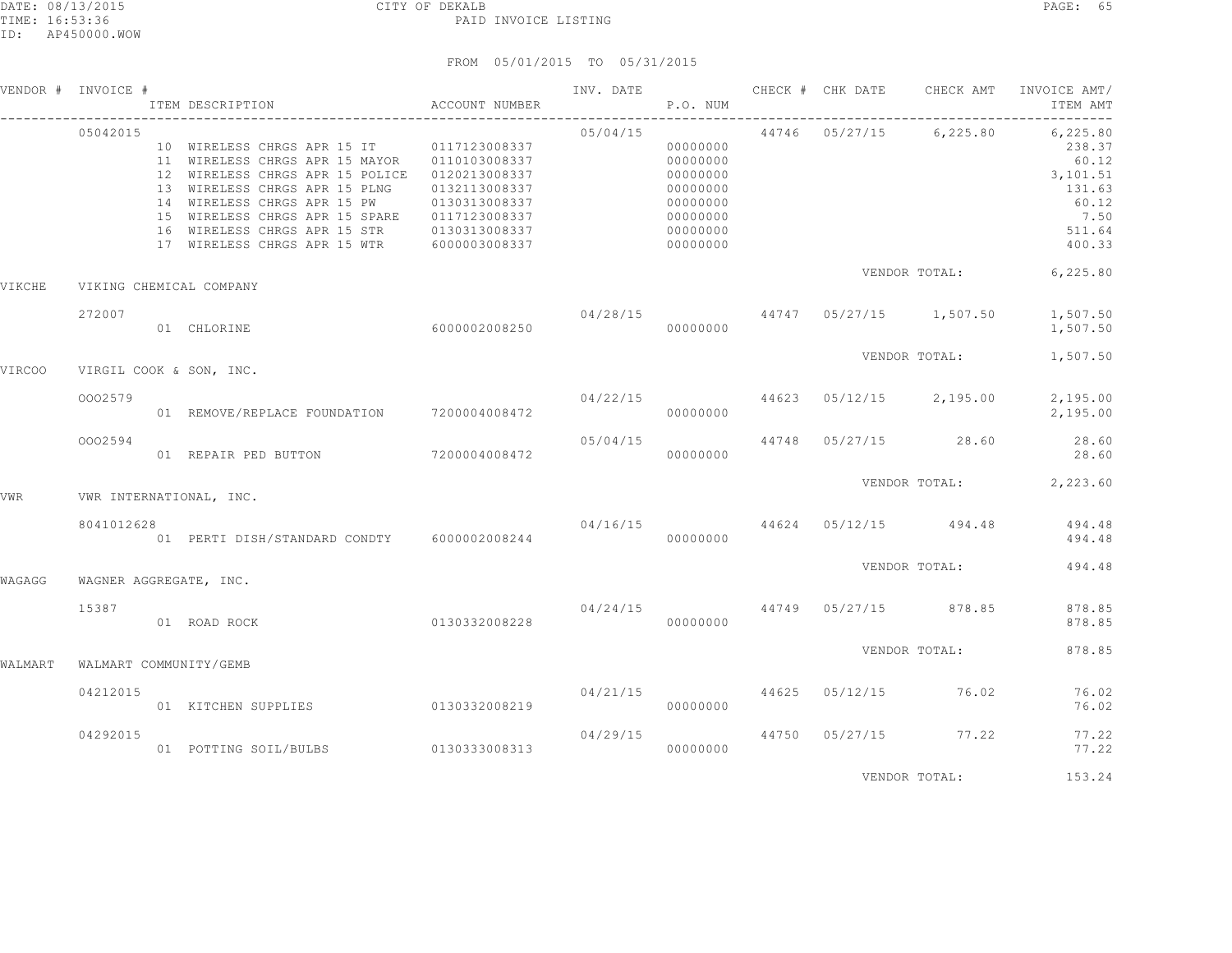|         | VENDOR # INVOICE #     | ITEM DESCRIPTION                                                                                                                                                                                                                                                          | ACCOUNT NUMBER                                        |                               | P.O. NUM                                                                         |  | INV. DATE 6 CHECK # CHK DATE CHECK AMT | INVOICE AMT/<br>ITEM AMT                                                               |
|---------|------------------------|---------------------------------------------------------------------------------------------------------------------------------------------------------------------------------------------------------------------------------------------------------------------------|-------------------------------------------------------|-------------------------------|----------------------------------------------------------------------------------|--|----------------------------------------|----------------------------------------------------------------------------------------|
|         | 05042015               | 10 WIRELESS CHRGS APR 15 IT 0117123008337<br>12 WIRELESS CHRGS APR 15 POLICE  0120213008337<br>13 WIRELESS CHRGS APR 15 PLNG 0132113008337<br>14 WIRELESS CHRGS APR 15 PW<br>15 WIRELESS CHRGS APR 15 SPARE   0117123008337<br>16 WIRELESS CHRGS APR 15 STR 0130313008337 | 0130313008337                                         | 05/04/15                      | 00000000<br>00000000<br>00000000<br>00000000<br>00000000<br>00000000<br>00000000 |  | 44746 05/27/15 6,225.80                | 6,225.80<br>238.37<br>60.12<br>3,101.51<br>131.63<br>60.12<br>7.50<br>511.64<br>400.33 |
| VIKCHE  |                        | VIKING CHEMICAL COMPANY                                                                                                                                                                                                                                                   |                                                       |                               |                                                                                  |  |                                        | VENDOR TOTAL: 6,225.80                                                                 |
|         | 272007                 | 60000002008250<br>01 CHLORINE                                                                                                                                                                                                                                             |                                                       |                               | 00000000                                                                         |  |                                        | 04/28/15  44747  05/27/15  1,507.50  1,507.50<br>1,507.50                              |
| VIRCOO  |                        | VIRGIL COOK & SON, INC.                                                                                                                                                                                                                                                   |                                                       |                               |                                                                                  |  |                                        | VENDOR TOTAL: 1,507.50                                                                 |
|         | 0002579                | 01 REMOVE/REPLACE FOUNDATION 7200004008472                                                                                                                                                                                                                                |                                                       |                               | 00000000                                                                         |  |                                        | $04/22/15$ $44623$ $05/12/15$ $2,195.00$ $2,195.00$<br>2,195.00                        |
|         | 0002594                | 01 REPAIR PED BUTTON 7200004008472                                                                                                                                                                                                                                        |                                                       |                               | 00000000                                                                         |  | $05/04/15$ $44748$ $05/27/15$ 28.60    | 28.60<br>28.60                                                                         |
| VWR     |                        | VWR INTERNATIONAL, INC.                                                                                                                                                                                                                                                   |                                                       |                               |                                                                                  |  |                                        | VENDOR TOTAL: 2,223.60                                                                 |
|         | 8041012628             | 01 PERTI DISH/STANDARD CONDTY 6000002008244                                                                                                                                                                                                                               |                                                       |                               | 00000000                                                                         |  |                                        | $04/16/15$ $44624$ $05/12/15$ $494.48$ $494.48$<br>494.48                              |
| WAGAGG  | WAGNER AGGREGATE, INC. |                                                                                                                                                                                                                                                                           |                                                       |                               |                                                                                  |  | VENDOR TOTAL:                          | 494.48                                                                                 |
|         | 15387                  | 01 ROAD ROCK                                                                                                                                                                                                                                                              | $04/24/15$ $44749$ $05/27/15$ 878.85<br>0130332008228 |                               | 00000000                                                                         |  |                                        | 878.85<br>878.85                                                                       |
| WALMART | WALMART COMMUNITY/GEMB |                                                                                                                                                                                                                                                                           |                                                       |                               |                                                                                  |  | VENDOR TOTAL:                          | 878.85                                                                                 |
|         | 04212015               | 01 KITCHEN SUPPLIES 0130332008219                                                                                                                                                                                                                                         |                                                       | 04/21/15 44625 05/12/15 76.02 | 00000000                                                                         |  |                                        | 76.02<br>76.02                                                                         |
|         | 04292015               | 01 POTTING SOIL/BULBS 0130333008313 000000000                                                                                                                                                                                                                             |                                                       | 04/29/15                      |                                                                                  |  | 44750 05/27/15 77.22                   | 77.22<br>77.22                                                                         |
|         |                        |                                                                                                                                                                                                                                                                           |                                                       |                               |                                                                                  |  | VENDOR TOTAL:                          | 153.24                                                                                 |